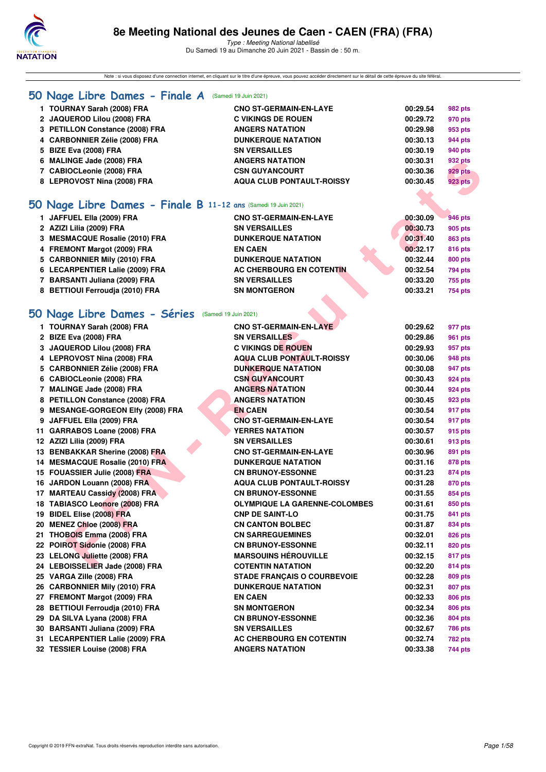

Note : si vous disposez d'une connection internet, en cliquant sur le titre d'une épreuve, vous pouvez accéder directement sur le détail de cette épreuve du site féféral.

## **[50 Nage Libre Dames - Finale A](http://www.ffnatation.fr/webffn/resultats.php?idact=nat&go=epr&idcpt=70045&idepr=1)** (Samedi 19 Juin 2021)

| 1 TOURNAY Sarah (2008) FRA      | <b>CNO ST-GERMAIN-EN-LAYE</b>    | 00:29.54 | 982 pts |
|---------------------------------|----------------------------------|----------|---------|
| 2 JAQUEROD Lilou (2008) FRA     | <b>C VIKINGS DE ROUEN</b>        | 00:29.72 | 970 pts |
| 3 PETILLON Constance (2008) FRA | <b>ANGERS NATATION</b>           | 00:29.98 | 953 pts |
| 4 CARBONNIER Zélie (2008) FRA   | <b>DUNKERQUE NATATION</b>        | 00:30.13 | 944 pts |
| 5 BIZE Eva (2008) FRA           | <b>SN VERSAILLES</b>             | 00:30.19 | 940 pts |
| 6 MALINGE Jade (2008) FRA       | <b>ANGERS NATATION</b>           | 00:30.31 | 932 pts |
| 7 CABIOCLeonie (2008) FRA       | <b>CSN GUYANCOURT</b>            | 00:30.36 | 929 pts |
| 8 LEPROVOST Nina (2008) FRA     | <b>AQUA CLUB PONTAULT-ROISSY</b> | 00:30.45 | 923 pts |
|                                 |                                  |          |         |

## **[50 Nage Libre Dames - Finale B](http://www.ffnatation.fr/webffn/resultats.php?idact=nat&go=epr&idcpt=70045&idepr=1) 11-12 ans** (Samedi 19 Juin 2021)

| 1 JAFFUEL Ella (2009) FRA       | <b>CNO ST-GERMAIN-EN-LAYE</b> | 00:30.09 | 946 pts |
|---------------------------------|-------------------------------|----------|---------|
| 2 AZIZI Lilia (2009) FRA        | <b>SN VERSAILLES</b>          | 00:30.73 | 905 pts |
| 3 MESMACQUE Rosalie (2010) FRA  | <b>DUNKERQUE NATATION</b>     | 00:31.40 | 863 pts |
| 4 FREMONT Margot (2009) FRA     | <b>EN CAEN</b>                | 00:32.17 | 816 pts |
| 5 CARBONNIER Mily (2010) FRA    | <b>DUNKERQUE NATATION</b>     | 00:32.44 | 800 pts |
| 6 LECARPENTIER Lalie (2009) FRA | AC CHERBOURG EN COTENTIN      | 00:32.54 | 794 pts |
| 7 BARSANTI Juliana (2009) FRA   | <b>SN VERSAILLES</b>          | 00:33.20 | 755 pts |
| 8 BETTIOUI Ferroudia (2010) FRA | <b>SN MONTGERON</b>           | 00:33.21 | 754 pts |
|                                 |                               |          |         |

# **[50 Nage Libre Dames - Séries](http://www.ffnatation.fr/webffn/resultats.php?idact=nat&go=epr&idcpt=70045&idepr=1)** (Samedi 19 Juin 2021)

| 6 MALINGE Jade (2008) FRA                                      | ANGERS NATATION                      | 00:30.31 | 932 pts        |
|----------------------------------------------------------------|--------------------------------------|----------|----------------|
| 7 CABIOCLeonie (2008) FRA                                      | <b>CSN GUYANCOURT</b>                | 00:30.36 | 929 pts        |
| 8 LEPROVOST Nina (2008) FRA                                    | <b>AQUA CLUB PONTAULT-ROISSY</b>     | 00:30.45 | <b>923 pts</b> |
|                                                                |                                      |          |                |
| iO Nage Libre Dames - Finale B 11-12 ans (Samedi 19 Juin 2021) |                                      |          |                |
| 1 JAFFUEL Ella (2009) FRA                                      | <b>CNO ST-GERMAIN-EN-LAYE</b>        | 00:30.09 | <b>946 pts</b> |
| 2 AZIZI Lilia (2009) FRA                                       | <b>SN VERSAILLES</b>                 | 00:30.73 | 905 pts        |
| 3 MESMACQUE Rosalie (2010) FRA                                 | <b>DUNKERQUE NATATION</b>            | 00:31.40 | 863 pts        |
| 4 FREMONT Margot (2009) FRA                                    | <b>EN CAEN</b>                       | 00:32.17 | <b>816 pts</b> |
| 5 CARBONNIER Mily (2010) FRA                                   | <b>DUNKERQUE NATATION</b>            | 00:32.44 | 800 pts        |
| 6 LECARPENTIER Lalie (2009) FRA                                | AC CHERBOURG EN COTENTIN             | 00:32.54 | 794 pts        |
| 7 BARSANTI Juliana (2009) FRA                                  | <b>SN VERSAILLES</b>                 | 00:33.20 | 755 pts        |
| 8 BETTIOUI Ferroudja (2010) FRA                                | <b>SN MONTGERON</b>                  | 00:33.21 | 754 pts        |
|                                                                |                                      |          |                |
| iO Nage Libre Dames - Séries (Samedi 19 Juin 2021)             |                                      |          |                |
|                                                                |                                      |          |                |
| 1 TOURNAY Sarah (2008) FRA                                     | <b>CNO ST-GERMAIN-EN-LAYE</b>        | 00:29.62 | 977 pts        |
| 2 BIZE Eva (2008) FRA                                          | <b>SN VERSAILLES</b>                 | 00:29.86 | 961 pts        |
| 3 JAQUEROD Lilou (2008) FRA                                    | <b>C VIKINGS DE ROUEN</b>            | 00:29.93 | 957 pts        |
| 4 LEPROVOST Nina (2008) FRA                                    | <b>AQUA CLUB PONTAULT-ROISSY</b>     | 00:30.06 | 948 pts        |
| 5 CARBONNIER Zélie (2008) FRA                                  | <b>DUNKERQUE NATATION</b>            | 00:30.08 | 947 pts        |
| 6 CABIOCLeonie (2008) FRA                                      | <b>CSN GUYANCOURT</b>                | 00:30.43 | 924 pts        |
| 7 MALINGE Jade (2008) FRA                                      | <b>ANGERS NATATION</b>               | 00:30.44 | 924 pts        |
| 8 PETILLON Constance (2008) FRA                                | <b>ANGERS NATATION</b>               | 00:30.45 | 923 pts        |
| 9 MESANGE-GORGEON Elfy (2008) FRA                              | <b>EN CAEN</b>                       | 00:30.54 | 917 pts        |
| 9 JAFFUEL Ella (2009) FRA                                      | <b>CNO ST-GERMAIN-EN-LAYE</b>        | 00:30.54 | 917 pts        |
| 11 GARRABOS Loane (2008) FRA                                   | <b>YERRES NATATION</b>               | 00:30.57 | 915 pts        |
| 12 AZIZI Lilia (2009) FRA                                      | <b>SN VERSAILLES</b>                 | 00:30.61 | 913 pts        |
| 13 BENBAKKAR Sherine (2008) FRA                                | <b>CNO ST-GERMAIN-EN-LAYE</b>        | 00:30.96 | 891 pts        |
| 14 MESMACQUE Rosalie (2010) FRA                                | <b>DUNKERQUE NATATION</b>            | 00:31.16 | 878 pts        |
| 15 FOUASSIER Julie (2008) FRA                                  | <b>CN BRUNOY-ESSONNE</b>             | 00:31.23 | 874 pts        |
| 16 JARDON Louann (2008) FRA                                    | <b>AQUA CLUB PONTAULT-ROISSY</b>     | 00:31.28 | 870 pts        |
| 17 MARTEAU Cassidy (2008) FRA                                  | <b>CN BRUNOY-ESSONNE</b>             | 00:31.55 | 854 pts        |
| 18 TABIASCO Leonore (2008) FRA                                 | <b>OLYMPIQUE LA GARENNE-COLOMBES</b> | 00:31.61 | 850 pts        |
| 19 BIDEL Elise (2008) FRA                                      | <b>CNP DE SAINT-LO</b>               | 00:31.75 | 841 pts        |
| 20 MENEZ Chloe (2008) FRA                                      | <b>CN CANTON BOLBEC</b>              | 00:31.87 | 834 pts        |
| 21 THOBOIS Emma (2008) FRA                                     | <b>CN SARREGUEMINES</b>              | 00:32.01 | 826 pts        |
| 22 POIROT Sidonie (2008) FRA                                   | <b>CN BRUNOY-ESSONNE</b>             | 00:32.11 | <b>820 pts</b> |
| 23 LELONG Juliette (2008) FRA                                  | <b>MARSOUINS HÉROUVILLE</b>          | 00:32.15 | 817 pts        |
| 24 LEBOISSELIER Jade (2008) FRA                                | <b>COTENTIN NATATION</b>             | 00:32.20 | 814 pts        |
| 25 VARGA Zille (2008) FRA                                      | <b>STADE FRANCAIS O COURBEVOIE</b>   | 00:32.28 | 809 pts        |
| 26 CARBONNIER Mily (2010) FRA                                  | <b>DUNKERQUE NATATION</b>            | 00:32.31 | 807 pts        |
| 27 FREMONT Margot (2009) FRA                                   | <b>EN CAEN</b>                       | 00:32.33 | 806 pts        |
| 28 BETTIOUI Ferroudja (2010) FRA                               | <b>SN MONTGERON</b>                  | 00:32.34 | 806 pts        |
| 29 DA SILVA Lyana (2008) FRA                                   | <b>CN BRUNOY-ESSONNE</b>             | 00:32.36 | 804 pts        |
| 30 BARSANTI Juliana (2009) FRA                                 | <b>SN VERSAILLES</b>                 | 00:32.67 | <b>786 pts</b> |
| 31 LECARPENTIER Lalie (2009) FRA                               | AC CHERBOURG EN COTENTIN             | 00:32.74 | 782 pts        |
| 32 TESSIER Louise (2008) FRA                                   | <b>ANGERS NATATION</b>               | 00:33.38 | 744 pts        |
|                                                                |                                      |          |                |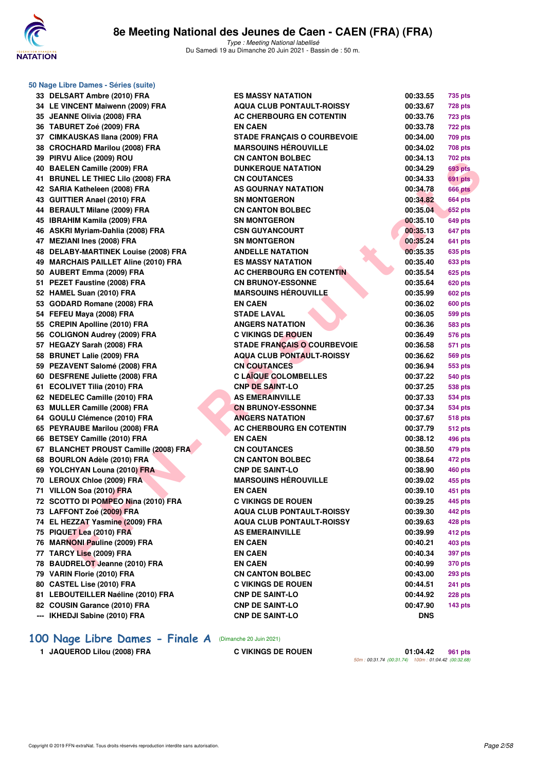

| 50 Nage Libre Dames - Séries (suite) |                                       |                                    |            |                |  |  |
|--------------------------------------|---------------------------------------|------------------------------------|------------|----------------|--|--|
|                                      | 33 DELSART Ambre (2010) FRA           | <b>ES MASSY NATATION</b>           | 00:33.55   | 735 pts        |  |  |
|                                      | 34 LE VINCENT Maiwenn (2009) FRA      | <b>AQUA CLUB PONTAULT-ROISSY</b>   | 00:33.67   | <b>728 pts</b> |  |  |
|                                      | 35 JEANNE Olivia (2008) FRA           | AC CHERBOURG EN COTENTIN           | 00:33.76   | <b>723 pts</b> |  |  |
|                                      | 36 TABURET Zoé (2009) FRA             | <b>EN CAEN</b>                     | 00:33.78   | <b>722 pts</b> |  |  |
|                                      | 37 CIMKAUSKAS Ilana (2009) FRA        | <b>STADE FRANÇAIS O COURBEVOIE</b> | 00:34.00   | 709 pts        |  |  |
|                                      | 38 CROCHARD Marilou (2008) FRA        | <b>MARSOUINS HÉROUVILLE</b>        | 00:34.02   | <b>708 pts</b> |  |  |
|                                      | 39 PIRVU Alice (2009) ROU             | <b>CN CANTON BOLBEC</b>            | 00:34.13   | 702 pts        |  |  |
|                                      | 40 BAELEN Camille (2009) FRA          | <b>DUNKERQUE NATATION</b>          | 00:34.29   | 693 pts        |  |  |
|                                      | 41 BRUNEL LE THIEC Lilo (2008) FRA    | <b>CN COUTANCES</b>                | 00:34.33   | 691 pts        |  |  |
|                                      | 42 SARIA Katheleen (2008) FRA         | AS GOURNAY NATATION                | 00:34.78   | <b>666 pts</b> |  |  |
|                                      | 43 GUITTIER Anael (2010) FRA          | <b>SN MONTGERON</b>                | 00:34.82   | <b>664 pts</b> |  |  |
|                                      | 44 BERAULT Milane (2009) FRA          | <b>CN CANTON BOLBEC</b>            | 00:35.04   | <b>652 pts</b> |  |  |
|                                      | 45 IBRAHIM Kamila (2009) FRA          | <b>SN MONTGERON</b>                | 00:35.10   | <b>649 pts</b> |  |  |
|                                      | 46 ASKRI Myriam-Dahlia (2008) FRA     | <b>CSN GUYANCOURT</b>              | 00:35.13   | 647 pts        |  |  |
|                                      | 47 MEZIANI Ines (2008) FRA            | <b>SN MONTGERON</b>                | 00:35.24   | 641 pts        |  |  |
|                                      | 48 DELABY-MARTINEK Louise (2008) FRA  | <b>ANDELLE NATATION</b>            | 00:35.35   | 635 pts        |  |  |
|                                      | 49 MARCHAIS PAILLET Aline (2010) FRA  | <b>ES MASSY NATATION</b>           | 00:35.40   | <b>633 pts</b> |  |  |
|                                      | 50 AUBERT Emma (2009) FRA             | AC CHERBOURG EN COTENTIN           | 00:35.54   | <b>625 pts</b> |  |  |
|                                      | 51 PEZET Faustine (2008) FRA          | <b>CN BRUNOY-ESSONNE</b>           | 00:35.64   | 620 pts        |  |  |
|                                      | 52 HAMEL Suan (2010) FRA              | <b>MARSOUINS HÉROUVILLE</b>        | 00:35.99   | 602 pts        |  |  |
|                                      | 53 GODARD Romane (2008) FRA           | <b>EN CAEN</b>                     | 00:36.02   | 600 pts        |  |  |
|                                      | 54 FEFEU Maya (2008) FRA              | <b>STADE LAVAL</b>                 | 00:36.05   | 599 pts        |  |  |
|                                      | 55 CREPIN Apolline (2010) FRA         | <b>ANGERS NATATION</b>             | 00:36.36   | <b>583 pts</b> |  |  |
|                                      | 56 COLIGNON Audrey (2009) FRA         | <b>C VIKINGS DE ROUEN</b>          | 00:36.49   | 576 pts        |  |  |
|                                      | 57 HEGAZY Sarah (2008) FRA            | <b>STADE FRANÇAIS O COURBEVOIE</b> | 00:36.58   | 571 pts        |  |  |
|                                      | 58 BRUNET Lalie (2009) FRA            | <b>AQUA CLUB PONTAULT-ROISSY</b>   | 00:36.62   | 569 pts        |  |  |
|                                      | 59 PEZAVENT Salomé (2008) FRA         | <b>CN COUTANCES</b>                | 00:36.94   | 553 pts        |  |  |
|                                      | 60 DESFRENE Juliette (2008) FRA       | <b>C LAÏQUE COLOMBELLES</b>        | 00:37.22   | 540 pts        |  |  |
|                                      | 61 ECOLIVET Tilia (2010) FRA          | <b>CNP DE SAINT-LO</b>             | 00:37.25   | <b>538 pts</b> |  |  |
|                                      | 62 NEDELEC Camille (2010) FRA         | <b>AS EMERAINVILLE</b>             | 00:37.33   | 534 pts        |  |  |
|                                      | 63 MULLER Camille (2008) FRA          | <b>CN BRUNOY-ESSONNE</b>           | 00:37.34   | 534 pts        |  |  |
|                                      | 64 GOULU Clémence (2010) FRA          | <b>ANGERS NATATION</b>             | 00:37.67   | <b>518 pts</b> |  |  |
|                                      | 65 PEYRAUBE Marilou (2008) FRA        | AC CHERBOURG EN COTENTIN           | 00:37.79   | 512 pts        |  |  |
|                                      | 66 BETSEY Camille (2010) FRA          | <b>EN CAEN</b>                     | 00:38.12   | 496 pts        |  |  |
|                                      | 67 BLANCHET PROUST Camille (2008) FRA | <b>CN COUTANCES</b>                | 00:38.50   | 479 pts        |  |  |
|                                      | 68 BOURLON Adèle (2010) FRA           | <b>CN CANTON BOLBEC</b>            | 00:38.64   | 472 pts        |  |  |
|                                      | 69 YOLCHYAN Louna (2010) FRA          | <b>CNP DE SAINT-LO</b>             | 00:38.90   | 460 pts        |  |  |
|                                      | 70 LEROUX Chloe (2009) FRA            | <b>MARSOUINS HÉROUVILLE</b>        | 00:39.02   | 455 pts        |  |  |
|                                      | 71 VILLON Soa (2010) FRA              | <b>EN CAEN</b>                     | 00:39.10   | 451 pts        |  |  |
|                                      | 72 SCOTTO DI POMPEO Nina (2010) FRA   | <b>C VIKINGS DE ROUEN</b>          | 00:39.25   | 445 pts        |  |  |
|                                      | 73 LAFFONT Zoé (2009) FRA             | <b>AQUA CLUB PONTAULT-ROISSY</b>   | 00:39.30   | 442 pts        |  |  |
|                                      | 74 EL HEZZAT Yasmine (2009) FRA       | <b>AQUA CLUB PONTAULT-ROISSY</b>   | 00:39.63   | 428 pts        |  |  |
|                                      | 75 PIQUET Lea (2010) FRA              | <b>AS EMERAINVILLE</b>             | 00:39.99   | 412 pts        |  |  |
|                                      | 76 MARNONI Pauline (2009) FRA         | <b>EN CAEN</b>                     | 00:40.21   | 403 pts        |  |  |
|                                      | 77 TARCY Lise (2009) FRA              | <b>EN CAEN</b>                     | 00:40.34   | 397 pts        |  |  |
|                                      | 78 BAUDRELOT Jeanne (2010) FRA        | <b>EN CAEN</b>                     | 00:40.99   | 370 pts        |  |  |
|                                      | 79 VARIN Florie (2010) FRA            | <b>CN CANTON BOLBEC</b>            | 00:43.00   | <b>293 pts</b> |  |  |
|                                      | 80 CASTEL Lise (2010) FRA             | <b>C VIKINGS DE ROUEN</b>          | 00:44.51   | <b>241 pts</b> |  |  |
|                                      | 81 LEBOUTEILLER Naéline (2010) FRA    | <b>CNP DE SAINT-LO</b>             | 00:44.92   | 228 pts        |  |  |
|                                      | 82 COUSIN Garance (2010) FRA          | <b>CNP DE SAINT-LO</b>             | 00:47.90   | <b>143 pts</b> |  |  |
|                                      | --- IKHEDJI Sabine (2010) FRA         | <b>CNP DE SAINT-LO</b>             | <b>DNS</b> |                |  |  |
|                                      |                                       |                                    |            |                |  |  |

## **[100 Nage Libre Dames - Finale A](http://www.ffnatation.fr/webffn/resultats.php?idact=nat&go=epr&idcpt=70045&idepr=2)** (Dimanche 20 Juin 2021)

**1 JAQUEROD Lilou (2008) FRA C VIKINGS DE ROUEN 01:04.42 961 pts**

50m : 00:31.74 (00:31.74) 100m : 01:04.42 (00:32.68)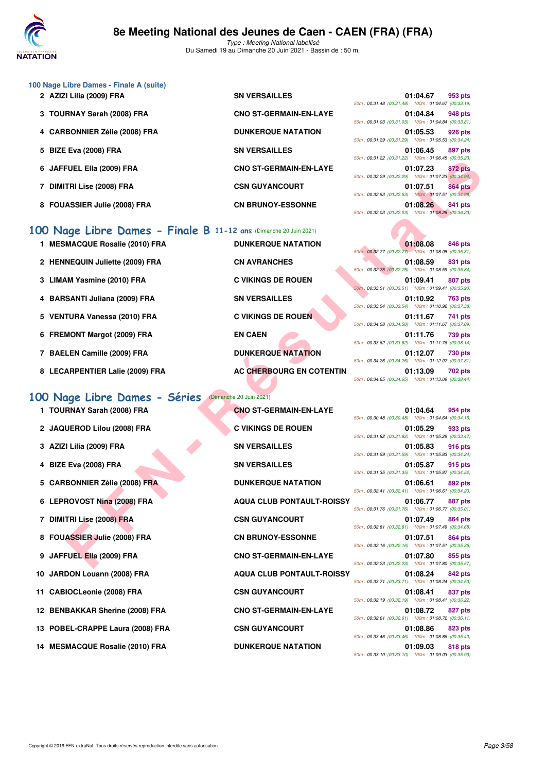

Du Samedi 19 au Dimanche 20 Juin 2021 - Bassin de : 50 m.

**CNO ST-GERMAIN-EN-LAYE** 

**DUNKERQUE NATATION** 

**2 BN VERSAILLES** 

**SN VERSAILLES** 

| 100 Nage Libre Dames - Finale A (suite) |  |  |  |  |
|-----------------------------------------|--|--|--|--|
| 2 AZIZI Lilia (2009) FRA                |  |  |  |  |
| 3 TOURNAY Sarah (2008) FRA              |  |  |  |  |
| 4 CARBONNIER Zélie (2008) FRA           |  |  |  |  |
| 5 BIZE Eva (2008) FRA                   |  |  |  |  |

- 6 JAFFUEL Ella (2009) FRA CNO ST-GERMAIN-EN-LAYE
- 7 DIMITRI Lise (2008) FRA **CSN GUYANCOURT**
- 8 FOUASSIER Julie (2008) FRA CN BRUNOY-ESSONNE

## **[100 Nage Libre Dames - Finale B](http://www.ffnatation.fr/webffn/resultats.php?idact=nat&go=epr&idcpt=70045&idepr=2) 11-1**

- **1 MESMACQUE Rosalie (2010) FRA** 2 HENNEQUIN Juliette (2009) FRA **3 LIMAM Yasmine (2010) FRA C VIKINGS DE ROUEN** 4 BARSANTI Juliana (2009) FRA **5 VENTURA Vanessa (2010) FRA C VIKINGS DE ROUEN 01:47 PTS**
- **6 FREMONT Margot (2009) FRA**
- **7 BAELEN Camille (2009) FRA**
- 8 LECARPENTIER Lalie (2009) FRA AC CHERBOURG EN COTENTIN

## **[100 Nage Libre Dames - Séries](http://www.ffnatation.fr/webffn/resultats.php?idact=nat&go=epr&idcpt=70045&idepr=2)** (Dimanche 20 Juin 2021)

| 1 TOURNAY Sarah (2008) FRA       | <b>CNO ST-GERMAIN-EN-LAYE</b>    | 50m: 00:30.48 (00:30.48) 100m: 01:04.64 (00:34.16) | 01:04.64 | 954 pts        |
|----------------------------------|----------------------------------|----------------------------------------------------|----------|----------------|
| 2 JAQUEROD Lilou (2008) FRA      | <b>C VIKINGS DE ROUEN</b>        | 50m: 00:31.82 (00:31.82) 100m: 01:05.29 (00:33.47) | 01:05.29 | 933 pts        |
| 3 AZIZI Lilia (2009) FRA         | <b>SN VERSAILLES</b>             | 50m: 00:31.59 (00:31.59) 100m: 01:05.83 (00:34.24  | 01:05.83 | 916 pts        |
| 4 BIZE Eva (2008) FRA            | <b>SN VERSAILLES</b>             | 50m: 00:31.35 (00:31.35) 100m: 01:05.87 (00:34.52) | 01:05.87 | 915 pts        |
| 5 CARBONNIER Zélie (2008) FRA    | <b>DUNKERQUE NATATION</b>        | 50m: 00:32.41 (00:32.41) 100m: 01:06.61 (00:34.20  | 01:06.61 | 892 pts        |
| 6 LEPROVOST Nina (2008) FRA      | <b>AQUA CLUB PONTAULT-ROISSY</b> | 50m: 00:31.76 (00:31.76) 100m: 01:06.77 (00:35.01  | 01:06.77 | 887 pts        |
| 7 DIMITRI Lise (2008) FRA        | <b>CSN GUYANCOURT</b>            | 50m: 00:32.81 (00:32.81) 100m: 01:07.49 (00:34.68  | 01:07.49 | <b>864 pts</b> |
| 8 FOUASSIER Julie (2008) FRA     | <b>CN BRUNOY-ESSONNE</b>         | 50m: 00:32.16 (00:32.16) 100m: 01:07.51 (00:35.35  | 01:07.51 | <b>864 pts</b> |
| 9 JAFFUEL Ella (2009) FRA        | <b>CNO ST-GERMAIN-EN-LAYE</b>    | 50m: 00:32.23 (00:32.23) 100m: 01:07.80 (00:35.57) | 01:07.80 | 855 pts        |
| 10 JARDON Louann (2008) FRA      | <b>AQUA CLUB PONTAULT-ROISSY</b> | 50m: 00:33.71 (00:33.71) 100m: 01:08.24 (00:34.53  | 01:08.24 | 842 pts        |
| 11 CABIOCLeonie (2008) FRA       | <b>CSN GUYANCOURT</b>            | 50m: 00:32.19 (00:32.19) 100m: 01:08.41 (00:36.22) | 01:08.41 | 837 pts        |
| 12 BENBAKKAR Sherine (2008) FRA  | <b>CNO ST-GERMAIN-EN-LAYE</b>    | 50m: 00:32.61 (00:32.61) 100m: 01:08.72 (00:36.11  | 01:08.72 | 827 pts        |
| 13 POBEL-CRAPPE Laura (2008) FRA | <b>CSN GUYANCOURT</b>            | 50m: 00:33.46 (00:33.46) 100m: 01:08.86 (00:35.40  | 01:08.86 | 823 pts        |
| 14 MESMACQUE Rosalie (2010) FRA  | <b>DUNKERQUE NATATION</b>        |                                                    | 01:09.03 | 818 pts        |

| 2 ans (Dimanche 20 Juin 2021)   |
|---------------------------------|
| <b>DUNKERQUE NATATION</b>       |
| <b>CN AVRANCHES</b>             |
| <b>C VIKINGS DE ROUEN</b>       |
| <b>SN VERSAILLES</b>            |
| <b>C VIKINGS DE ROUEN</b>       |
| <b>EN CAEN</b>                  |
| <b>DUNKERQUE NATATION</b>       |
| <b>AC CHERBOURG EN COTENTIL</b> |

|                                                                                           |                                                          | $0011.00.01.22$ (00.01.22) 10011.01.00.40 (00.00.20)                                                                            |
|-------------------------------------------------------------------------------------------|----------------------------------------------------------|---------------------------------------------------------------------------------------------------------------------------------|
| <sup>-</sup> UEL Ella (2009) FRA                                                          | <b>CNO ST-GERMAIN-EN-LAYE</b>                            | 01:07.23<br>872 pts<br>50m: 00:32.29 (00:32.29) 100m: 01:07.23 (00:34.94)                                                       |
| TRI Lise (2008) FRA                                                                       | <b>CSN GUYANCOURT</b>                                    | 01:07.51<br><b>864 pts</b><br>50m: 00:32.53 (00:32.53) 100m: 01:07.51 (00:34.98)                                                |
| <b>ASSIER Julie (2008) FRA</b>                                                            | <b>CN BRUNOY-ESSONNE</b>                                 | 01:08.26<br>841 pts<br>50m: 00:32.03 (00:32.03) 100m: 01:08.26 (00:36.23)                                                       |
| age Libre Dames - Finale B 11-12 ans (Dimanche 20 Juin 2021)<br>MACQUE Rosalie (2010) FRA | <b>DUNKERQUE NATATION</b>                                | 01:08.08<br>846 pts                                                                                                             |
| NEQUIN Juliette (2009) FRA                                                                | <b>CN AVRANCHES</b>                                      | 50m: 00:32.77 (00:32.77) 100m: 01:08.08 (00:35.31)<br>01:08.59<br>831 pts                                                       |
| <b>\M Yasmine (2010) FRA</b>                                                              | <b>C VIKINGS DE ROUEN</b>                                | 50m: 00:32.75 (00:32.75) 100m: 01:08.59 (00:35.84)<br>01:09.41<br>807 pts                                                       |
| SANTI Juliana (2009) FRA                                                                  | <b>SN VERSAILLES</b>                                     | 50m: 00:33.51 (00:33.51) 100m: 01:09.41 (00:35.90)<br>01:10.92<br>763 pts                                                       |
| TURA Vanessa (2010) FRA                                                                   | <b>C VIKINGS DE ROUEN</b>                                | 50m: 00:33.54 (00:33.54) 100m: 01:10.92 (00:37.38)<br>01:11.67<br>741 pts                                                       |
| <b>MONT Margot (2009) FRA</b>                                                             | <b>EN CAEN</b>                                           | 50m: 00:34.58 (00:34.58) 100m: 01:11.67 (00:37.09)<br>01:11.76<br>739 pts                                                       |
| LEN Camille (2009) FRA                                                                    | <b>DUNKERQUE NATATION</b>                                | 50m: 00:33.62 (00:33.62) 100m: 01:11.76 (00:38.14)<br>01:12.07<br>730 pts                                                       |
| <b>ARPENTIER Lalie (2009) FRA</b>                                                         | AC CHERBOURG EN COTENTIN                                 | 50m: 00:34.26 (00:34.26) 100m: 01:12.07 (00:37.81)<br>01:13.09<br>702 pts<br>50m: 00:34.65 (00:34.65) 100m: 01:13.09 (00:38.44) |
| age Libre Dames - Séries<br>RNAY Sarah (2008) FRA                                         | (Dimanche 20 Juin 2021)<br><b>CNO ST-GERMAIN-EN-LAYE</b> | 01:04.64<br>954 pts<br>50m: 00:30.48 (00:30.48) 100m: 01:04.64 (00:34.16)                                                       |
| UEROD Lilou (2008) FRA                                                                    | <b>C VIKINGS DE ROUEN</b>                                | 01:05.29<br>933 pts                                                                                                             |
| l Lilia (2009) FRA                                                                        | <b>SN VERSAILLES</b>                                     | 50m: 00:31.82 (00:31.82) 100m: 01:05.29 (00:33.47)<br>01:05.83<br>916 pts                                                       |
| Eva (2008) FRA                                                                            | <b>SN VERSAILLES</b>                                     | 50m: 00:31.59 (00:31.59) 100m: 01:05.83 (00:34.24)<br>01:05.87<br>915 pts                                                       |
| <b>BONNIER Zélie (2008) FRA</b>                                                           | <b>DUNKERQUE NATATION</b>                                | 50m: 00:31.35 (00:31.35) 100m: 01:05.87 (00:34.52)<br>01:06.61<br>892 pts                                                       |
| ROVOST Nina (2008) FRA                                                                    | <b>AQUA CLUB PONTAULT-ROISSY</b>                         | 50m: 00:32.41 (00:32.41) 100m: 01:06.61 (00:34.20)<br>01:06.77<br>887 pts<br>50m: 00:31.76 (00:31.76) 100m: 01:06.77 (00:35.01) |
| TRI Lise (2008) FRA                                                                       | <b>CSN GUYANCOURT</b>                                    | 01:07.49<br>864 pts<br>50m: 00:32.81 (00:32.81) 100m: 01:07.49 (00:34.68)                                                       |
| <b>ASSIER Julie (2008) FRA</b>                                                            | <b>CN BRUNOY-ESSONNE</b>                                 | 01:07.51<br>864 pts<br>50m: 00:32.16 (00:32.16) 100m: 01:07.51 (00:35.35)                                                       |
| FUEL Ella (2009) FRA                                                                      | <b>CNO ST-GERMAIN-EN-LAYE</b>                            | 01:07.80<br>855 pts<br>50m: 00:32.23 (00:32.23) 100m: 01:07.80 (00:35.57)                                                       |
| DON Louann (2008) FRA                                                                     | <b>AQUA CLUB PONTAULT-ROISSY</b>                         | 01:08.24<br>842 pts<br>50m: 00:33.71 (00:33.71) 100m: 01:08.24 (00:34.53)                                                       |
| IOCLeonie (2008) FRA                                                                      | <b>CSN GUYANCOURT</b>                                    | 01:08.41<br>837 pts<br>50m: 00:32.19 (00:32.19) 100m: 01:08.41 (00:36.22)                                                       |
| BAKKAR Sherine (2008) FRA                                                                 | <b>CNO ST-GERMAIN-EN-LAYE</b>                            | 01:08.72<br>827 pts                                                                                                             |
| EL-CRAPPE Laura (2008) FRA                                                                | <b>CSN GUYANCOURT</b>                                    | 50m: 00:32.61 (00:32.61) 100m: 01:08.72 (00:36.11)<br>01:08.86<br>823 pts                                                       |
| MACQUE Rosalie (2010) FRA                                                                 | <b>DUNKERQUE NATATION</b>                                | 50m: 00:33.46 (00:33.46) 100m: 01:08.86 (00:35.40)<br>01:09.03<br>818 pts                                                       |

|  | 01:04.67 953 pts                                   |  |
|--|----------------------------------------------------|--|
|  | 50m: 00:31.48 (00:31.48) 100m: 01:04.67 (00:33.19) |  |
|  | 01:04.84 948 pts                                   |  |
|  | 50m: 00:31.03 (00:31.03) 100m: 01:04.84 (00:33.81) |  |
|  | 01:05.53 926 pts                                   |  |
|  | 50m: 00:31.29 (00:31.29) 100m: 01:05.53 (00:34.24) |  |
|  | 01:06.45 897 pts                                   |  |
|  | 50m: 00:31.22 (00:31.22) 100m: 01:06.45 (00:35.23) |  |
|  | 01:07.23 872 pts                                   |  |
|  | 50m: 00:32.29 (00:32.29) 100m: 01:07.23 (00:34.94) |  |
|  | 01:07.51 864 pts                                   |  |
|  | 50m: 00:32.53 (00:32.53) 100m: 01:07.51 (00:34.98) |  |
|  | 01:08.26 841 pts                                   |  |
|  | 50m: 00:32.03 (00:32.03) 100m: 01:08.26 (00:36.23) |  |

|  | 01:08.08 846 pts                                   |  |
|--|----------------------------------------------------|--|
|  | 50m: 00:32.77 (00:32.77) 100m: 01:08.08 (00:35.31) |  |
|  | 01:08.59 831 pts                                   |  |
|  | 50m: 00:32.75 (00:32.75) 100m: 01:08.59 (00:35.84) |  |
|  | 01:09.41 807 pts                                   |  |
|  | 50m: 00:33.51 (00:33.51) 100m: 01:09.41 (00:35.90) |  |
|  | 01:10.92 763 pts                                   |  |
|  | 50m: 00:33.54 (00:33.54) 100m: 01:10.92 (00:37.38) |  |
|  | 01:11.67 741 pts                                   |  |
|  | 50m: 00:34.58 (00:34.58) 100m: 01:11.67 (00:37.09) |  |
|  | 01:11.76 739 pts                                   |  |
|  | 50m: 00:33.62 (00:33.62) 100m: 01:11.76 (00:38.14) |  |
|  | 01:12.07 730 pts                                   |  |
|  | 50m: 00:34.26 (00:34.26) 100m: 01:12.07 (00:37.81) |  |
|  | 01:13.09 702 pts                                   |  |
|  | 50m: 00:34.65 (00:34.65) 100m: 01:13.09 (00:38.44) |  |

|                                                    | 01:04.64 954 pts |  |
|----------------------------------------------------|------------------|--|
| 50m: 00:30.48 (00:30.48) 100m: 01:04.64 (00:34.16) |                  |  |
|                                                    | 01:05.29 933 pts |  |
| 50m: 00:31.82 (00:31.82) 100m: 01:05.29 (00:33.47) |                  |  |
|                                                    | 01:05.83 916 pts |  |
| 50m: 00:31.59 (00:31.59) 100m: 01:05.83 (00:34.24) |                  |  |
|                                                    | 01:05.87 915 pts |  |
| 50m: 00:31.35 (00:31.35) 100m: 01:05.87 (00:34.52) |                  |  |
|                                                    | 01:06.61 892 pts |  |
| 50m: 00:32.41 (00:32.41) 100m: 01:06.61 (00:34.20) |                  |  |
|                                                    | 01:06.77 887 pts |  |
| 50m: 00:31.76 (00:31.76) 100m: 01:06.77 (00:35.01) |                  |  |
|                                                    | 01:07.49 864 pts |  |
| 50m: 00:32.81 (00:32.81) 100m: 01:07.49 (00:34.68) |                  |  |
|                                                    | 01:07.51 864 pts |  |
| 50m: 00:32.16 (00:32.16) 100m: 01:07.51 (00:35.35) |                  |  |
|                                                    | 01:07.80 855 pts |  |
| 50m: 00:32.23 (00:32.23) 100m: 01:07.80 (00:35.57) |                  |  |
|                                                    | 01:08.24 842 pts |  |
| 50m: 00:33.71 (00:33.71) 100m: 01:08.24 (00:34.53) |                  |  |
|                                                    | 01:08.41 837 pts |  |
| 50m: 00:32.19 (00:32.19) 100m: 01:08.41 (00:36.22) |                  |  |
|                                                    | 01:08.72 827 pts |  |
| 50m: 00:32.61 (00:32.61) 100m: 01:08.72 (00:36.11) |                  |  |
|                                                    | 01:08.86 823 pts |  |
| 50m: 00:33.46 (00:33.46) 100m: 01:08.86 (00:35.40) |                  |  |
|                                                    | 01:09.03 818 pts |  |
| 50m: 00:33.10 (00:33.10) 100m: 01:09.03 (00:35.93) |                  |  |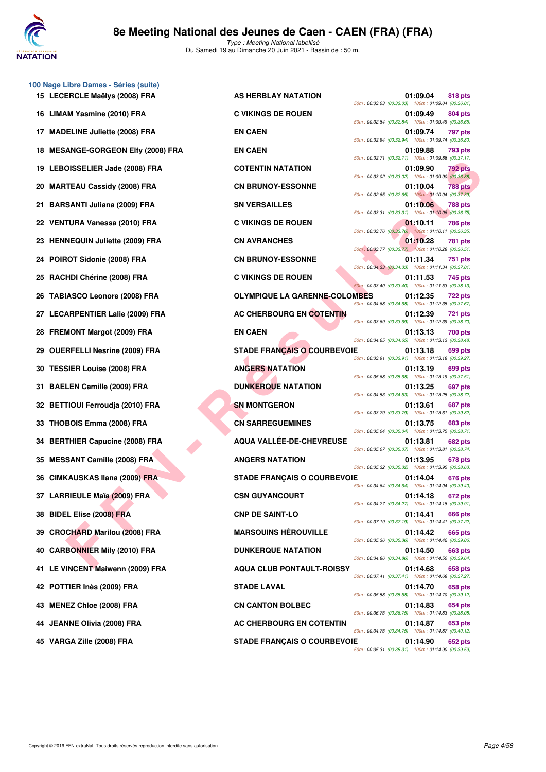

|                                    |                                      | 50m: 00:33.03 (00:33.03) 100m: 01:09.04 (00:36.01                                                        |          |                |
|------------------------------------|--------------------------------------|----------------------------------------------------------------------------------------------------------|----------|----------------|
| 16 LIMAM Yasmine (2010) FRA        | <b>C VIKINGS DE ROUEN</b>            | 50m: 00:32.84 (00:32.84) 100m: 01:09.49 (00:36.65                                                        | 01:09.49 | 804 pts        |
| 17 MADELINE Juliette (2008) FRA    | <b>EN CAEN</b>                       | 50m: 00:32.94 (00:32.94) 100m: 01:09.74 (00:36.80                                                        | 01:09.74 | 797 pts        |
| 18 MESANGE-GORGEON Elfy (2008) FRA | <b>EN CAEN</b>                       | 50m: 00:32.71 (00:32.71) 100m: 01:09.88 (00:37.17                                                        | 01:09.88 | 793 pts        |
| 19 LEBOISSELIER Jade (2008) FRA    | <b>COTENTIN NATATION</b>             | 50m: 00:33.02 (00:33.02) 100m: 01:09.90 (00:36.88                                                        | 01:09.90 | 792 pts        |
| 20 MARTEAU Cassidy (2008) FRA      | <b>CN BRUNOY-ESSONNE</b>             | 50m: 00:32.65 (00:32.65) 100m: 01:10.04 (00:37.39                                                        | 01:10.04 | <b>788 pts</b> |
| 21 BARSANTI Juliana (2009) FRA     | <b>SN VERSAILLES</b>                 | 50m: 00:33.31 (00:33.31) 100m: 01:10.06 (00:36.75)                                                       | 01:10.06 | 788 pts        |
| 22 VENTURA Vanessa (2010) FRA      | <b>C VIKINGS DE ROUEN</b>            | 50m: 00:33.76 (00:33.76) 100m: 01:10.11 (00:36.35                                                        | 01:10.11 | 786 pts        |
| 23 HENNEQUIN Juliette (2009) FRA   | <b>CN AVRANCHES</b>                  |                                                                                                          | 01:10.28 | 781 pts        |
| 24 POIROT Sidonie (2008) FRA       | <b>CN BRUNOY-ESSONNE</b>             | 50m: 00:33.77 (00:33.77) 100m: 01:10.28 (00:36.51                                                        | 01:11.34 | 751 pts        |
| 25 RACHDI Chérine (2008) FRA       | <b>C VIKINGS DE ROUEN</b>            | 50m: 00:34.33 (00:34.33) 100m: 01:11.34 (00:37.01)<br>50m: 00:33.40 (00:33.40) 100m: 01:11.53 (00:38.13) | 01:11.53 | 745 pts        |
| 26 TABIASCO Leonore (2008) FRA     | <b>OLYMPIQUE LA GARENNE-COLOMBES</b> | 50m: 00:34.68 (00:34.68) 100m: 01:12.35 (00:37.67                                                        | 01:12.35 | <b>722 pts</b> |
| 27 LECARPENTIER Lalie (2009) FRA   | AC CHERBOURG EN COTENTIN             | 50m: 00:33.69 (00:33.69) 100m: 01:12.39 (00:38.70)                                                       | 01:12.39 | <b>721 pts</b> |
| 28 FREMONT Margot (2009) FRA       | <b>EN CAEN</b>                       | 50m: 00:34.65 (00:34.65) 100m: 01:13.13 (00:38.48)                                                       | 01:13.13 | <b>700 pts</b> |
| 29 OUERFELLI Nesrine (2009) FRA    | <b>STADE FRANCAIS O COURBEVOIE</b>   | 50m: 00:33.91 (00:33.91) 100m: 01:13.18 (00:39.27                                                        | 01:13.18 | 699 pts        |
| 30 TESSIER Louise (2008) FRA       | <b>ANGERS NATATION</b>               |                                                                                                          | 01:13.19 | 699 pts        |
| 31 BAELEN Camille (2009) FRA       | <b>DUNKERQUE NATATION</b>            | 50m: 00:35.68 (00:35.68) 100m: 01:13.19 (00:37.51)<br>50m: 00:34.53 (00:34.53) 100m: 01:13.25 (00:38.72) | 01:13.25 | 697 pts        |
| 32 BETTIOUI Ferroudja (2010) FRA   | <b>SN MONTGERON</b>                  | 50m: 00:33.79 (00:33.79) 100m: 01:13.61 (00:39.82)                                                       | 01:13.61 | 687 pts        |
| 33 THOBOIS Emma (2008) FRA         | <b>CN SARREGUEMINES</b>              | 50m: 00:35.04 (00:35.04) 100m: 01:13.75 (00:38.71)                                                       | 01:13.75 | 683 pts        |
| 34 BERTHIER Capucine (2008) FRA    | <b>AQUA VALLEE-DE-CHEVREUSE</b>      | 50m: 00:35.07 (00:35.07) 100m: 01:13.81 (00:38.74                                                        | 01:13.81 | 682 pts        |
| 35 MESSANT Camille (2008) FRA      | <b>ANGERS NATATION</b>               | 50m: 00:35.32 (00:35.32) 100m: 01:13.95 (00:38.63)                                                       | 01:13.95 | 678 pts        |
| 36 CIMKAUSKAS Ilana (2009) FRA     | <b>STADE FRANÇAIS O COURBEVOIE</b>   | 50m: 00:34.64 (00:34.64) 100m: 01:14.04 (00:39.40)                                                       | 01:14.04 | 676 pts        |
| 37 LARRIEULE Maïa (2009) FRA       | <b>CSN GUYANCOURT</b>                | 50m: 00:34.27 (00:34.27) 100m: 01:14.18 (00:39.91                                                        | 01:14.18 | 672 pts        |
| 38 BIDEL Elise (2008) FRA          | <b>CNP DE SAINT-LO</b>               | 50m: 00:37.19 (00:37.19) 100m: 01:14.41 (00:37.22)                                                       | 01:14.41 | <b>666 pts</b> |
| 39 CROCHARD Marilou (2008) FRA     | <b>MARSOUINS HÉROUVILLE</b>          | 50m: 00:35.36 (00:35.36) 100m: 01:14.42 (00:39.06                                                        | 01:14.42 | 665 pts        |
| 40 CARBONNIER Mily (2010) FRA      | <b>DUNKERQUE NATATION</b>            | 50m: 00:34.86 (00:34.86) 100m: 01:14.50 (00:39.64)                                                       | 01:14.50 | 663 pts        |
| 41 LE VINCENT Maiwenn (2009) FRA   | <b>AQUA CLUB PONTAULT-ROISSY</b>     | 50m: 00:37.41 (00:37.41) 100m: 01:14.68 (00:37.27                                                        | 01:14.68 | 658 pts        |
| 42 POTTIER Inès (2009) FRA         | <b>STADE LAVAL</b>                   | 50m: 00:35.58 (00:35.58) 100m: 01:14.70 (00:39.12)                                                       | 01:14.70 | 658 pts        |
| 43 MENEZ Chloe (2008) FRA          | <b>CN CANTON BOLBEC</b>              |                                                                                                          | 01:14.83 | 654 pts        |
| 44 JEANNE Olivia (2008) FRA        | AC CHERBOURG EN COTENTIN             | 50m: 00:36.75 (00:36.75) 100m: 01:14.83 (00:38.08                                                        | 01:14.87 | 653 pts        |
| 45 VARGA Zille (2008) FRA          | <b>STADE FRANCAIS O COURBEVOIE</b>   | 50m: 00:34.75 (00:34.75) 100m: 01:14.87 (00:40.12)                                                       | 01:14.90 | 652 pts        |

**100 Nage Libre Dames - Séries (suite)**

**FIGURE Jude (2008) FRA**<br> **FEAU Cassidy (2008) FRA**<br> **FEAU Cassidy (2008) FRA**<br> **FOR DE RIVIENCE SESONNE<br>
INTRA VANEAR (2009) FRA

<b>FOR DE RIVIENCE SESONNE<br>
INTRA VANEAR (2009) FRA

CN BRUNCOV-ESSONNE<br>
<b>FIGURE 2009) FRA**<br> **15 LECERCLE Maëlys (2008) FRA AS HERBLAY NATATION 01:09.04 818 pts** 50m : 00:33.03 (00:33.03) 100m : 01:09.04 (00:36.01) **16 C VIKINGS DE ROUEN 61:09.49 804 pts** 50m : 00:32.84 (00:32.84) 100m : 01:09.49 (00:36.65) 50m : 00:32.94 (00:32.94) 100m : 01:09.74 (00:36.80) 50m : 00:32.71 (00:32.71) 100m : 01:09.88 (00:37.17) **19 COTENTIN NATATION 199.90 792 pts** 50m : 00:33.02 (00:33.02) 100m : 01:09.90 (00:36.88) **20 CN BRUNOY-ESSONNE** 01:10.04 **788 pts** 50m : 00:32.65 (00:32.65) 100m : 01:10.04 (00:37.39) 50m : 00:33.31 (00:33.31) 100m : 01:10.06 (00:36.75) **22 VIKINGS DE ROUEN 01:10.11 786 pts** 50m : 00:33.76 (00:33.76) 100m : 01:10.11 (00:36.35) **23 CN AVRANCHES 23 HTML 23 CN AVRANCHES 24 HTML 24 HTML 24 HTML 26 HTML 26 HTML 26 HTML 26 HTML 26 HTML 26 HTML 26 HTML 26 HTML 26 HTML 26 HTML 26 HTML 26 HTML 26 HTML 26 HTML 26 HTML 26 HTML 26 HTML 26 HTML 26 HTML 2** 50m : 00:33.77 (00:33.77) 100m : 01:10.28 (00:36.51) **24 POIL:11.34 POIROT SIGNAL CN BRUNOY-ESSONNE 01:11.34 751 pts** 50m : 00:34.33 (00:34.33) 100m : 01:11.34 (00:37.01) **25 C VIKINGS DE ROUEN 01:11.53 745 pts** 50m : 00:33.40 (00:33.40) 100m : 01:11.53 (00:38.13) **22 PTS** OLYMPIQUE LA GARENNE-COLOMBES 01:12.35 722 pts 50m : 00:34.68 (00:34.68) 100m : 01:12.35 (00:37.67) **27 LAC CHERBOURG EN COTENTIN 01:12.39 721 pts** 50m : 00:33.69 (00:33.69) 100m : 01:12.39 (00:38.70) **28 FR CAEN 28 FR CAEN 01:13.13 700 pts** 50m : 00:34.65 (00:34.65) 100m : 01:13.13 (00:38.48) **29 OUERFELLING COURBEVOIE** 01:13.18 699 pts 50m : 00:33.91 (00:33.91) 100m : 01:13.18 (00:39.27) **30 TESTIER ANGERS NATATION** 699 pts 50m : 00:35.68 (00:35.68) 100m : 01:13.19 (00:37.51) **31:13.25 697 pts** 50m : 00:34.53 (00:34.53) 100m : 01:13.25 (00:38.72) **32 BETTION 5N MONTGERON 687 pts** 50m : 00:33.79 (00:33.79) 100m : 01:13.61 (00:39.82) **33 THOBOIS EMMA (2013) FRA CN SARREGUEMINES** 01:13.75 683 pts 50m : 00:35.04 (00:35.04) 100m : 01:13.75 (00:38.71) **34 BERTHIER Capucine (2008) FRA AQUA VALLÉE-DE-CHEVREUSE 01:13.81 682 pts** 50m : 00:35.07 (00:35.07) 100m : 01:13.81 (00:38.74) **35 ANGERS NATATION 678 pts** 50m : 00:35.32 (00:35.32) 100m : 01:13.95 (00:38.63) **STADE FRANÇAIS O COURBEVOIE 01:14.04 676 pts** 50m : 00:34.64 (00:34.64) 100m : 01:14.04 (00:39.40) **37 CSN GUYANCOURT 672 pts** 50m : 00:34.27 (00:34.27) 100m : 01:14.18 (00:39.91) **38 BIDEL SAINT-LO 666 pts** 50m : 00:37.19 (00:37.19) 100m : 01:14.41 (00:37.22) **MARSOUINS HÉROUVILLE** 01:14.42 665 pts 50m : 00:35.36 (00:35.36) 100m : 01:14.42 (00:39.06) **40 DUNKERQUE NATATION 663 pts** 50m : 00:34.86 (00:34.86) 100m : 01:14.50 (00:39.64) **400 AQUA CLUB PONTAULT-ROISSY** 01:14.68 658 pts 50m : 00:37.41 (00:37.41) 100m : 01:14.68 (00:37.27) **42 POTTIER IN EXAMPLE 201:14.70** 658 pts 50m : 00:35.58 (00:35.58) 100m : 01:14.70 (00:39.12) **43 CN CANTON BOLBEC** 01:14.83 654 pts 50m : 00:36.75 (00:36.75) 100m : 01:14.83 (00:38.08) AC CHERBOURG EN COTENTIN 01:14.87 653 pts 50m : 00:34.75 (00:34.75) 100m : 01:14.87 (00:40.12) **45 45 STADE FRANÇAIS O COURBEVOIE 61:14.90 652 pts** 50m : 00:35.31 (00:35.31) 100m : 01:14.90 (00:39.59)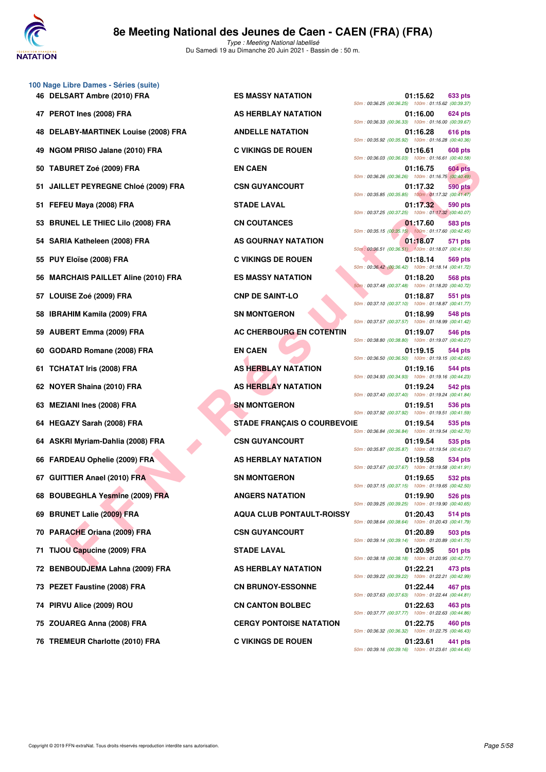

Type : Meeting National labellisé Du Samedi 19 au Dimanche 20 Juin 2021 - Bassin de : 50 m.

| 100 Nage Libre Dames - Séries (suite) |                                    |                                                    |          |                |
|---------------------------------------|------------------------------------|----------------------------------------------------|----------|----------------|
| 46 DELSART Ambre (2010) FRA           | <b>ES MASSY NATATION</b>           | 50m: 00:36.25 (00:36.25) 100m: 01:15.62 (00:39.37  | 01:15.62 | 633 pts        |
| 47 PEROT Ines (2008) FRA              | AS HERBLAY NATATION                | 50m: 00:36.33 (00:36.33) 100m: 01:16.00 (00:39.67  | 01:16.00 | 624 pts        |
| 48 DELABY-MARTINEK Louise (2008) FRA  | <b>ANDELLE NATATION</b>            | 50m: 00:35.92 (00:35.92) 100m: 01:16.28 (00:40.36  | 01:16.28 | 616 pts        |
| 49 NGOM PRISO Jalane (2010) FRA       | <b>C VIKINGS DE ROUEN</b>          | 50m: 00:36.03 (00:36.03) 100m: 01:16.61 (00:40.58  | 01:16.61 | 608 pts        |
| 50 TABURET Zoé (2009) FRA             | <b>EN CAEN</b>                     | 50m: 00:36.26 (00:36.26) 100m: 01:16.75 (00:40.49  | 01:16.75 | 604 pts        |
| 51 JAILLET PEYREGNE Chloé (2009) FRA  | <b>CSN GUYANCOURT</b>              | 50m: 00:35.85 (00:35.85) 100m: 01:17.32 (00:41.47) | 01:17.32 | 590 pts        |
| 51 FEFEU Maya (2008) FRA              | <b>STADE LAVAL</b>                 | 50m: 00:37.25 (00:37.25) 100m: 01:17.32 (00:40.07  | 01:17.32 | 590 pts        |
| 53 BRUNEL LE THIEC Lilo (2008) FRA    | <b>CN COUTANCES</b>                | 50m: 00:35.15 (00:35.15) 100m: 01:17.60 (00:42.45  | 01:17.60 | 583 pts        |
| 54 SARIA Katheleen (2008) FRA         | AS GOURNAY NATATION                | 50m: 00:36.51 (00:36.51) 100m: 01:18.07 (00:41.56) | 01:18.07 | 571 pts        |
| 55 PUY Eloïse (2008) FRA              | <b>C VIKINGS DE ROUEN</b>          | 50m: 00:36.42 (00:36.42) 100m: 01:18.14 (00:41.72) | 01:18.14 | <b>569 pts</b> |
| 56 MARCHAIS PAILLET Aline (2010) FRA  | <b>ES MASSY NATATION</b>           | 50m: 00:37.48 (00:37.48) 100m: 01:18.20 (00:40.72) | 01:18.20 | <b>568 pts</b> |
| 57 LOUISE Zoé (2009) FRA              | <b>CNP DE SAINT-LO</b>             | 50m: 00:37.10 (00:37.10) 100m: 01:18.87 (00:41.77  | 01:18.87 | 551 pts        |
| 58 IBRAHIM Kamila (2009) FRA          | <b>SN MONTGERON</b>                | 50m: 00:37.57 (00:37.57) 100m: 01:18.99 (00:41.42) | 01:18.99 | 548 pts        |
| 59 AUBERT Emma (2009) FRA             | AC CHERBOURG EN COTENTIN           | 50m: 00:38.80 (00:38.80) 100m: 01:19.07 (00:40.27  | 01:19.07 | 546 pts        |
| 60 GODARD Romane (2008) FRA           | <b>EN CAEN</b>                     | 50m: 00:36.50 (00:36.50) 100m: 01:19.15 (00:42.65  | 01:19.15 | 544 pts        |
| 61 TCHATAT Iris (2008) FRA            | <b>AS HERBLAY NATATION</b>         | 50m: 00:34.93 (00:34.93) 100m: 01:19.16 (00:44.23  | 01:19.16 | 544 pts        |
| 62 NOYER Shaina (2010) FRA            | AS HERBLAY NATATION                | 50m: 00:37.40 (00:37.40) 100m: 01:19.24 (00:41.84) | 01:19.24 | 542 pts        |
| 63 MEZIANI Ines (2008) FRA            | <b>SN MONTGERON</b>                | 50m: 00:37.92 (00:37.92) 100m: 01:19.51 (00:41.59  | 01:19.51 | 536 pts        |
| 64 HEGAZY Sarah (2008) FRA            | <b>STADE FRANÇAIS O COURBEVOIE</b> | 50m: 00:36.84 (00:36.84) 100m: 01:19.54 (00:42.70) | 01:19.54 | 535 pts        |
| 64 ASKRI Myriam-Dahlia (2008) FRA     | <b>CSN GUYANCOURT</b>              | 50m: 00:35.87 (00:35.87) 100m: 01:19.54 (00:43.67  | 01:19.54 | 535 pts        |
| 66 FARDEAU Ophelie (2009) FRA         | AS HERBLAY NATATION                | 50m: 00:37.67 (00:37.67) 100m: 01:19.58 (00:41.91) | 01:19.58 | 534 pts        |
| 67 GUITTIER Anael (2010) FRA          | <b>SN MONTGERON</b>                | 50m: 00:37.15 (00:37.15) 100m: 01:19.65 (00:42.50  | 01:19.65 | 532 pts        |
| 68 BOUBEGHLA Yesmine (2009) FRA       | <b>ANGERS NATATION</b>             | 50m: 00:39.25 (00:39.25) 100m: 01:19.90 (00:40.65  | 01:19.90 | 526 pts        |
| 69 BRUNET Lalie (2009) FRA            | <b>AQUA CLUB PONTAULT-ROISSY</b>   | 50m: 00:38.64 (00:38.64) 100m: 01:20.43 (00:41.79  | 01:20.43 | 514 pts        |
| 70 PARACHE Oriana (2009) FRA          | <b>CSN GUYANCOURT</b>              | 50m: 00:39.14 (00:39.14) 100m: 01:20.89 (00:41.75  | 01:20.89 | 503 pts        |
| 71 TIJOU Capucine (2009) FRA          | <b>STADE LAVAL</b>                 | 50m: 00:38.18 (00:38.18) 100m: 01:20.95 (00:42.77  | 01:20.95 | 501 pts        |
| 72 BENBOUDJEMA Lahna (2009) FRA       | AS HERBLAY NATATION                | 50m: 00:39.22 (00:39.22) 100m: 01:22.21 (00:42.99  | 01:22.21 | 473 pts        |
| 73 PEZET Faustine (2008) FRA          | <b>CN BRUNOY-ESSONNE</b>           | 50m: 00:37.63 (00:37.63) 100m: 01:22.44 (00:44.81) | 01:22.44 | 467 pts        |
| 74 PIRVU Alice (2009) ROU             | <b>CN CANTON BOLBEC</b>            | 50m: 00:37.77 (00:37.77) 100m: 01:22.63 (00:44.86  | 01:22.63 | 463 pts        |
| 75 ZOUAREG Anna (2008) FRA            | <b>CERGY PONTOISE NATATION</b>     | 50m: 00:36.32 (00:36.32) 100m: 01:22.75 (00:46.43) | 01:22.75 | 460 pts        |
|                                       |                                    |                                                    |          |                |

**76 TREMEUR Charlotte (2010) FRA C VIKINGS DE ROUEN 01:23.61 441 pts**

URET Zeo (2009) FRA EN CHARLET AIRPORTED DE CHARLET AIRPORTED DE CHARLET AIRPORTED DE CHARLET AIRPORTED DE CHARLET AIRPORTED DE CHARLET AIRPORTED DE CHARLET AIRPORTED DE CHARLET AIRPORTED DE CHARLET AIRPORTED DE CHARLET AI **46 BES MASSY NATATION 61:15.62** 633 pts 50m : 00:36.25 (00:36.25) 100m : 01:15.62 (00:39.37) **47 AS HERBLAY NATATION 624 pts** 50m : 00:36.33 (00:36.33) 100m : 01:16.00 (00:39.67) **48 BELABY-MARTION 12008120116.28** 616 pts 50m : 00:35.92 (00:35.92) 100m : 01:16.28 (00:40.36) **49 NGOM PRISO Jalane (2010) FRA C VIKINGS DE ROUEN 01:16.61 608 pts** 50m : 00:36.03 (00:36.03) 100m : 01:16.61 (00:40.58) **504 pts 504 pts 504 pts 504 pts** 50m : 00:36.26 (00:36.26) 100m : 01:16.75 (00:40.49) **FRA** CSN GUYANCOURT 01:17.32 590 pts 50m : 00:35.85 (00:35.85) 100m : 01:17.32 (00:41.47) 50m : 00:37.25 (00:37.25) 100m : 01:17.32 (00:40.07) 50m : 00:35.15 (00:35.15) 100m : 01:17.60 (00:42.45) **571 pts 571 pts** 50m : 00:36.51 (00:36.51) 100m : 01:18.07 (00:41.56) **C VIKINGS DE ROUEN 01:18.14 569 pts** 50m : 00:36.42 (00:36.42) 100m : 01:18.14 (00:41.72) **568 pts** MASSY NATATION **1.18.20 568 pts** 50m : 00:37.48 (00:37.48) 100m : 01:18.20 (00:40.72) **551 pts** CNP DE SAINT-LO 01:18.87 **551 pts** 50m : 00:37.10 (00:37.10) 100m : 01:18.87 (00:41.77) **58 IBRAHIM CONTGERON 01:18.99** 548 pts 50m : 00:37.57 (00:37.57) 100m : 01:18.99 (00:41.42) **AC CHERBOURG EN COTENTIN 01:19.07 546 pts** 50m : 00:38.80 (00:38.80) 100m : 01:19.07 (00:40.27) 50m : 00:36.50 (00:36.50) 100m : 01:19.15 (00:42.65) **61:19.16 644 pts** 50m : 00:34.93 (00:34.93) 100m : 01:19.16 (00:44.23) **62 AS HERBLAY NATATION 62 AS HERBLAY NATATION** 50m : 00:37.40 (00:37.40) 100m : 01:19.24 (00:41.84) **638 MONTGERON 61:19.51 636 pts** 50m : 00:37.92 (00:37.92) 100m : 01:19.51 (00:41.59) **64 GEGAZY STADE FRANÇAIS O COURBEVOIE 61:19.54 535 pts** 50m : 00:36.84 (00:36.84) 100m : 01:19.54 (00:42.70) **64 CSN GUYANCOURT 61:19.54 635 pts** 50m : 00:35.87 (00:35.87) 100m : 01:19.54 (00:43.67) **66 FARDEAU Ophelie (2009) FRA AS HERBLAY NATATION CONSUMING CONSUMING CONSUMING CONSUMING CONSUMING CONSUMING CONSUMING CONSUMING CONSUMING CONSUMING CONSUMING CONSUMING CONSUMING CONSUMING CONSUMING CONSUMING CONSUMING** 50m : 00:37.67 (00:37.67) 100m : 01:19.58 (00:41.91) **67 GUITTIER ANALYSIS CONTRACT AND CONTRACT AND ANALYSIS CONTRACT AND ANALYSIS CONTRACT AND ANALYSIS CONTRACT AND ANALYSIS CONTRACT AND ANNUALYSIS CONTRACT AND ANNO THE STATE OF STATE AND ANNUALYSIS CONTRACT AND ANNO THE S** 50m : 00:37.15 (00:37.15) 100m : 01:19.65 (00:42.50) **68 BOUGERS NATATION 61:19.90 626 pts** 50m : 00:39.25 (00:39.25) 100m : 01:19.90 (00:40.65) **69 BRUA CLUB PONTAULT-ROISSY** 01:20.43 514 pts 50m : 00:38.64 (00:38.64) 100m : 01:20.43 (00:41.79) **70 PARACHET CSN GUYANCOURT 01:20.89 503 pts** 50m : 00:39.14 (00:39.14) 100m : 01:20.89 (00:41.75) **71 TIGOU CAPUCINE CAPUCINE (20.95 501 pts** 50m : 00:38.18 (00:38.18) 100m : 01:20.95 (00:42.77) **72 BENBOURY NATATION 61:22.21** 473 pts 50m : 00:39.22 (00:39.22) 100m : 01:22.21 (00:42.99) **73 PERUNOY-ESSONNE 01:22.44 467 pts** 50m : 00:37.63 (00:37.63) 100m : 01:22.44 (00:44.81) **74 PIRVI ALICE CONCONTON BOLBEC** 01:22.63 **463 pts** 50m : 00:37.77 (00:37.77) 100m : 01:22.63 (00:44.86) **75 CERGY PONTOISE NATATION 01:22.75** 460 pts 50m : 00:36.32 (00:36.32) 100m : 01:22.75 (00:46.43) 50m : 00:39.16 (00:39.16) 100m : 01:23.61 (00:44.45)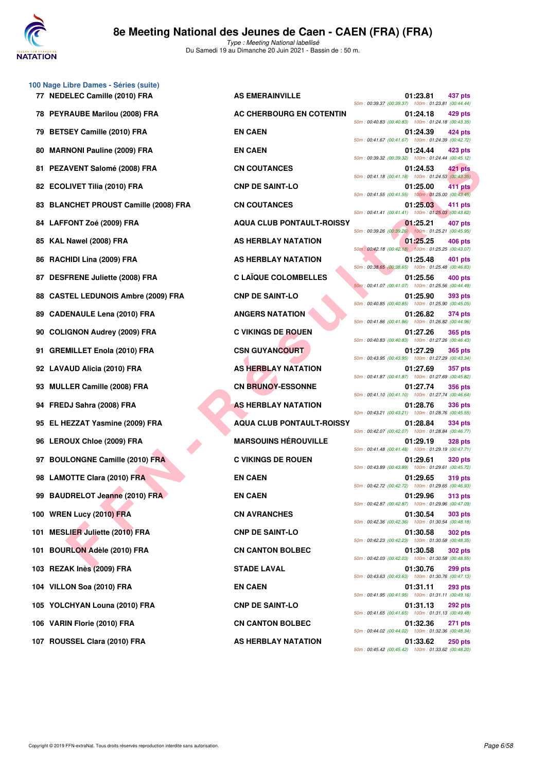

Type : Meeting National labellisé Du Samedi 19 au Dimanche 20 Juin 2021 - Bassin de : 50 m.

| 100 Nage Libre Dames - Séries (suite) |                                  |                                                     |           |                |
|---------------------------------------|----------------------------------|-----------------------------------------------------|-----------|----------------|
| 77 NEDELEC Camille (2010) FRA         | <b>AS EMERAINVILLE</b>           | 50m: 00:39.37 (00:39.37) 100m: 01:23.81 (00:44.44)  | 01:23.81  | 437 pts        |
| 78 PEYRAUBE Marilou (2008) FRA        | AC CHERBOURG EN COTENTIN         | 50m: 00:40.83 (00:40.83) 100m: 01:24.18 (00:43.35   | 01:24.18  | 429 pts        |
| 79 BETSEY Camille (2010) FRA          | <b>EN CAEN</b>                   | 50m: 00:41.67 (00:41.67) 100m: 01:24.39 (00:42.72)  | 01:24.39  | 424 pts        |
| 80 MARNONI Pauline (2009) FRA         | <b>EN CAEN</b>                   | 50m: 00:39.32 (00:39.32) 100m: 01:24.44 (00:45.12)  | 01:24.44  | 423 pts        |
| 81 PEZAVENT Salomé (2008) FRA         | <b>CN COUTANCES</b>              | 50m: 00:41.18 (00:41.18) 100m: 01:24.53 (00:43.35   | 01:24.53  | 421 pts        |
| 82 ECOLIVET Tilia (2010) FRA          | <b>CNP DE SAINT-LO</b>           | 50m: 00:41.55 (00:41.55) 100m: 01:25.00 (00:43.45)  | 01:25.00  | 411 pts        |
| 83 BLANCHET PROUST Camille (2008) FRA | <b>CN COUTANCES</b>              | 50m: 00:41.41 (00:41.41) 100m: 01:25.03 (00:43.62)  | 01:25.03  | 411 pts        |
| 84 LAFFONT Zoé (2009) FRA             | <b>AQUA CLUB PONTAULT-ROISSY</b> | 50m: 00:39.26 (00:39.26) 100m: 01:25.21 (00:45.95   | 01:25.21  | 407 pts        |
| 85 KAL Nawel (2008) FRA               | AS HERBLAY NATATION              | 50m : 00:42.18 (00:42.18) 100m : 01:25.25 (00:43.07 | 01:25.25  | 406 pts        |
| 86 RACHIDI Lina (2009) FRA            | AS HERBLAY NATATION              | 50m: 00:38.65 (00:38.65) 100m: 01:25.48 (00:46.83   | 01:25.48  | 401 pts        |
| 87 DESFRENE Juliette (2008) FRA       | <b>C LAÏQUE COLOMBELLES</b>      | 50m: 00:41.07 (00:41.07) 100m: 01:25.56 (00:44.49)  | 01:25.56  | <b>400 pts</b> |
| 88 CASTEL LEDUNOIS Ambre (2009) FRA   | <b>CNP DE SAINT-LO</b>           | 50m: 00:40.85 (00:40.85) 100m: 01:25.90 (00:45.05)  | 01:25.90  | 393 pts        |
| 89 CADENAULE Lena (2010) FRA          | <b>ANGERS NATATION</b>           | 50m: 00:41.86 (00:41.86) 100m: 01:26.82 (00:44.96   | 01:26.82  | 374 pts        |
| 90 COLIGNON Audrey (2009) FRA         | <b>C VIKINGS DE ROUEN</b>        | 50m: 00:40.83 (00:40.83) 100m: 01:27.26 (00:46.43   | 01:27.26  | 365 pts        |
| 91 GREMILLET Enola (2010) FRA         | <b>CSN GUYANCOURT</b>            | 50m: 00:43.95 (00:43.95) 100m: 01:27.29 (00:43.34   | 01:27.29  | <b>365 pts</b> |
| 92 LAVAUD Alicia (2010) FRA           | <b>AS HERBLAY NATATION</b>       | 50m: 00:41.87 (00:41.87) 100m: 01:27.69 (00:45.82)  | 01:27.69  | 357 pts        |
| 93 MULLER Camille (2008) FRA          | <b>CN BRUNOY-ESSONNE</b>         | 50m: 00:41.10 (00:41.10) 100m: 01:27.74 (00:46.64   | 01:27.74  | 356 pts        |
| 94 FREDJ Sahra (2008) FRA             | <b>AS HERBLAY NATATION</b>       | 50m: 00:43.21 (00:43.21) 100m: 01:28.76 (00:45.55   | 01:28.76  | 336 pts        |
| 95 EL HEZZAT Yasmine (2009) FRA       | <b>AQUA CLUB PONTAULT-ROISSY</b> | 50m: 00:42.07 (00:42.07) 100m: 01:28.84 (00:46.77   | 01:28.84  | 334 pts        |
| 96 LEROUX Chloe (2009) FRA            | <b>MARSOUINS HÉROUVILLE</b>      | 50m: 00:41.48 (00:41.48) 100m: 01:29.19 (00:47.71   | 01:29.19  | <b>328 pts</b> |
| 97 BOULONGNE Camille (2010) FRA       | <b>C VIKINGS DE ROUEN</b>        | 50m: 00:43.89 (00:43.89) 100m: 01:29.61 (00:45.72)  | 01:29.61  | <b>320 pts</b> |
| 98 LAMOTTE Clara (2010) FRA           | <b>EN CAEN</b>                   | 50m: 00:42.72 (00:42.72) 100m: 01:29.65 (00:46.93   | 01:29.65  | <b>319 pts</b> |
| 99 BAUDRELOT Jeanne (2010) FRA        | <b>EN CAEN</b>                   | 50m: 00:42.87 (00:42.87) 100m: 01:29.96 (00:47.09   | 01:29.96  | 313 pts        |
| 100 WREN Lucy (2010) FRA              | <b>CN AVRANCHES</b>              |                                                     | 01:30.54  | <b>303 pts</b> |
| 101 MESLIER Juliette (2010) FRA       | <b>CNP DE SAINT-LO</b>           | 50m: 00:42.36 (00:42.36) 100m: 01:30.54 (00:48.18   | 01:30.58  | <b>302 pts</b> |
| 101 BOURLON Adèle (2010) FRA          | <b>CN CANTON BOLBEC</b>          | 50m: 00:42.23 (00:42.23) 100m: 01:30.58 (00:48.35   | 01:30.58  | <b>302 pts</b> |
| 103 REZAK Inès (2009) FRA             | <b>STADE LAVAL</b>               | 50m: 00:42.03 (00:42.03) 100m: 01:30.58 (00:48.55   | 01:30.76  | 299 pts        |
| 104 VILLON Soa (2010) FRA             | <b>EN CAEN</b>                   | 50m: 00:43.63 (00:43.63) 100m: 01:30.76 (00:47.13   | 01:31.11  | 293 pts        |
| 105 YOLCHYAN Louna (2010) FRA         | <b>CNP DE SAINT-LO</b>           | 50m: 00:41.95 (00:41.95) 100m: 01:31.11 (00:49.16)  | 01:31.13  | 292 pts        |
| 106 VARIN Florie (2010) FRA           | <b>CN CANTON BOLBEC</b>          | 50m: 00:41.65 (00:41.65) 100m: 01:31.13 (00:49.48)  | 01:32.36  | 271 pts        |
| 107.0010001.01 (0010) FDA             | <b>ILEBBLAMALATATION</b>         | 50m: 00:44.02 (00:44.02) 100m: 01:32.36 (00:48.34   | 0.4.00.00 | $O = 1$        |

**EVENT Salome (2009) FRA**<br> **FINE THIS (2019) FRA**<br> **FOR CHE THE COST PRANE CONSULT AND ASSOCIATE THE COST ASSOCIATE THE COST AND ASSOCIATE CONSULT AND AND ALLOW CONSULT AND AND ASSOCIATE CONSULT AND A SECRET AND ANNOUNCE C 77 NEDERAINVILLE 77 NEDERAINVILLE 123.81 437 pts** 50m : 00:39.37 (00:39.37) 100m : 01:23.81 (00:44.44) **78 AC CHERBOURG EN COTENTIN 01:24.18 429 pts** 50m : 00:40.83 (00:40.83) 100m : 01:24.18 (00:43.35) 50m : 00:41.67 (00:41.67) 100m : 01:24.39 (00:42.72) 50m : 00:39.32 (00:39.32) 100m : 01:24.44 (00:45.12) **81 CN COUTANCES 81:24.53 421 pts** 50m : 00:41.18 (00:41.18) 100m : 01:24.53 (00:43.35) **82 CNP DE SAINT-LO** 01:25.00 **411 pts** 50m : 00:41.55 (00:41.55) 100m : 01:25.00 (00:43.45) 50m : 00:41.41 (00:41.41) 100m : 01:25.03 (00:43.62) **84 AQUA CLUB PONTAULT-ROISSY 01:25.21 407 pts** 50m : 00:39.26 (00:39.26) 100m : 01:25.21 (00:45.95) **85 KBLAY NATATION 61:25.25 406 pts** 50m : 00:42.18 (00:42.18) 100m : 01:25.25 (00:43.07) **86 RERBLAY NATATION 01:25.48 401 pts** 50m : 00:38.65 (00:38.65) 100m : 01:25.48 (00:46.83) **87 DESERVE COLOMBELLES** 01:25.56 400 pts 50m : 00:41.07 (00:41.07) 100m : 01:25.56 (00:44.49) **88 CASTEL CASTEL CONP DE SAINT-LO 01:25.90 01:25.90 393 pts** 50m : 00:40.85 (00:40.85) 100m : 01:25.90 (00:45.05) **89 ANGERS NATATION 01:26.82 374 pts** 50m : 00:41.86 (00:41.86) 100m : 01:26.82 (00:44.96) **90 C VIKINGS DE ROUEN 01:27.26 365 pts** 50m : 00:40.83 (00:40.83) 100m : 01:27.26 (00:46.43) **91:27.29 365 pts** 50m : 00:43.95 (00:43.95) 100m : 01:27.29 (00:43.34) **AS HERBLAY NATATION** 01:27.69 357 pts 50m : 00:41.87 (00:41.87) 100m : 01:27.69 (00:45.82) **CN BRUNOY-ESSONNE** 01:27.74 356 pts 50m : 00:41.10 (00:41.10) 100m : 01:27.74 (00:46.64) **AS HERBLAY NATATION** 01:28.76 336 pts 50m : 00:43.21 (00:43.21) 100m : 01:28.76 (00:45.55) **95 AQUA CLUB PONTAULT-ROISSY** 01:28.84 334 pts 50m : 00:42.07 (00:42.07) 100m : 01:28.84 (00:46.77) **MARSOUINS HÉROUVILLE** 01:29.19 328 pts 50m : 00:41.48 (00:41.48) 100m : 01:29.19 (00:47.71) **97 BOULON C VIKINGS DE ROUEN 01:29.61 320 pts** 50m : 00:43.89 (00:43.89) 100m : 01:29.61 (00:45.72) **98 LAMON EN CAEN 98 LAMON 29.65 319 pts** 50m : 00:42.72 (00:42.72) 100m : 01:29.65 (00:46.93) 50m : 00:42.87 (00:42.87) 100m : 01:29.96 (00:47.09) **100 WREN CN AVRANCHES** 01:30.54 **303 pts** 50m : 00:42.36 (00:42.36) 100m : 01:30.54 (00:48.18) **11:30.58 <b>101:30.58 302 pts** 50m : 00:42.23 (00:42.23) 100m : 01:30.58 (00:48.35) **101:30.58 102 pts** 50m : 00:42.03 (00:42.03) 100m : 01:30.58 (00:48.55) 50m : 00:43.63 (00:43.63) 100m : 01:30.76 (00:47.13) 50m : 00:41.95 (00:41.95) 100m : 01:31.11 (00:49.16) **105 YOLGHYAN CNP DE SAINT-LO** 01:31.13 **292 pts** 50m : 00:41.65 (00:41.65) 100m : 01:31.13 (00:49.48) **106 CN CANTON BOLBEC** 01:32.36 **271 pts** 50m : 00:44.02 (00:44.02) 100m : 01:32.36 (00:48.34) **107 ROUSSEL Clara (2010) FRA AS HERBLAY NATATION 01:33.62 250 pts** 50m : 00:45.42 (00:45.42) 100m : 01:33.62 (00:48.20)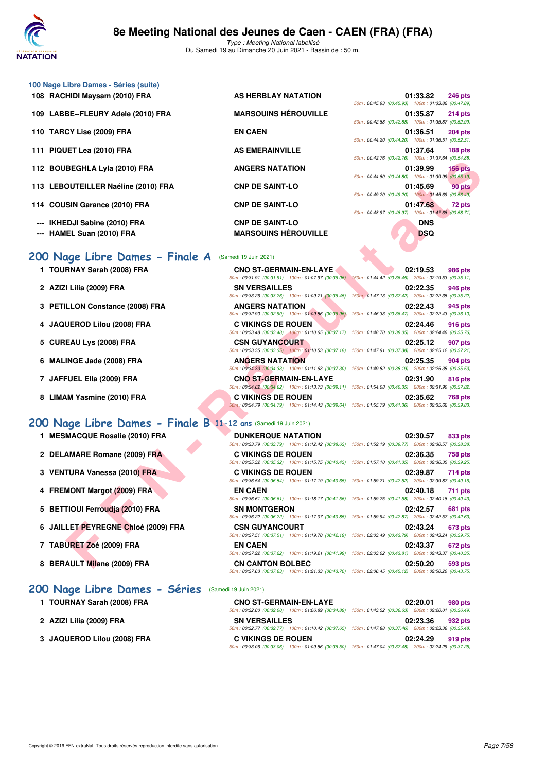

|  |  | 100 Nage Libre Dames - Séries (suite) |  |
|--|--|---------------------------------------|--|
|  |  |                                       |  |

- 
- 110 TARCY Lise (2009) FRA **EN CAEN**
- 111 PIQUET Lea (2010) FRA AS EMERAINVILLE
- 112 BOUBEGHLA Lyla (2010) FRA ANGERS NATATION
- 113 LEBOUTEILLER Naéline (2010) FRA CNP DE SAINT-LO
- 114 COUSIN Garance (2010) FRA CNP DE SAINT-LO
- 
- 

## **200 Nage Libre Dames - Finale A** (Samedi

- 
- 
- 
- 
- 
- 
- 
- 

## **[200 Nage Libre Dames - Finale B](http://www.ffnatation.fr/webffn/resultats.php?idact=nat&go=epr&idcpt=70045&idepr=3) 11-12 ans** (Samedi 19 Juin 2021)

- **1 MESMACQUE Rosalie (2010) FRA**
- 2 DELAMARE Romane (2009) FRA
- **3 VENTURA Vanessa (2010) FRA**
- **4 FREMONT Margot (2009) FRA**
- **5 BETTIOUI Ferroudja (2010) FRA**
- **6 JAILLET PEYREGNE Chloé (2009) FRA**
- **7 TABURET Zoé (2009) FRA EN CAEN 02:43.37 672 pts**
- 8 BERAULT Milane (2009) FRA

### **[200 Nage Libre Dames - Séries](http://www.ffnatation.fr/webffn/resultats.php?idact=nat&go=epr&idcpt=70045&idepr=3)** (Samedi 19 Juin 2021)

- 1 TOURNAY Sarah (2008) FRA
- **2 AZIZI Lilia (2009) FRA SN VERSAILLES 02:23.36 932 pts**
- **3 JAQUEROD Lilou (2008) FRA**

108 RACHIDI Maysam (2010) FRA AS HERBLAY NATATION 109 LABBE--FLEURY Adele (2010) FRA MARSOUINS HÉROUVILLE

|                                                    | 01:33.82 246 pts |                 |
|----------------------------------------------------|------------------|-----------------|
| 50m: 00:45.93 (00:45.93) 100m: 01:33.82 (00:47.89) |                  |                 |
|                                                    | 01:35.87 214 pts |                 |
| 50m: 00:42.88 (00:42.88) 100m: 01:35.87 (00:52.99) |                  |                 |
|                                                    | 01:36.51 204 pts |                 |
| 50m: 00:44.20 (00:44.20) 100m: 01:36.51 (00:52.31) |                  |                 |
|                                                    | 01:37.64 188 pts |                 |
| 50m: 00:42.76 (00:42.76) 100m: 01:37.64 (00:54.88) |                  |                 |
|                                                    | 01:39.99 156 pts |                 |
| 50m: 00:44.80 (00:44.80) 100m: 01:39.99 (00:55.19) |                  |                 |
|                                                    |                  | 01:45.69 90 pts |
| 50m: 00:49.20 (00:49.20) 100m: 01:45.69 (00:56.49) |                  |                 |
|                                                    |                  | 01:47.68 72 pts |
| 50m: 00:48.97 (00:48.97) 100m: 01:47.68 (00:58.71) |                  |                 |
|                                                    | <b>DNS</b>       |                 |
|                                                    | DSQ              |                 |

|                                                                |                                                                              | JUIN . UU. PO. PC. 7 UT . TUUNI . UT.OT.UP 100.JP.00                                                                                 |
|----------------------------------------------------------------|------------------------------------------------------------------------------|--------------------------------------------------------------------------------------------------------------------------------------|
| 2 BOUBEGHLA Lyla (2010) FRA                                    | <b>ANGERS NATATION</b>                                                       | 01:39.99<br>$156$ pts<br>50m: 00:44.80 (00:44.80) 100m: 01:39.99 (00:55.19)                                                          |
| 3 LEBOUTEILLER Naéline (2010) FRA                              | <b>CNP DE SAINT-LO</b>                                                       | 01:45.69<br>90 pts<br>50m: 00:49.20 (00:49.20) 100m: 01:45.69 (00:56.49)                                                             |
| 4 COUSIN Garance (2010) FRA                                    | <b>CNP DE SAINT-LO</b>                                                       | 01:47.68<br>72 pts<br>50m: 00:48.97 (00:48.97) 100m: 01:47.68 (00:58.71)                                                             |
| -- IKHEDJI Sabine (2010) FRA<br>-- HAMEL Suan (2010) FRA       | <b>CNP DE SAINT-LO</b><br><b>MARSOUINS HÉROUVILLE</b>                        | <b>DNS</b><br><b>DSQ</b>                                                                                                             |
| 00 Nage Libre Dames - Finale A                                 | (Samedi 19 Juin 2021)                                                        |                                                                                                                                      |
| 1 TOURNAY Sarah (2008) FRA                                     | <b>CNO ST-GERMAIN-EN-LAYE</b>                                                | 02:19.53<br>986 pts<br>50m: 00:31.91 (00:31.91) 100m: 01:07.97 (00:36.06) 150m: 01:44.42 (00:36.45) 200m: 02:19.53 (00:35.11)        |
| 2 AZIZI Lilia (2009) FRA                                       | <b>SN VERSAILLES</b>                                                         | 02:22.35<br>946 pts<br>50m: 00:33.26 (00:33.26) 100m: 01:09.71 (00:36.45) 150m: 01:47.13 (00:37.42) 200m: 02:22.35 (00:35.22)        |
| 3 PETILLON Constance (2008) FRA                                | <b>ANGERS NATATION</b><br>50m: 00:32.90 (00:32.90) 100m: 01:09.86 (00:36.96) | 02:22.43<br>945 pts<br>150m: 01:46.33 (00:36.47) 200m: 02:22.43 (00:36.10)                                                           |
| 4 JAQUEROD Lilou (2008) FRA                                    | <b>C VIKINGS DE ROUEN</b>                                                    | 02:24.46<br>916 pts<br>50m : 00:33.48 (00:33.48) 100m : 01:10.65 (00:37.17) 150m : 01:48.70 (00:38.05) 200m : 02:24.46 (00:35.76)    |
| 5 CUREAU Lys (2008) FRA                                        | <b>CSN GUYANCOURT</b>                                                        | 02:25.12<br>907 pts<br>50m: 00:33.35 (00:33.35) 100m: 01:10.53 (00:37.18) 150m: 01:47.91 (00:37.38) 200m: 02:25.12 (00:37.21)        |
| 6 MALINGE Jade (2008) FRA                                      | <b>ANGERS NATATION</b>                                                       | 02:25.35<br>904 pts<br>50m: 00:34.33 (00:34.33) 100m: 01:11.63 (00:37.30) 150m: 01:49.82 (00:38.19) 200m: 02:25.35 (00:35.53)        |
| 7 JAFFUEL Ella (2009) FRA                                      | <b>CNO ST-GERMAIN-EN-LAYE</b>                                                | 02:31.90<br>816 pts<br>50m: 00:34.62 (00:34.62) 100m: 01:13.73 (00:39.11) 150m: 01:54.08 (00:40.35) 200m: 02:31.90 (00:37.82)        |
| 8 LIMAM Yasmine (2010) FRA                                     | C VIKINGS DE ROUEN                                                           | 02:35.62<br>768 pts<br>50m; 00:34.79 (00:34.79) 100m: 01:14.43 (00:39.64) 150m: 01:55.79 (00:41.36) 200m: 02:35.62 (00:39.83)        |
| 00 Nage Libre Dames - Finale B 11-12 ans (Samedi 19 Juin 2021) |                                                                              |                                                                                                                                      |
| 1 MESMACQUE Rosalie (2010) FRA                                 | <b>DUNKERQUE NATATION</b>                                                    | 02:30.57<br>833 pts<br>50m: 00:33.79 (00:33.79) 100m: 01:12.42 (00:38.63) 150m: 01:52.19 (00:39.77) 200m: 02:30.57 (00:38.38)        |
| 2 DELAMARE Romane (2009) FRA                                   | <b>C VIKINGS DE ROUEN</b>                                                    | 02:36.35<br><b>758 pts</b><br>50m: 00:35.32 (00:35.32) 100m: 01:15.75 (00:40.43) 150m: 01:57.10 (00:41.35) 200m: 02:36.35 (00:39.25) |
| 3 VENTURA Vanessa (2010) FRA                                   | <b>C VIKINGS DE ROUEN</b>                                                    | 02:39.87<br>714 pts<br>50m: 00:36.54 (00:36.54) 100m: 01:17.19 (00:40.65) 150m: 01:59.71 (00:42.52) 200m: 02:39.87 (00:40.16)        |
| 4 FREMONT Margot (2009) FRA                                    | <b>EN CAEN</b>                                                               | 02:40.18<br><b>711 pts</b><br>50m: 00:36.61 (00:36.61) 100m: 01:18.17 (00:41.56) 150m: 01:59.75 (00:41.58) 200m: 02:40.18 (00:40.43) |
| 5 BETTIOUI Ferroudja (2010) FRA                                | <b>SN MONTGERON</b>                                                          | 02:42.57<br><b>681 pts</b><br>50m: 00:36.22 (00:36.22) 100m: 01:17.07 (00:40.85) 150m: 01:59.94 (00:42.87) 200m: 02:42.57 (00:42.63) |
| 6 JAILLET PEYREGNE Chloé (2009) FRA                            | <b>CSN GUYANCOURT</b>                                                        | 02:43.24<br>673 pts<br>50m: 00:37.51 (00:37.51) 100m: 01:19.70 (00:42.19) 150m: 02:03.49 (00:43.79) 200m: 02:43.24 (00:39.75)        |
| 7 TABURET Zoé (2009) FRA                                       | <b>EN CAEN</b>                                                               | 02:43.37<br>672 pts<br>50m: 00:37.22 (00:37.22) 100m: 01:19.21 (00:41.99) 150m: 02:03.02 (00:43.81) 200m: 02:43.37 (00:40.35)        |
| 8 BERAULT Milane (2009) FRA                                    | <b>CN CANTON BOLBEC</b>                                                      | 02:50.20<br>593 pts                                                                                                                  |

| <b>DUNKERQUE NATATION</b> |                                                                                                        | 02:30.57 833 pts |                |
|---------------------------|--------------------------------------------------------------------------------------------------------|------------------|----------------|
|                           | 50m: 00:33.79 (00:33.79) 100m: 01:12.42 (00:38.63) 150m: 01:52.19 (00:39.77) 200m: 02:30.57 (00:38.38) |                  |                |
| C VIKINGS DE ROUEN        |                                                                                                        | 02:36.35 758 pts |                |
|                           | 50m: 00:35.32 (00:35.32) 100m: 01:15.75 (00:40.43) 150m: 01:57.10 (00:41.35) 200m: 02:36.35 (00:39.25) |                  |                |
| <b>C VIKINGS DE ROUEN</b> |                                                                                                        | 02:39.87 714 pts |                |
|                           | 50m: 00:36.54 (00:36.54) 100m: 01:17.19 (00:40.65) 150m: 01:59.71 (00:42.52) 200m: 02:39.87 (00:40.16) |                  |                |
| <b>EN CAEN</b>            |                                                                                                        | 02:40.18 711 pts |                |
|                           | 50m: 00:36.61 (00:36.61) 100m: 01:18.17 (00:41.56) 150m: 01:59.75 (00:41.58) 200m: 02:40.18 (00:40.43) |                  |                |
|                           |                                                                                                        |                  |                |
| <b>SN MONTGERON</b>       |                                                                                                        | 02:42.57 681 pts |                |
|                           | 50m: 00:36.22 (00:36.22) 100m: 01:17.07 (00:40.85) 150m: 01:59.94 (00:42.87) 200m: 02:42.57 (00:42.63) |                  |                |
| <b>CSN GUYANCOURT</b>     |                                                                                                        | 02:43.24 673 pts |                |
|                           | 50m: 00:37.51 (00:37.51) 100m: 01:19.70 (00:42.19) 150m: 02:03.49 (00:43.79) 200m: 02:43.24 (00:39.75) |                  |                |
| <b>EN CAEN</b>            |                                                                                                        | 02:43.37         | <b>672 pts</b> |
|                           | 50m: 00:37.22 (00:37.22) 100m: 01:19.21 (00:41.99) 150m: 02:03.02 (00:43.81) 200m: 02:43.37 (00:40.35) |                  |                |
| <b>CN CANTON BOLBEC</b>   |                                                                                                        | 02:50.20         | 593 pts        |

| <b>CNO ST-GERMAIN-EN-LAYE</b> |                                                                                                        |                                                     | 02:20.01 | 980 pts |
|-------------------------------|--------------------------------------------------------------------------------------------------------|-----------------------------------------------------|----------|---------|
|                               | 50m: 00:32.00 (00:32.00) 100m: 01:06.89 (00:34.89)                                                     | 150m: 01:43.52 (00:36.63) 200m: 02:20.01 (00:36.49) |          |         |
| <b>SN VERSAILLES</b>          |                                                                                                        |                                                     | 02:23.36 | 932 pts |
|                               | 50m: 00:32.77 (00:32.77) 100m: 01:10.42 (00:37.65) 150m: 01:47.88 (00:37.46) 200m: 02:23.36 (00:35.48) |                                                     |          |         |
| <b>C VIKINGS DE ROUEN</b>     |                                                                                                        |                                                     | 02:24.29 | 919 pts |
| 50m: 00:33.06 (00:33.06)      | 100m: 01:09.56 (00:36.50)                                                                              | 150m: 01:47.04 (00:37.48) 200m: 02:24.29 (00:37.25) |          |         |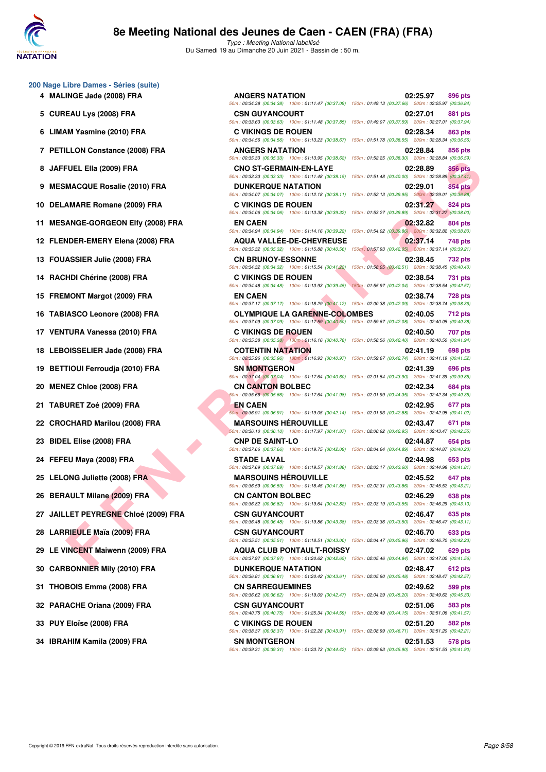

Type : Meeting National labellisé Du Samedi 19 au Dimanche 20 Juin 2021 - Bassin de : 50 m.

- **200 Nage Libre Dames Séries (suite)**
	-
	-
	-
	-
	-
	-
	-
	-
	-
	-
	-
	-
	-
	-
	-
	-
	-
	-
	-
	-
	-
	-
	-
	-
	-
	-
	-
	-
	-
	-
	-

| 00 Nage Libre Dames - Séries (suite)<br>4 MALINGE Jade (2008) FRA | <b>ANGERS NATATION</b>                                                                                                                         | 02:25.97<br>896 pts                                                                                                           |
|-------------------------------------------------------------------|------------------------------------------------------------------------------------------------------------------------------------------------|-------------------------------------------------------------------------------------------------------------------------------|
| 5 CUREAU Lys (2008) FRA                                           | <b>CSN GUYANCOURT</b>                                                                                                                          | 50m: 00:34.38 (00:34.38) 100m: 01:11.47 (00:37.09) 150m: 01:49.13 (00:37.66) 200m: 02:25.97 (00:36.84)<br>02:27.01<br>881 pts |
| 6 LIMAM Yasmine (2010) FRA                                        | <b>C VIKINGS DE ROUEN</b>                                                                                                                      | 50m: 00:33.63 (00:33.63) 100m: 01:11.48 (00:37.85) 150m: 01:49.07 (00:37.59) 200m: 02:27.01 (00:37.94)<br>02:28.34<br>863 pts |
| 7 PETILLON Constance (2008) FRA                                   | <b>ANGERS NATATION</b>                                                                                                                         | 50m: 00:34.56 (00:34.56) 100m: 01:13.23 (00:38.67) 150m: 01:51.78 (00:38.55) 200m: 02:28.34 (00:36.56)<br>02:28.84<br>856 pts |
| 8 JAFFUEL Ella (2009) FRA                                         | <b>CNO ST-GERMAIN-EN-LAYE</b>                                                                                                                  | 50m: 00:35.33 (00:35.33) 100m: 01:13.95 (00:38.62) 150m: 01:52.25 (00:38.30) 200m: 02:28.84 (00:36.59)<br>02:28.89<br>856 pts |
| 9 MESMACQUE Rosalie (2010) FRA                                    | 50m : 00:33.33 (00:33.33) 100m : 01:11.48 (00:38.15) 150m : 01:51.48 (00:40.00) 200m : 02:28.89 (00:37.41)<br><b>DUNKERQUE NATATION</b>        | 854 pts<br>02:29.01                                                                                                           |
| 10 DELAMARE Romane (2009) FRA                                     | 50m: 00:34.07 (00:34.07) 100m: 01:12.18 (00:38.11) 150m: 01:52.13 (00:39.95) 200m: 02:29.01 (00:36.88)<br><b>C VIKINGS DE ROUEN</b>            | 02:31.27<br>824 pts                                                                                                           |
| 11 MESANGE-GORGEON Elfy (2008) FRA                                | 50m: 00:34.06 (00:34.06) 100m: 01:13.38 (00:39.32) 150m: 01:53.27 (00:39.89) 200m: 02:31.27 (00:38.00)<br><b>EN CAEN</b>                       | 02:32.82<br>804 pts                                                                                                           |
| 12 FLENDER-EMERY Elena (2008) FRA                                 | 50m : 00:34.94 (00:34.94) 100m : 01:14.16 (00:39.22) 150m : 01:54.02 (00:39.86) 200m : 02:32.82 (00:38.80)<br><b>AQUA VALLEE-DE-CHEVREUSE</b>  | 02:37.14<br>748 pts                                                                                                           |
| 13 FOUASSIER Julie (2008) FRA                                     | 50m : 00:35.32 (00:35.32) 100m : 01:15.88 (00:40.56) 150m : 01:57.93 (00:42.05) 200m : 02:37.14 (00:39.21)<br><b>CN BRUNOY-ESSONNE</b>         | 02:38.45<br>732 pts                                                                                                           |
| 14 RACHDI Chérine (2008) FRA                                      | 50m : 00:34.32 (00:34.32) 100m : 01:15.54 (00:41.22) 150m : 01:58.05 (00:42.51) 200m : 02:38.45 (00:40.40)<br><b>C VIKINGS DE ROUEN</b>        | 02:38.54<br>731 pts                                                                                                           |
| 15 FREMONT Margot (2009) FRA                                      | 50m : 00:34.48 (00:34.48) 100m : 01:13.93 (00:39.45) 150m : 01:55.97 (00:42.04) 200m : 02:38.54 (00:42.57)<br><b>EN CAEN</b>                   | 02:38.74<br>728 pts                                                                                                           |
| 16 TABIASCO Leonore (2008) FRA                                    | 50m: 00:37.17 (00:37.17) 100m: 01:18.29 (00:41.12) 150m: 02:00.38 (00:42.09) 200m: 02:38.74 (00:38.36)<br><b>OLYMPIQUE LA GARENNE-COLOMBES</b> | 02:40.05<br>712 pts                                                                                                           |
| 17 VENTURA Vanessa (2010) FRA                                     | 50m : 00:37.09 (00:37.09) 100m : 01:17.59 (00:40.50) 150m : 01:59.67 (00:42.08) 200m : 02:40.05 (00:40.38)<br><b>C VIKINGS DE ROUEN</b>        | 02:40.50<br>707 pts                                                                                                           |
| 18 LEBOISSELIER Jade (2008) FRA                                   | 50m : 00:35.38 (00:35.38) 100m : 01:16.16 (00:40.78) 150m : 01:58.56 (00:42.40) 200m : 02:40.50 (00:41.94)<br><b>COTENTIN NATATION</b>         | 02:41.19<br>698 pts                                                                                                           |
| 19 BETTIOUI Ferroudja (2010) FRA                                  | 50m: 00:35.96 (00:35.96) 100m: 01:16.93 (00:40.97) 150m: 01:59.67 (00:42.74) 200m: 02:41.19 (00:41.52)<br><b>SN MONTGERON</b>                  | 02:41.39<br>696 pts                                                                                                           |
| 20 MENEZ Chloe (2008) FRA                                         | 50m: 00:37.04 (00:37.04) 100m: 01:17.64 (00:40.60) 150m: 02:01.54 (00:43.90) 200m: 02:41.39 (00:39.85)<br><b>CN CANTON BOLBEC</b>              | 02:42.34<br>684 pts                                                                                                           |
| 21 TABURET Zoé (2009) FRA                                         | 50m : 00:35.66 (00:35.66) 100m : 01:17.64 (00:41.98) 150m : 02:01.99 (00:44.35) 200m : 02:42.34 (00:40.35)<br>EN CAEN                          | 02:42.95<br>677 pts                                                                                                           |
|                                                                   | 50m: 00:36.91 (00:36.91) 100m: 01:19.05 (00:42.14) 150m: 02:01.93 (00:42.88) 200m: 02:42.95 (00:41.02)                                         |                                                                                                                               |
| 22 CROCHARD Marilou (2008) FRA                                    | <b>MARSOUINS HEROUVILLE</b><br>50m : 00:36.10 (00:36.10) 100m : 01:17.97 (00:41.87) 150m : 02:00.92 (00:42.95) 200m : 02:43.47 (00:42.55)      | 02:43.47<br>671 pts                                                                                                           |
| 23 BIDEL Elise (2008) FRA                                         | <b>CNP DE SAINT-LO</b><br>50m: 00:37.66 (00:37.66) 100m: 01:19.75 (00:42.09) 150m: 02:04.64 (00:44.89) 200m: 02:44.87 (00:40.23)               | 02:44.87<br>654 pts                                                                                                           |
| 24 FEFEU Maya (2008) FRA                                          | STADE LAVAL<br>50m : 00:37.69 (00:37.69) 100m : 01:19.57 (00:41.88) 150m : 02:03.17 (00:43.60) 200m : 02:44.98 (00:41.81)                      | 02:44.98<br>653 pts                                                                                                           |
| 25 LELONG Juliette (2008) FRA                                     | <b>MARSOUINS HÉROUVILLE</b><br>50m: 00:36.59 (00:36.59) 100m: 01:18.45 (00:41.86) 150m: 02:02.31 (00:43.86) 200m: 02:45.52 (00:43.21)          | 02:45.52<br>647 pts                                                                                                           |
| 26 BERAULT Milane (2009) FRA                                      | <b>CN CANTON BOLBEC</b><br>50m : 00:36.82 (00:36.82) 100m : 01:19.64 (00:42.82) 150m : 02:03.19 (00:43.55) 200m : 02:46.29 (00:43.10)          | 02:46.29<br>638 pts                                                                                                           |
| 27 JAILLET PEYREGNE Chloé (2009) FRA                              | CSN GUYANCOURT<br>50m : 00:36.48 (00:36.48) 100m : 01:19.86 (00:43.38) 150m : 02:03.36 (00:43.50) 200m : 02:46.47 (00:43.11)                   | 02:46.47<br>635 pts                                                                                                           |
| 28 LARRIEULE Maïa (2009) FRA                                      | CSN GUYANCOURT<br>50m: 00:35.51 (00:35.51) 100m: 01:18.51 (00:43.00) 150m: 02:04.47 (00:45.96) 200m: 02:46.70 (00:42.23)                       | 02:46.70<br>633 pts                                                                                                           |
| 29 LE VINCENT Maiwenn (2009) FRA                                  | <b>AQUA CLUB PONTAULT-ROISSY</b>                                                                                                               | 02:47.02<br>629 pts                                                                                                           |
| 30 CARBONNIER Mily (2010) FRA                                     | 50m : 00:37.97 (00:37.97) 100m : 01:20.62 (00:42.65) 150m : 02:05.46 (00:44.84) 200m : 02:47.02 (00:41.56)<br><b>DUNKERQUE NATATION</b>        | 02:48.47<br>612 pts                                                                                                           |
| 31 THOBOIS Emma (2008) FRA                                        | 50m: 00:36.81 (00:36.81) 100m: 01:20.42 (00:43.61) 150m: 02:05.90 (00:45.48) 200m: 02:48.47 (00:42.57)<br><b>CN SARREGUEMINES</b>              | 02:49.62<br>599 pts                                                                                                           |
| 32 PARACHE Oriana (2009) FRA                                      | 50m : 00:36.62 (00:36.62) 100m : 01:19.09 (00:42.47) 150m : 02:04.29 (00:45.20) 200m : 02:49.62 (00:45.33)<br><b>CSN GUYANCOURT</b>            | 02:51.06<br>583 pts                                                                                                           |
| 33 PUY Eloïse (2008) FRA                                          | 50m: 00:40.75 (00:40.75) 100m: 01:25.34 (00:44.59) 150m: 02:09.49 (00:44.15) 200m: 02:51.06 (00:41.57)<br><b>C VIKINGS DE ROUEN</b>            | 02:51.20<br>582 pts                                                                                                           |
| 34 IBRAHIM Kamila (2009) FRA                                      | 50m: 00:38.37 (00:38.37) 100m: 01:22.28 (00:43.91) 150m: 02:08.99 (00:46.71) 200m: 02:51.20 (00:42.21)<br><b>SN MONTGERON</b>                  | 02:51.53<br>578 pts                                                                                                           |

50m : 00:39.31 (00:39.31) 100m : 01:23.73 (00:44.42) 150m : 02:09.63 (00:45.90) 200m : 02:51.53 (00:41.90)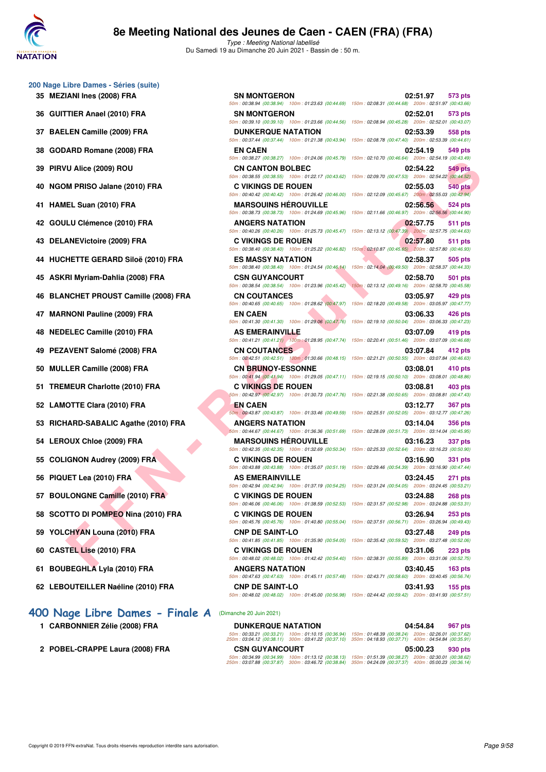

Type : Meeting National labellisé Du Samedi 19 au Dimanche 20 Juin 2021 - Bassin de : 50 m.

- **200 Nage Libre Dames Séries (suite)**
	-
	-
	-
	-
	-
	-
	-
	-
	-
	-
	-
	-
	-
	-
	-
	-
	-
	-
	-
	-
	-
	-
	-
	-
	-
	-
	-
	-

## **[400 Nage Libre Dames - Finale A](http://www.ffnatation.fr/webffn/resultats.php?idact=nat&go=epr&idcpt=70045&idepr=4)** (Dimanche 20 Juin 2021)

- **1 CARBONNIER Zélie (2008) FRA**
- 2 POBEL-CRAPPE Laura (2008) FRA

| <b>SN MONTGERON</b>         | 02:51.97<br>573 pts                                                                                                                                                                                                                                                                                                                                                                                                                                                                                                                                                                                                                                                                                                                                                                                                                                                                                                                                                                                                                                                                                                                                                                                                                                                                                                                                                                                                                                                                                                                                                                                                                                                                                                                                                                                                                                                                                                                                                                                                                                                                                                                                                                                                                                                                                                                                                                                                                                                                                                                                                                                                                                                                                                                                                                                                                                                                                                                                                                          |
|-----------------------------|----------------------------------------------------------------------------------------------------------------------------------------------------------------------------------------------------------------------------------------------------------------------------------------------------------------------------------------------------------------------------------------------------------------------------------------------------------------------------------------------------------------------------------------------------------------------------------------------------------------------------------------------------------------------------------------------------------------------------------------------------------------------------------------------------------------------------------------------------------------------------------------------------------------------------------------------------------------------------------------------------------------------------------------------------------------------------------------------------------------------------------------------------------------------------------------------------------------------------------------------------------------------------------------------------------------------------------------------------------------------------------------------------------------------------------------------------------------------------------------------------------------------------------------------------------------------------------------------------------------------------------------------------------------------------------------------------------------------------------------------------------------------------------------------------------------------------------------------------------------------------------------------------------------------------------------------------------------------------------------------------------------------------------------------------------------------------------------------------------------------------------------------------------------------------------------------------------------------------------------------------------------------------------------------------------------------------------------------------------------------------------------------------------------------------------------------------------------------------------------------------------------------------------------------------------------------------------------------------------------------------------------------------------------------------------------------------------------------------------------------------------------------------------------------------------------------------------------------------------------------------------------------------------------------------------------------------------------------------------------------|
| <b>SN MONTGERON</b>         | 02:52.01<br>573 pts                                                                                                                                                                                                                                                                                                                                                                                                                                                                                                                                                                                                                                                                                                                                                                                                                                                                                                                                                                                                                                                                                                                                                                                                                                                                                                                                                                                                                                                                                                                                                                                                                                                                                                                                                                                                                                                                                                                                                                                                                                                                                                                                                                                                                                                                                                                                                                                                                                                                                                                                                                                                                                                                                                                                                                                                                                                                                                                                                                          |
| <b>DUNKERQUE NATATION</b>   | 02:53.39<br>558 pts                                                                                                                                                                                                                                                                                                                                                                                                                                                                                                                                                                                                                                                                                                                                                                                                                                                                                                                                                                                                                                                                                                                                                                                                                                                                                                                                                                                                                                                                                                                                                                                                                                                                                                                                                                                                                                                                                                                                                                                                                                                                                                                                                                                                                                                                                                                                                                                                                                                                                                                                                                                                                                                                                                                                                                                                                                                                                                                                                                          |
| <b>EN CAEN</b>              | 02:54.19<br>549 pts                                                                                                                                                                                                                                                                                                                                                                                                                                                                                                                                                                                                                                                                                                                                                                                                                                                                                                                                                                                                                                                                                                                                                                                                                                                                                                                                                                                                                                                                                                                                                                                                                                                                                                                                                                                                                                                                                                                                                                                                                                                                                                                                                                                                                                                                                                                                                                                                                                                                                                                                                                                                                                                                                                                                                                                                                                                                                                                                                                          |
| <b>CN CANTON BOLBEC</b>     | 02:54.22<br>549 pts                                                                                                                                                                                                                                                                                                                                                                                                                                                                                                                                                                                                                                                                                                                                                                                                                                                                                                                                                                                                                                                                                                                                                                                                                                                                                                                                                                                                                                                                                                                                                                                                                                                                                                                                                                                                                                                                                                                                                                                                                                                                                                                                                                                                                                                                                                                                                                                                                                                                                                                                                                                                                                                                                                                                                                                                                                                                                                                                                                          |
| <b>C VIKINGS DE ROUEN</b>   | 02:55.03<br>540 pts                                                                                                                                                                                                                                                                                                                                                                                                                                                                                                                                                                                                                                                                                                                                                                                                                                                                                                                                                                                                                                                                                                                                                                                                                                                                                                                                                                                                                                                                                                                                                                                                                                                                                                                                                                                                                                                                                                                                                                                                                                                                                                                                                                                                                                                                                                                                                                                                                                                                                                                                                                                                                                                                                                                                                                                                                                                                                                                                                                          |
| <b>MARSOUINS HEROUVILLE</b> | 02:56.56<br>524 pts                                                                                                                                                                                                                                                                                                                                                                                                                                                                                                                                                                                                                                                                                                                                                                                                                                                                                                                                                                                                                                                                                                                                                                                                                                                                                                                                                                                                                                                                                                                                                                                                                                                                                                                                                                                                                                                                                                                                                                                                                                                                                                                                                                                                                                                                                                                                                                                                                                                                                                                                                                                                                                                                                                                                                                                                                                                                                                                                                                          |
| <b>ANGERS NATATION</b>      | 02:57.75<br>511 pts                                                                                                                                                                                                                                                                                                                                                                                                                                                                                                                                                                                                                                                                                                                                                                                                                                                                                                                                                                                                                                                                                                                                                                                                                                                                                                                                                                                                                                                                                                                                                                                                                                                                                                                                                                                                                                                                                                                                                                                                                                                                                                                                                                                                                                                                                                                                                                                                                                                                                                                                                                                                                                                                                                                                                                                                                                                                                                                                                                          |
| <b>C VIKINGS DE ROUEN</b>   | 02:57.80<br>511 pts                                                                                                                                                                                                                                                                                                                                                                                                                                                                                                                                                                                                                                                                                                                                                                                                                                                                                                                                                                                                                                                                                                                                                                                                                                                                                                                                                                                                                                                                                                                                                                                                                                                                                                                                                                                                                                                                                                                                                                                                                                                                                                                                                                                                                                                                                                                                                                                                                                                                                                                                                                                                                                                                                                                                                                                                                                                                                                                                                                          |
| <b>ES MASSY NATATION</b>    | 02:58.37<br>505 pts                                                                                                                                                                                                                                                                                                                                                                                                                                                                                                                                                                                                                                                                                                                                                                                                                                                                                                                                                                                                                                                                                                                                                                                                                                                                                                                                                                                                                                                                                                                                                                                                                                                                                                                                                                                                                                                                                                                                                                                                                                                                                                                                                                                                                                                                                                                                                                                                                                                                                                                                                                                                                                                                                                                                                                                                                                                                                                                                                                          |
| <b>CSN GUYANCOURT</b>       | 02:58.70<br>501 pts                                                                                                                                                                                                                                                                                                                                                                                                                                                                                                                                                                                                                                                                                                                                                                                                                                                                                                                                                                                                                                                                                                                                                                                                                                                                                                                                                                                                                                                                                                                                                                                                                                                                                                                                                                                                                                                                                                                                                                                                                                                                                                                                                                                                                                                                                                                                                                                                                                                                                                                                                                                                                                                                                                                                                                                                                                                                                                                                                                          |
| <b>CN COUTANCES</b>         | 150m: 02:13.12 (00:49.16) 200m: 02:58.70 (00:45.58)<br>03:05.97<br>429 pts                                                                                                                                                                                                                                                                                                                                                                                                                                                                                                                                                                                                                                                                                                                                                                                                                                                                                                                                                                                                                                                                                                                                                                                                                                                                                                                                                                                                                                                                                                                                                                                                                                                                                                                                                                                                                                                                                                                                                                                                                                                                                                                                                                                                                                                                                                                                                                                                                                                                                                                                                                                                                                                                                                                                                                                                                                                                                                                   |
| <b>EN CAEN</b>              | 03:06.33<br>426 pts                                                                                                                                                                                                                                                                                                                                                                                                                                                                                                                                                                                                                                                                                                                                                                                                                                                                                                                                                                                                                                                                                                                                                                                                                                                                                                                                                                                                                                                                                                                                                                                                                                                                                                                                                                                                                                                                                                                                                                                                                                                                                                                                                                                                                                                                                                                                                                                                                                                                                                                                                                                                                                                                                                                                                                                                                                                                                                                                                                          |
| <b>AS EMERAINVILLE</b>      | 03:07.09<br>419 pts                                                                                                                                                                                                                                                                                                                                                                                                                                                                                                                                                                                                                                                                                                                                                                                                                                                                                                                                                                                                                                                                                                                                                                                                                                                                                                                                                                                                                                                                                                                                                                                                                                                                                                                                                                                                                                                                                                                                                                                                                                                                                                                                                                                                                                                                                                                                                                                                                                                                                                                                                                                                                                                                                                                                                                                                                                                                                                                                                                          |
| <b>CN COUTANCES</b>         | 03:07.84<br>412 pts                                                                                                                                                                                                                                                                                                                                                                                                                                                                                                                                                                                                                                                                                                                                                                                                                                                                                                                                                                                                                                                                                                                                                                                                                                                                                                                                                                                                                                                                                                                                                                                                                                                                                                                                                                                                                                                                                                                                                                                                                                                                                                                                                                                                                                                                                                                                                                                                                                                                                                                                                                                                                                                                                                                                                                                                                                                                                                                                                                          |
| <b>CN BRUNOY-ESSONNE</b>    | 03:08.01<br>410 pts                                                                                                                                                                                                                                                                                                                                                                                                                                                                                                                                                                                                                                                                                                                                                                                                                                                                                                                                                                                                                                                                                                                                                                                                                                                                                                                                                                                                                                                                                                                                                                                                                                                                                                                                                                                                                                                                                                                                                                                                                                                                                                                                                                                                                                                                                                                                                                                                                                                                                                                                                                                                                                                                                                                                                                                                                                                                                                                                                                          |
| <b>C VIKINGS DE ROUEN</b>   | 03:08.81<br>403 pts                                                                                                                                                                                                                                                                                                                                                                                                                                                                                                                                                                                                                                                                                                                                                                                                                                                                                                                                                                                                                                                                                                                                                                                                                                                                                                                                                                                                                                                                                                                                                                                                                                                                                                                                                                                                                                                                                                                                                                                                                                                                                                                                                                                                                                                                                                                                                                                                                                                                                                                                                                                                                                                                                                                                                                                                                                                                                                                                                                          |
| EN CAEN                     | 03:12.77<br><b>367 pts</b>                                                                                                                                                                                                                                                                                                                                                                                                                                                                                                                                                                                                                                                                                                                                                                                                                                                                                                                                                                                                                                                                                                                                                                                                                                                                                                                                                                                                                                                                                                                                                                                                                                                                                                                                                                                                                                                                                                                                                                                                                                                                                                                                                                                                                                                                                                                                                                                                                                                                                                                                                                                                                                                                                                                                                                                                                                                                                                                                                                   |
| <b>ANGERS NATATION</b>      | 03:14.04<br><b>356 pts</b>                                                                                                                                                                                                                                                                                                                                                                                                                                                                                                                                                                                                                                                                                                                                                                                                                                                                                                                                                                                                                                                                                                                                                                                                                                                                                                                                                                                                                                                                                                                                                                                                                                                                                                                                                                                                                                                                                                                                                                                                                                                                                                                                                                                                                                                                                                                                                                                                                                                                                                                                                                                                                                                                                                                                                                                                                                                                                                                                                                   |
| <b>MARSOUINS HEROUVILLE</b> | 03:16.23<br><b>337 pts</b>                                                                                                                                                                                                                                                                                                                                                                                                                                                                                                                                                                                                                                                                                                                                                                                                                                                                                                                                                                                                                                                                                                                                                                                                                                                                                                                                                                                                                                                                                                                                                                                                                                                                                                                                                                                                                                                                                                                                                                                                                                                                                                                                                                                                                                                                                                                                                                                                                                                                                                                                                                                                                                                                                                                                                                                                                                                                                                                                                                   |
| <b>C VIKINGS DE ROUEN</b>   | 03:16.90<br>331 pts                                                                                                                                                                                                                                                                                                                                                                                                                                                                                                                                                                                                                                                                                                                                                                                                                                                                                                                                                                                                                                                                                                                                                                                                                                                                                                                                                                                                                                                                                                                                                                                                                                                                                                                                                                                                                                                                                                                                                                                                                                                                                                                                                                                                                                                                                                                                                                                                                                                                                                                                                                                                                                                                                                                                                                                                                                                                                                                                                                          |
| <b>AS EMERAINVILLE</b>      | 03:24.45<br><b>271 pts</b>                                                                                                                                                                                                                                                                                                                                                                                                                                                                                                                                                                                                                                                                                                                                                                                                                                                                                                                                                                                                                                                                                                                                                                                                                                                                                                                                                                                                                                                                                                                                                                                                                                                                                                                                                                                                                                                                                                                                                                                                                                                                                                                                                                                                                                                                                                                                                                                                                                                                                                                                                                                                                                                                                                                                                                                                                                                                                                                                                                   |
| <b>C VIKINGS DE ROUEN</b>   | 03:24.88<br>268 pts                                                                                                                                                                                                                                                                                                                                                                                                                                                                                                                                                                                                                                                                                                                                                                                                                                                                                                                                                                                                                                                                                                                                                                                                                                                                                                                                                                                                                                                                                                                                                                                                                                                                                                                                                                                                                                                                                                                                                                                                                                                                                                                                                                                                                                                                                                                                                                                                                                                                                                                                                                                                                                                                                                                                                                                                                                                                                                                                                                          |
| <b>C VIKINGS DE ROUEN</b>   | 03:26.94<br><b>253 pts</b>                                                                                                                                                                                                                                                                                                                                                                                                                                                                                                                                                                                                                                                                                                                                                                                                                                                                                                                                                                                                                                                                                                                                                                                                                                                                                                                                                                                                                                                                                                                                                                                                                                                                                                                                                                                                                                                                                                                                                                                                                                                                                                                                                                                                                                                                                                                                                                                                                                                                                                                                                                                                                                                                                                                                                                                                                                                                                                                                                                   |
| <b>CNP DE SAINT-LO</b>      | 03:27.48<br>249 pts                                                                                                                                                                                                                                                                                                                                                                                                                                                                                                                                                                                                                                                                                                                                                                                                                                                                                                                                                                                                                                                                                                                                                                                                                                                                                                                                                                                                                                                                                                                                                                                                                                                                                                                                                                                                                                                                                                                                                                                                                                                                                                                                                                                                                                                                                                                                                                                                                                                                                                                                                                                                                                                                                                                                                                                                                                                                                                                                                                          |
| <b>C VIKINGS DE ROUEN</b>   | 03:31.06<br>$223$ pts                                                                                                                                                                                                                                                                                                                                                                                                                                                                                                                                                                                                                                                                                                                                                                                                                                                                                                                                                                                                                                                                                                                                                                                                                                                                                                                                                                                                                                                                                                                                                                                                                                                                                                                                                                                                                                                                                                                                                                                                                                                                                                                                                                                                                                                                                                                                                                                                                                                                                                                                                                                                                                                                                                                                                                                                                                                                                                                                                                        |
| <b>ANGERS NATATION</b>      | 03:40.45<br>163 <sub>pts</sub>                                                                                                                                                                                                                                                                                                                                                                                                                                                                                                                                                                                                                                                                                                                                                                                                                                                                                                                                                                                                                                                                                                                                                                                                                                                                                                                                                                                                                                                                                                                                                                                                                                                                                                                                                                                                                                                                                                                                                                                                                                                                                                                                                                                                                                                                                                                                                                                                                                                                                                                                                                                                                                                                                                                                                                                                                                                                                                                                                               |
|                             | 03:41.93<br>$155$ pts                                                                                                                                                                                                                                                                                                                                                                                                                                                                                                                                                                                                                                                                                                                                                                                                                                                                                                                                                                                                                                                                                                                                                                                                                                                                                                                                                                                                                                                                                                                                                                                                                                                                                                                                                                                                                                                                                                                                                                                                                                                                                                                                                                                                                                                                                                                                                                                                                                                                                                                                                                                                                                                                                                                                                                                                                                                                                                                                                                        |
|                             | 50m: 00:38.94 (00:38.94) 100m: 01:23.63 (00:44.69) 150m: 02:08.31 (00:44.68) 200m: 02:51.97 (00:43.66)<br>50m: 00:39.10 (00:39.10) 100m: 01:23.66 (00:44.56) 150m: 02:08.94 (00:45.28) 200m: 02:52.01 (00:43.07)<br>50m : 00:37.44 (00:37.44) 100m : 01:21.38 (00:43.94) 150m : 02:08.78 (00:47.40) 200m : 02:53.39 (00:44.61)<br>50m : 00:38.27 (00:38.27) 100m : 01:24.06 (00:45.79) 150m : 02:10.70 (00:46.64) 200m : 02:54.19 (00:43.49)<br>50m: 00:38.55 (00:38.55) 100m: 01:22.17 (00:43.62) 150m: 02:09.70 (00:47.53) 200m: 02:54.22 (00:44.52)<br>50m : 00:40.42 (00:40.42) 100m : 01:26.42 (00:46.00) 150m : 02:12.09 (00:45.67) 200m : 02:55.03 (00:42.94)<br>50m: 00:38.73 (00:38.73) 100m: 01:24.69 (00:45.96) 150m: 02:11.66 (00:46.97) 200m: 02:56.56 (00:44.90)<br>50m: 00:40.26 (00:40.26) 100m: 01:25.73 (00:45.47) 150m: 02:13.12 (00:47.39) 200m: 02:57.75 (00:44.63)<br>50m : 00:38.40 (00:38.40) 100m : 01:25.22 (00:46.82) 150m : 02:10.87 (00:45.65) 200m : 02:57.80 (00:46.93)<br>50m : 00:38.40 (00:38.40) 100m : 01:24.54 (00:46.14) 150m : 02:14.04 (00:49.50) 200m : 02:58.37 (00:44.33)<br>50m: 00:38.54 (00:38.54) 100m: 01:23.96 (00:45.42)<br>50m : 00:40.65 (00:40.65) 100m : 01:28.62 (00:47.97) 150m : 02:18.20 (00:49.58) 200m : 03:05.97 (00:47.77)<br>50m: 00:41.30 (00:41.30) 100m: 01:29.06 (00:47.76) 150m: 02:19.10 (00:50.04) 200m: 03:06.33 (00:47.23)<br>50m: 00:41.21 (00:41.21) 100m: 01:28.95 (00:47.74) 150m: 02:20.41 (00:51.46) 200m: 03:07.09 (00:46.68)<br>50m: 00:42.51 (00:42.51) 100m: 01:30.66 (00:48.15) 150m: 02:21.21 (00:50.55) 200m: 03:07.84 (00:46.63)<br>50m: 00:41.94 (00:41.94) 100m: 01:29.05 (00:47.11) 150m: 02:19.15 (00:50.10) 200m: 03:08.01 (00:48.86)<br>50m: 00:42.97 (00:42.97) 100m: 01:30.73 (00:47.76) 150m: 02:21.38 (00:50.65) 200m: 03:08.81 (00:47.43)<br>50m: 00:43.87 (00:43.87) 100m: 01:33.46 (00:49.59) 150m: 02:25.51 (00:52.05) 200m: 03:12.77 (00:47.26)<br>50m: 00:44.67 (00:44.67) 100m: 01:36.36 (00:51.69) 150m: 02:28.09 (00:51.73) 200m: 03:14.04 (00:45.95)<br>50m : 00:42.35 (00:42.35) 100m : 01:32.69 (00:50.34) 150m : 02:25.33 (00:52.64) 200m : 03:16.23 (00:50.90)<br>50m : 00:43.88 (00:43.88) 100m : 01:35.07 (00:51.19) 150m : 02:29.46 (00:54.39) 200m : 03:16.90 (00:47.44)<br>50m: 00:42.94 (00:42.94) 100m: 01:37.19 (00:54.25) 150m: 02:31.24 (00:54.05) 200m: 03:24.45 (00:53.21)<br>50m: 00:46.06 (00:46.06) 100m: 01:38.59 (00:52.53) 150m: 02:31.57 (00:52.98) 200m: 03:24.88 (00:53.31)<br>50m : 00:45.76 (00:45.76) 100m : 01:40.80 (00:55.04) 150m : 02:37.51 (00:56.71) 200m : 03:26.94 (00:49.43)<br>50m: 00:41.85 (00:41.85) 100m: 01:35.90 (00:54.05) 150m: 02:35.42 (00:59.52) 200m: 03:27.48 (00:52.06)<br>50m : 00:48.02 (00:48.02) 100m : 01:42.42 (00:54.40) 150m : 02:38.31 (00:55.89) 200m : 03:31.06 (00:52.75)<br>50m : 00:47.63 (00:47.63) 100m : 01:45.11 (00:57.48) 150m : 02:43.71 (00:58.60) 200m : 03:40.45 (00:56.74)<br><b>CNP DE SAINT-LO</b> |

|                                                       | <b>DUNKERQUE NATATION</b>                                                                                 |                                                        | 04:54.84                                                                                                   | 967 pts                                                |
|-------------------------------------------------------|-----------------------------------------------------------------------------------------------------------|--------------------------------------------------------|------------------------------------------------------------------------------------------------------------|--------------------------------------------------------|
|                                                       | 50m: 00:33.21 (00:33.21) 100m: 01:10.15 (00:36.94)<br>250m: 03:04.12 (00:38.11) 300m: 03:41.22 (00:37.10) |                                                        | 150m: 01:48.39 (00:38.24) 200m: 02:26.01 (00:37.62)<br>350m: 04:18.93 (00:37.71) 400m: 04:54.84 (00:35.91) |                                                        |
| <b>CSN GUYANCOURT</b>                                 |                                                                                                           |                                                        | 05:00.23                                                                                                   | 930 pts                                                |
| 50m: 00:34.99 (00:34.99)<br>250m: 03:07.88 (00:37.87) | 100m: 01:13.12 (00:38.13)<br>300m: 03:46.72 (00:38.84)                                                    | 150m: 01:51.39 (00:38.27)<br>350m: 04:24.09 (00:37.37) |                                                                                                            | 200m: 02:30.01 (00:38.62)<br>400m: 05:00.23 (00:36.14) |

50m : 00:48.02 (00:48.02) 100m : 01:45.00 (00:56.98) 150m : 02:44.42 (00:59.42) 200m : 03:41.93 (00:57.51)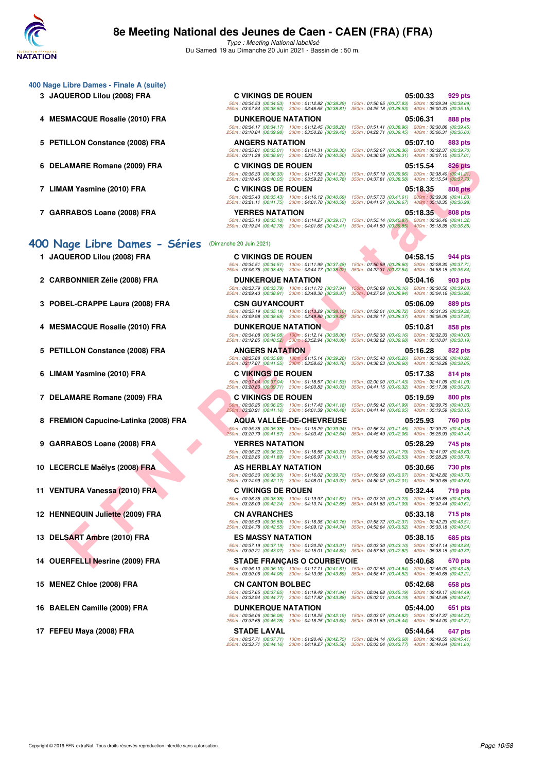

**400 Nage Libre Dames - Finale A (suite)**

Type : Meeting National labellisé Du Samedi 19 au Dimanche 20 Juin 2021 - Bassin de : 50 m.

| DELAMARE Romane (2009) FRA<br>6            | <b>C VIKINGS DE ROUEN</b>                                                                                 | 05:15.54<br>826 pts                                                                                                                                            |
|--------------------------------------------|-----------------------------------------------------------------------------------------------------------|----------------------------------------------------------------------------------------------------------------------------------------------------------------|
|                                            | 50m: 00:36.33 (00:36.33) 100m: 01:17.53 (00:41.20)<br>250m: 03:18.45 (00:40.05) 300m: 03:59.23 (00:40.78) | 150m: 01:57.19 (00:39.66) 200m: 02:38.40 (00:41.21)<br>350m: 04:37.81 (00:38.58) 400m: 05:15.54 (00:37.73)                                                     |
| 7 LIMAM Yasmine (2010) FRA                 | <b>C VIKINGS DE ROUEN</b>                                                                                 | 05:18.35<br>808 pts                                                                                                                                            |
|                                            | 50m: 00:35.43 (00:35.43) 100m: 01:16.12 (00:40.69)<br>250m: 03:21.11 (00:41.75) 300m: 04:01.70 (00:40.59) | 150m: 01:57.73 (00:41.61) 200m: 02:39.36 (00:41.63)<br>350m: 04:41.37 (00:39.67) 400m: 05:18.35 (00:36.98)                                                     |
| 7 GARRABOS Loane (2008) FRA                | <b>YERRES NATATION</b>                                                                                    | 05:18.35<br><b>808 pts</b><br>50m: 00:35.10 (00:35.10) 100m: 01:14.27 (00:39.17) 150m: 01:55.14 (00:40.87) 200m: 02:36.46 (00:41.32)                           |
|                                            |                                                                                                           | 250m: 03:19.24 (00:42.78) 300m: 04:01.65 (00:42.41) 350m: 04:41.50 (00:39.85) 400m: 05:18.35 (00:36.85)                                                        |
| 400 Nage Libre Dames - Séries              | (Dimanche 20 Juin 2021)                                                                                   |                                                                                                                                                                |
| 1 JAQUEROD Lilou (2008) FRA                | <b>C VIKINGS DE ROUEN</b>                                                                                 | 04:58.15<br>944 pts                                                                                                                                            |
|                                            | 50m: 00:34.51 (00:34.51) 100m: 01:11.99 (00:37.48)<br>250m: 03:06.75 (00:38.45) 300m: 03:44.77 (00:38.02) | 150m: 01:50.59 (00:38.60) 200m: 02:28.30 (00:37.71)<br>350m: 04:22.31 (00:37.54) 400m: 04:58.15 (00:35.84)                                                     |
| 2 CARBONNIER Zélie (2008) FRA              | <b>DUNKERQUE NATATION</b>                                                                                 | 05:04.16<br>903 pts                                                                                                                                            |
|                                            | 50m: 00:33.79 (00:33.79) 100m: 01:11.73 (00:37.94)<br>250m: 03:09.43 (00:38.91) 300m: 03:48.30 (00:38.87) | 150m: 01:50.89 (00:39.16) 200m: 02:30.52 (00:39.63)<br>350m: 04:27.24 (00:38.94) 400m: 05:04.16 (00:36.92)                                                     |
| POBEL-CRAPPE Laura (2008) FRA              | <b>CSN GUYANCOURT</b>                                                                                     | 05:06.09<br>889 pts                                                                                                                                            |
|                                            | 50m: 00:35.19 (00:35.19) 100m: 01:13.29 (00:38.10)<br>250m: 03:09.98 (00:38.65) 300m: 03:49.80 (00:39.82) | 150m: 01:52.01 (00:38.72) 200m: 02:31.33 (00:39.32)<br>350m: 04:28.17 (00:38.37) 400m: 05:06.09 (00:37.92)                                                     |
| <b>MESMACQUE Rosalie (2010) FRA</b><br>4   | <b>DUNKERQUE NATATION</b>                                                                                 | 05:10.81<br>858 pts                                                                                                                                            |
|                                            | 50m: 00:34.08 (00:34.08) 100m: 01:12.14 (00:38.06)<br>250m: 03:12.85 (00:40.52) 300m: 03:52.94 (00:40.09) | 150m: 01:52.30 (00:40.16) 200m: 02:32.33 (00:40.03)<br>350m: 04:32.62 (00:39.68) 400m: 05:10.81 (00:38.19)                                                     |
| <b>PETILLON Constance (2008) FRA</b><br>5  | <b>ANGERS NATATION</b>                                                                                    | 05:16.28<br><b>822 pts</b>                                                                                                                                     |
|                                            | 50m: 00:35.88 (00:35.88) 100m: 01:15.14 (00:39.26)<br>250m: 03:17.87 (00:41.55) 300m: 03:58.63 (00:40.76) | 150m: 01:55.40 (00:40.26) 200m: 02:36.32 (00:40.92)<br>350m: 04:38.23 (00:39.60) 400m: 05:16.28 (00:38.05)                                                     |
| LIMAM Yasmine (2010) FRA                   | <b>C VIKINGS DE ROUEN</b>                                                                                 | 05:17.38<br>814 pts                                                                                                                                            |
|                                            | 50m: 00:37.04 (00:37.04) 100m: 01:18.57 (00:41.53)<br>250m: 03:20.80 (00:39.71) 300m: 04:00.83 (00:40.03) | 150m: 02:00.00 (00:41.43) 200m: 02:41.09 (00:41.09)<br>350m: 04:41.15 (00:40.32) 400m: 05:17.38 (00:36.23)                                                     |
| 7 DELAMARE Romane (2009) FRA               | <b>C VIKINGS DE ROUEN</b>                                                                                 | 05:19.59<br>800 pts                                                                                                                                            |
|                                            | 50m: 00:36.25 (00:36.25) 100m: 01:17.43 (00:41.18)<br>250m: 03:20.91 (00:41.16) 300m: 04:01.39 (00:40.48) | 150m: 01:59.42 (00:41.99) 200m: 02:39.75 (00:40.33)<br>350m: 04:41.44 (00:40.05) 400m: 05:19.59 (00:38.15)                                                     |
| <b>FREMION Capucine-Latinka (2008) FRA</b> | <b>AQUA VALLÉE-DE-CHEVREUSE</b>                                                                           | 05:25.93<br>760 pts                                                                                                                                            |
|                                            | 50m: 00:35.35 (00:35.35) 100m: 01:15.29 (00:39.94)<br>250m: 03:20.79 (00:41.57) 300m: 04:03.43 (00:42.64) | 150m: 01:56.74 (00:41.45) 200m: 02:39.22 (00:42.48)<br>350m: 04:45.49 (00:42.06) 400m: 05:25.93 (00:40.44)                                                     |
| 9 GARRABOS Loane (2008) FRA                | <b>YERRES NATATION</b>                                                                                    | 05:28.29<br>745 pts                                                                                                                                            |
|                                            | 50m: 00:36.22 (00:36.22) 100m: 01:16.55 (00:40.33)                                                        | 150m: 01:58.34 (00:41.79) 200m: 02:41.97 (00:43.63)<br>250m: 03:23.86 (00:41.89) 300m: 04:06.97 (00:43.11) 350m: 04:49.50 (00:42.53) 400m: 05:28.29 (00:38.79) |
| 10 LECERCLE Maëlys (2008) FRA              | AS HERBLAY NATATION                                                                                       | 05:30.66<br>730 pts                                                                                                                                            |
|                                            | 50m: 00:36.30 (00:36.30) 100m: 01:16.02 (00:39.72)<br>250m: 03:24.99 (00:42.17) 300m: 04:08.01 (00:43.02) | 150m: 01:59.09 (00:43.07) 200m: 02:42.82 (00:43.73)<br>350m: 04:50.02 (00:42.01) 400m: 05:30.66 (00:40.64)                                                     |
| 11 VENTURA Vanessa (2010) FRA              | <b>C VIKINGS DE ROUEN</b>                                                                                 | 05:32.44<br>719 pts                                                                                                                                            |
|                                            | 50m: 00:38.35 (00:38.35) 100m: 01:19.97 (00:41.62)<br>250m: 03:28.09 (00:42.24) 300m: 04:10.74 (00:42.65) | 150m: 02:03.20 (00:43.23) 200m: 02:45.85 (00:42.65)<br>350m: 04:51.83 (00:41.09) 400m: 05:32.44 (00:40.61)                                                     |
| 12 HENNEQUIN Juliette (2009) FRA           | <b>CN AVRANCHES</b>                                                                                       | 05:33.18<br>715 pts                                                                                                                                            |
|                                            | 50m: 00:35.59 (00:35.59) 100m: 01:16.35 (00:40.76)<br>250m: 03:24.78 (00:42.55) 300m: 04:09.12 (00:44.34) | 150m: 01:58.72 (00:42.37) 200m: 02:42.23 (00:43.51)<br>350m: 04:52.64 (00:43.52) 400m: 05:33.18 (00:40.54)                                                     |
| 13 DELSART Ambre (2010) FRA                | <b>ES MASSY NATATION</b>                                                                                  | 05:38.15<br>685 pts<br>50m: 00:37.19 (00:37.19) 100m: 01:20.20 (00:43.01) 150m: 02:03.30 (00:43.10) 200m: 02:47.14 (00:43.84)                                  |
|                                            |                                                                                                           | 250m: 03:30.21 (00:43.07) 300m: 04:15.01 (00:44.80) 350m: 04:57.83 (00:42.82) 400m: 05:38.15 (00:40.32)                                                        |
| 14 OUERFELLI Nesrine (2009) FRA            | <b>STADE FRANÇAIS O COURBEVOIE</b>                                                                        | 05:40.68<br>670 pts<br>50m: 00:36.10 (00:36.10) 100m: 01:17.71 (00:41.61) 150m: 02:02.55 (00:44.84) 200m: 02:46.00 (00:43.45)                                  |
|                                            |                                                                                                           | 250m: 03:30.06 (00:44.06) 300m: 04:13.95 (00:43.89) 350m: 04:58.47 (00:44.52) 400m: 05:40.68 (00:42.21)                                                        |
| 15 MENEZ Chloe (2008) FRA                  | <b>CN CANTON BOLBEC</b>                                                                                   | 05:42.68<br>658 pts<br>50m: 00:37.65 (00:37.65) 100m: 01:19.49 (00:41.84) 150m: 02:04.68 (00:45.19) 200m: 02:49.17 (00:44.49)                                  |
|                                            |                                                                                                           | 250m: 03:33.94 (00:44.77) 300m: 04:17.82 (00:43.88) 350m: 05:02.01 (00:44.19) 400m: 05:42.68 (00:40.67)                                                        |
| 16 BAELEN Camille (2009) FRA               | <b>DUNKERQUE NATATION</b>                                                                                 | 05:44.00<br>651 pts<br>50m: 00:36.06 (00:36.06) 100m: 01:18.25 (00:42.19) 150m: 02:03.07 (00:44.82) 200m: 02:47.37 (00:44.30)                                  |
|                                            |                                                                                                           | 250m: 03:32.65 (00:45.28) 300m: 04:16.25 (00:43.60) 350m: 05:01.69 (00:45.44) 400m: 05:44.00 (00:42.31)                                                        |
| 17 FEFEU Maya (2008) FRA                   | <b>STADE LAVAL</b>                                                                                        | 05:44.64<br>647 pts<br>50m : 00:37.71 (00:37.71) 100m : 01:20.46 (00:42.75) 150m : 02:04.14 (00:43.68) 200m : 02:49.55 (00:45.41)                              |
|                                            |                                                                                                           | 250m: 03:33.71 (00:44.16) 300m: 04:19.27 (00:45.56) 350m: 05:03.04 (00:43.77) 400m: 05:44.64 (00:41.60)                                                        |

**3 JAQUEROD Lilou (2008) FRA C VIKINGS DE ROUEN 05:00.33 929 pts** 50m : 00:34.53 (00:34.53) 100m : 01:12.82 (00:38.29) 150m : 01:50.65 (00:37.83) 200m : 02:29.34 (00:38.69) 250m : 03:07.84 (00:38.50) 300m : 03:46.65 (00:38.81) 350m : 04:25.18 (00:38.53) 400m : 05:00.33 (00:35.15) **4 MESMACQUE Rosalie (2010) FRA DUNKERQUE NATATION 05:06.31 888 pts** 50m : 00:34.17 (00:34.17) 100m : 01:12.45 (00:38.28) 150m : 01:51.41 (00:38.96) 200m : 02:30.86 (00:39.45) 250m : 03:10.84 (00:39.98) 300m : 03:50.26 (00:39.42) 350m : 04:29.71 (00:39.45) 400m : 05:06.31 (00:36.60) **5 PETILLON Constance (2008) FRA ANGERS NATATION 05:07.10 883 pts** 50m : 00:35.01 (00:35.01) 100m : 01:14.31 (00:39.30) 150m : 01:52.67 (00:38.36) 200m : 02:32.37 (00:39.70) 250m : 03:11.28 (00:38.91) 300m : 03:51.78 (00:40.50) 350m : 04:30.09 (00:38.31) 400m : 05:07.10 (00:37.01) **6 DELAMARE Romane (2009) FRA C VIKINGS DE ROUEN 05:15.54 826 pts** 50m : 00:36.33 (00:36.33) 100m : 01:17.53 (00:41.20) 150m : 01:57.19 (00:39.66) 200m : 02:38.40 (00:41.21) 250m : 03:18.45 (00:40.05) 300m : 03:59.23 (00:40.78) 350m : 04:37.81 (00:38.58) 400m : 05:15.54 (00:37.73) **7 CIVEN** 05:18.35 **808 pts** 50m : 00:35.43 (00:35.43) 100m : 01:16.12 (00:40.69) 150m : 01:57.73 (00:41.61) 200m : 02:39.36 (00:41.63) 250m : 03:21.11 (00:41.75) 300m : 04:01.70 (00:40.59) 350m : 04:41.37 (00:39.67) 400m : 05:18.35 (00:36.98) **7 GARRANGE 2008 PD 2008 PM 2008 pts**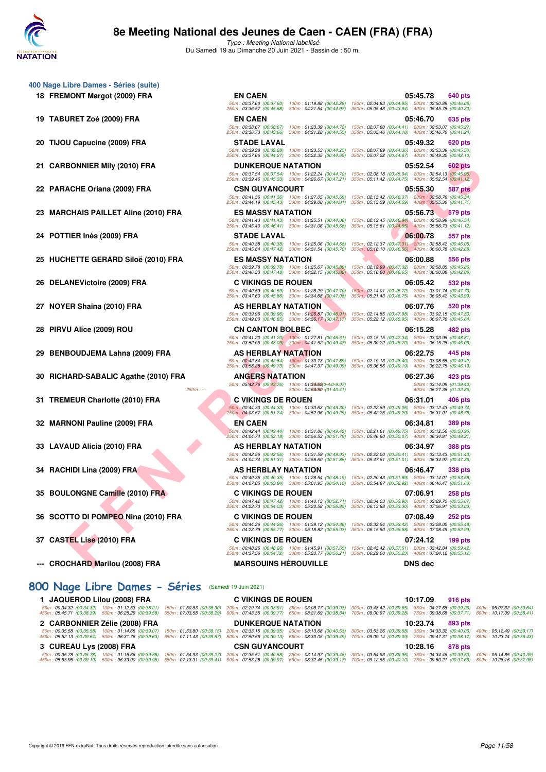

Type : Meeting National labellisé Du Samedi 19 au Dimanche 20 Juin 2021 - Bassin de : 50 m.

50m : 00:37.60 (00:37.60) 100m : 01:19.88 (00:42.28) 150m : 02:04.83 (00:44.95) 200m : 02:50.89 (00:46.06) 250m : 03:36.57 (00:45.68) 300m : 04:21.54 (00:44.97) 350m : 05:05.48 (00:43.94) 400m : 05:45.78 (00:40.30)

50m : 00:38.67 (00:38.67) 100m : 01:23.39 (00:44.72) 150m : 02:07.80 (00:44.41) 200m : 02:53.07 (00:45.27) 250m : 03:36.73 (00:43.66) 300m : 04:21.28 (00:44.55) 350m : 05:05.46 (00:44.18) 400m : 05:46.70 (00:41.24)

50m : 00:39.28 (00:39.28) 100m : 01:23.53 (00:44.25) 150m : 02:07.89 (00:44.36) 200m : 02:53.39 (00:45.50) 250m : 03:37.66 (00:44.27) 300m : 04:22.35 (00:44.69) 350m : 05:07.22 (00:44.87) 400m : 05:49.32 (00:42.10)

50m : 00:37.54 (00:37.54) 100m : 01:22.24 (00:44.70) 150m : 02:08.18 (00:45.94) 200m : 02:54.13 (00:45.95) 250m : 03:39.46 (00:45.33) 300m : 04:26.67 (00:47.21) 350m : 05:11.42 (00:44.75) 400m : 05:52.54 (00:41.12)

50m : 00:41.36 (00:41.36) 100m : 01:27.05 (00:45.69) 150m : 02:13.42 (00:46.37) 200m : 02:58.76 (00:45.34) 250m : 03:44.19 (00:45.43) 300m : 04:29.00 (00:44.81) 350m : 05:13.59 (00:44.59) 400m : 05:55.30 (00:41.71)

50m : 00:41.43 (00:41.43) 100m : 01:25.51 (00:44.08) 150m : 02:12.45 (00:46.94) 200m : 02:58.99 (00:46.54) 250m : 03:45.40 (00:46.41) 300m : 04:31.06 (00:45.66) 350m : 05:15.61 (00:44.55) 400m : 05:56.73 (00:41.12)

50m : 00:40.38 (00:40.38) 100m : 01:25.06 (00:44.68) 150m : 02:12.37 (00:47.31) 200m : 02:58.42 (00:46.05) 250m : 03:45.84 (00:47.42) 300m : 04:31.54 (00:45.70) 350m : 05:18.10 (00:46.56) 400m : 06:00.78 (00:42.68)

50m : 00:39.78 (00:39.78) 100m : 01:25.67 (00:45.89) 150m : 02:12.99 (00:47.32) 200m : 02:58.85 (00:45.86) 250m : 03:46.33 (00:47.48) 300m : 04:32.15 (00:45.82) 350m : 05:18.80 (00:46.65) 400m : 06:00.88 (00:42.08)

50m : 00:40.59 (00:40.59) 100m : 01:28.29 (00:47.70) 150m : 02:14.01 (00:45.72) 200m : 03:01.74 (00:47.73) 250m : 03:47.60 (00:45.86) 300m : 04:34.68 (00:47.08) 350m : 05:21.43 (00:46.75) 400m : 06:05.42 (00:43.99)

50m : 00:39.96 (00:39.96) 100m : 01:26.87 (00:46.91) 150m : 02:14.85 (00:47.98) 200m : 03:02.15 (00:47.30) 250m : 03:49.00 (00:46.85) 300m : 04:36.17 (00:47.17) 350m : 05:22.12 (00:45.95) 400m : 06:07.76 (00:45.64)

50m : 00:41.20 (00:41.20) 100m : 01:27.81 (00:46.61) 150m : 02:15.15 (00:47.34) 200m : 03:03.96 (00:48.81) 250m : 03:52.05 (00:48.09) 300m : 04:41.52 (00:49.47) 350m : 05:30.22 (00:48.70) 400m : 06:15.28 (00:45.06)

50m : 00:42.84 (00:42.84) 100m : 01:30.73 (00:47.89) 150m : 02:19.13 (00:48.40) 200m : 03:08.55 (00:49.42) 250m : 03:58.28 (00:49.73) 300m : 04:47.37 (00:49.09) 350m : 05:36.56 (00:49.19) 400m : 06:22.75 (00:46.19)

50m : 00:44.33 (00:44.33) 100m : 01:33.63 (00:49.30) 150m : 02:22.69 (00:49.06) 200m : 03:12.43 (00:49.74) 250m : 04:03.67 (00:51.24) 300m : 04:52.96 (00:49.29) 350m : 05:42.25 (00:49.29) 400m : 06:31.01 (00:48.76)

50m : 00:42.44 (00:42.44) 100m : 01:31.86 (00:49.42) 150m : 02:21.61 (00:49.75) 200m : 03:12.56 (00:50.95) 250m : 04:04.74 (00:52.18) 300m : 04:56.53 (00:51.79) 350m : 05:46.60 (00:50.07) 400m : 06:34.81 (00:48.21)

50m : 00:42.56 (00:42.56) 100m : 01:31.59 (00:49.03) 150m : 02:22.00 (00:50.41) 200m : 03:13.43 (00:51.43) 250m : 04:04.74 (00:51.31) 300m : 04:56.60 (00:51.86) 350m : 05:47.61 (00:51.01) 400m : 06:34.97 (00:47.36)

50m : 00:40.35 (00:40.35) 100m : 01:28.54 (00:48.19) 150m : 02:20.43 (00:51.89) 200m : 03:14.01 (00:53.58) 250m : 04:07.85 (00:53.84) 300m : 05:01.95 (00:54.10) 350m : 05:54.87 (00:52.92) 400m : 06:46.47 (00:51.60)

50m : 00:47.42 (00:47.42) 100m : 01:40.13 (00:52.71) 150m : 02:34.03 (00:53.90) 200m : 03:29.70 (00:55.67) 250m : 04:23.73 (00:54.03) 300m : 05:20.58 (00:56.85) 350m : 06:13.88 (00:53.30) 400m : 07:06.91 (00:53.03)

50m : 00:44.26 (00:44.26) 100m : 01:39.12 (00:54.86) 150m : 02:32.54 (00:53.42) 200m : 03:28.02 (00:55.48) 250m : 04:23.79 (00:55.77) 300m : 05:18.82 (00:55.03) 350m : 06:15.50 (00:56.68) 400m : 07:08.49 (00:52.99)

50m : 00:48.26 (00:48.26) 100m : 01:45.91 (00:57.65) 150m : 02:43.42 (00:57.51) 200m : 03:42.84 (00:59.42) 250m : 04:37.56 (00:54.72) 300m : 05:33.77 (00:56.21) 350m : 06:29.00 (00:55.23) 400m : 07:24.12 (00:55.12)

50m : 05:43.76 (05:43.76) 100m : 01:**34.69** (04:0-9.07) 05:43.76 (05:43.76 / 50m : 05:43.76 (05:43.76) 05:43.76<br>200m : 06:27.36 (01:32.86) 04:5**4.50 (**01:40.41) 06:27.36 (01:32.86) 06:37.36 (05:43.76 / 300m : 06:27.36 (01

- **400 Nage Libre Dames Séries (suite) 18 FREMONT Margot (2009) FRA EN CAEN 05:45.78 640 pts**
	- **19 TABURET Zoé (2009) FRA EN CAEN 05:46.70 635 pts**
	- **20 TIJOU Capucine (2009) FRA STADE LAVAL 05:49.32 620 pts**
	- **21 CARBONNIER Mily (2010) FRA DUNKERQUE NATATION 05:52.54 602 pts**
	- **22 PARACHE Oriana (2009) FRA CSN GUYANCOURT 05:55.30 587 pts**
	- **EO ANTIFRADO DE SUE CONTENANTADO DE SUE CONTENANTADO DE SUE CONTENANTADO DE SUE CONTENANTADO DE SUE CONTENANTADO DE SUE CONTENANTADO DE SUE CONTENANTADO DE SUE CONTENANTADO DE SUE CONTENANTADO DE SUE CONTENANTADO DE SUE C 23 MARCHAIS PAILLET Aline (2010) FRA ES MASSY NATATION 05:56.73 579 pts**
	- **24 POTTIER Inès (2009) FRA STADE LAVAL 06:00.78 557 pts**
	- **25 HUCHETTE GERARD Siloë (2010) FRA ES MASSY NATATION 06:00.88 556 pts**
	- **26 DELANEVictoire (2009) FRA C VIKINGS DE ROUEN 06:05.42 532 pts**
	- **27 NOYER Shaina (2010) FRA AS HERBLAY NATATION 16:07.76 520 pts**
	- **28 PIRVU Alice (2009) ROU CN CANTON BOLBEC 06:15.28 482 pts**
	- **29 BENBOUDJEMA Lahna (2009) FRA AS HERBLAY NATATION 06:22.75 445 pts**
	- **30 RICHARD-SABALIC Agathe (2010) FRA ANGERS NATATION 06:27.36 423 pts**
	- **31 TREMEUR Charlotte (2010) FRA C VIKINGS DE ROUEN 06:31.01 406 pts**
	- **32 MARNONI Pauline (2009) FRA EN CAEN 06:34.81 389 pts**
	- **33 LAVAUD Alicia (2010) FRA AS HERBLAY NATATION 06:34.97 388 pts**
	- **34 RACHIDI Lina (2009) FRA AS HERBLAY NATATION 06:46.47 338 pts**
	- **35 BOULONGNE Camille (2010) FRA C VIKINGS DE ROUEN 07:06.91 258 pts**
	- **36 SCOTTO DI POMPEO Nina (2010) FRA C VIKINGS DE ROUEN 07:08.49 252 pts**
	- **37 CASTEL Lise (2010) FRA C VIKINGS DE ROUEN 07:24.12 199 pts**
	- **--- CROCHARD Marilou (2008) FRA MARSOUINS HÉROUVILLE DNS dec**

### **[800 Nage Libre Dames - Séries](http://www.ffnatation.fr/webffn/resultats.php?idact=nat&go=epr&idcpt=70045&idepr=5)** (Samedi 19 Juin 2021)

| 1 JAQUEROD Lilou (2008) FRA                                                                                                         | <b>C VIKINGS DE ROUEN</b> | 10:17.09<br>916 pts                                                                                                                                                                                                                                                                                                                                                                                                                       |
|-------------------------------------------------------------------------------------------------------------------------------------|---------------------------|-------------------------------------------------------------------------------------------------------------------------------------------------------------------------------------------------------------------------------------------------------------------------------------------------------------------------------------------------------------------------------------------------------------------------------------------|
|                                                                                                                                     |                           | 50m; 00:34.32 (00:34.32) 100m; 01:12.53 (00:38.21) 150m; 01:50.83 (00:38.30) 200m; 02:29.74 (00:38.91) 250m; 03:08.77 (00:39.03) 300m; 03:48.42 (00:39.65) 350m; 04:27.68 (00:39.26) 400m; 05:07.32 (00:39.24)<br>450m : 05:45.71 (00:38.39) 500m : 06:25.29 (00:39.58) 550m : 07:03.58 (00:38.29) 600m : 07:43.35 (00:39.77) 650m : 08:21.69 (00:38.34) 700m : 09:00.97 (00:39.28) 750m : 09:38.68 (00:37.71) 800m : 10:17.09 (00:38.41) |
| 2 CARBONNIER Zélie (2008) FRA                                                                                                       | <b>DUNKERQUE NATATION</b> | 10:23.74<br>893 pts                                                                                                                                                                                                                                                                                                                                                                                                                       |
| 450m: 05:52.13 (00:39.64) 500m: 06:31.76 (00:39.63) 550m: 07:11.43 (00:39.67)                                                       |                           | 50m: 00:35.58 (00:35.58) 100m: 01:14.65 (00:39.07) 150m: 01:53.80 (00:39.15) 200m: 02:33.15 (00:39.35) 250m: 03:13.68 (00:40.53) 300m: 03:53.26 (00:39.58) 350m: 04:33.32 (00:40.06) 400m: 05:12.49 (00:39.17)<br>600m: 07:50.56 (00:39.13) 650m: 08:30.05 (00:39.49) 700m: 09:09.14 (00:39.09) 750m: 09:47.31 (00:38.17) 800m: 10:23.74 (00:36.43)                                                                                       |
| 3 CUREAU Lys (2008) FRA                                                                                                             | <b>CSN GUYANCOURT</b>     | 10:28.16<br>878 pts                                                                                                                                                                                                                                                                                                                                                                                                                       |
| 50m: 00:35.78 (00:35.78) 100m: 01:15.66 (00:39.88) 150m: 01:54.93 (00:39.27)<br>450m: 05:53.95 (00:39.10) 500m: 06:33.90 (00:39.95) | 550m: 07:13.31 (00:39.41) | 250m : 02:35.51 (00:40.58) 250m : 03:14.97 (00:39.46) 300m : 03:54.93 (00:39.96) 350m : 04:34.46 (00:39.53) 400m : 05:14.85 (00:40.39)<br>600m:07:53.28 (00:39.97) 650m:08:32.45 (00:39.17) 700m:09:12.55 (00:40.10) 750m:09:50.21 (00:37.66) 800m:10:28.16 (00:37.95)                                                                                                                                                                    |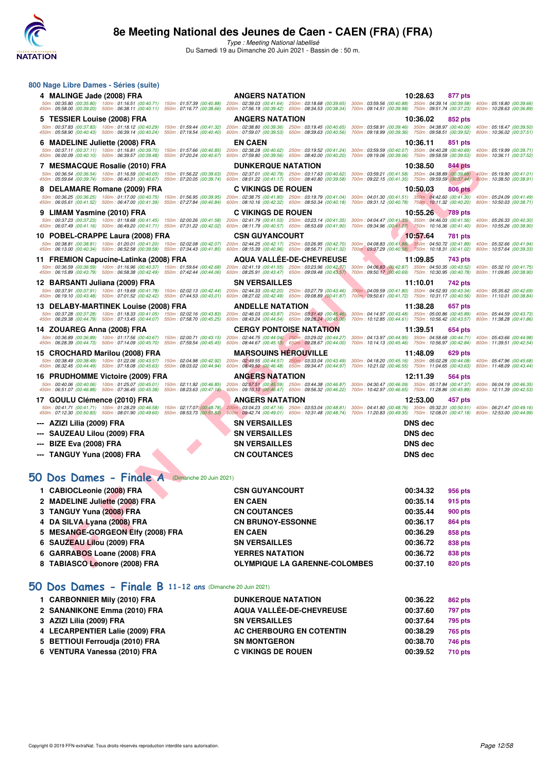

Type : Meeting National labellisé Du Samedi 19 au Dimanche 20 Juin 2021 - Bassin de : 50 m.

| 800 Nage Libre Dames - Séries (suite)                                                                                                                         |                                                                                                                                                                                         |                                                                                                                                                                |                                                        |  |
|---------------------------------------------------------------------------------------------------------------------------------------------------------------|-----------------------------------------------------------------------------------------------------------------------------------------------------------------------------------------|----------------------------------------------------------------------------------------------------------------------------------------------------------------|--------------------------------------------------------|--|
| 4 MALINGE Jade (2008) FRA                                                                                                                                     | <b>ANGERS NATATION</b>                                                                                                                                                                  | 10:28.63<br>877 pts                                                                                                                                            |                                                        |  |
| 450m: 05:58.00 (00:39.20) 500m: 06:38.11 (00:40.11) 550m: 07:16.77 (00:38.66)                                                                                 | 50m: 00:35.80 (00:35.80) 100m: 01:16.51 (00:40.71) 150m: 01:57.39 (00:40.88) 200m: 02:39.03 (00:41.64) 250m: 03:18.68 (00:39.65)<br>600m: 07:56.19 (00:39.42) 650m: 08:34.53 (00:38.34) | 300m: 03:59.56 (00:40.88) 350m: 04:39.14 (00:39.58)<br>700m: 09:14.51 (00:39.98) 750m: 09:51.74 (00:37.23)                                                     | 400m: 05:18.80 (00:39.66)<br>800m: 10:28.63 (00:36.89) |  |
| 5   TESSIER Louise (2008) FRA                                                                                                                                 | <b>ANGERS NATATION</b>                                                                                                                                                                  | 10:36.02<br>852 pts                                                                                                                                            |                                                        |  |
| 50m: 00:37.83 (00:37.83) 100m: 01:18.12 (00:40.29) 150m: 01:59.44 (00:41.32)<br>450m: 05:58.90 (00:40.43) 500m: 06:39.14 (00:40.24)                           | 200m: 02:38.80 (00:39.36) 250m: 03:19.45 (00:40.65)<br>550m: 07:19.54 (00:40.40)<br>600m: 07:59.07 (00:39.53)<br>650m: 08:39.63 (00:40.56)                                              | 300m: 03:58.91 (00:39.46) 350m: 04:38.97 (00:40.06)<br>700m: 09:18.99 (00:39.36) 750m: 09:58.51 (00:39.52)                                                     | 400m: 05:18.47 (00:39.50)<br>800m: 10:36.02 (00:37.51) |  |
| 6   MADELINE Juliette (2008) FRA                                                                                                                              | <b>EN CAEN</b>                                                                                                                                                                          | 10:36.11<br>851 pts                                                                                                                                            |                                                        |  |
| 50m: 00:37.11 (00:37.11) 100m: 01:16.81 (00:39.70)<br>450m: 06:00.09 (00:40.10) 500m: 06:39.57 (00:39.48) 550m: 07:20.24 (00:40.67)                           | 150m: 01:57.66 (00:40.85)<br>200m: 02:38.28 (00:40.62)<br>250m: 03:19.52 (00:41.24)<br>600m: 07:59.80 (00:39.56) 650m: 08:40.00 (00:40.20)                                              | 300m: 03:59.59 (00:40.07) 350m: 04:40.28 (00:40.69)<br>700m: 09:19.06 (00:39.06) 750m: 09:58.59 (00:39.53)                                                     | 400m: 05:19.99 (00:39.71)<br>800m: 10:36.11 (00:37.52) |  |
| 7 MESMACQUE Rosalie (2010) FRA                                                                                                                                | <b>DUNKERQUE NATATION</b>                                                                                                                                                               | 10:38.50<br>844 pts                                                                                                                                            |                                                        |  |
| 50m: 00:36.54 (00:36.54) 100m: 01:16.59 (00:40.05) 150m: 01:56.22 (00:39.63)<br>450m: 05:59.64 (00:39.74) 500m: 06:40.31 (00:40.67) 550m: 07:20.05 (00:39.74) | 200m: 02:37.01 (00:40.79) 250m: 03:17.63 (00:40.62)<br>600m: 08:01.22 (00:41.17) 650m: 08:40.80 (00:39.58)                                                                              | 300m: 03:59.21 (00:41.58) 350m: 04:38.89 (00:39.68) 400m: 05:19.90 (00:41.01)<br>700m: 09:22.15 (00:41.35) 750m: 09:59.59 (00:37.44) 800m: 10:38.50 (00:38.91) |                                                        |  |
| 8 DELAMARE Romane (2009) FRA                                                                                                                                  | <b>C VIKINGS DE ROUEN</b>                                                                                                                                                               | 10:50.03<br>806 pts                                                                                                                                            |                                                        |  |
| 50m: 00:36.25 (00:36.25) 100m: 01:17.00 (00:40.75) 150m: 01:56.95 (00:39.95)<br>450m: 06:05.61 (00:41.52) 500m: 06:47.00 (00:41.39) 550m: 07:27.84 (00:40.84) | 200m: 02:38.75 (00:41.80) 250m: 03:19.79 (00:41.04)<br>600m: 08:10.16 (00:42.32) 650m: 08:50.34 (00:40.18)                                                                              | 300m: 04:01.30 (00:41.51) 350m: 04:42.60 (00:41.30)<br>700m: 09:31.12 (00:40.78) 750m: 10:11.32 (00:40.20)                                                     | 400m: 05:24.09 (00:41.49)<br>800m: 10:50.03 (00:38.71) |  |
| 9   LIMAM Yasmine (2010) FRA                                                                                                                                  | <b>C VIKINGS DE ROUEN</b>                                                                                                                                                               | 10:55.26<br><b>789 pts</b>                                                                                                                                     |                                                        |  |
| 50m: 00:37.23 (00:37.23) 100m: 01:18.68 (00:41.45) 150m: 02:00.26 (00:41.58)<br>450m: 06:07.49 (00:41.16) 500m: 06:49.20 (00:41.71) 550m: 07:31.22 (00:42.02) | 200m: 02:41.79 (00:41.53) 250m: 03:23.14 (00:41.35)<br>600m: 08:11.79 (00:40.57) 650m: 08:53.69 (00:41.90)                                                                              | 300m: 04:04.47 (00:41.33) 350m: 04:46.03 (00:41.56) 400m: 05:26.33 (00:40.30)<br>700m: 09:34.96 (00:41.27) 750m: 10:16.36 (00:41.40)                           |                                                        |  |
| 10 POBEL-CRAPPE Laura (2008) FRA                                                                                                                              | <b>CSN GUYANCOURT</b>                                                                                                                                                                   | 10:57.64<br>781 pts                                                                                                                                            | 800m: 10:55.26 (00:38.90)                              |  |
| 50m: 00:38.81 (00:38.81) 100m: 01:20.01 (00:41.20) 150m: 02:02.08 (00:42.07)                                                                                  | 200m: 02:44.25 (00:42.17) 250m: 03:26.95 (00:42.70)                                                                                                                                     | 300m: 04:08.83 (00:41.88) 350m: 04:50.72 (00:41.89)                                                                                                            | 400m: 05:32.66 (00:41.94)                              |  |
| 450m: 06:13.00 (00:40.34) 500m: 06:52.58 (00:39.58) 550m: 07:34.43 (00:41.85)                                                                                 | 600m: 08:15.39 (00:40.96) 650m: 08:56.71 (00:41.32)                                                                                                                                     | 700m: 09:37.29 (00:40.58) 750m: 10:18.31 (00:41.02)                                                                                                            | 800m: 10:57.64 (00:39.33)                              |  |
| 11 FREMION Capucine-Latinka (2008) FRA<br>50m: 00:36.59 (00:36.59) 100m: 01:16.96 (00:40.37) 150m: 01:59.64 (00:42.68)                                        | <b>AQUA VALLÉE-DE-CHEVREUSE</b><br>200m: 02:41.19 (00:41.55) 250m: 03:23.96 (00:42.77)                                                                                                  | 11:09.85<br>743 pts<br>300m: 04:06.83 (00:42.87) 350m: 04:50.35 (00:43.52) 400m: 05:32.10 (00:41.75)                                                           |                                                        |  |
| 450m: 06:15.89 (00:43.79) 500m: 06:58.38 (00:42.49) 550m: 07:42.44 (00:44.06)                                                                                 | 600m: 08:25.91 (00:43.47) 650m: 09:09.48 (00:43.57)                                                                                                                                     | 700m: 09:50.17 (00:40.69) 750m: 10:30.95 (00:40.78)                                                                                                            | 800m: 11:09.85 (00:38.90)                              |  |
| 12 BARSANTI Juliana (2009) FRA<br>50m: 00:37.91 (00:37.91) 100m: 01:19.69 (00:41.78) 150m: 02:02.13 (00:42.44)                                                | <b>SN VERSAILLES</b><br>200m: 02:44.33 (00:42.20) 250m: 03:27.79 (00:43.46)                                                                                                             | 11:10.01<br>742 pts<br>300m: 04:09.59 (00:41.80) 350m: 04:52.93 (00:43.34)                                                                                     | 400m: 05:35.62 (00:42.69)                              |  |
| 450m: 06:19.10 (00:43.48) 500m: 07:01.52 (00:42.42) 550m: 07:44.53 (00:43.01)                                                                                 | 600m: 08:27.02 (00:42.49) 650m: 09:08.89 (00:41.87)                                                                                                                                     | 700m : 09:50.61 (00:41.72) 750m : 10:31.17 (00:40.56)                                                                                                          | 800m: 11:10.01 (00:38.84)                              |  |
| 13 DELABY-MARTINEK Louise (2008) FRA<br>50m: 00:37.28 (00:37.28) 100m: 01:18.33 (00:41.05) 150m: 02:02.16 (00:43.83)                                          | <b>ANDELLE NATATION</b><br>200m: 02:46.03 (00:43.87) 250m: 03:31.49 (00:45.46)                                                                                                          | 11:38.28<br>657 pts<br>300m: 04:14.97 (00:43.48) 350m: 05:00.86 (00:45.89)                                                                                     | 400m: 05:44.59 (00:43.73)                              |  |
| 450m: 06:29.38 (00:44.79) 500m: 07:13.45 (00:44.07) 550m: 07:58.70 (00:45.25)                                                                                 | 600m: 08:43.24 (00:44.54) 650m: 09:28.24 (00:45.00)                                                                                                                                     | 700m: 10:12.85 (00:44.61) 750m: 10:56.42 (00:43.57)                                                                                                            | 800m: 11:38.28 (00:41.86)                              |  |
| 14 ZOUAREG Anna (2008) FRA                                                                                                                                    | <b>CERGY PONTOISE NATATION</b>                                                                                                                                                          | 11:39.51<br>654 pts                                                                                                                                            |                                                        |  |
| 50m: 00:36.89 (00:36.89) 100m: 01:17.56 (00:40.67) 150m: 02:00.71 (00:43.15)<br>450m: 06:28.39 (00:44.73) 500m: 07:14.09 (00:45.70) 550m: 07:59.54 (00:45.45) | 200m: 02:44.75 (00:44.04) 250m: 03:29.02 (00:44.27)<br>600m: 08:44.67 (00:45.13) 650m: 09:28.67 (00:44.00)                                                                              | 300m: 04:13.97 (00:44.95) 350m: 04:58.68 (00:44.71)<br>700m: 10:14.13 (00:45.46) 750m: 10:56.97 (00:42.84)                                                     | 400m: 05:43.66 (00:44.98)<br>800m: 11:39.51 (00:42.54) |  |
| 15 CROCHARD Marilou (2008) FRA                                                                                                                                | <b>MARSOUINS HEROUVILLE</b>                                                                                                                                                             | 11:48.09<br>629 pts                                                                                                                                            |                                                        |  |
| 50m: 00:38.49 (00:38.49) 100m: 01:22.06 (00:43.57)<br>450m: 06:32.45 (00:44.49) 500m: 07:18.08 (00:45.63)                                                     | 200m: 02:49.55 (00:44.57) 250m: 03:33.04 (00:43.49)<br>150m: 02:04.98 (00:42.92)<br>600m: 08:49.50 (00:46.48) 650m: 09:34.47 (00:44.97)<br>550m: 08:03.02 (00:44.94)                    | 300m: 04:18.20 (00:45.16) 350m: 05:02.28 (00:44.08)<br>700m: 10:21.02 (00:46.55) 750m: 11:04.65 (00:43.63)                                                     | 400m: 05:47.96 (00:45.68)<br>800m: 11:48.09 (00:43.44) |  |
| 16 PRUDHOMME Victoire (2009) FRA                                                                                                                              | <b>ANGERS NATATION</b>                                                                                                                                                                  | 12:11.39<br>564 pts                                                                                                                                            |                                                        |  |
| 50m: 00:40.06 (00:40.06) 100m: 01:25.07 (00:45.01) 150m: 02:11.92 (00:46.85)<br>450m: 06:51.07 (00:46.88) 500m: 07:36.45 (00:45.38) 550m: 08:23.63 (00:47.18) | 200m: 02:57.51 (00:45.59) 250m: 03:44.38 (00:46.87)<br>600m: 09:10.10 (00:46.47) 650m: 09:56.32 (00:46.22)                                                                              | 300m: 04:30.47 (00:46.09) 350m: 05:17.84 (00:47.37) 400m: 06:04.19 (00:46.35)<br>700m: 10:42.97 (00:46.65) 750m: 11:28.86 (00:45.89)                           | 800m: 12:11.39 (00:42.53)                              |  |
| 17 GOULU Clémence (2010) FRA                                                                                                                                  | <b>ANGERS NATATION</b>                                                                                                                                                                  | 12:53.00<br>457 pts                                                                                                                                            |                                                        |  |
| 50m: 00:41.71 (00:41.71) 100m: 01:28.29 (00:46.58) 150m: 02:17.07 (00:48.78)<br>450m: 07:12.30 (00:50.83) 500m: 08:01.90 (00:49.60) 550m: 08:53.73 (00:51.83) | 200m: 03:04.23 (00:47.16) 250m: 03:53.04 (00:48.81)<br>600m: 09:42.74 (00:49.01) 650m: 10:31.48 (00:48.74)                                                                              | 300m: 04:41.80 (00:48.76) 350m: 05:32.31 (00:50.51) 400m: 06:21.47 (00:49.16)<br>700m: 11:20.83 (00:49.35) 750m: 12:08.01 (00:47.18) 800m: 12:53.00 (00:44.99) |                                                        |  |
| AZIZI Lilia (2009) FRA                                                                                                                                        | <b>SN VERSAILLES</b>                                                                                                                                                                    | <b>DNS</b> dec                                                                                                                                                 |                                                        |  |
| SAUZEAU Lilou (2009) FRA                                                                                                                                      | SN VERSAILLES                                                                                                                                                                           | <b>DNS</b> dec                                                                                                                                                 |                                                        |  |
| <b>BIZE Eva (2008) FRA</b>                                                                                                                                    | SN VERSAILLES                                                                                                                                                                           | <b>DNS</b> dec                                                                                                                                                 |                                                        |  |
| <b>TANGUY Yuna (2008) FRA</b>                                                                                                                                 | <b>CN COUTANCES</b>                                                                                                                                                                     | <b>DNS</b> dec                                                                                                                                                 |                                                        |  |
|                                                                                                                                                               |                                                                                                                                                                                         |                                                                                                                                                                |                                                        |  |
| 50 Dos Dames - Finale A                                                                                                                                       | (Dimanche 20 Juin 2021)                                                                                                                                                                 |                                                                                                                                                                |                                                        |  |
| 1 CABIOCLeonie (2008) FRA                                                                                                                                     | <b>CSN GUYANCOURT</b>                                                                                                                                                                   | 00:34.32<br>956 pts                                                                                                                                            |                                                        |  |
| 2 MADELINE Juliette (2008) FRA                                                                                                                                | <b>EN CAEN</b>                                                                                                                                                                          | 00:35.14<br>915 pts                                                                                                                                            |                                                        |  |
| 3 TANGUY Yuna (2008) FRA                                                                                                                                      | <b>CN COUTANCES</b>                                                                                                                                                                     | 00:35.44<br>900 pts                                                                                                                                            |                                                        |  |
| 4 DA SILVA Lyana (2008) FRA                                                                                                                                   | <b>CN BRUNOY-ESSONNE</b>                                                                                                                                                                | 00:36.17<br>864 pts                                                                                                                                            |                                                        |  |
| 5 MESANGE-GORGEON Elfy (2008) FRA                                                                                                                             | EN CAEN                                                                                                                                                                                 | 00:36.29<br>858 pts                                                                                                                                            |                                                        |  |
| 6 SAUZEAU Lilou (2009) FRA                                                                                                                                    | <b>SN VERSAILLES</b>                                                                                                                                                                    | 00:36.72<br>838 pts                                                                                                                                            |                                                        |  |
| 6 GARRABOS Loane (2008) FRA                                                                                                                                   | <b>YERRES NATATION</b>                                                                                                                                                                  | 00:36.72<br>838 pts                                                                                                                                            |                                                        |  |
| 8 TABIASCO Leonore (2008) FRA                                                                                                                                 | <b>OLYMPIQUE LA GARENNE-COLOMBES</b>                                                                                                                                                    | 00:37.10<br>820 pts                                                                                                                                            |                                                        |  |

**1 CARBONNIER Mily (2010) FRA DUNKERQUE NATATION 00:36.22 862 pts 2 SANANIKONE Emma (2010) FRA AQUA VALLÉE-DE-CHEVREUSE 00:37.60 797 pts 3 AZIZI Lilia (2009) FRA SN VERSAILLES 00:37.64 795 pts 4 LECARPENTIER Lalie (2009) FRA AC CHERBOURG EN COTENTIN 00:38.29 765 pts 5 BETTIOUI Ferroudja (2010) FRA SN MONTGERON 00:38.70 746 pts 6 VENTURA Vanessa (2010) FRA C VIKINGS DE ROUEN 00:39.52 710 pts**

**[50 Dos Dames - Finale B](http://www.ffnatation.fr/webffn/resultats.php?idact=nat&go=epr&idcpt=70045&idepr=11) 11-12 ans** (Dimanche 20 Juin 2021)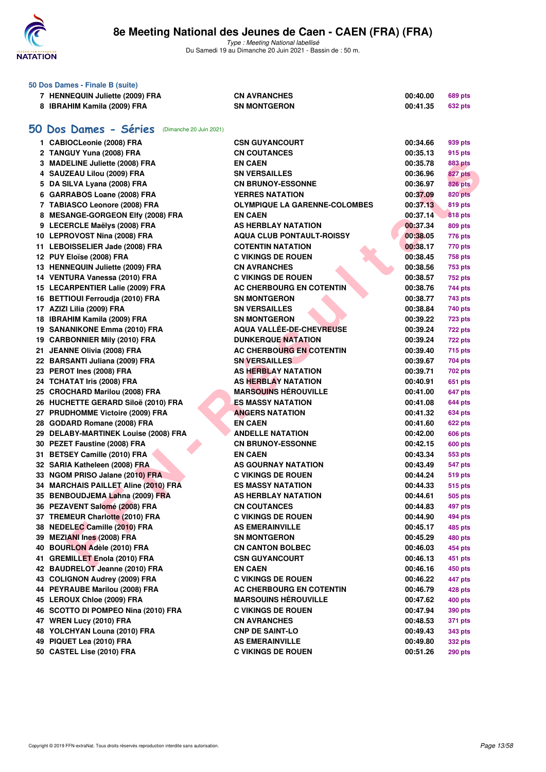

Type : Meeting National labellisé Du Samedi 19 au Dimanche 20 Juin 2021 - Bassin de : 50 m.

|    | 50 Dos Dames - Finale B (suite)               |                                      |          |                |
|----|-----------------------------------------------|--------------------------------------|----------|----------------|
|    | 7 HENNEQUIN Juliette (2009) FRA               | <b>CN AVRANCHES</b>                  | 00:40.00 | <b>689 pts</b> |
|    | 8 IBRAHIM Kamila (2009) FRA                   | <b>SN MONTGERON</b>                  | 00:41.35 | <b>632 pts</b> |
|    |                                               |                                      |          |                |
| 50 | Dos Dames - Séries<br>(Dimanche 20 Juin 2021) |                                      |          |                |
|    | 1 CABIOCLeonie (2008) FRA                     | <b>CSN GUYANCOURT</b>                | 00:34.66 | 939 pts        |
|    | 2 TANGUY Yuna (2008) FRA                      | <b>CN COUTANCES</b>                  | 00:35.13 | 915 pts        |
|    | 3 MADELINE Juliette (2008) FRA                | <b>EN CAEN</b>                       | 00:35.78 | <b>883 pts</b> |
|    | 4 SAUZEAU Lilou (2009) FRA                    | <b>SN VERSAILLES</b>                 | 00:36.96 | 827 pts        |
|    | 5 DA SILVA Lyana (2008) FRA                   | <b>CN BRUNOY-ESSONNE</b>             | 00:36.97 | <b>826 pts</b> |
|    | 6 GARRABOS Loane (2008) FRA                   | <b>YERRES NATATION</b>               | 00:37.09 | <b>820 pts</b> |
|    | 7 TABIASCO Leonore (2008) FRA                 | <b>OLYMPIQUE LA GARENNE-COLOMBES</b> | 00:37.13 | 819 pts        |
|    | 8 MESANGE-GORGEON Elfy (2008) FRA             | <b>EN CAEN</b>                       | 00:37.14 | <b>818 pts</b> |
|    | 9 LECERCLE Maëlys (2008) FRA                  | AS HERBLAY NATATION                  | 00:37.34 | 809 pts        |
|    | 10 LEPROVOST Nina (2008) FRA                  | <b>AQUA CLUB PONTAULT-ROISSY</b>     | 00:38.05 | 776 pts        |
|    | 11 LEBOISSELIER Jade (2008) FRA               | <b>COTENTIN NATATION</b>             | 00:38.17 | 770 pts        |
|    | 12 PUY Eloïse (2008) FRA                      | <b>C VIKINGS DE ROUEN</b>            | 00:38.45 | <b>758 pts</b> |
|    | 13 HENNEQUIN Juliette (2009) FRA              | <b>CN AVRANCHES</b>                  | 00:38.56 | <b>753 pts</b> |
|    | 14 VENTURA Vanessa (2010) FRA                 | <b>C VIKINGS DE ROUEN</b>            | 00:38.57 | <b>752 pts</b> |
|    | 15 LECARPENTIER Lalie (2009) FRA              | AC CHERBOURG EN COTENTIN             | 00:38.76 | 744 pts        |
|    | 16 BETTIOUI Ferroudja (2010) FRA              | <b>SN MONTGERON</b>                  | 00:38.77 | 743 pts        |
|    | 17 AZIZI Lilia (2009) FRA                     | <b>SN VERSAILLES</b>                 | 00:38.84 | 740 pts        |
|    | 18 IBRAHIM Kamila (2009) FRA                  | <b>SN MONTGERON</b>                  | 00:39.22 | <b>723 pts</b> |
|    | 19 SANANIKONE Emma (2010) FRA                 | <b>AQUA VALLEE-DE-CHEVREUSE</b>      | 00:39.24 | <b>722 pts</b> |
|    | 19 CARBONNIER Mily (2010) FRA                 | <b>DUNKERQUE NATATION</b>            | 00:39.24 | <b>722 pts</b> |
|    | 21 JEANNE Olivia (2008) FRA                   | <b>AC CHERBOURG EN COTENTIN</b>      | 00:39.40 | <b>715 pts</b> |
|    | 22 BARSANTI Juliana (2009) FRA                | <b>SN VERSAILLES</b>                 | 00:39.67 | 704 pts        |
|    | 23 PEROT Ines (2008) FRA                      | AS HERBLAY NATATION                  | 00:39.71 | <b>702 pts</b> |
|    | 24 TCHATAT Iris (2008) FRA                    | AS HERBLAY NATATION                  | 00:40.91 | 651 pts        |
|    | 25 CROCHARD Marilou (2008) FRA                | <b>MARSOUINS HÉROUVILLE</b>          | 00:41.00 | 647 pts        |
|    | 26 HUCHETTE GERARD Siloë (2010) FRA           | <b>ES MASSY NATATION</b>             | 00:41.08 | <b>644 pts</b> |
|    | 27 PRUDHOMME Victoire (2009) FRA              | <b>ANGERS NATATION</b>               | 00:41.32 | <b>634 pts</b> |
|    | 28 GODARD Romane (2008) FRA                   | <b>EN CAEN</b>                       | 00:41.60 | 622 pts        |
|    | 29 DELABY-MARTINEK Louise (2008) FRA          | <b>ANDELLE NATATION</b>              | 00:42.00 | <b>606 pts</b> |
|    | 30 PEZET Faustine (2008) FRA                  | <b>CN BRUNOY-ESSONNE</b>             | 00:42.15 | <b>600 pts</b> |
|    | 31 BETSEY Camille (2010) FRA                  | <b>EN CAEN</b>                       | 00:43.34 | 553 pts        |
|    | 32 SARIA Katheleen (2008) FRA                 | AS GOURNAY NATATION                  | 00:43.49 | 547 pts        |
|    | 33 NGOM PRISO Jalane (2010) FRA               | <b>C VIKINGS DE ROUEN</b>            | 00:44.24 | <b>519 pts</b> |
|    | 34 MARCHAIS PAILLET Aline (2010) FRA          | <b>ES MASSY NATATION</b>             | 00:44.33 | 515 pts        |
|    | 35 BENBOUDJEMA Lahna (2009) FRA               | AS HERBLAY NATATION                  | 00:44.61 | 505 pts        |
|    | 36 PEZAVENT Salomé (2008) FRA                 | <b>CN COUTANCES</b>                  | 00:44.83 | 497 pts        |
|    | 37 TREMEUR Charlotte (2010) FRA               | <b>C VIKINGS DE ROUEN</b>            | 00:44.90 | 494 pts        |
|    | 38 NEDELEC Camille (2010) FRA                 | <b>AS EMERAINVILLE</b>               | 00:45.17 | 485 pts        |
|    | 39 MEZIANI Ines (2008) FRA                    | <b>SN MONTGERON</b>                  | 00:45.29 | 480 pts        |
|    | 40 BOURLON Adèle (2010) FRA                   | <b>CN CANTON BOLBEC</b>              | 00:46.03 | 454 pts        |
|    | 41 GREMILLET Enola (2010) FRA                 | <b>CSN GUYANCOURT</b>                | 00:46.13 | 451 pts        |
|    | 42 BAUDRELOT Jeanne (2010) FRA                | <b>EN CAEN</b>                       | 00:46.16 | 450 pts        |
|    | 43 COLIGNON Audrey (2009) FRA                 | <b>C VIKINGS DE ROUEN</b>            | 00:46.22 | 447 pts        |
|    | 44 PEYRAUBE Marilou (2008) FRA                | AC CHERBOURG EN COTENTIN             | 00:46.79 | 428 pts        |
|    | 45 LEROUX Chloe (2009) FRA                    | <b>MARSOUINS HÉROUVILLE</b>          | 00:47.62 | 400 pts        |
|    | 46 SCOTTO DI POMPEO Nina (2010) FRA           | <b>C VIKINGS DE ROUEN</b>            | 00:47.94 | 390 pts        |
|    | 47 WREN Lucy (2010) FRA                       | <b>CN AVRANCHES</b>                  | 00:48.53 | 371 pts        |
|    | 48 YOLCHYAN Louna (2010) FRA                  | <b>CNP DE SAINT-LO</b>               | 00:49.43 | 343 pts        |
|    | 49 PIQUET Lea (2010) FRA                      | <b>AS EMERAINVILLE</b>               | 00:49.80 | <b>332 pts</b> |
|    | 50 CASTEL Lise (2010) FRA                     | <b>C VIKINGS DE ROUEN</b>            | 00:51.26 | <b>290 pts</b> |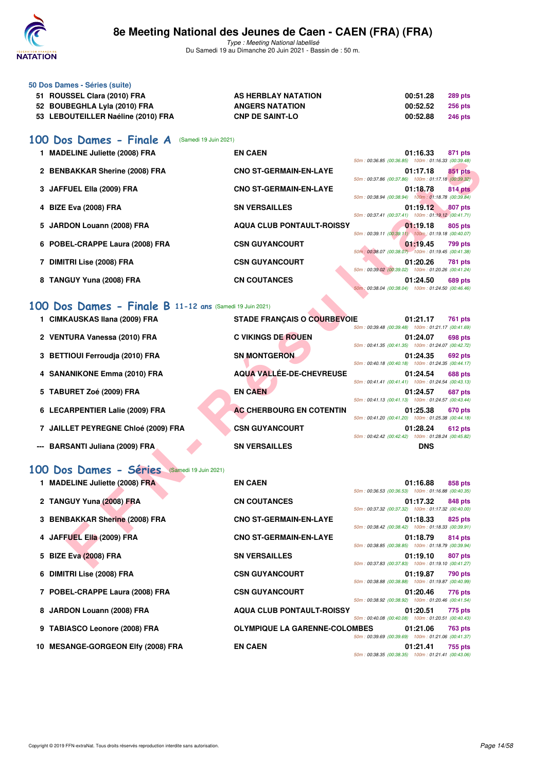

Type : Meeting National labellisé Du Samedi 19 au Dimanche 20 Juin 2021 - Bassin de : 50 m.

| 50 Dos Dames - Séries (suite)      |                        |          |                |
|------------------------------------|------------------------|----------|----------------|
| 51 ROUSSEL Clara (2010) FRA        | AS HERBLAY NATATION    | 00:51.28 | <b>289 pts</b> |
| 52 BOUBEGHLA Lyla (2010) FRA       | <b>ANGERS NATATION</b> | 00:52.52 | <b>256 pts</b> |
| 53 LEBOUTEILLER Naéline (2010) FRA | <b>CNP DE SAINT-LO</b> | 00:52.88 | <b>246 pts</b> |
|                                    |                        |          |                |

## **[100 Dos Dames - Finale A](http://www.ffnatation.fr/webffn/resultats.php?idact=nat&go=epr&idcpt=70045&idepr=12)** (Samedi 19 Juin 2021)

| 1 MADELINE Juliette (2008) FRA  | <b>EN CAEN</b>                   |                                                                                                          | 01:16.33                              | 871 pts        |
|---------------------------------|----------------------------------|----------------------------------------------------------------------------------------------------------|---------------------------------------|----------------|
| 2 BENBAKKAR Sherine (2008) FRA  | <b>CNO ST-GERMAIN-EN-LAYE</b>    | 50m: 00:36.85 (00:36.85) 100m: 01:16.33 (00:39.48)                                                       | 01:17.18                              | 851 pts        |
|                                 |                                  | 50m: 00:37.86 (00:37.86) 100m: 01:17.18 (00:39.32)                                                       |                                       |                |
| 3 JAFFUEL Ella (2009) FRA       | <b>CNO ST-GERMAIN-EN-LAYE</b>    |                                                                                                          | 01:18.78                              | <b>814 pts</b> |
| 4 BIZE Eva (2008) FRA           | <b>SN VERSAILLES</b>             | 50m: 00:38.94 (00:38.94) 100m: 01:18.78 (00:39.84)<br>50m: 00:37.41 (00:37.41) 100m: 01:19.12 (00:41.71) | 01:19.12                              | 807 pts        |
| 5 JARDON Louann (2008) FRA      | <b>AQUA CLUB PONTAULT-ROISSY</b> | 50m: 00:39.11 (00:39.11) 100m: 01:19.18 (00:40.07)                                                       | 01:19.18                              | 805 pts        |
| 6 POBEL-CRAPPE Laura (2008) FRA | <b>CSN GUYANCOURT</b>            | 50m: 00:38.07 (00:38.07) 100m: 01:19.45 (00:41.38)                                                       | 01:19.45                              | 799 pts        |
| 7 DIMITRI Lise (2008) FRA       | <b>CSN GUYANCOURT</b>            | 50m: 00:39.02 (00:39.02)                                                                                 | 01:20.26<br>100m: 01:20.26 (00:41.24) | <b>781 pts</b> |
| 8 TANGUY Yuna (2008) FRA        | <b>CN COUTANCES</b>              | 50m: 00:38.04 (00:38.04) 100m: 01:24.50 (00:46.46)                                                       | 01:24.50                              | <b>689 pts</b> |

## **[100 Dos Dames - Finale B](http://www.ffnatation.fr/webffn/resultats.php?idact=nat&go=epr&idcpt=70045&idepr=12) 11-12 ans** (Samedi 19 Juin 2021)

|                               | 50m: 00:36.85 (00:36.85) 100m: 01:16.33 (00:39.48)                                                                                                                                                                                                                                                                                                            |
|-------------------------------|---------------------------------------------------------------------------------------------------------------------------------------------------------------------------------------------------------------------------------------------------------------------------------------------------------------------------------------------------------------|
| <b>CNO ST-GERMAIN-EN-LAYE</b> | 01:17.18<br>851 pts<br>50m: 00:37.86 (00:37.86) 100m: 01:17.18 (00:39.32)                                                                                                                                                                                                                                                                                     |
| <b>CNO ST-GERMAIN-EN-LAYE</b> | 01:18.78<br><b>814 pts</b>                                                                                                                                                                                                                                                                                                                                    |
| <b>SN VERSAILLES</b>          | 50m: 00:38.94 (00:38.94) 100m: 01:18.78 (00:39.84)<br>01:19.12<br>807 pts                                                                                                                                                                                                                                                                                     |
|                               | 50m: 00:37.41 (00:37.41) 100m: 01:19.12 (00:41.71)<br>01:19.18<br>805 pts                                                                                                                                                                                                                                                                                     |
|                               | 50m: 00:39.11 (00:39.11) 100m: 01:19.18 (00:40.07)<br>01:19.45<br><b>799 pts</b>                                                                                                                                                                                                                                                                              |
|                               | 50m: 00:38.07 (00:38.07) 100m: 01:19.45 (00:41.38)                                                                                                                                                                                                                                                                                                            |
|                               | 01:20.26<br>781 pts<br>50m: 00:39.02 (00:39.02) 100m: 01:20.26 (00:41.24)                                                                                                                                                                                                                                                                                     |
| <b>CN COUTANCES</b>           | 01:24.50<br>689 pts<br>50m: 00:38.04 (00:38.04) 100m: 01:24.50 (00:46.46)                                                                                                                                                                                                                                                                                     |
|                               |                                                                                                                                                                                                                                                                                                                                                               |
|                               | 01:21.17<br>761 pts                                                                                                                                                                                                                                                                                                                                           |
|                               | 50m: 00:39.48 (00:39.48) 100m: 01:21.17 (00:41.69)<br>01:24.07<br>698 pts                                                                                                                                                                                                                                                                                     |
|                               | 50m: 00:41.35 (00:41.35) 100m: 01:24.07 (00:42.72)                                                                                                                                                                                                                                                                                                            |
|                               | 01:24.35<br>692 pts<br>50m: 00:40.18 (00:40.18) 100m: 01:24.35 (00:44.17)                                                                                                                                                                                                                                                                                     |
|                               | 01:24.54<br><b>688 pts</b><br>50m: 00:41.41 (00:41.41) 100m: 01:24.54 (00:43.13)                                                                                                                                                                                                                                                                              |
| <b>EN CAEN</b>                | 01:24.57<br>687 pts<br>50m: 00:41.13 (00:41.13) 100m: 01:24.57 (00:43.44)                                                                                                                                                                                                                                                                                     |
|                               | 01:25.38<br>670 pts                                                                                                                                                                                                                                                                                                                                           |
| <b>CSN GUYANCOURT</b>         | 50m: 00:41.20 (00:41.20) 100m: 01:25.38 (00:44.18)<br>01:28.24<br>612 pts                                                                                                                                                                                                                                                                                     |
|                               | 50m: 00:42.42 (00:42.42) 100m: 01:28.24 (00:45.82)<br><b>DNS</b>                                                                                                                                                                                                                                                                                              |
|                               |                                                                                                                                                                                                                                                                                                                                                               |
| (Samedi 19 Juin 2021)         |                                                                                                                                                                                                                                                                                                                                                               |
| <b>EN CAEN</b>                | 01:16.88<br>858 pts<br>50m: 00:36.53 (00:36.53) 100m: 01:16.88 (00:40.35)                                                                                                                                                                                                                                                                                     |
| <b>CN COUTANCES</b>           | 01:17.32<br>848 pts<br>50m: 00:37.32 (00:37.32) 100m: 01:17.32 (00:40.00)                                                                                                                                                                                                                                                                                     |
| <b>CNO ST-GERMAIN-EN-LAYE</b> | 01:18.33<br>825 pts                                                                                                                                                                                                                                                                                                                                           |
| <b>CNO ST-GERMAIN-EN-LAYE</b> | 50m: 00:38.42 (00:38.42) 100m: 01:18.33 (00:39.91)<br>01:18.79<br>814 pts                                                                                                                                                                                                                                                                                     |
|                               | 50m: 00:38.85 (00:38.85) 100m: 01:18.79 (00:39.94)                                                                                                                                                                                                                                                                                                            |
|                               | 01:19.10<br>807 pts<br>50m: 00:37.83 (00:37.83) 100m: 01:19.10 (00:41.27)                                                                                                                                                                                                                                                                                     |
|                               | <b>AQUA CLUB PONTAULT-ROISSY</b><br><b>CSN GUYANCOURT</b><br><b>CSN GUYANCOURT</b><br>00 Dos Dames - Finale B 11-12 ans (Samedi 19 Juin 2021)<br><b>STADE FRANÇAIS O COURBEVOIE</b><br><b>C VIKINGS DE ROUEN</b><br><b>SN MONTGERON</b><br><b>AQUA VALLÉE-DE-CHEVREUSE</b><br><b>AC CHERBOURG EN COTENTIN</b><br><b>SN VERSAILLES</b><br><b>SN VERSAILLES</b> |

# **[100 Dos Dames - Séries](http://www.ffnatation.fr/webffn/resultats.php?idact=nat&go=epr&idcpt=70045&idepr=12)** (Samedi 19 Juin 2021)

| 1 MADELINE Juliette (2008) FRA     | <b>EN CAEN</b>                       | 50m: 00:36.53 (00:36.53) 100m: 01:16.88 (00:40.35) | 01:16.88 | 858 pts        |
|------------------------------------|--------------------------------------|----------------------------------------------------|----------|----------------|
| 2 TANGUY Yuna (2008) FRA           | <b>CN COUTANCES</b>                  | 50m: 00:37.32 (00:37.32) 100m: 01:17.32 (00:40.00) | 01:17.32 | 848 pts        |
| 3 BENBAKKAR Sherine (2008) FRA     | <b>CNO ST-GERMAIN-EN-LAYE</b>        | 50m: 00:38.42 (00:38.42) 100m: 01:18.33 (00:39.91) | 01:18.33 | 825 pts        |
| 4 JAFFUEL Ella (2009) FRA          | <b>CNO ST-GERMAIN-EN-LAYE</b>        | 50m: 00:38.85 (00:38.85) 100m: 01:18.79 (00:39.94) | 01:18.79 | 814 pts        |
| 5 BIZE Eva (2008) FRA              | <b>SN VERSAILLES</b>                 | 50m: 00:37.83 (00:37.83) 100m: 01:19.10 (00:41.27) | 01:19.10 | 807 pts        |
| 6 DIMITRI Lise (2008) FRA          | <b>CSN GUYANCOURT</b>                | 50m: 00:38.88 (00:38.88) 100m: 01:19.87 (00:40.99) | 01:19.87 | 790 pts        |
| 7 POBEL-CRAPPE Laura (2008) FRA    | <b>CSN GUYANCOURT</b>                | 50m: 00:38.92 (00:38.92) 100m: 01:20.46 (00:41.54) | 01:20.46 | 776 pts        |
| 8 JARDON Louann (2008) FRA         | <b>AQUA CLUB PONTAULT-ROISSY</b>     | 50m: 00:40.08 (00:40.08) 100m: 01:20.51 (00:40.43) | 01:20.51 | 775 pts        |
| 9 TABIASCO Leonore (2008) FRA      | <b>OLYMPIQUE LA GARENNE-COLOMBES</b> | 50m: 00:39.69 (00:39.69) 100m: 01:21.06 (00:41.37) | 01:21.06 | <b>763 pts</b> |
| 10 MESANGE-GORGEON Elfy (2008) FRA | <b>EN CAEN</b>                       | 50m: 00:38.35 (00:38.35) 100m: 01:21.41 (00:43.06) | 01:21.41 | 755 pts        |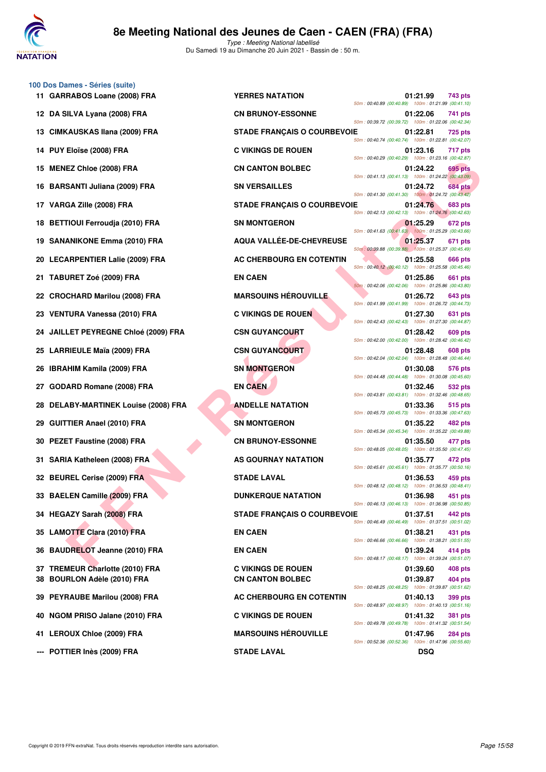

**100 Dos Dames - Séries (suite)**

Type : Meeting National labellisé Du Samedi 19 au Dimanche 20 Juin 2021 - Bassin de : 50 m.

|    | 11 GARRABOS Loane (2008) FRA                                       | <b>YERRES NATATION</b>                               | 50m: 00:40.89 (00:40.89) 100m: 01:21.99 (00:41.10) | 01:21.99             | 743 pts            |
|----|--------------------------------------------------------------------|------------------------------------------------------|----------------------------------------------------|----------------------|--------------------|
|    | 12 DA SILVA Lyana (2008) FRA                                       | <b>CN BRUNOY-ESSONNE</b>                             | 50m: 00:39.72 (00:39.72) 100m: 01:22.06 (00:42.34) | 01:22.06             | 741 pts            |
|    | 13 CIMKAUSKAS Ilana (2009) FRA                                     | <b>STADE FRANÇAIS O COURBEVOIE</b>                   | 50m: 00:40.74 (00:40.74) 100m: 01:22.81 (00:42.07  | 01:22.81             | <b>725 pts</b>     |
|    | 14 PUY Eloïse (2008) FRA                                           | <b>C VIKINGS DE ROUEN</b>                            | 50m: 00:40.29 (00:40.29) 100m: 01:23.16 (00:42.87  | 01:23.16             | 717 pts            |
|    | 15 MENEZ Chloe (2008) FRA                                          | <b>CN CANTON BOLBEC</b>                              | 50m: 00:41.13 (00:41.13) 100m: 01:24.22 (00:43.09  | 01:24.22             | 695 pts            |
|    | 16 BARSANTI Juliana (2009) FRA                                     | <b>SN VERSAILLES</b>                                 | 50m: 00:41.30 (00:41.30) 100m: 01:24.72 (00:43.42) | 01:24.72             | <b>684 pts</b>     |
|    | 17 VARGA Zille (2008) FRA                                          | <b>STADE FRANÇAIS O COURBEVOIE</b>                   | 50m: 00:42.13 (00:42.13) 100m: 01:24.76 (00:42.63  | 01:24.76             | 683 pts            |
|    | 18 BETTIOUI Ferroudja (2010) FRA                                   | <b>SN MONTGERON</b>                                  | 50m: 00:41.63 (00:41.63) 100m: 01:25.29 (00:43.66  | 01:25.29             | 672 pts            |
|    | 19 SANANIKONE Emma (2010) FRA                                      | <b>AQUA VALLEE-DE-CHEVREUSE</b>                      | 50m: 00:39.88 (00:39.88) 100m: 01:25.37 (00:45.49) | 01:25.37             | 671 pts            |
|    | 20 LECARPENTIER Lalie (2009) FRA                                   | AC CHERBOURG EN COTENTIN                             | 50m: 00:40.12 (00:40.12) 100m: 01:25.58 (00:45.46) | 01:25.58             | 666 pts            |
|    | 21 TABURET Zoé (2009) FRA                                          | <b>EN CAEN</b>                                       | 50m: 00:42.06 (00:42.06) 100m: 01:25.86 (00:43.80  | 01:25.86             | 661 pts            |
|    | 22 CROCHARD Marilou (2008) FRA                                     | <b>MARSOUINS HÉROUVILLE</b>                          | 50m: 00:41.99 (00:41.99) 100m: 01:26.72 (00:44.73  | 01:26.72             | 643 pts            |
|    | 23 VENTURA Vanessa (2010) FRA                                      | <b>C VIKINGS DE ROUEN</b>                            | 50m: 00:42.43 (00:42.43) 100m: 01:27.30 (00:44.87  | 01:27.30             | 631 pts            |
|    | 24 JAILLET PEYREGNE Chloé (2009) FRA                               | <b>CSN GUYANCOURT</b>                                | 50m: 00:42.00 (00:42.00) 100m: 01:28.42 (00:46.42) | 01:28.42             | 609 pts            |
|    | 25 LARRIEULE Maïa (2009) FRA                                       | <b>CSN GUYANCOURT</b>                                | 50m: 00:42.04 (00:42.04) 100m: 01:28.48 (00:46.44) | 01:28.48             | 608 pts            |
|    | 26 IBRAHIM Kamila (2009) FRA                                       | <b>SN MONTGERON</b>                                  | 50m: 00:44.48 (00:44.48) 100m: 01:30.08 (00:45.60) | 01:30.08             | 576 pts            |
|    | 27 GODARD Romane (2008) FRA                                        | <b>EN CAEN</b>                                       | 50m: 00:43.81 (00:43.81) 100m: 01:32.46 (00:48.65  | 01:32.46             | 532 pts            |
|    | 28 DELABY-MARTINEK Louise (2008) FRA                               | <b>ANDELLE NATATION</b>                              | 50m: 00:45.73 (00:45.73) 100m: 01:33.36 (00:47.63) | 01:33.36             | 515 pts            |
| 29 | <b>GUITTIER Anael (2010) FRA</b>                                   | <b>SN MONTGERON</b>                                  | 50m: 00:45.34 (00:45.34) 100m: 01:35.22 (00:49.88  | 01:35.22             | 482 pts            |
|    | 30 PEZET Faustine (2008) FRA                                       | <b>CN BRUNOY-ESSONNE</b>                             | 50m: 00:48.05 (00:48.05) 100m: 01:35.50 (00:47.45) | 01:35.50             | 477 pts            |
|    | 31 SARIA Katheleen (2008) FRA                                      | AS GOURNAY NATATION                                  | 50m: 00:45.61 (00:45.61) 100m: 01:35.77 (00:50.16  | 01:35.77             | 472 pts            |
|    | 32 BEUREL Cerise (2009) FRA                                        | <b>STADE LAVAL</b>                                   | 50m: 00:48.12 (00:48.12) 100m: 01:36.53 (00:48.41) | 01:36.53             | 459 pts            |
|    | 33 BAELEN Camille (2009) FRA                                       | <b>DUNKERQUE NATATION</b>                            | 50m: 00:46.13 (00:46.13) 100m: 01:36.98 (00:50.85  | 01:36.98             | 451 pts            |
|    | 34 HEGAZY Sarah (2008) FRA                                         | <b>STADE FRANÇAIS O COURBEVOIE</b>                   | 50m: 00:46.49 (00:46.49) 100m: 01:37.51 (00:51.02) | 01:37.51             | 442 pts            |
|    | 35 LAMOTTE Clara (2010) FRA                                        | <b>EN CAEN</b>                                       | 50m: 00:46.66 (00:46.66) 100m: 01:38.21 (00:51.55) | 01:38.21             | 431 pts            |
|    | 36 BAUDRELOT Jeanne (2010) FRA                                     | <b>EN CAEN</b>                                       | 50m: 00:48.17 (00:48.17) 100m: 01:39.24 (00:51.07  | 01:39.24             | 414 pts            |
| 38 | 37 TREMEUR Charlotte (2010) FRA<br><b>BOURLON Adèle (2010) FRA</b> | <b>C VIKINGS DE ROUEN</b><br><b>CN CANTON BOLBEC</b> |                                                    | 01:39.60<br>01:39.87 | 408 pts<br>404 pts |
|    | 39 PEYRAUBE Marilou (2008) FRA                                     | AC CHERBOURG EN COTENTIN                             | 50m: 00:48.25 (00:48.25) 100m: 01:39.87 (00:51.62) | 01:40.13             | 399 pts            |
|    | 40 NGOM PRISO Jalane (2010) FRA                                    | <b>C VIKINGS DE ROUEN</b>                            | 50m: 00:48.97 (00:48.97) 100m: 01:40.13 (00:51.16) | 01:41.32             | <b>381 pts</b>     |
|    | 41 LEROUX Chloe (2009) FRA                                         | <b>MARSOUINS HÉROUVILLE</b>                          | 50m: 00:49.78 (00:49.78) 100m: 01:41.32 (00:51.54) | 01:47.96             | <b>284 pts</b>     |
|    |                                                                    |                                                      | 50m: 00:52.36 (00:52.36) 100m: 01:47.96 (00:55.60  |                      |                    |

**EX CHOOP FRA**<br> **FACTION COOPERATION CONFIDENTIES ANTITUDE COOPERATION CONFIDENTIES AND CONFIDENTIES AND CONFIDENTIES AND CONFIDENTIES AND CONFIDENTIES AND CONFIDENTIES AND CONFIDENTIES AND CONFIDENTIES AND CONFIDENTIES A** 50m : 00:40.89 (00:40.89) 100m : 01:21.99 (00:41.10) **122.06 741 pts CN BRUNOY-ESSONNE** 50m : 00:39.72 (00:39.72) 100m : 01:22.06 (00:42.34) **13 CIADE FRANÇAIS O COURBEVOIE 01:22.81 725 pts** 50m : 00:40.74 (00:40.74) 100m : 01:22.81 (00:42.07) **14 PUY ELOISE CONSTRUCTED CONTRA CONSTRUCTED AT A CONSTRUCTED AT 217 pts** 50m : 00:40.29 (00:40.29) 100m : 01:23.16 (00:42.87) **15 CN CANTON BOLBEC** 01:24.22 **695 pts** 50m : 00:41.13 (00:41.13) 100m : 01:24.22 (00:43.09) **16 BARSANTI Juliana (2009) FRA SN VERSAILLES 01:24.72 684 pts** 50m : 00:41.30 (00:41.30) 100m : 01:24.72 (00:43.42) **17 STADE FRANÇAIS O COURBEVOIE 01:24.76** 683 pts 50m : 00:42.13 (00:42.13) 100m : 01:24.76 (00:42.63) 50m : 00:41.63 (00:41.63) 100m : 01:25.29 (00:43.66) **19 AQUA VALLÉE-DE-CHEVREUSE 671 pts** 50m : 00:39.88 (00:39.88) 100m : 01:25.37 (00:45.49) **20 AC CHERBOURG EN COTENTIN 601:25.58 666 pts** 50m : 00:40.12 (00:40.12) 100m : 01:25.58 (00:45.46) 50m : 00:42.06 (00:42.06) 100m : 01:25.86 (00:43.80) **22 CROCHARD MARSOUINS HÉROUVILLE 22 CALCE 126.72** 643 pts 50m : 00:41.99 (00:41.99) 100m : 01:26.72 (00:44.73) **23 VIKINGS DE ROUEN 01:27.30** 631 pts 50m : 00:42.43 (00:42.43) 100m : 01:27.30 (00:44.87) **24 24 24 24 250 CSN GUYANCOURT 128.42 609 pts** 50m : 00:42.00 (00:42.00) 100m : 01:28.42 (00:46.42) **25 CSN GUYANCOURT 608 pts** 50m : 00:42.04 (00:42.04) 100m : 01:28.48 (00:46.44) **26 IBRAHIM CONTGERON 61:30.08 576 pts** 50m : 00:44.48 (00:44.48) 100m : 01:30.08 (00:45.60) 50m : 00:43.81 (00:43.81) 100m : 01:32.46 (00:48.65) **28 DELABY-MARTINE ANDELLE NATATION 01:33.36** 515 pts 50m : 00:45.73 (00:45.73) 100m : 01:33.36 (00:47.63) **29 GUITTIER ANALYSIS AND ANALYSIS AND ANALYSIS AND ANALYSIS AND ANALYSIS AND ANALYSIS AND ANALYSIS AND ANALYSIS AND ANALYSIS AND ANALYSIS AND ANALYSIS AND ANALYSIS AND ANALYSIS AND ANALYSIS AND ANALYSIS AND ANALYSIS AND A** 50m : 00:45.34 (00:45.34) 100m : 01:35.22 (00:49.88) **30 PERUNOY-ESSONNE 01:35.50 477 pts** 50m : 00:48.05 (00:48.05) 100m : 01:35.50 (00:47.45) **AS GOURNAY NATATION 61:35.77 472 pts** 50m : 00:45.61 (00:45.61) 100m : 01:35.77 (00:50.16) **32 BELAVAL 32 BELAVAL 1:36.53 459 pts** 50m : 00:48.12 (00:48.12) 100m : 01:36.53 (00:48.41) **DUNKERQUE NATATION** 01:36.98 451 pts 50m : 00:46.13 (00:46.13) 100m : 01:36.98 (00:50.85) **3TADE FRANÇAIS O COURBEVOIE 01:37.51 442 pts** 50m : 00:46.49 (00:46.49) 100m : 01:37.51 (00:51.02) 50m : 00:46.66 (00:46.66) 100m : 01:38.21 (00:51.55) 50m : 00:48.17 (00:48.17) 100m : 01:39.24 (00:51.07) **37 TREMEUR Charlotte (2010) FRA C VIKINGS DE ROUEN 01:39.60 408 pts 38 BOURLON BOLBEC 01:39.87 404 pts** 50m : 00:48.25 (00:48.25) 100m : 01:39.87 (00:51.62) **AC CHERBOURG EN COTENTIN 01:40.13 399 pts** 50m : 00:48.97 (00:48.97) 100m : 01:40.13 (00:51.16) **40 NGOM PRISO Jalane (2010) FRA C VIKINGS DE ROUEN 01:41.32 381 pts** 50m : 00:49.78 (00:49.78) 100m : 01:41.32 (00:51.54) **MARSOUINS HÉROUVILLE** 01:47.96 284 pts 50m : 00:52.36 (00:52.36) 100m : 01:47.96 (00:55.60)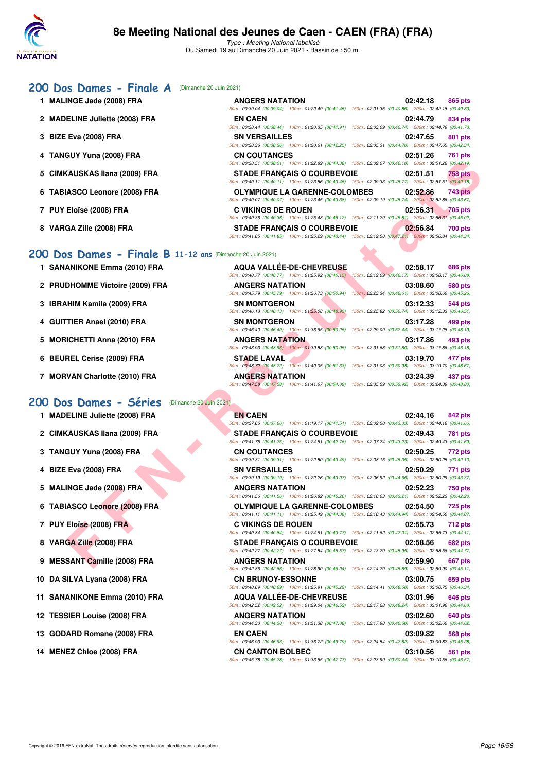

#### **[200 Dos Dames - Finale A](http://www.ffnatation.fr/webffn/resultats.php?idact=nat&go=epr&idcpt=70045&idepr=13)** (Dimanche 20 Juin 2021)

**1 MALINGE Jade (2008) FRA ANGERS NATATION 02:42.18 865 pts** 50m : 00:39.04 (00:39.04) 100m : 01:20.49 (00:41.45) 150m : 02:01.35 (00:40.86) 200m : 02:42.18 (00:40.83) **2 MADELINE Juliette (2008) FRA EN CAEN 02:44.79 834 pts** 50m : 00:38.44 (00:38.44) 100m : 01:20.35 (00:41.91) 150m : 02:03.09 (00:42.74) 200m : 02:44.79 (00:41.70) **3 BIZE Eva (2008) FRA SN VERSAILLES 02:47.65 801 pts** 50m : 00:38.36 (00:38.36) 100m : 01:20.61 (00:42.25) 150m : 02:05.31 (00:44.70) 200m : 02:47.65 (00:42.34) **4 TANGUY Yuna (2008) FRA CN COUTANCES 02:51.26 761 pts** 50m : 00:38.51 (00:38.51) 100m : 01:22.89 (00:44.38) 150m : 02:09.07 (00:46.18) 200m : 02:51.26 (00:42.19) **5 CIMKAUSKAS Ilana (2009) FRA STADE FRANÇAIS O COURBEVOIE 02:51.51 758 pts** 50m : 00:40.11 (00:40.11) 100m : 01:23.56 (00:43.45) 150m : 02:09.33 (00:45.77) 200m : 02:51.51 (00:42.18) **6 TABIASCO Leonore (2008) FRA** 50m : 00:40.07 (00:40.07) 100m : 01:23.45 (00:43.38) 150m : 02:09.19 (00:45.74) 200m : 02:52.86 (00:43.67) **7 PUY Eloïse (2008) FRA** 50m : 00:40.36 (00:40.36) 100m : 01:25.48 (00:45.12) 150m : 02:11.29 (00:45.81) 200m : 02:56.31 (00:45.02) **8 VARGA Zille (2008) FRA STADE FRANÇAIS O COURBEVOIE 02:56.84 700 pts** 50m : 00:41.85 (00:41.85) 100m : 01:25.29 (00:43.44) 150m : 02:12.50 (00:47.21) 200m : 02:56.84 (00:44.34)

#### **[200 Dos Dames - Finale B](http://www.ffnatation.fr/webffn/resultats.php?idact=nat&go=epr&idcpt=70045&idepr=13) 11-12 ans (Dima**

- **1 SANANIKONE Emma (2010) FRA**
- **2 PRUDHOMME Victoire (2009) FRA**
- **3 IBRAHIM Kamila (2009) FRA**
- 4 GUITTIER Anael (2010) FRA
- 5 MORICHETTI Anna (2010) FRA
- 
- 

#### **[200 Dos Dames - Séries](http://www.ffnatation.fr/webffn/resultats.php?idact=nat&go=epr&idcpt=70045&idepr=13)** (Dimanche 20 Juin 2021)

- **1 MADELINE Juliette (2008) FRA EN CAEN 02:44.16 842 pts**
- 
- 
- 
- 
- 
- 
- 
- **9 MESSANT Camille (2008) FRA ANGERS NATATION 02:59.90 667 pts**
- 10 DA SILVA Lyana (2008) FRA
- **11 SANANIKONE Emma (2010) FRA**
- **12 TESSIER Louise (2008) FRA**
- **13 GODARD Romane (2008) FRA**
- **14 MENEZ Chloe (2008) FRA**

|                                                      | 50m: 00:38.51 (00:38.51) 100m: 01:22.89 (00:44.38) 150m: 02:09.07 (00:46.18) 200m: 02:51.26 (00:42.19)                                                                         |
|------------------------------------------------------|--------------------------------------------------------------------------------------------------------------------------------------------------------------------------------|
| <b>(AUSKAS Ilana (2009) FRA</b>                      | <b>STADE FRANCAIS O COURBEVOIE</b><br>02:51.51<br><b>758 pts</b><br>50m : 00:40.11 (00:40.11) 100m : 01:23.56 (00:43.45) 150m : 02:09.33 (00:45.77) 200m : 02:51.51 (00:42.18) |
| IASCO Leonore (2008) FRA                             | <b>OLYMPIQUE LA GARENNE-COLOMBES</b><br>02:52.86<br><b>743 pts</b><br>50m: 00:40.07 (00:40.07) 100m: 01:23.45 (00:43.38) 150m: 02:09.19 (00:45.74) 200m: 02:52.86 (00:43.67)   |
| Eloïse (2008) FRA                                    | <b>C VIKINGS DE ROUEN</b><br>02:56.31<br><b>705 pts</b><br>50m: 00:40.36 (00:40.36) 100m: 01:25.48 (00:45.12) 150m: 02:11.29 (00:45.81) 200m: 02:56.31 (00:45.02)              |
| GA Zille (2008) FRA                                  | <b>STADE FRANCAIS O COURBEVOIE</b><br>02:56.84<br>700 pts<br>50m: 00:41.85 (00:41.85) 100m: 01:25.29 (00:43.44) 150m: 02:12.50 (00:47.21) 200m: 02:56.84 (00:44.34)            |
| S Dames - Finale B 11-12 ans (Dimanche 20 Juin 2021) |                                                                                                                                                                                |
| <b>ANIKONE Emma (2010) FRA</b>                       | <b>AQUA VALLÉE-DE-CHEVREUSE</b><br>02:58.17<br>686 pts<br>50m: 00:40.77 (00:40.77) 100m: 01:25.92 (00:45.15) 150m: 02:12.09 (00:46.17) 200m: 02:58.17 (00:46.08)               |
| <b>DHOMME Victoire (2009) FRA</b>                    | <b>ANGERS NATATION</b><br>03:08.60<br>580 pts<br>50m : 00:45.79 (00:45.79) 100m : 01:36.73 (00:50.94) 150m : 02:23.34 (00:46.61) 200m : 03:08.60 (00:45.26)                    |
| <b>IHIM Kamila (2009) FRA</b>                        | <b>SN MONTGERON</b><br>03:12.33<br>544 pts<br>50m: 00:46.13 (00:46.13) 100m: 01:35.08 (00:48.95) 150m: 02:25.82 (00:50.74) 200m: 03:12.33 (00:46.51)                           |
| TIER Anael (2010) FRA                                | <b>SN MONTGERON</b><br>03:17.28<br>499 pts<br>50m : 00:46.40 (00:46.40) 100m : 01:36.65 (00:50.25) 150m : 02:29.09 (00:52.44) 200m : 03:17.28 (00:48.19)                       |
| IICHETTI Anna (2010) FRA                             | <b>ANGERS NATATION</b><br>03:17.86<br>493 pts<br>50m: 00:48.93 (00:48.93) 100m: 01:39.88 (00:50.95) 150m: 02:31.68 (00:51.80) 200m: 03:17.86 (00:46.18)                        |
| REL Cerise (2009) FRA                                | <b>STADE LAVAL</b><br>03:19.70<br>477 pts<br>50m: 00:48.72 (00:48.72) 100m: 01:40.05 (00:51.33) 150m: 02:31.03 (00:50.98) 200m: 03:19.70 (00:48.67)                            |
| VAN Charlotte (2010) FRA                             | 03:24.39<br><b>ANGERS NATATION</b><br>437 pts<br>50m: 00:47.58 (00:47.58) 100m: 01:41.67 (00:54.09) 150m: 02:35.59 (00:53.92) 200m: 03:24.39 (00:48.80)                        |
| vs Dames - Séries                                    | (Dimanche 20 Juin 2021)                                                                                                                                                        |
| <b>ELINE Juliette (2008) FRA</b>                     | <b>EN CAEN</b><br>02:44.16<br>842 pts<br>50m: 00:37.66 (00:37.66) 100m: 01:19.17 (00:41.51) 150m: 02:02.50 (00:43.33) 200m: 02:44.16 (00:41.66)                                |
| (AUSKAS Ilana (2009) FRA                             | <b>STADE FRANCAIS O COURBEVOIE</b><br>02:49.43<br>781 pts<br>50m: 00:41.75 (00:41.75) 100m: 01:24.51 (00:42.76) 150m: 02:07.74 (00:43.23) 200m: 02:49.43 (00:41.69)            |
| GUY Yuna (2008) FRA                                  | <b>CN COUTANCES</b><br>02:50.25<br>772 pts<br>50m: 00:39.31 (00:39.31) 100m: 01:22.80 (00:43.49) 150m: 02:08.15 (00:45.35) 200m: 02:50.25 (00:42.10)                           |
| Eva (2008) FRA                                       | <b>SN VERSAILLES</b><br>02:50.29<br>771 pts<br>50m: 00:39.19 (00:39.19) 100m: 01:22.26 (00:43.07) 150m: 02:06.92 (00:44.66) 200m: 02:50.29 (00:43.37)                          |
| INGE Jade (2008) FRA                                 | <b>ANGERS NATATION</b><br>02:52.23<br>750 pts<br>50m: 00:41.56 (00:41.56) 100m: 01:26.82 (00:45.26) 150m: 02:10.03 (00:43.21) 200m: 02:52.23 (00:42.20)                        |
| <b>IASCO Leonore (2008) FRA</b>                      | <b>OLYMPIQUE LA GARENNE-COLOMBES</b><br>02:54.50<br>725 pts<br>50m: 00:41.11 (00:41.11) 100m: 01:25.49 (00:44.38) 150m: 02:10.43 (00:44.94) 200m: 02:54.50 (00:44.07)          |
| <b>Eloïse (2008) FRA</b>                             | <b>C VIKINGS DE ROUEN</b><br>02:55.73<br>712 pts<br>50m: 00:40.84 (00:40.84) 100m: 01:24.61 (00:43.77) 150m: 02:11.62 (00:47.01) 200m: 02:55.73 (00:44.11)                     |
| GA Zille (2008) FRA                                  | <b>STADE FRANÇAIS O COURBEVOIE</b><br>02:58.56<br>682 pts                                                                                                                      |
| SANT Camille (2008) FRA                              | 50m: 00:42.27 (00:42.27) 100m: 01:27.84 (00:45.57) 150m: 02:13.79 (00:45.95) 200m: 02:58.56 (00:44.77)<br><b>ANGERS NATATION</b><br>02:59.90<br>667 pts                        |
|                                                      | $01.00000(00.4004)$ $1501$ $0.1470(0.04500)$                                                                                                                                   |

50m : 00:48.93 (00:48.93) 100m : 01:39.88 (00:50.95) 150m : 02:31.68 (00:51.80) 200m : 03:17.86 (00:46.18) **6 BEUREL Cerise (2009) FRA STADE LAVAL 03:19.70 477 pts** 50m : 00:48.72 (00:48.72) 100m : 01:40.05 (00:51.33) 150m : 02:31.03 (00:50.98) 200m : 03:19.70 (00:48.67) **7 MORVAN Charlotte (2010) FRA ANGERS NATATION 03:24.39 437 pts** 50m : 00:47.58 (00:47.58) 100m : 01:41.67 (00:54.09) 150m : 02:35.59 (00:53.92) 200m : 03:24.39 (00:48.80)

#### 50m : 00:37.66 (00:37.66) 100m : 01:19.17 (00:41.51) 150m : 02:02.50 (00:43.33) 200m : 02:44.16 (00:41.66) **2 CIMKAUSKAS Ilana (2009) FRA STADE FRANÇAIS O COURBEVOIE 02:49.43 781 pts** 50m : 00:41.75 (00:41.75) 100m : 01:24.51 (00:42.76) 150m : 02:07.74 (00:43.23) 200m : 02:49.43 (00:41.69) **3 TANGUY Yuna (2008) FRA CN COUTANCES CN COUTANCES** 02:50.25 772 pts 50m : 00:39.31 (00:39.31) 100m : 01:22.80 (00:43.49) 150m : 02:08.15 (00:45.35) 200m : 02:50.25 (00:42.10) **4 BIZE Eva (2008) FRA SN VERSAILLES SN VERSAILLES 02:50.29 771 pts** 50m : 00:39.19 (00:39.19) 100m : 01:22.26 (00:43.07) 150m : 02:06.92 (00:44.66) 200m : 02:50.29 (00:43.37) **5 MALINGE Jade (2008) FRA ANGERS NATATION** 602:52.23 750 pts 50m : 00:41.56 (00:41.56) 100m : 01:26.82 (00:45.26) 150m : 02:10.03 (00:43.21) 200m : 02:52.23 (00:42.20) **6 TABIASCO Leonore (2008) FRA OLYMPIQUE LA GARENNE-COLOMBES 02:54.50 725 pts** 50m : 00:41.11 (00:41.11) 100m : 01:25.49 (00:44.38) 150m : 02:10.43 (00:44.94) 200m : 02:54.50 (00:44.07) **7 PUY Eloïse (2008) FRA C VIKINGS DE ROUEN 02:55.73 712 pts** 50m : 00:40.84 (00:40.84) 100m : 01:24.61 (00:43.77) 150m : 02:11.62 (00:47.01) 200m : 02:55.73 (00:44.11) **8 VARGA Zille (2008) FRA STADE FRANÇAIS O COURBEVOIE 02:58.56 682 pts** 50m : 00:42.27 (00:42.27) 100m : 01:27.84 (00:45.57) 150m : 02:13.79 (00:45.95) 200m : 02:58.56 (00:44.77)

|                          | 50m: 00:42.86 (00:42.86) 100m: 01:28.90 (00:46.04) 150m: 02:14.79 (00:45.89) 200m: 02:59.90 (00:45.11 |                  |         |
|--------------------------|-------------------------------------------------------------------------------------------------------|------------------|---------|
| <b>CN BRUNOY-ESSONNE</b> |                                                                                                       | 03:00.75 659 pts |         |
|                          | 50m: 00:40.69 (00:40.69) 100m: 01:25.91 (00:45.22) 150m: 02:14.41 (00:48.50) 200m: 03:00.75 (00:46.34 |                  |         |
|                          | AQUA VALLÉE-DE-CHEVREUSE                                                                              | 03:01.96 646 pts |         |
|                          | 50m: 00:42.52 (00:42.52) 100m: 01:29.04 (00:46.52) 150m: 02:17.28 (00:48.24) 200m: 03:01.96 (00:44.68 |                  |         |
| <b>ANGERS NATATION</b>   |                                                                                                       | 03:02.60 640 pts |         |
|                          | 50m: 00:44.30 (00:44.30) 100m: 01:31.38 (00:47.08) 150m: 02:17.98 (00:46.60) 200m: 03:02.60 (00:44.62 |                  |         |
| <b>EN CAEN</b>           |                                                                                                       | 03:09.82 568 pts |         |
|                          | 50m: 00:46.93 (00:46.93) 100m: 01:36.72 (00:49.79) 150m: 02:24.54 (00:47.82) 200m: 03:09.82 (00:45.28 |                  |         |
| CN CANTON BOLBEC         |                                                                                                       | 03:10.56         | 561 pts |

50m : 00:45.78 (00:45.78) 100m : 01:33.55 (00:47.77) 150m : 02:23.99 (00:50.44) 200m : 03:10.56 (00:46.57)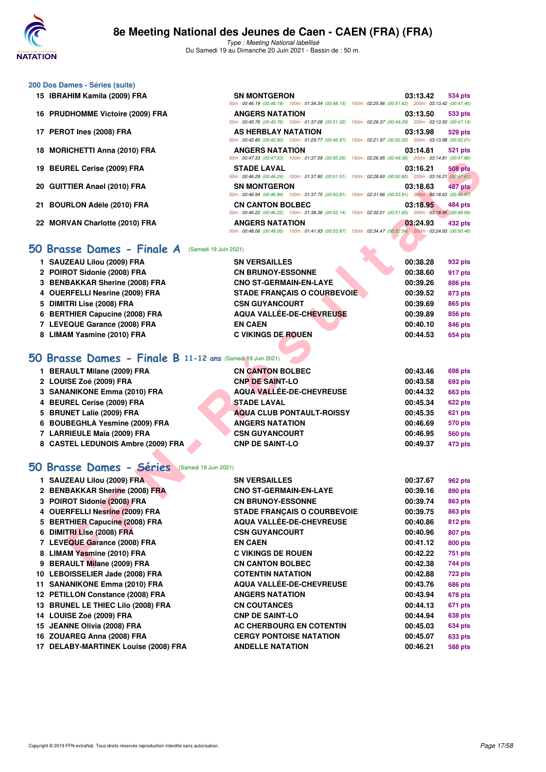

### **200 Dos Dames - Séries (suite)**

- 15 **IBRAHIM Kamila (2009) FRA**
- 16 PRUDHOMME Victoire (2009) FRA
- **17 PEROT Ines (2008) FRA**
- 18 MORICHETTI Anna (2010) FRA
- **19 BEUREL Cerise (2009) FRA**
- 20 GUITTIER Anael (2010) FRA
- 21 BOURLON Adèle (2010) FRA
- 22 MORVAN Charlotte (2010) FRA

## **[50 Brasse Dames - Finale A](http://www.ffnatation.fr/webffn/resultats.php?idact=nat&go=epr&idcpt=70045&idepr=21)** (Samedi 19 Juin 2021)

| <b>SN MONTGERON</b>        |                                                                                                        | 03:13.42 | 534 pts        |
|----------------------------|--------------------------------------------------------------------------------------------------------|----------|----------------|
|                            | 50m: 00:46.19 (00:46.19) 100m: 01:34.34 (00:48.15) 150m: 02:25.96 (00:51.62) 200m: 03:13.42 (00:47.46) |          |                |
| <b>ANGERS NATATION</b>     |                                                                                                        | 03:13.50 | 533 pts        |
|                            | 50m: 00:45.76 (00:45.76) 100m: 01:37.08 (00:51.32) 150m: 02:26.37 (00:49.29) 200m: 03:13.50 (00:47.13) |          |                |
| <b>AS HERBLAY NATATION</b> |                                                                                                        | 03:13.98 | 529 pts        |
|                            | 50m: 00:42.80 (00:42.80) 100m: 01:29.77 (00:46.97) 150m: 02:21.97 (00:52.20) 200m: 03:13.98 (00:52.01) |          |                |
| <b>ANGERS NATATION</b>     |                                                                                                        | 03:14.81 | <b>521 pts</b> |
|                            | 50m: 00:47.33 (00:47.33) 100m: 01:37.59 (00:50.26) 150m: 02:26.95 (00:49.36) 200m: 03:14.81 (00:47.86) |          |                |
|                            |                                                                                                        |          |                |
| <b>STADE LAVAL</b>         |                                                                                                        | 03:16.21 | <b>508 pts</b> |
|                            | 50m: 00:46.29 (00:46.29) 100m: 01:37.80 (00:51.51) 150m: 02:28.60 (00:50.80) 200m: 03:16.21 (00:47.61) |          |                |
| <b>SN MONTGERON</b>        |                                                                                                        | 03:18.63 | 487 pts        |
|                            | 50m: 00:46.94 (00:46.94) 100m: 01:37.75 (00:50.81) 150m: 02:31.66 (00:53.91) 200m: 03:18.63 (00:46.97) |          |                |
| <b>CN CANTON BOLBEC</b>    |                                                                                                        | 03:18.95 | 484 pts        |
|                            | 50m: 00:46.22 (00:46.22) 100m: 01:38.36 (00:52.14) 150m: 02:30.01 (00:51.65) 200m: 03:18.95 (00:48.94) |          |                |
| <b>ANGERS NATATION</b>     |                                                                                                        | 03:24.93 | 432 pts        |

| 1 SAUZEAU Lilou (2009) FRA     | <b>SN VERSAILLES</b>               | 00:38.28 | 932 pts |
|--------------------------------|------------------------------------|----------|---------|
| 2 POIROT Sidonie (2008) FRA    | <b>CN BRUNOY-ESSONNE</b>           | 00:38.60 | 917 pts |
| 3 BENBAKKAR Sherine (2008) FRA | <b>CNO ST-GERMAIN-EN-LAYE</b>      | 00:39.26 | 886 pts |
| 4 OUERFELLI Nesrine (2009) FRA | <b>STADE FRANCAIS O COURBEVOIE</b> | 00:39.52 | 873 pts |
| 5 DIMITRI Lise (2008) FRA      | <b>CSN GUYANCOURT</b>              | 00:39.69 | 865 pts |
| 6 BERTHIER Capucine (2008) FRA | AQUA VALLÉE-DE-CHEVREUSE           | 00:39.89 | 856 pts |
| 7 LEVEQUE Garance (2008) FRA   | <b>EN CAEN</b>                     | 00:40.10 | 846 pts |
| 8 LIMAM Yasmine (2010) FRA     | <b>C VIKINGS DE ROUEN</b>          | 00:44.53 | 654 pts |

# **[50 Brasse Dames - Finale B](http://www.ffnatation.fr/webffn/resultats.php?idact=nat&go=epr&idcpt=70045&idepr=21) 11-12 ans** (Samedi 19 Juin 2021)

| 1 BERAULT Milane (2009) FRA        | <b>CN CANTON BOLBEC</b>   | 00:43.46 | 698 pts        |
|------------------------------------|---------------------------|----------|----------------|
| 2 LOUISE Zoé (2009) FRA            | <b>CNP DE SAINT-LO</b>    | 00:43.58 | 693 pts        |
| 3 SANANIKONE Emma (2010) FRA       | AQUA VALLÉE-DE-CHEVREUSE  | 00:44.32 | <b>663 pts</b> |
| 4 BEUREL Cerise (2009) FRA         | <b>STADE LAVAL</b>        | 00:45.34 | 622 pts        |
| 5 BRUNET Lalie (2009) FRA          | AQUA CLUB PONTAULT-ROISSY | 00:45.35 | 621 pts        |
| 6 BOUBEGHLA Yesmine (2009) FRA     | <b>ANGERS NATATION</b>    | 00:46.69 | 570 pts        |
| 7 LARRIEULE Maïa (2009) FRA        | <b>CSN GUYANCOURT</b>     | 00:46.95 | <b>560 pts</b> |
| 8 CASTEL LEDUNOIS Ambre (2009) FRA | <b>CNP DE SAINT-LO</b>    | 00:49.37 | 473 pts        |

## **[50 Brasse Dames - Séries](http://www.ffnatation.fr/webffn/resultats.php?idact=nat&go=epr&idcpt=70045&idepr=21)** (Samedi 19 Juin 2021)

| 19 BEUREL Cerise (2009) FRA                               | <b>STADE LAVAL</b><br>50m: 00:46.29 (00:46.29) 100m: 01:37.80 (00:51.51) 150m: 02:28.60 (00:50.80) 200m: 03:16.21 (00:47.61)      | 03:16.21 | <b>508 pts</b> |
|-----------------------------------------------------------|-----------------------------------------------------------------------------------------------------------------------------------|----------|----------------|
| 20 GUITTIER Anael (2010) FRA                              | <b>SN MONTGERON</b>                                                                                                               | 03:18.63 | 487 pts        |
| 21 BOURLON Adèle (2010) FRA                               | 50m: 00:46.94 (00:46.94) 100m: 01:37.75 (00:50.81) 150m: 02:31.66 (00:53.91) 200m: 03:18.63 (00:46.97)<br><b>CN CANTON BOLBEC</b> | 03:18.95 | 484 pts        |
|                                                           | 50m : 00:46.22 (00:46.22) 100m : 01:38.36 (00:52.14) 150m : 02:30.01 (00:51.65) 200m : 03:18.95 (00:48.94)                        |          |                |
| 22 MORVAN Charlotte (2010) FRA                            | <b>ANGERS NATATION</b><br>50m: 00:48.06 (00:48.06) 100m: 01:41.93 (00:53.87) 150m: 02:34.47 (00:52.54) 200m: 03:24.93 (00:50.46)  | 03:24.93 | 432 pts        |
| 0 Brasse Dames - Finale A<br>(Samedi 19 Juin 2021)        |                                                                                                                                   |          |                |
| 1 SAUZEAU Lilou (2009) FRA                                | <b>SN VERSAILLES</b>                                                                                                              | 00:38.28 | 932 pts        |
| 2 POIROT Sidonie (2008) FRA                               | <b>CN BRUNOY-ESSONNE</b>                                                                                                          | 00:38.60 | 917 pts        |
| 3 BENBAKKAR Sherine (2008) FRA                            | <b>CNO ST-GERMAIN-EN-LAYE</b>                                                                                                     | 00:39.26 | 886 pts        |
| 4 OUERFELLI Nesrine (2009) FRA                            | <b>STADE FRANÇAIS O COURBEVOIE</b>                                                                                                | 00:39.52 | 873 pts        |
| 5 DIMITRI Lise (2008) FRA                                 | <b>CSN GUYANCOURT</b>                                                                                                             | 00:39.69 | 865 pts        |
| 6 BERTHIER Capucine (2008) FRA                            | <b>AQUA VALLÉE-DE-CHEVREUSE</b>                                                                                                   | 00:39.89 | 856 pts        |
| 7 LEVEQUE Garance (2008) FRA                              | <b>EN CAEN</b>                                                                                                                    | 00:40.10 | 846 pts        |
| 8 LIMAM Yasmine (2010) FRA                                | <b>C VIKINGS DE ROUEN</b>                                                                                                         | 00:44.53 | 654 pts        |
|                                                           |                                                                                                                                   |          |                |
|                                                           |                                                                                                                                   |          |                |
| O Brasse Dames - Finale B 11-12 ans (Samedi 19 Juin 2021) |                                                                                                                                   |          |                |
| 1 BERAULT Milane (2009) FRA                               | <b>CN CANTON BOLBEC</b>                                                                                                           | 00:43.46 | 698 pts        |
| 2 LOUISE Zoé (2009) FRA                                   | <b>CNP DE SAINT-LO</b>                                                                                                            | 00:43.58 | 693 pts        |
| 3 SANANIKONE Emma (2010) FRA                              | AQUA VALLÉE-DE-CHEVREUSE                                                                                                          | 00:44.32 | 663 pts        |
| 4 BEUREL Cerise (2009) FRA                                | <b>STADE LAVAL</b>                                                                                                                | 00:45.34 | 622 pts        |
| 5 BRUNET Lalie (2009) FRA                                 | <b>AQUA CLUB PONTAULT-ROISSY</b>                                                                                                  | 00:45.35 | 621 pts        |
| 6 BOUBEGHLA Yesmine (2009) FRA                            | <b>ANGERS NATATION</b>                                                                                                            | 00:46.69 | 570 pts        |
| 7 LARRIEULE Maïa (2009) FRA                               | <b>CSN GUYANCOURT</b>                                                                                                             | 00:46.95 | <b>560 pts</b> |
| 8 CASTEL LEDUNOIS Ambre (2009) FRA                        | <b>CNP DE SAINT-LO</b>                                                                                                            | 00:49.37 | 473 pts        |
| <b>0 Brasse Dames - Séries</b><br>(Samedi 19 Juin 2021)   |                                                                                                                                   |          |                |
| 1 SAUZEAU Lilou (2009) FRA                                | <b>SN VERSAILLES</b>                                                                                                              | 00:37.67 | 962 pts        |
| 2 BENBAKKAR Sherine (2008) FRA                            | <b>CNO ST-GERMAIN-EN-LAYE</b>                                                                                                     | 00:39.16 | 890 pts        |
| 3 POIROT Sidonie (2008) FRA                               | <b>CN BRUNOY-ESSONNE</b>                                                                                                          | 00:39.74 | 863 pts        |
| 4 OUERFELLI Nesrine (2009) FRA                            | <b>STADE FRANÇAIS O COURBEVOIE</b>                                                                                                | 00:39.75 | 863 pts        |
| 5 BERTHIER Capucine (2008) FRA                            | <b>AQUA VALLEE-DE-CHEVREUSE</b>                                                                                                   | 00:40.86 | 812 pts        |
| 6 DIMITRI Lise (2008) FRA                                 | <b>CSN GUYANCOURT</b>                                                                                                             | 00:40.96 | 807 pts        |
| 7 LEVEQUE Garance (2008) FRA                              | <b>EN CAEN</b>                                                                                                                    | 00:41.12 | <b>800 pts</b> |
| 8 LIMAM Yasmine (2010) FRA                                | <b>C VIKINGS DE ROUEN</b>                                                                                                         | 00:42.22 | 751 pts        |
| 9 BERAULT Milane (2009) FRA                               | <b>CN CANTON BOLBEC</b>                                                                                                           | 00:42.38 | 744 pts        |
| 10 LEBOISSELIER Jade (2008) FRA                           | <b>COTENTIN NATATION</b>                                                                                                          | 00:42.88 | 723 pts        |
| 11 SANANIKONE Emma (2010) FRA                             | <b>AQUA VALLEE-DE-CHEVREUSE</b>                                                                                                   | 00:43.76 | 686 pts        |
| 12 PETILLON Constance (2008) FRA                          | <b>ANGERS NATATION</b>                                                                                                            | 00:43.94 | 678 pts        |
| 13 BRUNEL LE THIEC Lilo (2008) FRA                        | <b>CN COUTANCES</b>                                                                                                               | 00:44.13 | 671 pts        |
| 14 LOUISE Zoé (2009) FRA                                  | <b>CNP DE SAINT-LO</b>                                                                                                            | 00:44.94 | 638 pts        |
| 15 JEANNE Olivia (2008) FRA                               | <b>AC CHERBOURG EN COTENTIN</b>                                                                                                   | 00:45.03 | 634 pts        |
| 16 ZOUAREG Anna (2008) FRA                                | <b>CERGY PONTOISE NATATION</b>                                                                                                    | 00:45.07 | 633 pts        |
| 17 DELABY-MARTINEK Louise (2008) FRA                      | <b>ANDELLE NATATION</b>                                                                                                           | 00:46.21 | 588 pts        |
|                                                           |                                                                                                                                   |          |                |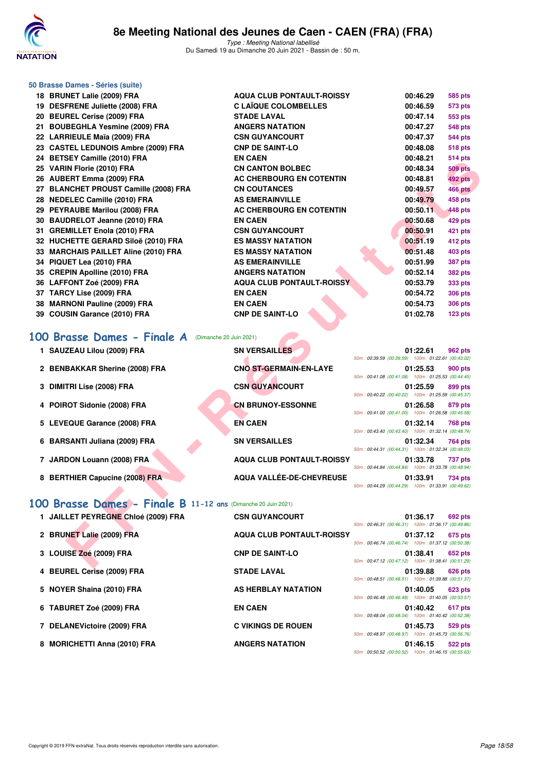

| 50 Brasse Dames - Séries (suite)<br>18 BRUNET Lalie (2009) FRA | <b>AQUA CLUB PONTAULT-ROISSY</b> | 00:46.29                                                                  |
|----------------------------------------------------------------|----------------------------------|---------------------------------------------------------------------------|
| 19 DESFRENE Juliette (2008) FRA                                | <b>C LAÏQUE COLOMBELLES</b>      | 585 pts<br>00:46.59<br>573 pts                                            |
| 20 BEUREL Cerise (2009) FRA                                    | <b>STADE LAVAL</b>               | 00:47.14<br>553 pts                                                       |
| 21 BOUBEGHLA Yesmine (2009) FRA                                | <b>ANGERS NATATION</b>           | 00:47.27<br><b>548 pts</b>                                                |
| 22 LARRIEULE Maïa (2009) FRA                                   | <b>CSN GUYANCOURT</b>            | 00:47.37<br><b>544 pts</b>                                                |
| 23 CASTEL LEDUNOIS Ambre (2009) FRA                            | <b>CNP DE SAINT-LO</b>           | 00:48.08<br><b>518 pts</b>                                                |
| 24 BETSEY Camille (2010) FRA                                   | <b>EN CAEN</b>                   | 00:48.21<br><b>514 pts</b>                                                |
| 25 VARIN Florie (2010) FRA                                     | <b>CN CANTON BOLBEC</b>          | 00:48.34<br>509 pts                                                       |
| 26 AUBERT Emma (2009) FRA                                      | AC CHERBOURG EN COTENTIN         | 492 pts<br>00:48.81                                                       |
| 27 BLANCHET PROUST Camille (2008) FRA                          | <b>CN COUTANCES</b>              | 00:49.57<br><b>466 pts</b>                                                |
| 28 NEDELEC Camille (2010) FRA                                  | <b>AS EMERAINVILLE</b>           | 00:49.79<br>458 pts                                                       |
| 29 PEYRAUBE Marilou (2008) FRA                                 | AC CHERBOURG EN COTENTIN         | 00:50.11<br>448 pts                                                       |
| 30 BAUDRELOT Jeanne (2010) FRA                                 | <b>EN CAEN</b>                   | 00:50.68<br>429 pts                                                       |
| 31 GREMILLET Enola (2010) FRA                                  | <b>CSN GUYANCOURT</b>            | 00:50.91<br>421 pts                                                       |
| 32 HUCHETTE GERARD Siloë (2010) FRA                            | <b>ES MASSY NATATION</b>         | 00:51.19<br>412 pts                                                       |
| 33 MARCHAIS PAILLET Aline (2010) FRA                           | <b>ES MASSY NATATION</b>         | 00:51.48<br>403 pts                                                       |
| 34 PIQUET Lea (2010) FRA                                       | <b>AS EMERAINVILLE</b>           | 00:51.99<br><b>387 pts</b>                                                |
| 35 CREPIN Apolline (2010) FRA                                  | <b>ANGERS NATATION</b>           | 00:52.14<br><b>382 pts</b>                                                |
| 36 LAFFONT Zoé (2009) FRA                                      | <b>AQUA CLUB PONTAULT-ROISSY</b> | 00:53.79<br>333 pts                                                       |
| 37 TARCY Lise (2009) FRA                                       | <b>EN CAEN</b>                   | 00:54.72<br><b>306 pts</b>                                                |
| 38 MARNONI Pauline (2009) FRA                                  | <b>EN CAEN</b>                   | 00:54.73<br><b>306 pts</b>                                                |
| 39 COUSIN Garance (2010) FRA                                   | <b>CNP DE SAINT-LO</b>           | 01:02.78<br>$123$ pts                                                     |
| (Dimanche 20 Juin 2021)                                        |                                  |                                                                           |
| 100 Brasse Dames - Finale A                                    |                                  |                                                                           |
| 1 SAUZEAU Lilou (2009) FRA                                     | <b>SN VERSAILLES</b>             | 01:22.61<br>962 pts<br>50m: 00:39.59 (00:39.59) 100m: 01:22.61 (00:43.02) |
| 2 BENBAKKAR Sherine (2008) FRA                                 | CNO ST-GERMAIN-EN-LAYE           | 01:25.53<br><b>900 pts</b>                                                |
|                                                                |                                  | 50m: 00:41.08 (00:41.08) 100m: 01:25.53 (00:44.45)                        |
| 3 DIMITRI Lise (2008) FRA                                      | <b>CSN GUYANCOURT</b>            | 01:25.59<br>899 pts<br>50m: 00:40.22 (00:40.22) 100m: 01:25.59 (00:45.37) |
| 4 POIROT Sidonie (2008) FRA                                    | <b>CN BRUNOY-ESSONNE</b>         | 01:26.58<br>879 pts                                                       |
|                                                                |                                  | 50m: 00:41.00 (00:41.00) 100m: 01:26.58 (00:45.58)                        |
| 5 LEVEQUE Garance (2008) FRA                                   | <b>EN CAEN</b>                   | 01:32.14<br><b>768 pts</b>                                                |
|                                                                |                                  | 50m: 00:43.40 (00:43.40) 100m: 01:32.14 (00:48.74)                        |
| 6 BARSANTI Juliana (2009) FRA                                  | <b>SN VERSAILLES</b>             | 01:32.34<br>764 pts<br>50m: 00:44.31 (00:44.31) 100m: 01:32.34 (00:48.03) |
| 7 JARDON Louann (2008) FRA                                     | <b>AQUA CLUB PONTAULT-ROISSY</b> | 01:33.78<br>737 pts                                                       |
|                                                                |                                  | 50m: 00:44.84 (00:44.84) 100m: 01:33.78 (00:48.94)                        |
| 8 BERTHIER Capucine (2008) FRA                                 | AQUA VALLÉE-DE-CHEVREUSE         | 01:33.91<br>734 pts                                                       |
|                                                                |                                  | 50m: 00:44.29 (00:44.29) 100m: 01:33.91 (00:49.62)                        |
| 100 Brasse Dames - Finale B 11-12 ans (Dimanche 20 Juin 2021)  |                                  |                                                                           |
| 1 JAILLET PEYREGNE Chloé (2009) FRA                            | <b>CSN GUYANCOURT</b>            | 01:36.17<br>692 pts                                                       |
|                                                                |                                  | 50m: 00:46.31 (00:46.31) 100m: 01:36.17 (00:49.86)                        |
| 2 BRUNET Lalie (2009) FRA                                      | <b>AQUA CLUB PONTAULT-ROISSY</b> | 01:37.12<br>675 pts                                                       |
|                                                                |                                  | 50m: 00:46.74 (00:46.74) 100m: 01:37.12 (00:50.38)                        |
| 3 LOUISE Zoé (2009) FRA                                        | <b>CNP DE SAINT-LO</b>           | 01:38.41<br>652 pts<br>50m: 00:47.12 (00:47.12) 100m: 01:38.41 (00:51.29) |
|                                                                |                                  |                                                                           |

## **[100 Brasse Dames - Finale A](http://www.ffnatation.fr/webffn/resultats.php?idact=nat&go=epr&idcpt=70045&idepr=22)** (Dimanche 20 Juin 2021)

| 1 SAUZEAU Lilou (2009) FRA     | <b>SN VERSAILLES</b>             |                                                    | 01:22.61 | 962 pts        |
|--------------------------------|----------------------------------|----------------------------------------------------|----------|----------------|
|                                |                                  | 50m: 00:39.59 (00:39.59) 100m: 01:22.61 (00:43.02) |          |                |
| 2 BENBAKKAR Sherine (2008) FRA | <b>CNO ST-GERMAIN-EN-LAYE</b>    |                                                    | 01:25.53 | <b>900 pts</b> |
|                                |                                  | 50m: 00:41.08 (00:41.08) 100m: 01:25.53 (00:44.45) |          |                |
| 3 DIMITRI Lise (2008) FRA      | <b>CSN GUYANCOURT</b>            |                                                    | 01:25.59 | 899 pts        |
|                                |                                  | 50m: 00:40.22 (00:40.22) 100m: 01:25.59 (00:45.37) |          |                |
| 4 POIROT Sidonie (2008) FRA    | <b>CN BRUNOY-ESSONNE</b>         |                                                    | 01:26.58 | 879 pts        |
|                                |                                  | 50m: 00:41.00 (00:41.00) 100m: 01:26.58 (00:45.58) |          |                |
| 5 LEVEQUE Garance (2008) FRA   | <b>EN CAEN</b>                   |                                                    | 01:32.14 | 768 pts        |
|                                |                                  | 50m: 00:43.40 (00:43.40) 100m: 01:32.14 (00:48.74) |          |                |
| 6 BARSANTI Juliana (2009) FRA  | <b>SN VERSAILLES</b>             |                                                    | 01:32.34 | 764 pts        |
|                                |                                  | 50m: 00:44.31 (00:44.31) 100m: 01:32.34 (00:48.03) |          |                |
| 7 JARDON Louann (2008) FRA     | <b>AQUA CLUB PONTAULT-ROISSY</b> |                                                    | 01:33.78 | 737 pts        |
|                                |                                  | 50m: 00:44.84 (00:44.84) 100m: 01:33.78 (00:48.94) |          |                |
| 8 BERTHIER Capucine (2008) FRA | AQUA VALLÉE-DE-CHEVREUSE         |                                                    | 01:33.91 | 734 pts        |
|                                |                                  | 50m: 00:44.29 (00:44.29) 100m: 01:33.91 (00:49.62) |          |                |

## **[100 Brasse Dames - Finale B](http://www.ffnatation.fr/webffn/resultats.php?idact=nat&go=epr&idcpt=70045&idepr=22) 11-12 ans** (Dimanche 20 Juin 2021)

| 1 JAILLET PEYREGNE Chloé (2009) FRA | <b>CSN GUYANCOURT</b>            |                                                    | 01:36.17 | 692 pts        |
|-------------------------------------|----------------------------------|----------------------------------------------------|----------|----------------|
|                                     |                                  | 50m: 00:46.31 (00:46.31) 100m: 01:36.17 (00:49.86) |          |                |
| 2 BRUNET Lalie (2009) FRA           | <b>AQUA CLUB PONTAULT-ROISSY</b> | 50m: 00:46.74 (00:46.74) 100m: 01:37.12 (00:50.38) | 01:37.12 | 675 pts        |
| 3 LOUISE Zoé (2009) FRA             | <b>CNP DE SAINT-LO</b>           |                                                    | 01:38.41 | 652 pts        |
|                                     |                                  | 50m: 00:47.12 (00:47.12) 100m: 01:38.41 (00:51.29) |          |                |
| 4 BEUREL Cerise (2009) FRA          | <b>STADE LAVAL</b>               | 50m: 00:48.51 (00:48.51) 100m: 01:39.88 (00:51.37) | 01:39.88 | <b>626 pts</b> |
| 5 NOYER Shaina (2010) FRA           | <b>AS HERBLAY NATATION</b>       |                                                    | 01:40.05 | 623 pts        |
|                                     |                                  | 50m: 00:46.48 (00:46.48) 100m: 01:40.05 (00:53.57) |          |                |
| 6 TABURET Zoé (2009) FRA            | <b>EN CAEN</b>                   | 50m: 00:48.04 (00:48.04) 100m: 01:40.42 (00:52.38) | 01:40.42 | 617 pts        |
| 7 DELANEVictoire (2009) FRA         | <b>C VIKINGS DE ROUEN</b>        |                                                    | 01:45.73 | 529 pts        |
|                                     |                                  | 50m: 00:48.97 (00:48.97) 100m: 01:45.73 (00:56.76) |          |                |
| 8 MORICHETTI Anna (2010) FRA        | <b>ANGERS NATATION</b>           | 50m: 00:50.52 (00:50.52) 100m: 01:46.15 (00:55.63) | 01:46.15 | 522 pts        |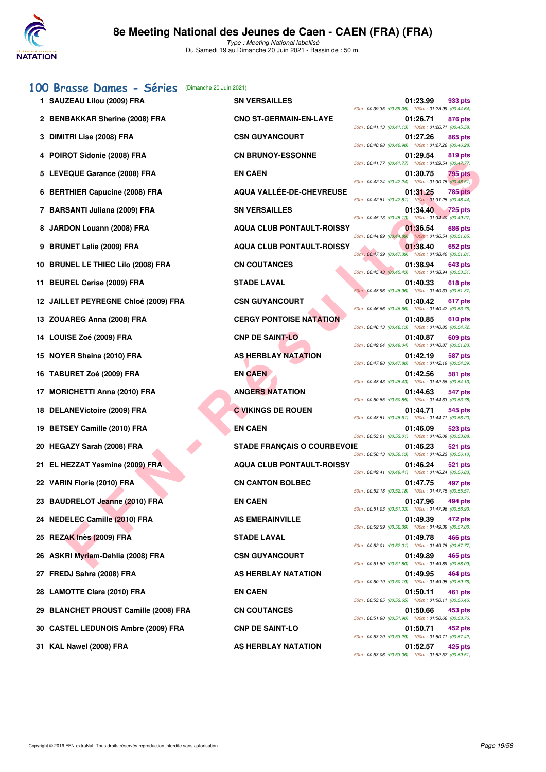

# **[100 Brasse Dames - Séries](http://www.ffnatation.fr/webffn/resultats.php?idact=nat&go=epr&idcpt=70045&idepr=22)** (Dimanche 20 Juin 2021) 1 SAUZEAU Lilou (2009) FRA **2 BENBAKKAR Sherine (2008) FRA CNO ST-GERMAIN-EN-LAYE 01:26.71 876 pts**

| Z BENBANNAH SHEIHE (ZUUS) FRA         | <b>UNU SI-GERMAIN-EN-LATE</b>      | 50m: 00:41.13 (00:41.13) 100m: 01:26.71 (00:45.58                                                       | <b>UI:20.71</b> | 876 pts        |
|---------------------------------------|------------------------------------|---------------------------------------------------------------------------------------------------------|-----------------|----------------|
| 3 DIMITRI Lise (2008) FRA             | <b>CSN GUYANCOURT</b>              | 50m: 00:40.98 (00:40.98) 100m: 01:27.26 (00:46.28                                                       | 01:27.26        | 865 pts        |
| 4 POIROT Sidonie (2008) FRA           | <b>CN BRUNOY-ESSONNE</b>           | 50m: 00:41.77 (00:41.77) 100m: 01:29.54 (00:47.77)                                                      | 01:29.54        | 819 pts        |
| 5 LEVEQUE Garance (2008) FRA          | <b>EN CAEN</b>                     | 50m: 00:42.24 (00:42.24) 100m: 01:30.75 (00:48.51                                                       | 01:30.75        | <b>795 pts</b> |
| 6 BERTHIER Capucine (2008) FRA        | <b>AQUA VALLEE-DE-CHEVREUSE</b>    |                                                                                                         | 01:31.25        | <b>785 pts</b> |
| 7 BARSANTI Juliana (2009) FRA         | <b>SN VERSAILLES</b>               | 50m: 00:42.81 (00:42.81) 100m: 01:31.25 (00:48.44)<br>50m: 00:45.13 (00:45.13) 100m: 01:34.40 (00:49.27 | 01:34.40        | <b>725 pts</b> |
| 8 JARDON Louann (2008) FRA            | <b>AQUA CLUB PONTAULT-ROISSY</b>   | 50m: 00:44.89 (00:44.89) 100m: 01:36.54 (00:51.65                                                       | 01:36.54        | 686 pts        |
| 9 BRUNET Lalie (2009) FRA             | <b>AQUA CLUB PONTAULT-ROISSY</b>   | 50m : 00:47.39 (00:47.39) 100m : 01:38.40 (00:51.01)                                                    | 01:38.40        | 652 pts        |
| 10 BRUNEL LE THIEC Lilo (2008) FRA    | <b>CN COUTANCES</b>                | 50m: 00:45.43 (00:45.43) 100m: 01:38.94 (00:53.51)                                                      | 01:38.94        | 643 pts        |
| 11 BEUREL Cerise (2009) FRA           | <b>STADE LAVAL</b>                 | 50m: 00:48.96 (00:48.96) 100m: 01:40.33 (00:51.37                                                       | 01:40.33        | 618 pts        |
| 12 JAILLET PEYREGNE Chloé (2009) FRA  | <b>CSN GUYANCOURT</b>              | 50m: 00:46.66 (00:46.66) 100m: 01:40.42 (00:53.76)                                                      | 01:40.42        | 617 pts        |
| 13 ZOUAREG Anna (2008) FRA            | <b>CERGY PONTOISE NATATION</b>     | 50m: 00:46.13 (00:46.13) 100m: 01:40.85 (00:54.72)                                                      | 01:40.85        | <b>610 pts</b> |
| 14 LOUISE Zoé (2009) FRA              | <b>CNP DE SAINT-LO</b>             | 50m: 00:49.04 (00:49.04) 100m: 01:40.87 (00:51.83                                                       | 01:40.87        | 609 pts        |
| 15 NOYER Shaina (2010) FRA            | <b>AS HERBLAY NATATION</b>         | 50m: 00:47.80 (00:47.80) 100m: 01:42.19 (00:54.39                                                       | 01:42.19        | 587 pts        |
| 16 TABURET Zoé (2009) FRA             | <b>EN CAEN</b>                     | 50m: 00:48.43 (00:48.43) 100m: 01:42.56 (00:54.13)                                                      | 01:42.56        | 581 pts        |
| 17 MORICHETTI Anna (2010) FRA         | <b>ANGERS NATATION</b>             | 50m: 00:50.85 (00:50.85) 100m: 01:44.63 (00:53.78                                                       | 01:44.63        | 547 pts        |
| 18 DELANEVictoire (2009) FRA          | <b>C VIKINGS DE ROUEN</b>          | 50m: 00:48.51 (00:48.51) 100m: 01:44.71 (00:56.20)                                                      | 01:44.71        | 545 pts        |
| 19 BETSEY Camille (2010) FRA          | <b>EN CAEN</b>                     | 50m: 00:53.01 (00:53.01) 100m: 01:46.09 (00:53.08                                                       | 01:46.09        | 523 pts        |
| 20 HEGAZY Sarah (2008) FRA            | <b>STADE FRANÇAIS O COURBEVOIE</b> | 50m: 00:50.13 (00:50.13) 100m: 01:46.23 (00:56.10                                                       | 01:46.23        | 521 pts        |
| 21 EL HEZZAT Yasmine (2009) FRA       | <b>AQUA CLUB PONTAULT-ROISSY</b>   | 50m: 00:49.41 (00:49.41) 100m: 01:46.24 (00:56.83                                                       | 01:46.24        | 521 pts        |
| 22 VARIN Florie (2010) FRA            | <b>CN CANTON BOLBEC</b>            | 50m: 00:52.18 (00:52.18) 100m: 01:47.75 (00:55.57)                                                      | 01:47.75        | 497 pts        |
| 23 BAUDRELOT Jeanne (2010) FRA        | <b>EN CAEN</b>                     | 50m: 00:51.03 (00:51.03) 100m: 01:47.96 (00:56.93                                                       | 01:47.96        | <b>494 pts</b> |
| 24 NEDELEC Camille (2010) FRA         | <b>AS EMERAINVILLE</b>             | 50m: 00:52.39 (00:52.39) 100m: 01:49.39 (00:57.00)                                                      | 01:49.39        | 472 pts        |
| 25 REZAK Inès (2009) FRA              | <b>STADE LAVAL</b>                 | 50m: 00:52.01 (00:52.01) 100m: 01:49.78 (00:57.77                                                       | 01:49.78        | 466 pts        |
| 26 ASKRI Myriam-Dahlia (2008) FRA     | <b>CSN GUYANCOURT</b>              | 50m: 00:51.80 (00:51.80) 100m: 01:49.89 (00:58.09                                                       | 01:49.89        | <b>465 pts</b> |
| 27 FREDJ Sahra (2008) FRA             | AS HERBLAY NATATION                | 50m: 00:50.19 (00:50.19) 100m: 01:49.95 (00:59.76                                                       | 01:49.95        | <b>464 pts</b> |
| 28 LAMOTTE Clara (2010) FRA           | <b>EN CAEN</b>                     | 50m: 00:53.65 (00:53.65) 100m: 01:50.11 (00:56.46)                                                      | 01:50.11        | 461 pts        |
| 29 BLANCHET PROUST Camille (2008) FRA | <b>CN COUTANCES</b>                | 50m: 00:51.90 (00:51.90) 100m: 01:50.66 (00:58.76                                                       | 01:50.66        | 453 pts        |
| 30 CASTEL LEDUNOIS Ambre (2009) FRA   | <b>CNP DE SAINT-LO</b>             | 50m: 00:53.29 (00:53.29) 100m: 01:50.71 (00:57.42)                                                      | 01:50.71        | 452 pts        |
|                                       |                                    |                                                                                                         |                 |                |

| 1 SAUZEAU Lilou (2009) FRA                 | <b>SN VERSAILLES</b>               | 01:23.99<br>933 pts<br>50m: 00:39.35 (00:39.35) 100m: 01:23.99 (00:44.64)        |
|--------------------------------------------|------------------------------------|----------------------------------------------------------------------------------|
| 2 BENBAKKAR Sherine (2008) FRA             | <b>CNO ST-GERMAIN-EN-LAYE</b>      | 01:26.71<br><b>876 pts</b><br>50m: 00:41.13 (00:41.13) 100m: 01:26.71 (00:45.58) |
| 3 DIMITRI Lise (2008) FRA                  | <b>CSN GUYANCOURT</b>              | 01:27.26<br>865 pts<br>50m: 00:40.98 (00:40.98) 100m: 01:27.26 (00:46.28)        |
| 4 POIROT Sidonie (2008) FRA                | <b>CN BRUNOY-ESSONNE</b>           | 01:29.54<br>819 pts<br>50m: 00:41.77 (00:41.77) 100m: 01:29.54 (00:47.77)        |
| 5 LEVEQUE Garance (2008) FRA               | <b>EN CAEN</b>                     | 01:30.75<br>795 pts<br>50m: 00:42.24 (00:42.24) 100m: 01:30.75 (00:48.51)        |
| 6 BERTHIER Capucine (2008) FRA             | AQUA VALLÉE-DE-CHEVREUSE           | 01:31.25<br><b>785 pts</b><br>50m: 00:42.81 (00:42.81) 100m: 01:31.25 (00:48.44) |
| 7 BARSANTI Juliana (2009) FRA              | <b>SN VERSAILLES</b>               | 01:34.40<br><b>725 pts</b><br>50m: 00:45.13 (00:45.13) 100m: 01:34.40 (00:49.27) |
| 8 JARDON Louann (2008) FRA                 | <b>AQUA CLUB PONTAULT-ROISSY</b>   | 01:36.54<br>686 pts<br>50m: 00:44.89 (00:44.89) 100m: 01:36.54 (00:51.65)        |
| 9 BRUNET Lalie (2009) FRA                  | <b>AQUA CLUB PONTAULT-ROISSY</b>   | 01:38.40<br>652 pts<br>50m; 00:47.39 (00:47.39) 100m: 01:38.40 (00:51.01)        |
| 10 BRUNEL LE THIEC Lilo (2008) FRA         | <b>CN COUTANCES</b>                | 01:38.94<br>643 pts<br>50m: 00:45.43 (00:45.43) 100m: 01:38.94 (00:53.51)        |
| 11 BEUREL Cerise (2009) FRA                | <b>STADE LAVAL</b>                 | 01:40.33<br>618 pts<br>50m: 00:48.96 (00:48.96) 100m: 01:40.33 (00:51.37)        |
| 12 JAILLET PEYREGNE Chloé (2009) FRA       | <b>CSN GUYANCOURT</b>              | 01:40.42<br>617 pts<br>50m: 00:46.66 (00:46.66) 100m: 01:40.42 (00:53.76)        |
| 13 ZOUAREG Anna (2008) FRA                 | <b>CERGY PONTOISE NATATION</b>     | 01:40.85<br>610 pts<br>50m: 00:46.13 (00:46.13) 100m: 01:40.85 (00:54.72)        |
| 14 LOUISE Zoé (2009) FRA                   | <b>CNP DE SAINT-LO</b>             | 01:40.87<br>609 pts<br>50m: 00:49.04 (00:49.04) 100m: 01:40.87 (00:51.83)        |
| 15 NOYER Shaina (2010) FRA                 | <b>AS HERBLAY NATATION</b>         | 01:42.19<br>587 pts<br>50m: 00:47.80 (00:47.80) 100m: 01:42.19 (00:54.39)        |
| 16 TABURET Zoé (2009) FRA                  | <b>EN CAEN</b>                     | 01:42.56<br>581 pts<br>50m: 00:48.43 (00:48.43) 100m: 01:42.56 (00:54.13)        |
| 17 MORICHETTI Anna (2010) FRA              | <b>ANGERS NATATION</b>             | 01:44.63<br>547 pts<br>50m: 00:50.85 (00:50.85) 100m: 01:44.63 (00:53.78)        |
| 18 DELANEVictoire (2009) FRA               | <b>C VIKINGS DE ROUEN</b>          | 01:44.71<br>545 pts<br>50m: 00:48.51 (00:48.51) 100m: 01:44.71 (00:56.20)        |
| 19 BETSEY Camille (2010) FRA               | <b>EN CAEN</b>                     | 01:46.09<br>523 pts<br>50m: 00:53.01 (00:53.01) 100m: 01:46.09 (00:53.08)        |
| 20 HEGAZY Sarah (2008) FRA                 | <b>STADE FRANÇAIS O COURBEVOIE</b> | 01:46.23<br>521 pts<br>50m: 00:50.13 (00:50.13) 100m: 01:46.23 (00:56.10)        |
| 21 EL HEZZAT Yasmine (2009) FRA            | <b>AQUA CLUB PONTAULT-ROISSY</b>   | 01:46.24<br>521 pts<br>50m: 00:49.41 (00:49.41) 100m: 01:46.24 (00:56.83)        |
| 22 VARIN Florie (2010) FRA                 | <b>CN CANTON BOLBEC</b>            | 01:47.75<br>497 pts<br>50m: 00:52.18 (00:52.18) 100m: 01:47.75 (00:55.57)        |
| 23 BAUDRELOT Jeanne (2010) FRA             | <b>EN CAEN</b>                     | 01:47.96<br>494 pts<br>50m: 00:51.03 (00:51.03) 100m: 01:47.96 (00:56.93)        |
| 24 NEDELEC Camille (2010) FRA              | <b>AS EMERAINVILLE</b>             | 01:49.39<br>472 pts<br>50m: 00:52.39 (00:52.39) 100m: 01:49.39 (00:57.00)        |
| 25 REZAK Inès (2009) FRA                   | <b>STADE LAVAL</b>                 | 01:49.78<br>466 pts<br>50m: 00:52.01 (00:52.01) 100m: 01:49.78 (00:57.77)        |
| 26 ASKRI Myriam-Dahlia (2008) FRA          | <b>CSN GUYANCOURT</b>              | 01:49.89<br>465 pts<br>50m: 00:51.80 (00:51.80) 100m: 01:49.89 (00:58.09)        |
| 27 FREDJ Sahra (2008) FRA                  | AS HERBLAY NATATION                | 01:49.95<br>464 pts<br>50m: 00:50.19 (00:50.19) 100m: 01:49.95 (00:59.76)        |
| 28 LAMOTTE Clara (2010) FRA                | <b>EN CAEN</b>                     | 01:50.11<br>461 pts<br>50m: 00:53.65 (00:53.65) 100m: 01:50.11 (00:56.46)        |
| 29 BLANCHET PROUST Camille (2008) FRA      | <b>CN COUTANCES</b>                | 01:50.66<br>453 pts<br>50m: 00:51.90 (00:51.90) 100m: 01:50.66 (00:58.76)        |
| <b>30 CASTEL LEDUNOIS Ambre (2009) FRA</b> | <b>CNP DE SAINT-LO</b>             | 01:50.71<br>452 pts<br>50m: 00:53.29 (00:53.29) 100m: 01:50.71 (00:57.42)        |
| 31 KAL Nawel (2008) FRA                    | AS HERBLAY NATATION                | 01:52.57<br>425 pts<br>50m: 00:53.06 (00:53.06) 100m: 01:52.57 (00:59.51)        |

|                                | 01:23.99                                                       | 933 pts        |
|--------------------------------|----------------------------------------------------------------|----------------|
| 50m: 00:39.35 (00:39.35)       | 100m: 01:23.99 (00:44.64)<br>01:26.71                          | 876 pts        |
| 50m: 00:41.13 (00:41.13)       | 100m: 01:26.71 (00:45.58)                                      |                |
| 50m: 00:40.98 (00:40.98)       | 01:27.26<br>100m: 01:27.26 (00:46.28)                          | 865 pts        |
| 50m: 00:41.77 (00:41.77)       | 01:29.54<br>100m: 01:29.54 (00:47.77)                          | 819 pts        |
| 50m: 00:42.24 (00:42.24)       | 01:30.75<br>100m: 01:30.75 (00:48.51)                          | 795 pts        |
|                                | 01:31.25                                                       | 785 pts        |
| 50m: 00:42.81 (00:42.81)       | 100m: 01:31.25 (00:48.44)<br>01:34.40                          | <b>725 pts</b> |
| 50m: 00:45.13 (00:45.13)       | 100m: 01:34.40 (00:49.27)                                      |                |
| 50m: 00:44.89 (00:44.89)       | 01:36.54<br>100m: 01:36.54 (00:51.65)                          | 686 pts        |
| 50m: 00:47.39 (00:47.39)       | 01:38.40<br>100m: 01:38.40 (00:51.01)                          | 652 pts        |
| 50m: 00:45.43 (00:45.43)       | 01:38.94<br>100m: 01:38.94 (00:53.51)                          | 643 pts        |
|                                | 01:40.33                                                       | 618 pts        |
| 50m : 00:48.96 (00:48.96)      | 100m: 01:40.33 (00:51.37)<br>01:40.42                          | 617 pts        |
| 50m: 00:46.66 (00:46.66)       | 100m: 01:40.42 (00:53.76)                                      |                |
| 50m: 00:46.13 (00:46.13)       | 01:40.85<br>100m: 01:40.85 (00:54.72)                          | <b>610 pts</b> |
| 50m: 00:49.04 (00:49.04)       | 01:40.87<br>100m: 01:40.87 (00:51.83)                          | 609 pts        |
| 50m: 00:47.80 (00:47.80)       | 01:42.19<br>100m: 01:42.19 (00:54.39)                          | 587 pts        |
| 50m: 00:48.43 (00:48.43)       | 01:42.56<br>100m: 01:42.56 (00:54.13)                          | <b>581 pts</b> |
|                                | 01:44.63                                                       | 547 pts        |
| 50m: 00:50.85 (00:50.85)       | 100m: 01:44.63 (00:53.78)<br>01:44.71                          | 545 pts        |
| 50m: 00:48.51 (00:48.51)       | 100m: 01:44.71 (00:56.20)                                      |                |
| 50m: 00:53.01 (00:53.01)       | 01:46.09<br>100m: 01:46.09 (00:53.08)                          | 523 pts        |
| ЖE<br>50m: 00:50.13 (00:50.13) | 01:46.23<br>100m: 01:46.23 (00:56.10)                          | 521 pts        |
| 50m: 00:49.41 (00:49.41)       | 01:46.24<br>100m: 01:46.24 (00:56.83)                          | 521 pts        |
| 50m: 00:52.18 (00:52.18)       | 01:47.75<br>100m: 01:47.75 (00:55.57)                          | 497 pts        |
|                                | 01:47.96                                                       | 494 pts        |
| 50m: 00:51.03 (00:51.03)       | 100m: 01:47.96 (00:56.93)<br>01:49.39                          | 472 pts        |
|                                | 50m: 00:52.39 (00:52.39) 100m: 01:49.39 (00:57.00)             |                |
|                                | 01:49.78<br>50m: 00:52.01 (00:52.01) 100m: 01:49.78 (00:57.77) | <b>466 pts</b> |
|                                | 01:49.89<br>50m: 00:51.80 (00:51.80) 100m: 01:49.89 (00:58.09) | 465 pts        |
|                                | 01:49.95<br>50m: 00:50.19 (00:50.19) 100m: 01:49.95 (00:59.76) | 464 pts        |
|                                | 01:50.11<br>50m: 00:53.65 (00:53.65) 100m: 01:50.11 (00:56.46) | 461 pts        |
|                                | 01:50.66                                                       | 453 pts        |
|                                | 50m: 00:51.90 (00:51.90) 100m: 01:50.66 (00:58.76)<br>01:50.71 | 452 pts        |
|                                | 50m: 00:53.29 (00:53.29) 100m: 01:50.71 (00:57.42)             |                |
|                                | 01:52.57<br>50m: 00:53.06 (00:53.06) 100m: 01:52.57 (00:59.51) | 425 pts        |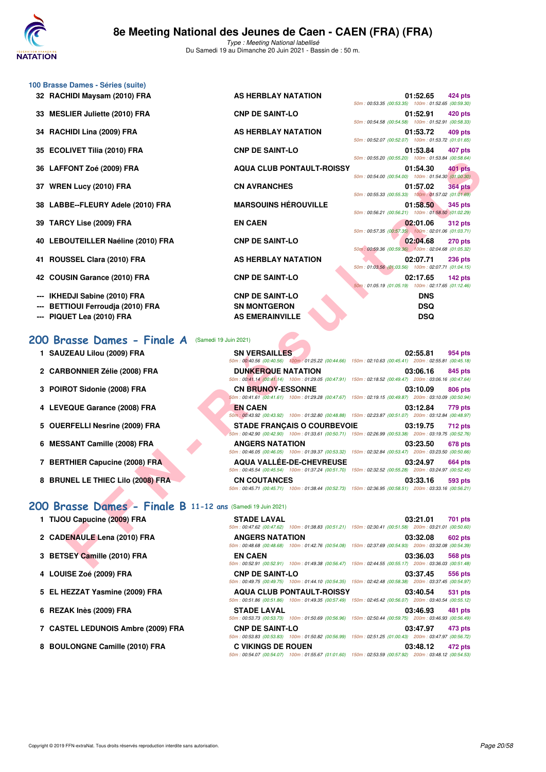

| 32 RACHIDI Maysam (2010) FRA<br>AS HERBLAY NATATION<br>01:52.65<br><b>CNP DE SAINT-LO</b><br><b>MESLIER Juliette (2010) FRA</b><br>01:52.91<br>33<br>50m: 00:54.58 (00:54.58) 100m: 01:52.91 (00:58.33)<br>RACHIDI Lina (2009) FRA<br>AS HERBLAY NATATION<br>01:53.72<br>34<br>50m: 00:52.07 (00:52.07) 100m: 01:53.72 (01:01.65)<br><b>CNP DE SAINT-LO</b><br><b>ECOLIVET Tilia (2010) FRA</b><br>01:53.84<br>35<br>50m: 00:55.20 (00:55.20) 100m: 01:53.84 (00:58.64)<br><b>AQUA CLUB PONTAULT-ROISSY</b><br>LAFFONT Zoé (2009) FRA<br>36<br>01:54.30<br><b>CN AVRANCHES</b><br>37 WREN Lucy (2010) FRA<br>01:57.02<br><b>MARSOUINS HÉROUVILLE</b><br>38 LABBE--FLEURY Adele (2010) FRA<br>01:58.50<br><b>TARCY Lise (2009) FRA</b><br><b>EN CAEN</b><br>39<br>02:01.06<br><b>CNP DE SAINT-LO</b><br>40 LEBOUTEILLER Naéline (2010) FRA<br>02:04.68<br>ROUSSEL Clara (2010) FRA<br>AS HERBLAY NATATION<br>02:07.71<br>41<br><b>CNP DE SAINT-LO</b><br><b>COUSIN Garance (2010) FRA</b><br>02:17.65<br>42.<br><b>CNP DE SAINT-LO</b><br>IKHEDJI Sabine (2010) FRA<br><b>DNS</b><br><b>BETTIOUI Ferroudja (2010) FRA</b><br><b>SN MONTGERON</b><br><b>DSQ</b><br>PIQUET Lea (2010) FRA<br><b>AS EMERAINVILLE</b><br><b>DSQ</b><br>200 Brasse Dames - Finale A<br>(Samedi 19 Juin 2021)<br>1 SAUZEAU Lilou (2009) FRA<br><b>SN VERSAILLES</b><br>02:55.81<br>50m : 00:40.56 (00:40.56) 100m : 01:25.22 (00:44.66) 150m : 02:10.63 (00:45.41) 200m : 02:55.81 (00:45.18)<br>2 CARBONNIER Zélie (2008) FRA<br><b>DUNKERQUE NATATION</b><br>03:06.16<br>50m : 00:41.14 (00:41.14) 100m : 01:29.05 (00:47.91) 150m : 02:18.52 (00:49.47) 200m : 03:06.16 (00:47.64)<br>3 POIROT Sidonie (2008) FRA<br><b>CN BRUNOY-ESSONNE</b><br>03:10.09<br>50m : 00:41.61 (00:41.61) 100m : 01:29.28 (00:47.67) 150m : 02:19.15 (00:49.87) 200m : 03:10.09 (00:50.94)<br>4 LEVEQUE Garance (2008) FRA<br><b>EN CAEN</b><br>03:12.84<br>50m; 00:43.92 (00:43.92) 100m: 01:32.80 (00:48.88) 150m: 02:23.87 (00:51.07) 200m: 03:12.84 (00:48.97)<br><b>OUERFELLI Nesrine (2009) FRA</b><br><b>STADE FRANÇAIS O COURBEVOIE</b><br>03:19.75<br>5<br>50m : 00:42.90 (00:42.90) 100m : 01:33.61 (00:50.71) 150m : 02:26.99 (00:53.38) 200m : 03:19.75 (00:52.76)<br><b>MESSANT Camille (2008) FRA</b><br><b>ANGERS NATATION</b><br>03:23.50<br>6<br>50m: 00:46.05 (00:46.05) 100m: 01:39.37 (00:53.32) 150m: 02:32.84 (00:53.47) 200m: 03:23.50 (00:50.66)<br>7 BERTHIER Capucine (2008) FRA<br><b>AQUA VALLÉE-DE-CHEVREUSE</b><br>03:24.97<br>50m: 00:45.54 (00:45.54) 100m: 01:37.24 (00:51.70) 150m: 02:32.52 (00:55.28) 200m: 03:24.97 (00:52.45)<br>8 BRUNEL LE THIEC Lilo (2008) FRA<br><b>CN COUTANCES</b><br>03:33.16<br>50m: 00:45.71 (00:45.71) 100m: 01:38.44 (00:52.73) 150m: 02:36.95 (00:58.51) 200m: 03:33.16 (00:56.21)<br>200 Brasse Dames - Finale B 11-12 ans (Samedi 19 Juin 2021)<br>1 TIJOU Capucine (2009) FRA<br><b>STADE LAVAL</b><br>03:21.01<br>50m: 00:47.62 (00:47.62) 100m: 01:38.83 (00:51.21) 150m: 02:30.41 (00:51.58) 200m: 03:21.01 (00:50.60)<br>2 CADENAULE Lena (2010) FRA<br>03:32.08<br><b>ANGERS NATATION</b><br>50m: 00:48.68 (00:48.68) 100m: 01:42.76 (00:54.08) 150m: 02:37.69 (00:54.93) 200m: 03:32.08 (00:54.39)<br>3 BETSEY Camille (2010) FRA<br><b>EN CAEN</b><br>03:36.03 | 100 Brasse Dames - Séries (suite) |                                                                      |
|------------------------------------------------------------------------------------------------------------------------------------------------------------------------------------------------------------------------------------------------------------------------------------------------------------------------------------------------------------------------------------------------------------------------------------------------------------------------------------------------------------------------------------------------------------------------------------------------------------------------------------------------------------------------------------------------------------------------------------------------------------------------------------------------------------------------------------------------------------------------------------------------------------------------------------------------------------------------------------------------------------------------------------------------------------------------------------------------------------------------------------------------------------------------------------------------------------------------------------------------------------------------------------------------------------------------------------------------------------------------------------------------------------------------------------------------------------------------------------------------------------------------------------------------------------------------------------------------------------------------------------------------------------------------------------------------------------------------------------------------------------------------------------------------------------------------------------------------------------------------------------------------------------------------------------------------------------------------------------------------------------------------------------------------------------------------------------------------------------------------------------------------------------------------------------------------------------------------------------------------------------------------------------------------------------------------------------------------------------------------------------------------------------------------------------------------------------------------------------------------------------------------------------------------------------------------------------------------------------------------------------------------------------------------------------------------------------------------------------------------------------------------------------------------------------------------------------------------------------------------------------------------------------------------------------------------------------------------------------------------------------------------------------------------------------------------------------------------------------------------------------------------------------------------------------------------------------------------------------------------------------------------------------------------------|-----------------------------------|----------------------------------------------------------------------|
|                                                                                                                                                                                                                                                                                                                                                                                                                                                                                                                                                                                                                                                                                                                                                                                                                                                                                                                                                                                                                                                                                                                                                                                                                                                                                                                                                                                                                                                                                                                                                                                                                                                                                                                                                                                                                                                                                                                                                                                                                                                                                                                                                                                                                                                                                                                                                                                                                                                                                                                                                                                                                                                                                                                                                                                                                                                                                                                                                                                                                                                                                                                                                                                                                                                                                                      |                                   | 424 pts<br>50m: 00:53.35 (00:53.35) 100m: 01:52.65 (00:59.30)        |
|                                                                                                                                                                                                                                                                                                                                                                                                                                                                                                                                                                                                                                                                                                                                                                                                                                                                                                                                                                                                                                                                                                                                                                                                                                                                                                                                                                                                                                                                                                                                                                                                                                                                                                                                                                                                                                                                                                                                                                                                                                                                                                                                                                                                                                                                                                                                                                                                                                                                                                                                                                                                                                                                                                                                                                                                                                                                                                                                                                                                                                                                                                                                                                                                                                                                                                      |                                   | 420 pts                                                              |
|                                                                                                                                                                                                                                                                                                                                                                                                                                                                                                                                                                                                                                                                                                                                                                                                                                                                                                                                                                                                                                                                                                                                                                                                                                                                                                                                                                                                                                                                                                                                                                                                                                                                                                                                                                                                                                                                                                                                                                                                                                                                                                                                                                                                                                                                                                                                                                                                                                                                                                                                                                                                                                                                                                                                                                                                                                                                                                                                                                                                                                                                                                                                                                                                                                                                                                      |                                   | 409 pts                                                              |
|                                                                                                                                                                                                                                                                                                                                                                                                                                                                                                                                                                                                                                                                                                                                                                                                                                                                                                                                                                                                                                                                                                                                                                                                                                                                                                                                                                                                                                                                                                                                                                                                                                                                                                                                                                                                                                                                                                                                                                                                                                                                                                                                                                                                                                                                                                                                                                                                                                                                                                                                                                                                                                                                                                                                                                                                                                                                                                                                                                                                                                                                                                                                                                                                                                                                                                      |                                   | 407 pts                                                              |
|                                                                                                                                                                                                                                                                                                                                                                                                                                                                                                                                                                                                                                                                                                                                                                                                                                                                                                                                                                                                                                                                                                                                                                                                                                                                                                                                                                                                                                                                                                                                                                                                                                                                                                                                                                                                                                                                                                                                                                                                                                                                                                                                                                                                                                                                                                                                                                                                                                                                                                                                                                                                                                                                                                                                                                                                                                                                                                                                                                                                                                                                                                                                                                                                                                                                                                      |                                   | 401 pts                                                              |
|                                                                                                                                                                                                                                                                                                                                                                                                                                                                                                                                                                                                                                                                                                                                                                                                                                                                                                                                                                                                                                                                                                                                                                                                                                                                                                                                                                                                                                                                                                                                                                                                                                                                                                                                                                                                                                                                                                                                                                                                                                                                                                                                                                                                                                                                                                                                                                                                                                                                                                                                                                                                                                                                                                                                                                                                                                                                                                                                                                                                                                                                                                                                                                                                                                                                                                      |                                   | 50m: 00:54.00 (00:54.00) 100m: 01:54.30 (01:00.30)<br><b>364 pts</b> |
|                                                                                                                                                                                                                                                                                                                                                                                                                                                                                                                                                                                                                                                                                                                                                                                                                                                                                                                                                                                                                                                                                                                                                                                                                                                                                                                                                                                                                                                                                                                                                                                                                                                                                                                                                                                                                                                                                                                                                                                                                                                                                                                                                                                                                                                                                                                                                                                                                                                                                                                                                                                                                                                                                                                                                                                                                                                                                                                                                                                                                                                                                                                                                                                                                                                                                                      |                                   | 50m: 00:55.33 (00:55.33) 100m: 01:57.02 (01:01.69)<br>345 pts        |
|                                                                                                                                                                                                                                                                                                                                                                                                                                                                                                                                                                                                                                                                                                                                                                                                                                                                                                                                                                                                                                                                                                                                                                                                                                                                                                                                                                                                                                                                                                                                                                                                                                                                                                                                                                                                                                                                                                                                                                                                                                                                                                                                                                                                                                                                                                                                                                                                                                                                                                                                                                                                                                                                                                                                                                                                                                                                                                                                                                                                                                                                                                                                                                                                                                                                                                      |                                   | 50m: 00:56.21 (00:56.21) 100m: 01:58.50 (01:02.29)<br><b>312 pts</b> |
|                                                                                                                                                                                                                                                                                                                                                                                                                                                                                                                                                                                                                                                                                                                                                                                                                                                                                                                                                                                                                                                                                                                                                                                                                                                                                                                                                                                                                                                                                                                                                                                                                                                                                                                                                                                                                                                                                                                                                                                                                                                                                                                                                                                                                                                                                                                                                                                                                                                                                                                                                                                                                                                                                                                                                                                                                                                                                                                                                                                                                                                                                                                                                                                                                                                                                                      |                                   | 50m: 00:57.35 (00:57.35) 100m: 02:01.06 (01:03.71)<br><b>270 pts</b> |
|                                                                                                                                                                                                                                                                                                                                                                                                                                                                                                                                                                                                                                                                                                                                                                                                                                                                                                                                                                                                                                                                                                                                                                                                                                                                                                                                                                                                                                                                                                                                                                                                                                                                                                                                                                                                                                                                                                                                                                                                                                                                                                                                                                                                                                                                                                                                                                                                                                                                                                                                                                                                                                                                                                                                                                                                                                                                                                                                                                                                                                                                                                                                                                                                                                                                                                      |                                   | 50m: 00:59.36 (00:59.36) 100m: 02:04.68 (01:05.32)<br><b>236 pts</b> |
|                                                                                                                                                                                                                                                                                                                                                                                                                                                                                                                                                                                                                                                                                                                                                                                                                                                                                                                                                                                                                                                                                                                                                                                                                                                                                                                                                                                                                                                                                                                                                                                                                                                                                                                                                                                                                                                                                                                                                                                                                                                                                                                                                                                                                                                                                                                                                                                                                                                                                                                                                                                                                                                                                                                                                                                                                                                                                                                                                                                                                                                                                                                                                                                                                                                                                                      |                                   | 50m: 01:03.56 (01:03.56) 100m: 02:07.71 (01:04.15)                   |
|                                                                                                                                                                                                                                                                                                                                                                                                                                                                                                                                                                                                                                                                                                                                                                                                                                                                                                                                                                                                                                                                                                                                                                                                                                                                                                                                                                                                                                                                                                                                                                                                                                                                                                                                                                                                                                                                                                                                                                                                                                                                                                                                                                                                                                                                                                                                                                                                                                                                                                                                                                                                                                                                                                                                                                                                                                                                                                                                                                                                                                                                                                                                                                                                                                                                                                      |                                   | $142$ pts<br>50m: 01:05.19 (01:05.19) 100m: 02:17.65 (01:12.46)      |
|                                                                                                                                                                                                                                                                                                                                                                                                                                                                                                                                                                                                                                                                                                                                                                                                                                                                                                                                                                                                                                                                                                                                                                                                                                                                                                                                                                                                                                                                                                                                                                                                                                                                                                                                                                                                                                                                                                                                                                                                                                                                                                                                                                                                                                                                                                                                                                                                                                                                                                                                                                                                                                                                                                                                                                                                                                                                                                                                                                                                                                                                                                                                                                                                                                                                                                      |                                   |                                                                      |
|                                                                                                                                                                                                                                                                                                                                                                                                                                                                                                                                                                                                                                                                                                                                                                                                                                                                                                                                                                                                                                                                                                                                                                                                                                                                                                                                                                                                                                                                                                                                                                                                                                                                                                                                                                                                                                                                                                                                                                                                                                                                                                                                                                                                                                                                                                                                                                                                                                                                                                                                                                                                                                                                                                                                                                                                                                                                                                                                                                                                                                                                                                                                                                                                                                                                                                      |                                   |                                                                      |
|                                                                                                                                                                                                                                                                                                                                                                                                                                                                                                                                                                                                                                                                                                                                                                                                                                                                                                                                                                                                                                                                                                                                                                                                                                                                                                                                                                                                                                                                                                                                                                                                                                                                                                                                                                                                                                                                                                                                                                                                                                                                                                                                                                                                                                                                                                                                                                                                                                                                                                                                                                                                                                                                                                                                                                                                                                                                                                                                                                                                                                                                                                                                                                                                                                                                                                      |                                   |                                                                      |
|                                                                                                                                                                                                                                                                                                                                                                                                                                                                                                                                                                                                                                                                                                                                                                                                                                                                                                                                                                                                                                                                                                                                                                                                                                                                                                                                                                                                                                                                                                                                                                                                                                                                                                                                                                                                                                                                                                                                                                                                                                                                                                                                                                                                                                                                                                                                                                                                                                                                                                                                                                                                                                                                                                                                                                                                                                                                                                                                                                                                                                                                                                                                                                                                                                                                                                      |                                   | 954 pts                                                              |
|                                                                                                                                                                                                                                                                                                                                                                                                                                                                                                                                                                                                                                                                                                                                                                                                                                                                                                                                                                                                                                                                                                                                                                                                                                                                                                                                                                                                                                                                                                                                                                                                                                                                                                                                                                                                                                                                                                                                                                                                                                                                                                                                                                                                                                                                                                                                                                                                                                                                                                                                                                                                                                                                                                                                                                                                                                                                                                                                                                                                                                                                                                                                                                                                                                                                                                      |                                   |                                                                      |
|                                                                                                                                                                                                                                                                                                                                                                                                                                                                                                                                                                                                                                                                                                                                                                                                                                                                                                                                                                                                                                                                                                                                                                                                                                                                                                                                                                                                                                                                                                                                                                                                                                                                                                                                                                                                                                                                                                                                                                                                                                                                                                                                                                                                                                                                                                                                                                                                                                                                                                                                                                                                                                                                                                                                                                                                                                                                                                                                                                                                                                                                                                                                                                                                                                                                                                      |                                   | 845 pts                                                              |
|                                                                                                                                                                                                                                                                                                                                                                                                                                                                                                                                                                                                                                                                                                                                                                                                                                                                                                                                                                                                                                                                                                                                                                                                                                                                                                                                                                                                                                                                                                                                                                                                                                                                                                                                                                                                                                                                                                                                                                                                                                                                                                                                                                                                                                                                                                                                                                                                                                                                                                                                                                                                                                                                                                                                                                                                                                                                                                                                                                                                                                                                                                                                                                                                                                                                                                      |                                   | 806 pts                                                              |
|                                                                                                                                                                                                                                                                                                                                                                                                                                                                                                                                                                                                                                                                                                                                                                                                                                                                                                                                                                                                                                                                                                                                                                                                                                                                                                                                                                                                                                                                                                                                                                                                                                                                                                                                                                                                                                                                                                                                                                                                                                                                                                                                                                                                                                                                                                                                                                                                                                                                                                                                                                                                                                                                                                                                                                                                                                                                                                                                                                                                                                                                                                                                                                                                                                                                                                      |                                   | 779 pts                                                              |
|                                                                                                                                                                                                                                                                                                                                                                                                                                                                                                                                                                                                                                                                                                                                                                                                                                                                                                                                                                                                                                                                                                                                                                                                                                                                                                                                                                                                                                                                                                                                                                                                                                                                                                                                                                                                                                                                                                                                                                                                                                                                                                                                                                                                                                                                                                                                                                                                                                                                                                                                                                                                                                                                                                                                                                                                                                                                                                                                                                                                                                                                                                                                                                                                                                                                                                      |                                   | <b>712 pts</b>                                                       |
|                                                                                                                                                                                                                                                                                                                                                                                                                                                                                                                                                                                                                                                                                                                                                                                                                                                                                                                                                                                                                                                                                                                                                                                                                                                                                                                                                                                                                                                                                                                                                                                                                                                                                                                                                                                                                                                                                                                                                                                                                                                                                                                                                                                                                                                                                                                                                                                                                                                                                                                                                                                                                                                                                                                                                                                                                                                                                                                                                                                                                                                                                                                                                                                                                                                                                                      |                                   | 678 pts                                                              |
|                                                                                                                                                                                                                                                                                                                                                                                                                                                                                                                                                                                                                                                                                                                                                                                                                                                                                                                                                                                                                                                                                                                                                                                                                                                                                                                                                                                                                                                                                                                                                                                                                                                                                                                                                                                                                                                                                                                                                                                                                                                                                                                                                                                                                                                                                                                                                                                                                                                                                                                                                                                                                                                                                                                                                                                                                                                                                                                                                                                                                                                                                                                                                                                                                                                                                                      |                                   | 664 pts                                                              |
|                                                                                                                                                                                                                                                                                                                                                                                                                                                                                                                                                                                                                                                                                                                                                                                                                                                                                                                                                                                                                                                                                                                                                                                                                                                                                                                                                                                                                                                                                                                                                                                                                                                                                                                                                                                                                                                                                                                                                                                                                                                                                                                                                                                                                                                                                                                                                                                                                                                                                                                                                                                                                                                                                                                                                                                                                                                                                                                                                                                                                                                                                                                                                                                                                                                                                                      |                                   | 593 pts                                                              |
|                                                                                                                                                                                                                                                                                                                                                                                                                                                                                                                                                                                                                                                                                                                                                                                                                                                                                                                                                                                                                                                                                                                                                                                                                                                                                                                                                                                                                                                                                                                                                                                                                                                                                                                                                                                                                                                                                                                                                                                                                                                                                                                                                                                                                                                                                                                                                                                                                                                                                                                                                                                                                                                                                                                                                                                                                                                                                                                                                                                                                                                                                                                                                                                                                                                                                                      |                                   |                                                                      |
|                                                                                                                                                                                                                                                                                                                                                                                                                                                                                                                                                                                                                                                                                                                                                                                                                                                                                                                                                                                                                                                                                                                                                                                                                                                                                                                                                                                                                                                                                                                                                                                                                                                                                                                                                                                                                                                                                                                                                                                                                                                                                                                                                                                                                                                                                                                                                                                                                                                                                                                                                                                                                                                                                                                                                                                                                                                                                                                                                                                                                                                                                                                                                                                                                                                                                                      |                                   |                                                                      |
|                                                                                                                                                                                                                                                                                                                                                                                                                                                                                                                                                                                                                                                                                                                                                                                                                                                                                                                                                                                                                                                                                                                                                                                                                                                                                                                                                                                                                                                                                                                                                                                                                                                                                                                                                                                                                                                                                                                                                                                                                                                                                                                                                                                                                                                                                                                                                                                                                                                                                                                                                                                                                                                                                                                                                                                                                                                                                                                                                                                                                                                                                                                                                                                                                                                                                                      |                                   | 701 pts                                                              |
|                                                                                                                                                                                                                                                                                                                                                                                                                                                                                                                                                                                                                                                                                                                                                                                                                                                                                                                                                                                                                                                                                                                                                                                                                                                                                                                                                                                                                                                                                                                                                                                                                                                                                                                                                                                                                                                                                                                                                                                                                                                                                                                                                                                                                                                                                                                                                                                                                                                                                                                                                                                                                                                                                                                                                                                                                                                                                                                                                                                                                                                                                                                                                                                                                                                                                                      |                                   | <b>602 pts</b>                                                       |
| 50m: 00:52.91 (00:52.91) 100m: 01:49.38 (00:56.47) 150m: 02:44.55 (00:55.17) 200m: 03:36.03 (00:51.48)                                                                                                                                                                                                                                                                                                                                                                                                                                                                                                                                                                                                                                                                                                                                                                                                                                                                                                                                                                                                                                                                                                                                                                                                                                                                                                                                                                                                                                                                                                                                                                                                                                                                                                                                                                                                                                                                                                                                                                                                                                                                                                                                                                                                                                                                                                                                                                                                                                                                                                                                                                                                                                                                                                                                                                                                                                                                                                                                                                                                                                                                                                                                                                                               |                                   | 568 pts                                                              |

50m : 00:49.75 (00:49.75) 100m : 01:44.10 (00:54.35) 150m : 02:42.48 (00:58.38) 200m : 03:37.45 (00:54.97)

50m : 00:51.86 (00:51.86) 100m : 01:49.35 (00:57.49) 150m : 02:45.42 (00:56.07) 200m : 03:40.54 (00:55.12)

50m : 00:53.73 (00:53.73) 100m : 01:50.69 (00:56.96) 150m : 02:50.44 (00:59.75) 200m : 03:46.93 (00:56.49)

50m : 00:53.83 (00:53.83) 100m : 01:50.82 (00:56.99) 150m : 02:51.25 (01:00.43) 200m : 03:47.97 (00:56.72)

50m : 00:54.07 (00:54.07) 100m : 01:55.67 (01:01.60) 150m : 02:53.59 (00:57.92) 200m : 03:48.12 (00:54.53)

### **[200 Brasse Dames - Finale B](http://www.ffnatation.fr/webffn/resultats.php?idact=nat&go=epr&idcpt=70045&idepr=23) 11-12 ans** (Samedi 19 Juin 2021)

- **1 TIJOU Capucine (2009) FRA STADE LAVAL 03:21.01 701 pts**
- **2 CADENAULE Lena (2010) FRA ANGERS NATATION 03:32.08 602 pts**
- **3 BETSEY Camille (2010) FRA EN CAEN 03:36.03 568 pts**
- **4 LOUISE Zoé (2009) FRA CNP DE SAINT-LO 03:37.45 556 pts**
- **5 EL HEZZAT Yasmine (2009) FRA AQUA CLUB PONTAULT-ROISSY 03:40.54 531 pts**
- **6 REZAK Inès (2009) FRA STADE LAVAL 03:46.93 481 pts**
- **7 CASTEL LEDUNOIS Ambre (2009) FRA CNP DE SAINT-LO 03:47.97 473 pts**
- **8 BOULONGNE Camille (2010) FRA C VIKINGS DE ROUEN 03:48.12 472 pts**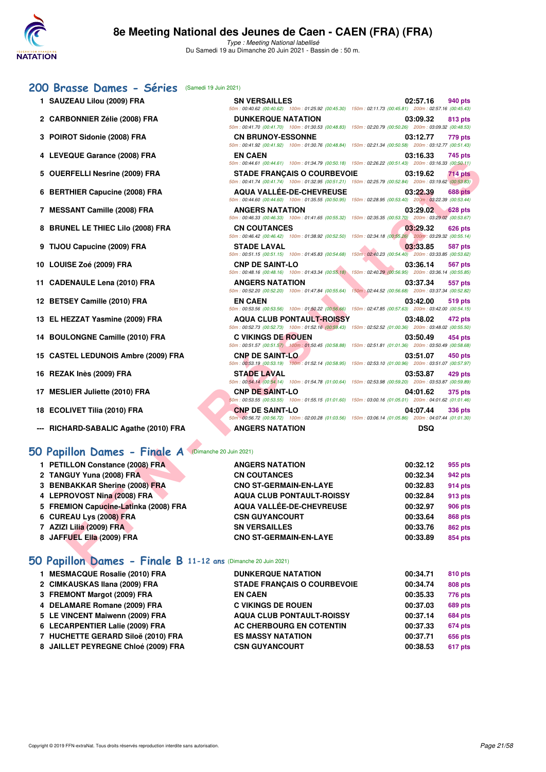

50m : 00:40.62 (00:40.62) 100m : 01:25.92 (00:45.30) 150m : 02:11.73 (00:45.81) 200m : 02:57.16 (00:45.43)

50m : 00:41.70 (00:41.70) 100m : 01:30.53 (00:48.83) 150m : 02:20.79 (00:50.26) 200m : 03:09.32 (00:48.53)

50m : 00:41.92 (00:41.92) 100m : 01:30.76 (00:48.84) 150m : 02:21.34 (00:50.58) 200m : 03:12.77 (00:51.43)

#### **[200 Brasse Dames - Séries](http://www.ffnatation.fr/webffn/resultats.php?idact=nat&go=epr&idcpt=70045&idepr=23)** (Samedi 19 Juin 2021)

- **1 SAUZEAU Lilou (2009) FRA SN VERSAILLES 02:57.16 940 pts**
- **2 CARBONNIER Zélie (2008) FRA DUNKERQUE NATATION 03:09.32 813 pts**
- **3 POIROT Sidonie (2008) FRA CN BRUNOY-ESSONNE 03:12.77 779 pts**
- **4 LEVEQUE Garance (2008) FRA EN CAEN 03:16.33 745 pts**
- **5 OUERFELLI Nesrine (2009) FRA STADE FRANÇAIS O COURBEVOIE 03:19.62 714 pts**
- **6 BERTHIER Capucine (2008) FRA AQUA VALLÉE-DE-CHEVREUSE 03:22.39 688 pts**
- **7 MESSANT Camille (2008) FRA ANGERS NATATION 03:29.02 628 pts**
- **8 BRUNEL LE THIEC Lilo (2008) FRA CN COUTANCES 03:29.32 626 pts**
- **9 TIJOU Capucine (2009) FRA STADE LAVAL 03:33.85 587 pts**
- **10 LOUISE Zoé (2009) FRA CNP DE SAINT-LO 03:36.14 567 pts**
- **11 CADENAULE Lena (2010) FRA ANGERS NATATION 03:37.34 557 pts**
- **12 BETSEY Camille (2010) FRA EN CAEN 03:42.00 519 pts**
- **13 EL HEZZAT Yasmine (2009) FRA AQUA CLUB PONTAULT-ROISSY 03:48.02 472 pts**
- **14 BOULONGNE Camille (2010) FRA C VIKINGS DE ROUEN 03:50.49 454 pts**
- **15 CASTEL LEDUNOIS Ambre (2009) FRA CNP DE SAINT-LO 03:51.07 450 pts**
- **16 REZAK Inès (2009) FRA STADE LAVAL 03:53.87 429 pts**
- **17 MESLIER Juliette (2010) FRA CNP DE SAINT-LO 04:01.62 375 pts**
- **18 ECOLIVET Tilia (2010) FRA CNP DE SAINT-LO 04:07.44 336 pts**
- **--- RICHARD-SABALIC Agathe (2010) FRA ANGERS NATATION DSQ**

## **[50 Papillon Dames - Finale A](http://www.ffnatation.fr/webffn/resultats.php?idact=nat&go=epr&idcpt=70045&idepr=31)** (Dimanche 20 Juin 2021)

|                                                             | 50m: 00:44.61 (00:44.61) 100m: 01:34.79 (00:50.18) 150m: 02:26.22 (00:51.43) 200m: 03:16.33 (00:50.11)                                        |                            |
|-------------------------------------------------------------|-----------------------------------------------------------------------------------------------------------------------------------------------|----------------------------|
| 5 OUERFELLI Nesrine (2009) FRA                              | <b>STADE FRANCAIS O COURBEVOIE</b>                                                                                                            | 03:19.62<br><b>714 pts</b> |
|                                                             | 50m: 00:41.74 (00:41.74) 100m: 01:32.95 (00:51.21) 150m: 02:25.79 (00:52.84) 200m: 03:19.62 (00:53.83)                                        |                            |
| 6 BERTHIER Capucine (2008) FRA                              | <b>AQUA VALLÉE-DE-CHEVREUSE</b><br>50m : 00:44.60 (00:44.60) 100m : 01:35.55 (00:50.95) 150m : 02:28.95 (00:53.40) 200m : 03:22.39 (00:53.44) | <b>688 pts</b><br>03:22.39 |
| 7 MESSANT Camille (2008) FRA                                | <b>ANGERS NATATION</b>                                                                                                                        | 03:29.02<br>628 pts        |
|                                                             | 50m : 00:46.33 (00:46.33) 100m : 01:41.65 (00:55.32) 150m : 02:35.35 (00:53.70) 200m : 03:29.02 (00:53.67)                                    |                            |
| 8 BRUNEL LE THIEC Lilo (2008) FRA                           | <b>CN COUTANCES</b>                                                                                                                           | 03:29.32<br>626 pts        |
|                                                             | 50m: 00:46.42 (00:46.42) 100m: 01:38.92 (00:52.50) 150m: 02:34.18 (00:55.26) 200m: 03:29.32 (00:55.14)                                        |                            |
| 9 TIJOU Capucine (2009) FRA                                 | <b>STADE LAVAL</b><br>50m: 00:51.15 (00:51.15) 100m: 01:45.83 (00:54.68) 150m: 02:40.23 (00:54.40) 200m: 03:33.85 (00:53.62)                  | 03:33.85<br><b>587 pts</b> |
| 10 LOUISE Zoé (2009) FRA                                    | <b>CNP DE SAINT-LO</b>                                                                                                                        | 03:36.14<br>567 pts        |
|                                                             | 50m : 00:48.16 (00:48.16) 100m : 01:43.34 (00:55.18) 150m : 02:40.29 (00:56.95) 200m : 03:36.14 (00:55.85)                                    |                            |
| 11 CADENAULE Lena (2010) FRA                                | <b>ANGERS NATATION</b>                                                                                                                        | 03:37.34<br>557 pts        |
|                                                             | 50m : 00:52.20 (00:52.20) 100m : 01:47.84 (00:55.64) 150m : 02:44.52 (00:56.68) 200m : 03:37.34 (00:52.82)                                    |                            |
| 12 BETSEY Camille (2010) FRA                                | <b>EN CAEN</b><br>50m: 00:53.56 (00:53.56) 100m: 01:50.22 (00:56.66) 150m: 02:47.85 (00:57.63) 200m: 03:42.00 (00:54.15)                      | 03:42.00<br>519 pts        |
| 13 EL HEZZAT Yasmine (2009) FRA                             | <b>AQUA CLUB PONTAULT-ROISSY</b>                                                                                                              | 03:48.02<br>472 pts        |
|                                                             | 50m: 00:52.73 (00:52.73) 100m: 01:52.16 (00:59.43) 150m: 02:52.52 (01:00.36) 200m: 03:48.02 (00:55.50)                                        |                            |
| 14 BOULONGNE Camille (2010) FRA                             | <b>C VIKINGS DE ROUEN</b>                                                                                                                     | 03:50.49<br>454 pts        |
|                                                             | 50m : 00:51.57 (00:51.57) 100m : 01:50.45 (00:58.88) 150m : 02:51.81 (01:01.36) 200m : 03:50.49 (00:58.68)                                    |                            |
| 15 CASTEL LEDUNOIS Ambre (2009) FRA                         | <b>CNP DE SAINT-LO</b>                                                                                                                        | 03:51.07<br>450 pts        |
|                                                             | 50m: 00:53.19 (00:53.19) 100m: 01:52.14 (00:58.95) 150m: 02:53.10 (01:00.96) 200m: 03:51.07 (00:57.97)                                        |                            |
| 16 REZAK Inès (2009) FRA                                    | <b>STADE LAVAL</b><br>50m: 00:54.14 (00:54.14) 100m: 01:54.78 (01:00.64) 150m: 02:53.98 (00:59.20) 200m: 03:53.87 (00:59.89)                  | 03:53.87<br>429 pts        |
| 17 MESLIER Juliette (2010) FRA                              | <b>CNP DE SAINT-LO</b>                                                                                                                        | 04:01.62<br>375 pts        |
|                                                             | 50m: 00:53.55 (00:53.55) 100m: 01:55.15 (01:01.60) 150m: 03:00.16 (01:05.01) 200m: 04:01.62 (01:01.46)                                        |                            |
| 18 ECOLIVET Tilia (2010) FRA                                | <b>CNP DE SAINT-LO</b>                                                                                                                        | 04:07.44<br>336 pts        |
|                                                             | 50m : 00:56.72 (00:56.72) 100m : 02:00.28 (01:03.56) 150m : 03:06.14 (01:05.86) 200m : 04:07.44 (01:01.30)                                    |                            |
| --- RICHARD-SABALIC Agathe (2010) FRA                       | <b>ANGERS NATATION</b>                                                                                                                        | <b>DSQ</b>                 |
|                                                             |                                                                                                                                               |                            |
| <b>iO Papillon Dames - Finale A</b> (Dimanche 20 Juin 2021) |                                                                                                                                               |                            |
| 1 PETILLON Constance (2008) FRA                             | <b>ANGERS NATATION</b>                                                                                                                        | 00:32.12<br>955 pts        |
| 2 TANGUY Yuna (2008) FRA                                    | <b>CN COUTANCES</b>                                                                                                                           | 00:32.34<br>942 pts        |
| 3 BENBAKKAR Sherine (2008) FRA                              | <b>CNO ST-GERMAIN-EN-LAYE</b>                                                                                                                 | 00:32.83<br>914 pts        |
| 4 LEPROVOST Nina (2008) FRA                                 | <b>AQUA CLUB PONTAULT-ROISSY</b>                                                                                                              | 00:32.84<br>913 pts        |
|                                                             | <b>AQUA VALLÉE-DE-CHEVREUSE</b>                                                                                                               | 00:32.97<br><b>906 pts</b> |
| 5 FREMION Capucine-Latinka (2008) FRA                       |                                                                                                                                               |                            |
| 6 CUREAU Lys (2008) FRA                                     | <b>CSN GUYANCOURT</b>                                                                                                                         | 00:33.64<br><b>868 pts</b> |
| 7 AZIZI Lilia (2009) FRA                                    | <b>SN VERSAILLES</b>                                                                                                                          | 00:33.76<br><b>862 pts</b> |
| 8 JAFFUEL Ella (2009) FRA                                   | <b>CNO ST-GERMAIN-EN-LAYE</b>                                                                                                                 | 00:33.89<br>854 pts        |

## **[50 Papillon Dames - Finale B](http://www.ffnatation.fr/webffn/resultats.php?idact=nat&go=epr&idcpt=70045&idepr=31) 11-12 ans** (Dimanche 20 Juin 2021)

| <b>DUNKERQUE NATATION</b>                                                                                                                                                                                                                                                         | 00:34.71 | 810 pts        |
|-----------------------------------------------------------------------------------------------------------------------------------------------------------------------------------------------------------------------------------------------------------------------------------|----------|----------------|
| <b>STADE FRANCAIS O COURBEVOIE</b>                                                                                                                                                                                                                                                | 00:34.74 | <b>808 pts</b> |
| <b>EN CAEN</b>                                                                                                                                                                                                                                                                    | 00:35.33 | 776 pts        |
| <b>C VIKINGS DE ROUEN</b>                                                                                                                                                                                                                                                         | 00:37.03 | <b>689 pts</b> |
| <b>AQUA CLUB PONTAULT-ROISSY</b>                                                                                                                                                                                                                                                  | 00:37.14 | <b>684 pts</b> |
| AC CHERBOURG EN COTENTIN                                                                                                                                                                                                                                                          | 00:37.33 | <b>674 pts</b> |
| <b>ES MASSY NATATION</b>                                                                                                                                                                                                                                                          | 00:37.71 | <b>656 pts</b> |
| <b>CSN GUYANCOURT</b>                                                                                                                                                                                                                                                             | 00:38.53 | 617 pts        |
| 1 MESMACQUE Rosalie (2010) FRA<br>2 CIMKAUSKAS Ilana (2009) FRA<br>3 FREMONT Margot (2009) FRA<br>4 DELAMARE Romane (2009) FRA<br>5 LE VINCENT Maiwenn (2009) FRA<br>6 LECARPENTIER Lalie (2009) FRA<br>7 HUCHETTE GERARD Siloë (2010) FRA<br>8 JAILLET PEYREGNE Chloé (2009) FRA |          |                |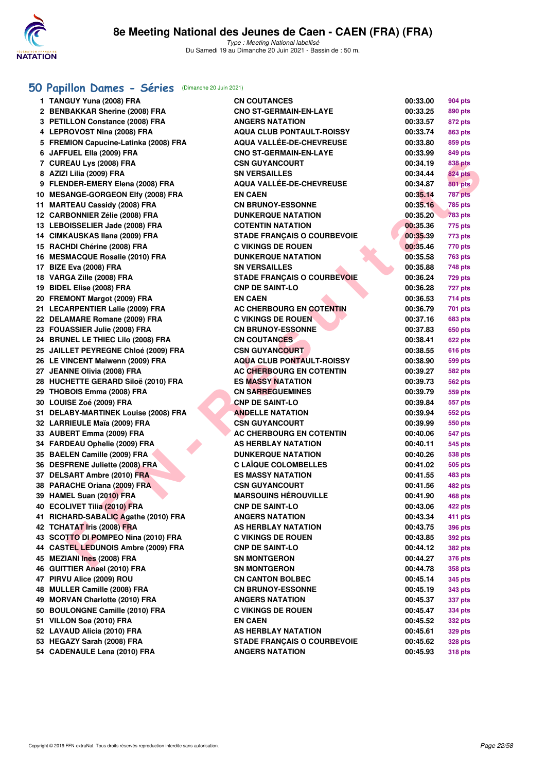

# **[50 Papillon Dames - Séries](http://www.ffnatation.fr/webffn/resultats.php?idact=nat&go=epr&idcpt=70045&idepr=31)** (Dimanche 20 Juin 2021)

| 1 TANGUY Yuna (2008) FRA              | <b>CN COUTANCES</b>                | 00:33.00 | <b>904 pts</b> |
|---------------------------------------|------------------------------------|----------|----------------|
| 2 BENBAKKAR Sherine (2008) FRA        | <b>CNO ST-GERMAIN-EN-LAYE</b>      | 00:33.25 | 890 pts        |
| 3 PETILLON Constance (2008) FRA       | <b>ANGERS NATATION</b>             | 00:33.57 | 872 pts        |
| 4 LEPROVOST Nina (2008) FRA           | <b>AQUA CLUB PONTAULT-ROISSY</b>   | 00:33.74 | 863 pts        |
| 5 FREMION Capucine-Latinka (2008) FRA | <b>AQUA VALLÉE-DE-CHEVREUSE</b>    | 00:33.80 | 859 pts        |
| 6 JAFFUEL Ella (2009) FRA             | <b>CNO ST-GERMAIN-EN-LAYE</b>      | 00:33.99 | 849 pts        |
| 7 CUREAU Lys (2008) FRA               | <b>CSN GUYANCOURT</b>              | 00:34.19 | 838 pts        |
| 8 AZIZI Lilia (2009) FRA              | <b>SN VERSAILLES</b>               | 00:34.44 | <b>824 pts</b> |
| 9 FLENDER-EMERY Elena (2008) FRA      | <b>AQUA VALLÉE-DE-CHEVREUSE</b>    | 00:34.87 | <b>801 pts</b> |
| 10 MESANGE-GORGEON Elfy (2008) FRA    | <b>EN CAEN</b>                     | 00:35.14 | 787 pts        |
| 11 MARTEAU Cassidy (2008) FRA         | <b>CN BRUNOY-ESSONNE</b>           | 00:35.16 | 785 pts        |
| 12 CARBONNIER Zélie (2008) FRA        | <b>DUNKERQUE NATATION</b>          | 00:35.20 | <b>783 pts</b> |
| 13 LEBOISSELIER Jade (2008) FRA       | <b>COTENTIN NATATION</b>           | 00:35.36 | 775 pts        |
| 14 CIMKAUSKAS Ilana (2009) FRA        | <b>STADE FRANÇAIS O COURBEVOIE</b> | 00:35.39 | 773 pts        |
| 15 RACHDI Chérine (2008) FRA          | <b>C VIKINGS DE ROUEN</b>          | 00:35.46 | 770 pts        |
| 16 MESMACQUE Rosalie (2010) FRA       | <b>DUNKERQUE NATATION</b>          | 00:35.58 | <b>763 pts</b> |
| 17 BIZE Eva (2008) FRA                | <b>SN VERSAILLES</b>               | 00:35.88 | <b>748 pts</b> |
| 18 VARGA Zille (2008) FRA             | <b>STADE FRANÇAIS O COURBEVOIE</b> | 00:36.24 | 729 pts        |
| 19 BIDEL Elise (2008) FRA             | <b>CNP DE SAINT-LO</b>             | 00:36.28 | 727 pts        |
| 20 FREMONT Margot (2009) FRA          | <b>EN CAEN</b>                     | 00:36.53 | 714 pts        |
| 21 LECARPENTIER Lalie (2009) FRA      | AC CHERBOURG EN COTENTIN           | 00:36.79 | 701 pts        |
| 22 DELAMARE Romane (2009) FRA         | <b>C VIKINGS DE ROUEN</b>          | 00:37.16 | 683 pts        |
| 23 FOUASSIER Julie (2008) FRA         | <b>CN BRUNOY-ESSONNE</b>           | 00:37.83 | 650 pts        |
| 24 BRUNEL LE THIEC Lilo (2008) FRA    | <b>CN COUTANCES</b>                | 00:38.41 | 622 pts        |
| 25 JAILLET PEYREGNE Chloé (2009) FRA  | <b>CSN GUYANCOURT</b>              | 00:38.55 | 616 pts        |
| 26 LE VINCENT Maiwenn (2009) FRA      | AQUA CLUB PONTAULT-ROISSY          | 00:38.90 | <b>599 pts</b> |
| 27 JEANNE Olivia (2008) FRA           | <b>AC CHERBOURG EN COTENTIN</b>    | 00:39.27 | 582 pts        |
| 28 HUCHETTE GERARD Siloë (2010) FRA   | <b>ES MASSY NATATION</b>           | 00:39.73 | 562 pts        |
| 29 THOBOIS Emma (2008) FRA            | <b>CN SARREGUEMINES</b>            | 00:39.79 | 559 pts        |
| 30 LOUISE Zoé (2009) FRA              | <b>CNP DE SAINT-LO</b>             | 00:39.84 | 557 pts        |
| 31 DELABY-MARTINEK Louise (2008) FRA  | <b>ANDELLE NATATION</b>            | 00:39.94 | 552 pts        |
| 32 LARRIEULE Maïa (2009) FRA          | <b>CSN GUYANCOURT</b>              | 00:39.99 | 550 pts        |
| 33 AUBERT Emma (2009) FRA             | <b>AC CHERBOURG EN COTENTIN</b>    | 00:40.06 | 547 pts        |
| 34 FARDEAU Ophelie (2009) FRA         | AS HERBLAY NATATION                | 00:40.11 | 545 pts        |
| 35 BAELEN Camille (2009) FRA          | <b>DUNKERQUE NATATION</b>          | 00:40.26 | 538 pts        |
| 36 DESFRENE Juliette (2008) FRA       | <b>C LAÏQUE COLOMBELLES</b>        | 00:41.02 | <b>505 pts</b> |
| 37 DELSART Ambre (2010) FRA           | <b>ES MASSY NATATION</b>           | 00:41.55 | 483 pts        |
| 38 PARACHE Oriana (2009) FRA          | <b>CSN GUYANCOURT</b>              | 00:41.56 | <b>482 pts</b> |
| 39 HAMEL Suan (2010) FRA              | <b>MARSOUINS HÉROUVILLE</b>        | 00:41.90 | 468 pts        |
| 40 ECOLIVET Tilia (2010) FRA          | <b>CNP DE SAINT-LO</b>             | 00:43.06 | <b>422 pts</b> |
| 41 RICHARD-SABALIC Agathe (2010) FRA  | <b>ANGERS NATATION</b>             | 00:43.34 | 411 pts        |
| 42 TCHATAT Iris (2008) FRA            | AS HERBLAY NATATION                | 00:43.75 | 396 pts        |
| 43 SCOTTO DI POMPEO Nina (2010) FRA   | <b>C VIKINGS DE ROUEN</b>          | 00:43.85 | 392 pts        |
| 44 CASTEL LEDUNOIS Ambre (2009) FRA   | <b>CNP DE SAINT-LO</b>             | 00:44.12 | 382 pts        |
| 45 MEZIANI Ines (2008) FRA            | SN MONTGERON                       | 00:44.27 | 376 pts        |
| 46 GUITTIER Anael (2010) FRA          | SN MONTGERON                       | 00:44.78 | 358 pts        |
| 47 PIRVU Alice (2009) ROU             | <b>CN CANTON BOLBEC</b>            | 00:45.14 | 345 pts        |
| 48 MULLER Camille (2008) FRA          | <b>CN BRUNOY-ESSONNE</b>           | 00:45.19 | 343 pts        |
| 49 MORVAN Charlotte (2010) FRA        | <b>ANGERS NATATION</b>             | 00:45.37 | 337 pts        |
| 50 BOULONGNE Camille (2010) FRA       | <b>C VIKINGS DE ROUEN</b>          | 00:45.47 | 334 pts        |
| 51 VILLON Soa (2010) FRA              | <b>EN CAEN</b>                     | 00:45.52 | 332 pts        |
| 52 LAVAUD Alicia (2010) FRA           | <b>AS HERBLAY NATATION</b>         | 00:45.61 | 329 pts        |
| 53 HEGAZY Sarah (2008) FRA            | <b>STADE FRANÇAIS O COURBEVOIE</b> | 00:45.62 | 328 pts        |
| 54 CADENAULE Lena (2010) FRA          | <b>ANGERS NATATION</b>             | 00:45.93 | <b>318 pts</b> |
|                                       |                                    |          |                |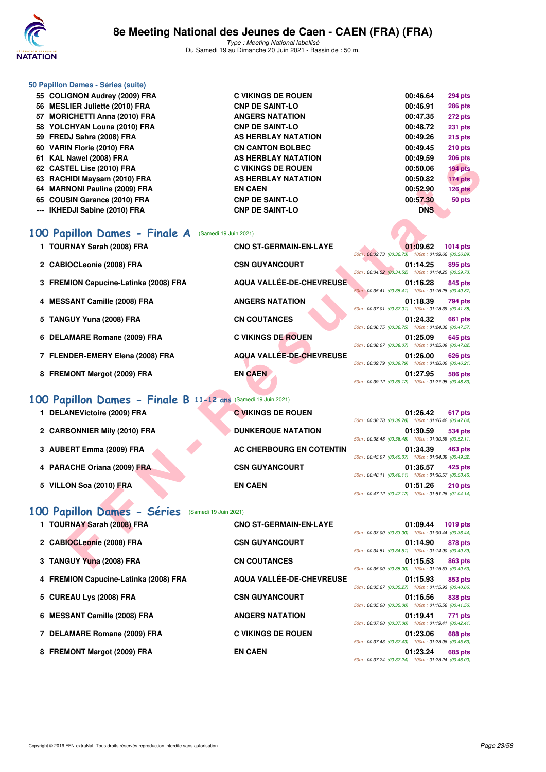

|     | 50 Papillon Dames - Séries (suite) |                           |                            |
|-----|------------------------------------|---------------------------|----------------------------|
|     | 55 COLIGNON Audrey (2009) FRA      | <b>C VIKINGS DE ROUEN</b> | 00:46.64<br><b>294 pts</b> |
| 56. | <b>MESLIER Juliette (2010) FRA</b> | <b>CNP DE SAINT-LO</b>    | 00:46.91<br><b>286 pts</b> |
| 57  | <b>MORICHETTI Anna (2010) FRA</b>  | <b>ANGERS NATATION</b>    | 00:47.35<br><b>272 pts</b> |
| 58. | YOLCHYAN Louna (2010) FRA          | <b>CNP DE SAINT-LO</b>    | 00:48.72<br><b>231 pts</b> |
|     | 59 FREDJ Sahra (2008) FRA          | AS HERBLAY NATATION       | 00:49.26<br><b>215 pts</b> |
| 60  | VARIN Florie (2010) FRA            | <b>CN CANTON BOLBEC</b>   | 00:49.45<br><b>210 pts</b> |
| 61  | KAL Nawel (2008) FRA               | AS HERBLAY NATATION       | 00:49.59<br><b>206 pts</b> |
|     | 62 CASTEL Lise (2010) FRA          | <b>C VIKINGS DE ROUEN</b> | <b>194 pts</b><br>00:50.06 |
| 63  | RACHIDI Maysam (2010) FRA          | AS HERBLAY NATATION       | 00:50.82<br>174 pts        |
| 64  | <b>MARNONI Pauline (2009) FRA</b>  | <b>EN CAEN</b>            | 00:52.90<br>126 pts        |
| 65. | <b>COUSIN Garance (2010) FRA</b>   | <b>CNP DE SAINT-LO</b>    | 00:57.30<br>50 pts         |
| --- | IKHEDJI Sabine (2010) FRA          | <b>CNP DE SAINT-LO</b>    | <b>DNS</b>                 |
|     |                                    |                           |                            |

# **[100 Papillon Dames - Finale A](http://www.ffnatation.fr/webffn/resultats.php?idact=nat&go=epr&idcpt=70045&idepr=32)** (Samedi 19 Juin 2021)

| 62 CASTEL Lise (2010) FRA             | <b>C VIKINGS DE ROUEN</b>       | 00:50.06<br>194 pts                                                                                            |
|---------------------------------------|---------------------------------|----------------------------------------------------------------------------------------------------------------|
| 63 RACHIDI Maysam (2010) FRA          | <b>AS HERBLAY NATATION</b>      | 00:50.82<br>174 pts                                                                                            |
| 64 MARNONI Pauline (2009) FRA         | <b>EN CAEN</b>                  | 00:52.90<br>126 pts                                                                                            |
| 65 COUSIN Garance (2010) FRA          | <b>CNP DE SAINT-LO</b>          | 00:57.30<br>50 pts                                                                                             |
| --- IKHEDJI Sabine (2010) FRA         | <b>CNP DE SAINT-LO</b>          | <b>DNS</b>                                                                                                     |
| 00 Papillon Dames - Finale A          |                                 |                                                                                                                |
| 1 TOURNAY Sarah (2008) FRA            | <b>CNO ST-GERMAIN-EN-LAYE</b>   | 01:09.62<br><b>1014 pts</b><br>50m: 00:32.73 (00:32.73) 100m: 01:09.62 (00:36.89)                              |
| 2 CABIOCLeonie (2008) FRA             | <b>CSN GUYANCOURT</b>           | 01:14.25<br>895 pts<br>50m: 00:34.52 (00:34.52) 100m: 01:14.25 (00:39.73)                                      |
| 3 FREMION Capucine-Latinka (2008) FRA | AQUA VALLÉE-DE-CHEVREUSE        | 01:16.28<br>845 pts<br>50m: 00:35.41 (00:35.41) 100m: 01:16.28 (00:40.87)                                      |
| 4 MESSANT Camille (2008) FRA          | <b>ANGERS NATATION</b>          | 01:18.39<br><b>794 pts</b><br>50m: 00:37.01 (00:37.01) 100m: 01:18.39 (00:41.38)                               |
| 5 TANGUY Yuna (2008) FRA              | <b>CN COUTANCES</b>             | 01:24.32<br>661 pts<br>50m: 00:36.75 (00:36.75) 100m: 01:24.32 (00:47.57)                                      |
| 6 DELAMARE Romane (2009) FRA          | <b>C VIKINGS DE ROUEN</b>       | 01:25.09<br>645 pts<br>50m: 00:38.07 (00:38.07) 100m: 01:25.09 (00:47.02)                                      |
| 7 FLENDER-EMERY Elena (2008) FRA      | AQUA VALLÉE-DE-CHEVREUSE        | 01:26.00<br>626 pts<br>50m: 00:39.79 (00:39.79) 100m: 01:26.00 (00:46.21)                                      |
| 8 FREMONT Margot (2009) FRA           | <b>EN CAEN</b>                  | 01:27.95<br><b>586 pts</b><br>50m: 00:39.12 (00:39.12) 100m: 01:27.95 (00:48.83)                               |
|                                       |                                 |                                                                                                                |
| 1 DELANEVictoire (2009) FRA           | <b>C VIKINGS DE ROUEN</b>       | 01:26.42<br>617 pts<br>50m: 00:38.78 (00:38.78) 100m: 01:26.42 (00:47.64)                                      |
| 2 CARBONNIER Mily (2010) FRA          | <b>DUNKERQUE NATATION</b>       | 01:30.59<br>534 pts<br>50m: 00:38.48 (00:38.48) 100m: 01:30.59 (00:52.11)                                      |
| 3 AUBERT Emma (2009) FRA              | <b>AC CHERBOURG EN COTENTIN</b> | 01:34.39<br>463 pts<br>50m: 00:45.07 (00:45.07) 100m: 01:34.39 (00:49.32)                                      |
| 4 PARACHE Oriana (2009) FRA           | <b>CSN GUYANCOURT</b>           | 425 pts<br>01:36.57<br>50m: 00:46.11 (00:46.11) 100m: 01:36.57 (00:50.46)                                      |
| 5 VILLON Soa (2010) FRA               | <b>EN CAEN</b>                  | 01:51.26<br>$210$ pts<br>50m: 00:47.12 (00:47.12) 100m: 01:51.26 (01:04.14)                                    |
| 00 Papillon Dames - Séries            |                                 |                                                                                                                |
| 1 TOURNAY Sarah (2008) FRA            | <b>CNO ST-GERMAIN-EN-LAYE</b>   | 01:09.44<br><b>1019 pts</b><br>50m: 00:33.00 (00:33.00) 100m: 01:09.44 (00:36.44)                              |
| 2 CABIOCLeonie (2008) FRA             | <b>CSN GUYANCOURT</b>           | 01:14.90<br>878 pts<br>50m: 00:34.51 (00:34.51) 100m: 01:14.90 (00:40.39)                                      |
| 3 TANGUY Yuna (2008) FRA              | <b>CN COUTANCES</b>             | 01:15.53<br>863 pts                                                                                            |
|                                       |                                 | (Samedi 19 Juin 2021)<br>00 Papillon Dames - Finale B 11-12 ans (Samedi 19 Juin 2021)<br>(Samedi 19 Juin 2021) |

## **[100 Papillon Dames - Finale B](http://www.ffnatation.fr/webffn/resultats.php?idact=nat&go=epr&idcpt=70045&idepr=32) 11-12 ans** (Samedi 19 Juin 2021)

| DELANEVictoire (2009) FRA    | <b>C VIKINGS DE ROUEN</b> |                                                                                                        | 01:26.42 | 617 pts   |
|------------------------------|---------------------------|--------------------------------------------------------------------------------------------------------|----------|-----------|
| 2 CARBONNIER Mily (2010) FRA | <b>DUNKERQUE NATATION</b> | 50m: 00:38.78 (00:38.78) 100m: 01:26.42 (00:47.64                                                      | 01:30.59 | 534 pts   |
| 3 AUBERT Emma (2009) FRA     | AC CHERBOURG EN COTENTIN  | 50m: 00:38.48 (00:38.48) 100m: 01:30.59 (00:52.11<br>50m: 00:45.07 (00:45.07) 100m: 01:34.39 (00:49.32 | 01:34.39 | 463 pts   |
| 4 PARACHE Oriana (2009) FRA  | <b>CSN GUYANCOURT</b>     | 50m: 00:46.11 (00:46.11) 100m: 01:36.57 (00:50.46)                                                     | 01:36.57 | 425 pts   |
| 5 VILLON Soa (2010) FRA      | <b>EN CAEN</b>            |                                                                                                        | 01:51.26 | $210$ pts |

|  | 01:26.42 617 pts<br>50m: 00:38.78 (00:38.78) 100m: 01:26.42 (00:47.64) |  |
|--|------------------------------------------------------------------------|--|
|  | 01:30.59 534 pts<br>50m: 00:38.48 (00:38.48) 100m: 01:30.59 (00:52.11) |  |
|  | 01:34.39 463 pts<br>50m: 00:45.07 (00:45.07) 100m: 01:34.39 (00:49.32) |  |
|  | 01:36.57 425 pts<br>50m: 00:46.11 (00:46.11) 100m: 01:36.57 (00:50.46) |  |
|  | 01:51.26 210 pts<br>50m: 00:47.12 (00:47.12) 100m: 01:51.26 (01:04.14) |  |

# **[100 Papillon Dames - Séries](http://www.ffnatation.fr/webffn/resultats.php?idact=nat&go=epr&idcpt=70045&idepr=32)** (Samedi 19 Juin 2021)

| 50m: 00:33.00 (00:33.00) 100m: 01:09.44 (00:36.44<br>2 CABIOCLeonie (2008) FRA<br><b>CSN GUYANCOURT</b><br>01:14.90<br>50m: 00:34.51 (00:34.51) 100m: 01:14.90 (00:40.39<br><b>CN COUTANCES</b><br>3 TANGUY Yuna (2008) FRA<br>01:15.53<br>50m: 00:35.00 (00:35.00) 100m: 01:15.53 (00:40.53<br>AQUA VALLÉE-DE-CHEVREUSE<br>4 FREMION Capucine-Latinka (2008) FRA<br>01:15.93<br>50m: 00:35.27 (00:35.27) 100m: 01:15.93 (00:40.66<br>5 CUREAU Lys (2008) FRA<br><b>CSN GUYANCOURT</b><br>01:16.56<br>50m: 00:35.00 (00:35.00) 100m: 01:16.56 (00:41.56<br>6 MESSANT Camille (2008) FRA<br><b>ANGERS NATATION</b><br>01:19.41<br>50m: 00:37.00 (00:37.00) 100m: 01:19.41 (00:42.41<br>7 DELAMARE Romane (2009) FRA<br><b>C VIKINGS DE ROUEN</b><br>01:23.06<br>50m: 00:37.43 (00:37.43) 100m: 01:23.06 (00:45.63<br>8 FREMONT Margot (2009) FRA<br><b>EN CAEN</b><br>01:23.24 | 1 TOURNAY Sarah (2008) FRA | <b>CNO ST-GERMAIN-EN-LAYE</b> | 01:09.44 | 1019 pts       |
|-------------------------------------------------------------------------------------------------------------------------------------------------------------------------------------------------------------------------------------------------------------------------------------------------------------------------------------------------------------------------------------------------------------------------------------------------------------------------------------------------------------------------------------------------------------------------------------------------------------------------------------------------------------------------------------------------------------------------------------------------------------------------------------------------------------------------------------------------------------------------------|----------------------------|-------------------------------|----------|----------------|
|                                                                                                                                                                                                                                                                                                                                                                                                                                                                                                                                                                                                                                                                                                                                                                                                                                                                               |                            |                               |          | 878 pts        |
|                                                                                                                                                                                                                                                                                                                                                                                                                                                                                                                                                                                                                                                                                                                                                                                                                                                                               |                            |                               |          | 863 pts        |
|                                                                                                                                                                                                                                                                                                                                                                                                                                                                                                                                                                                                                                                                                                                                                                                                                                                                               |                            |                               |          | 853 pts        |
|                                                                                                                                                                                                                                                                                                                                                                                                                                                                                                                                                                                                                                                                                                                                                                                                                                                                               |                            |                               |          | 838 pts        |
|                                                                                                                                                                                                                                                                                                                                                                                                                                                                                                                                                                                                                                                                                                                                                                                                                                                                               |                            |                               |          | 771 pts        |
|                                                                                                                                                                                                                                                                                                                                                                                                                                                                                                                                                                                                                                                                                                                                                                                                                                                                               |                            |                               |          | <b>688 pts</b> |
|                                                                                                                                                                                                                                                                                                                                                                                                                                                                                                                                                                                                                                                                                                                                                                                                                                                                               |                            |                               |          | 685 pts        |

|  |                                                                        | כוס כו טו ++ כטוס |
|--|------------------------------------------------------------------------|-------------------|
|  | 50m: 00:33.00 (00:33.00) 100m: 01:09.44 (00:36.44)                     |                   |
|  | 01:14.90 878 pts                                                       |                   |
|  | 50m: 00:34.51 (00:34.51) 100m: 01:14.90 (00:40.39)                     |                   |
|  | 01:15.53 863 pts                                                       |                   |
|  | 50m: 00:35.00 (00:35.00) 100m: 01:15.53 (00:40.53)                     |                   |
|  | 01:15.93 853 pts                                                       |                   |
|  | 50m: 00:35.27 (00:35.27) 100m: 01:15.93 (00:40.66)                     |                   |
|  | 01:16.56 838 pts                                                       |                   |
|  | 50m: 00:35.00 (00:35.00) 100m: 01:16.56 (00:41.56)                     |                   |
|  |                                                                        |                   |
|  |                                                                        |                   |
|  | 01:19.41 771 pts<br>50m: 00:37.00 (00:37.00) 100m: 01:19.41 (00:42.41) |                   |
|  |                                                                        |                   |
|  | 01:23.06 688 pts<br>50m: 00:37.43 (00:37.43) 100m: 01:23.06 (00:45.63) |                   |
|  | 01:23.24 685 pts                                                       |                   |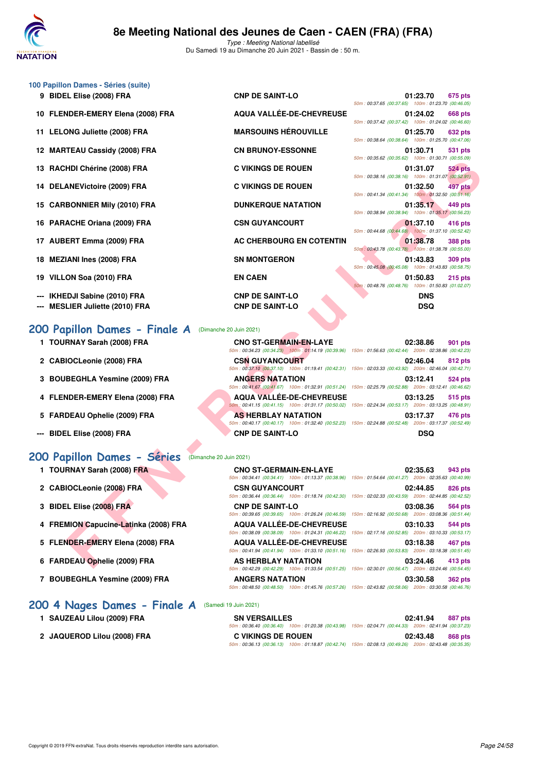

| 100 Papillon Dames - Séries (suite)                             |                                                  |                                                                                                                                                                                                                                             |
|-----------------------------------------------------------------|--------------------------------------------------|---------------------------------------------------------------------------------------------------------------------------------------------------------------------------------------------------------------------------------------------|
| 9 BIDEL Elise (2008) FRA                                        | <b>CNP DE SAINT-LO</b>                           | 01:23.70<br>675 pts<br>50m: 00:37.65 (00:37.65) 100m: 01:23.70 (00:46.05)                                                                                                                                                                   |
| 10 FLENDER-EMERY Elena (2008) FRA                               | AQUA VALLÉE-DE-CHEVREUSE                         | 01:24.02<br>668 pts<br>50m: 00:37.42 (00:37.42) 100m: 01:24.02 (00:46.60)                                                                                                                                                                   |
| 11 LELONG Juliette (2008) FRA                                   | <b>MARSOUINS HÉROUVILLE</b>                      | 01:25.70<br>632 pts<br>50m: 00:38.64 (00:38.64) 100m: 01:25.70 (00:47.06)                                                                                                                                                                   |
| 12 MARTEAU Cassidy (2008) FRA                                   | <b>CN BRUNOY-ESSONNE</b>                         | 01:30.71<br>531 pts                                                                                                                                                                                                                         |
| 13 RACHDI Chérine (2008) FRA                                    | <b>C VIKINGS DE ROUEN</b>                        | 50m: 00:35.62 (00:35.62) 100m: 01:30.71 (00:55.09)<br>01:31.07<br><b>524 pts</b><br>50m: 00:38.16 (00:38.16) 100m: 01:31.07 (00:52.91)                                                                                                      |
| 14 DELANEVictoire (2009) FRA                                    | <b>C VIKINGS DE ROUEN</b>                        | 497 pts<br>01:32.50                                                                                                                                                                                                                         |
| 15 CARBONNIER Mily (2010) FRA                                   | <b>DUNKERQUE NATATION</b>                        | 50m: 00:41.34 (00:41.34) 100m: 01:32.50 (00:51.16)<br>01:35.17<br>449 pts                                                                                                                                                                   |
| 16 PARACHE Oriana (2009) FRA                                    | <b>CSN GUYANCOURT</b>                            | 50m: 00:38.94 (00:38.94) 100m: 01:35.17 (00:56.23)<br>01:37.10<br>416 pts                                                                                                                                                                   |
| 17 AUBERT Emma (2009) FRA                                       | AC CHERBOURG EN COTENTIN                         | 50m: 00:44.68 (00:44.68) 100m: 01:37.10 (00:52.42)<br>01:38.78<br><b>388 pts</b>                                                                                                                                                            |
| 18 MEZIANI Ines (2008) FRA                                      | <b>SN MONTGERON</b>                              | 50m: 00:43.78 (00:43.78) 100m: 01:38.78 (00:55.00)<br>01:43.83<br><b>309 pts</b>                                                                                                                                                            |
| 19 VILLON Soa (2010) FRA                                        | <b>EN CAEN</b>                                   | 50m: 00:45.08 (00:45.08) 100m: 01:43.83 (00:58.75)<br>01:50.83<br>$215$ pts                                                                                                                                                                 |
|                                                                 |                                                  | 50m: 00:48.76 (00:48.76) 100m: 01:50.83 (01:02.07)                                                                                                                                                                                          |
| IKHEDJI Sabine (2010) FRA<br><b>MESLIER Juliette (2010) FRA</b> | <b>CNP DE SAINT-LO</b><br><b>CNP DE SAINT-LO</b> | <b>DNS</b><br><b>DSQ</b>                                                                                                                                                                                                                    |
|                                                                 |                                                  |                                                                                                                                                                                                                                             |
| 200 Papillon Dames - Finale A                                   | (Dimanche 20 Juin 2021)                          |                                                                                                                                                                                                                                             |
| 1 TOURNAY Sarah (2008) FRA                                      | <b>CNO ST-GERMAIN-EN-LAYE</b>                    | 02:38.86<br>901 pts<br>50m : 00:34.23 (00:34.23) 100m : 01:14.19 (00:39.96) 150m : 01:56.63 (00:42.44) 200m : 02:38.86 (00:42.23)                                                                                                           |
| 2 CABIOCLeonie (2008) FRA                                       | <b>CSN GUYANCOURT</b>                            | 02:46.04<br>812 pts                                                                                                                                                                                                                         |
| 3 BOUBEGHLA Yesmine (2009) FRA                                  | <b>ANGERS NATATION</b>                           | 50m: 00:37.10 (00:37.10) 100m: 01:19.41 (00:42.31) 150m: 02:03.33 (00:43.92) 200m: 02:46.04 (00:42.71)<br>03:12.41<br>524 pts                                                                                                               |
| 4 FLENDER-EMERY Elena (2008) FRA                                | <b>AQUA VALLEE-DE-CHEVREUSE</b>                  | 50m: 00:41.67 (00:41.67) 100m: 01:32.91 (00:51.24) 150m: 02:25.79 (00:52.88) 200m: 03:12.41 (00:46.62)<br>03:13.25<br>515 pts                                                                                                               |
| 5 FARDEAU Ophelie (2009) FRA                                    | <b>AS HERBLAY NATATION</b>                       | 50m; 00:41.15 (00:41.15) 100m: 01:31.17 (00:50.02) 150m: 02:24.34 (00:53.17) 200m: 03:13.25 (00:48.91)<br>03:17.37<br>476 pts                                                                                                               |
| <b>BIDEL Elise (2008) FRA</b>                                   | <b>CNP DE SAINT-LO</b>                           | 50m: 00:40.17 (00:40.17) 100m: 01:32.40 (00:52.23) 150m: 02:24.88 (00:52.48) 200m: 03:17.37 (00:52.49)<br><b>DSQ</b>                                                                                                                        |
| (Dimanche 20 Juin 2021)                                         |                                                  |                                                                                                                                                                                                                                             |
| 200 Papillon Dames - Séries<br>1 TOURNAY Sarah (2008) FRA       | <b>CNO ST-GERMAIN-EN-LAYE</b>                    | 02:35.63<br>943 pts                                                                                                                                                                                                                         |
| 2 CABIOCLeonie (2008) FRA                                       | <b>CSN GUYANCOURT</b>                            | 50m : 00:34.41 (00:34.41) 100m : 01:13.37 (00:38.96) 150m : 01:54.64 (00:41.27) 200m : 02:35.63 (00:40.99)<br>02:44.85<br>826 pts                                                                                                           |
| 3 BIDEL Elise (2008) FRA                                        | <b>CNP DE SAINT-LO</b>                           | 50m : 00:36.44 (00:36.44) 100m : 01:18.74 (00:42.30) 150m : 02:02.33 (00:43.59) 200m : 02:44.85 (00:42.52)<br>03:08.36<br>564 pts                                                                                                           |
| 4 FREMION Capucine-Latinka (2008) FRA                           | <b>AQUA VALLEE-DE-CHEVREUSE</b>                  | 50m : 00:39.65 (00:39.65) 100m : 01:26.24 (00:46.59) 150m : 02:16.92 (00:50.68) 200m : 03:08.36 (00:51.44)<br>03:10.33<br>544 pts                                                                                                           |
| 5 FLENDER-EMERY Elena (2008) FRA                                | <b>AQUA VALLEE-DE-CHEVREUSE</b>                  | 50m : 00:38.09 (00:38.09) 100m : 01:24.31 (00:46.22) 150m : 02:17.16 (00:52.85) 200m : 03:10.33 (00:53.17)<br>03:18.38<br>467 pts<br>50m: 00:41.94 (00:41.94) 100m: 01:33.10 (00:51.16) 150m: 02:26.93 (00:53.83) 200m: 03:18.38 (00:51.45) |

#### **[200 Papillon Dames - Finale A](http://www.ffnatation.fr/webffn/resultats.php?idact=nat&go=epr&idcpt=70045&idepr=33)** (Dimanche 20 Juin 2021)

- 1 TOURNAY Sarah (2008) FRA CNO ST-GERMAIN-EN-LAYE
- 2 CABIOCLeonie (2008) FRA CSN GUYANCOURT
- 3 BOUBEGHLA Yesmine (2009) FRA **ANGERS NATATION**
- 4 FLENDER-EMERY Elena (2008) FRA **AQUA VALLÉE-DE-CHEVRE**
- **5 FARDEAU Ophelie (2009) FRA AS HERBLAY NATATION**
- --- BIDEL Elise (2008) FRA **CNP DE SAINT-LO**

### **[200 Papillon Dames - Séries](http://www.ffnatation.fr/webffn/resultats.php?idact=nat&go=epr&idcpt=70045&idepr=33)** (Dimanche 20 Juin 2021)

- 1 TOURNAY Sarah (2008) FRA CNO ST-GERMAIN-EN-LA
- 2 CABIOCLeonie (2008) FRA CSN GUYANCOURT
- **3 BIDEL Elise (2008) FRA CNP DE SAINT-LO**
- 4 FREMION Capucine-Latinka (2008) FRA AQUA VALLÉE-DE-CHEVI
- 5 FLENDER-EMERY Elena (2008) FRA AQUA VALLÉE-DE-CHEVI
- 6 FARDEAU Ophelie (2009) FRA AS HERBLAY NATATION
- 7 BOUBEGHLA Yesmine (2009) FRA ANGERS NATATION

### [200 4 Nages Dames - Finale A](http://www.ffnatation.fr/webffn/resultats.php?idact=nat&go=epr&idcpt=70045&idepr=41) **(Samedi**

- 
- 

| <b>CNO ST-GERMAIN-EN-LAYE</b>   |                                                                                                          | <b>901 pts</b>                                                                                                                                                                                                                                                                                                                                                                                                                                                                                       |
|---------------------------------|----------------------------------------------------------------------------------------------------------|------------------------------------------------------------------------------------------------------------------------------------------------------------------------------------------------------------------------------------------------------------------------------------------------------------------------------------------------------------------------------------------------------------------------------------------------------------------------------------------------------|
|                                 |                                                                                                          |                                                                                                                                                                                                                                                                                                                                                                                                                                                                                                      |
| <b>CSN GUYANCOURT</b>           |                                                                                                          | 812 pts                                                                                                                                                                                                                                                                                                                                                                                                                                                                                              |
|                                 |                                                                                                          |                                                                                                                                                                                                                                                                                                                                                                                                                                                                                                      |
| <b>ANGERS NATATION</b>          |                                                                                                          | 524 pts                                                                                                                                                                                                                                                                                                                                                                                                                                                                                              |
|                                 |                                                                                                          |                                                                                                                                                                                                                                                                                                                                                                                                                                                                                                      |
| <b>AQUA VALLÉE-DE-CHEVREUSE</b> |                                                                                                          | 515 pts                                                                                                                                                                                                                                                                                                                                                                                                                                                                                              |
|                                 |                                                                                                          |                                                                                                                                                                                                                                                                                                                                                                                                                                                                                                      |
| <b>AS HERBLAY NATATION</b>      |                                                                                                          | 476 pts                                                                                                                                                                                                                                                                                                                                                                                                                                                                                              |
|                                 |                                                                                                          |                                                                                                                                                                                                                                                                                                                                                                                                                                                                                                      |
| <b>CNP DE SAINT-LO</b>          |                                                                                                          |                                                                                                                                                                                                                                                                                                                                                                                                                                                                                                      |
|                                 | 50m; 00:41.15 (00:41.15) 100m; 01:31.17 (00:50.02)<br>50m: 00:40.17 (00:40.17) 100m: 01:32.40 (00:52.23) | 02:38.86<br>50m: 00:34.23 (00:34.23) 100m: 01:14.19 (00:39.96) 150m: 01:56.63 (00:42.44) 200m: 02:38.86 (00:42.23)<br>02:46.04<br>50m; 00:37.10 (00:37.10) 100m; 01:19.41 (00:42.31) 150m; 02:03.33 (00:43.92) 200m; 02:46.04 (00:42.71)<br>03:12.41<br>50m: 00:41.67 (00:41.67) 100m: 01:32.91 (00:51.24) 150m: 02:25.79 (00:52.88) 200m: 03:12.41 (00:46.62)<br>03:13.25<br>150m: 02:24.34 (00:53.17) 200m: 03:13.25 (00:48.91)<br>03:17.37<br>150m: 02:24.88 (00:52.48) 200m: 03:17.37 (00:52.49) |

| <b>CNO ST-GERMAIN-EN-LAYE</b> |                                                                                                        | 02:35.63         | 943 pts |
|-------------------------------|--------------------------------------------------------------------------------------------------------|------------------|---------|
|                               | 50m: 00:34.41 (00:34.41) 100m: 01:13.37 (00:38.96) 150m: 01:54.64 (00:41.27) 200m: 02:35.63 (00:40.99) |                  |         |
| <b>CSN GUYANCOURT</b>         |                                                                                                        | 02:44.85 826 pts |         |
|                               | 50m: 00:36.44 (00:36.44) 100m: 01:18.74 (00:42.30) 150m: 02:02.33 (00:43.59) 200m: 02:44.85 (00:42.52) |                  |         |
| <b>CNP DE SAINT-LO</b>        |                                                                                                        | 03:08.36 564 pts |         |
|                               | 50m: 00:39.65 (00:39.65) 100m: 01:26.24 (00:46.59) 150m: 02:16.92 (00:50.68) 200m: 03:08.36 (00:51.44) |                  |         |
|                               | <b>AQUA VALLÉE-DE-CHEVREUSE</b>                                                                        | 03:10.33 544 pts |         |
|                               | 50m: 00:38.09 (00:38.09) 100m: 01:24.31 (00:46.22) 150m: 02:17.16 (00:52.85) 200m: 03:10.33 (00:53.17) |                  |         |
|                               | <b>AQUA VALLÉE-DE-CHEVREUSE</b>                                                                        | 03:18.38 467 pts |         |
|                               | 50m: 00:41.94 (00:41.94) 100m: 01:33.10 (00:51.16) 150m: 02:26.93 (00:53.83) 200m: 03:18.38 (00:51.45) |                  |         |
| AS HERBLAY NATATION           |                                                                                                        | 03:24.46 413 pts |         |
|                               | 50m: 00:42.29 (00:42.29) 100m: 01:33.54 (00:51.25) 150m: 02:30.01 (00:56.47) 200m: 03:24.46 (00:54.45) |                  |         |
| <b>ANGERS NATATION</b>        |                                                                                                        | 03:30.58 362 pts |         |
|                               | 50m: 00:48.50 (00:48.50) 100m: 01:45.76 (00:57.26) 150m: 02:43.82 (00:58.06) 200m: 03:30.58 (00:46.76) |                  |         |

| i 19 Juin 2021)      |   |   |
|----------------------|---|---|
| <b>SN VERSAILLES</b> |   |   |
|                      | . | . |

| 1 SAUZEAU Lilou (2009) FRA  | <b>SN VERSAILLES</b>      |                                                                                                        | 02:41.94 | 887 pts |
|-----------------------------|---------------------------|--------------------------------------------------------------------------------------------------------|----------|---------|
|                             |                           | 50m: 00:36.40 (00:36.40) 100m: 01:20.38 (00:43.98) 150m: 02:04.71 (00:44.33) 200m: 02:41.94 (00:37.23) |          |         |
| 2 JAQUEROD Lilou (2008) FRA | <b>C VIKINGS DE ROUEN</b> |                                                                                                        | 02:43.48 | 868 pts |
|                             |                           | 50m: 00:36.13 (00:36.13) 100m: 01:18.87 (00:42.74) 150m: 02:08.13 (00:49.26) 200m: 02:43.48 (00:35.35) |          |         |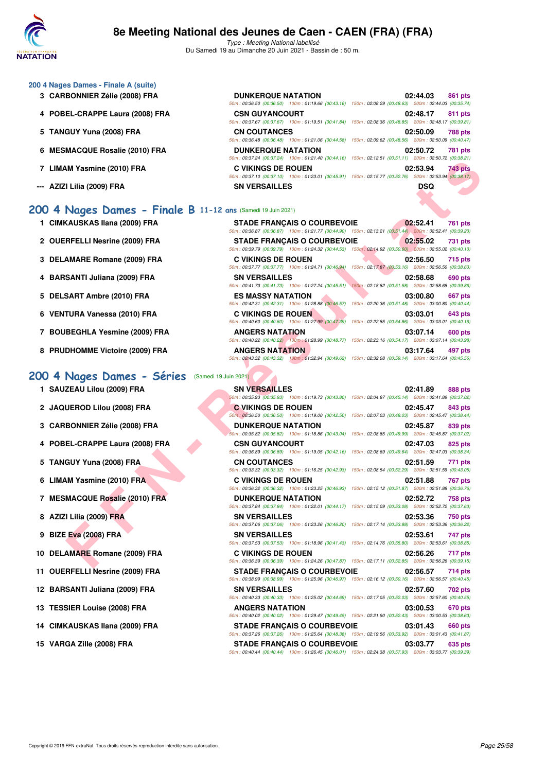

#### **200 4 Nages Dames - Finale A (suite)**

- **3 CARBONNIER Zélie (2008) FRA**
- 4 POBEL-CRAPPE Laura (2008) FRA
- **5 TANGUY Yuna (2008) FRA**
- **6 MESMACQUE Rosalie (2010) FRA**
- 7 LIMAM Yasmine (2010) FRA
- **--- AZIZI Lilia (2009) FRA**

#### **[200 4 Nages Dames - Finale B](http://www.ffnatation.fr/webffn/resultats.php?idact=nat&go=epr&idcpt=70045&idepr=41) 11-12 ans** (Samedi 19 Juin 2021)

- **1 CIMKAUSKAS Ilana (2009) FRA**
- 2 OUERFELLI Nesrine (2009) FRA
- **3 DELAMARE Romane (2009) FRA**
- **4 BARSANTI Juliana (2009) FRA**
- 5 DELSART Ambre (2010) FRA
- **6 VENTURA Vanessa (2010) FRA**
- **7 BOUBEGHLA Yesmine (2009) FRA**
- **8 PRUDHOMME Victoire (2009) FRA**

#### [200 4 Nages Dames - Séries](http://www.ffnatation.fr/webffn/resultats.php?idact=nat&go=epr&idcpt=70045&idepr=41) (Samedi 19 Juin 2021)

1 SAUZEAU Lilou (2009) FRA

- 2 JAQUEROD Lilou (2008) FRA
- **3 CARBONNIER Zélie (2008) FRA**
- 4 POBEL-CRAPPE Laura (2008) FRA
- **5 TANGUY Yuna (2008) FRA**
- **6 LIMAM Yasmine (2010) FRA**
- **7 MESMACQUE Rosalie (2010) FRA**
- **8 AZIZI Lilia (2009) FRA**
- **9 BIZE Eva (2008) FRA**
- 10 DELAMARE Romane (2009) FRA
- **11 OUERFELLI Nesrine (2009) FRA**
- 12 BARSANTI Juliana (2009) FRA
- 13 TESSIER Louise (2008) FRA
- 14 CIMKAUSKAS Ilana (2009) FRA
- **15 VARGA Zille (2008) FRA STADE FRANÇAIS O COURBEVOIE 03:03.77 635 pts**

| <b>DUNKERQUE NATATION</b> | 02:44.03<br>861 pts<br>50m: 00:36.50 (00:36.50) 100m: 01:19.66 (00:43.16) 150m: 02:08.29 (00:48.63) 200m: 02:44.03 (00:35.74) |
|---------------------------|-------------------------------------------------------------------------------------------------------------------------------|
| <b>CSN GUYANCOURT</b>     | 02:48.17<br>811 pts<br>50m: 00:37.67 (00:37.67) 100m: 01:19.51 (00:41.84) 150m: 02:08.36 (00:48.85) 200m: 02:48.17 (00:39.81) |
| <b>CN COUTANCES</b>       | 02:50.09<br>788 pts<br>50m: 00:36.48 (00:36.48) 100m: 01:21.06 (00:44.58) 150m: 02:09.62 (00:48.56) 200m: 02:50.09 (00:40.47) |
| <b>DUNKERQUE NATATION</b> | 02:50.72<br>781 pts<br>50m: 00:37.24 (00:37.24) 100m: 01:21.40 (00:44.16) 150m: 02:12.51 (00:51.11) 200m: 02:50.72 (00:38.21) |
| <b>C VIKINGS DE ROUEN</b> | 02:53.94<br>743 pts<br>50m: 00:37.10 (00:37.10) 100m: 01:23.01 (00:45.91) 150m: 02:15.77 (00:52.76) 200m: 02:53.94 (00:38.17) |
| <b>SN VERSAILLES</b>      |                                                                                                                               |

|                           | <b>STADE FRANCAIS O COURBEVOIE</b>                                                                         | 02:52.41<br><b>761 pts</b> |
|---------------------------|------------------------------------------------------------------------------------------------------------|----------------------------|
|                           | 50m: 00:36.87 (00:36.87) 100m: 01:21.77 (00:44.90) 150m: 02:13.21 (00:51.44) 200m: 02:52.41 (00:39.20)     |                            |
|                           | <b>STADE FRANCAIS O COURBEVOIE</b>                                                                         | 02:55.02<br>731 pts        |
|                           | 50m : 00:39.79 (00:39.79) 100m : 01:24.32 (00:44.53) 150m : 02:14.92 (00:50.60) 200m : 02:55.02 (00:40.10) |                            |
| <b>C VIKINGS DE ROUEN</b> |                                                                                                            | 02:56.50<br>715 pts        |
|                           | 50m: 00:37.77 (00:37.77) 100m: 01:24.71 (00:46.94) 150m: 02:17.87 (00:53.16) 200m: 02:56.50 (00:38.63)     |                            |
| <b>SN VERSAILLES</b>      |                                                                                                            | 02:58.68<br>690 pts        |
|                           | 50m: 00:41.73 (00:41.73) 100m: 01:27.24 (00:45.51) 150m: 02:18.82 (00:51.58) 200m: 02:58.68 (00:39.86)     |                            |
| <b>ES MASSY NATATION</b>  |                                                                                                            | 03:00.80<br>667 pts        |
|                           | 50m: 00:42.31 (00:42.31) 100m: 01:28.88 (00:46.57) 150m: 02:20.36 (00:51.48) 200m: 03:00.80 (00:40.44)     |                            |
| <b>C VIKINGS DE ROUEN</b> |                                                                                                            | 03:03.01<br><b>643 pts</b> |
|                           | 50m: 00:40.60 (00:40.60) 100m: 01:27.99 (00:47.39) 150m: 02:22.85 (00:54.86) 200m: 03:03.01 (00:40.16)     |                            |
| <b>ANGERS NATATION</b>    |                                                                                                            | 03:07.14<br><b>600 pts</b> |
|                           | 50m: 00:40.22 (00:40.22) 100m: 01:28.99 (00:48.77) 150m: 02:23.16 (00:54.17) 200m: 03:07.14 (00:43.98)     |                            |
| <b>ANGERS NATATION</b>    |                                                                                                            | 03:17.64<br>497 pts        |
|                           | 50m: 00:43.32 (00:43.32) 100m: 01:32.94 (00:49.62) 150m: 02:32.08 (00:59.14) 200m: 03:17.64 (00:45.56)     |                            |

|                                                        | $(00.37.24)$ $(00.37.24)$ $(00.94)$ $(00.121.90)$ $(00.94.10)$ $(00.911)$ $(00.31.11)$ $(00.011)$ $(00.00.21)$                                                                                                                                    |                     |
|--------------------------------------------------------|---------------------------------------------------------------------------------------------------------------------------------------------------------------------------------------------------------------------------------------------------|---------------------|
| <b>\M Yasmine (2010) FRA</b>                           | <b>C VIKINGS DE ROUEN</b><br>50m: 00:37.10 (00:37.10) 100m: 01:23.01 (00:45.91) 150m: 02:15.77 (00:52.76) 200m: 02:53.94 (00:38.17)                                                                                                               | 02:53.94<br>743 pts |
| l Lilia (2009) FRA                                     | <b>SN VERSAILLES</b>                                                                                                                                                                                                                              | DSQ                 |
| Nages Dames - Finale B 11-12 ans (Samedi 19 Juin 2021) |                                                                                                                                                                                                                                                   |                     |
| <b>(AUSKAS Ilana (2009) FRA</b>                        | <b>STADE FRANCAIS O COURBEVOIE</b><br>50m : 00:36.87 (00:36.87) 100m : 01:21.77 (00:44.90) 150m : 02:13.21 (00:51.44) 200m : 02:52.41 (00:39.20)                                                                                                  | 02:52.41<br>761 pts |
| RFELLI Nesrine (2009) FRA                              | <b>STADE FRANÇAIS O COURBEVOIE</b>                                                                                                                                                                                                                | 02:55.02<br>731 pts |
| AMARE Romane (2009) FRA                                | 50m : 00:39.79 (00:39.79) 100m : 01:24.32 (00:44.53) 150m : 02:14.92 (00:50.60) 200m : 02:55.02 (00:40.10)<br><b>C VIKINGS DE ROUEN</b><br>50m: 00:37.77 (00:37.77) 100m: 01:24.71 (00:46.94) 150m: 02:17.87 (00:53.16) 200m: 02:56.50 (00:38.63) | 02:56.50<br>715 pts |
| SANTI Juliana (2009) FRA                               | <b>SN VERSAILLES</b>                                                                                                                                                                                                                              | 02:58.68<br>690 pts |
| SART Ambre (2010) FRA                                  | 50m : 00:41.73 (00:41.73) 100m : 01:27.24 (00:45.51) 150m : 02:18.82 (00:51.58) 200m : 02:58.68 (00:39.86)<br><b>ES MASSY NATATION</b>                                                                                                            | 03:00.80<br>667 pts |
| TURA Vanessa (2010) FRA                                | 50m: 00:42.31 (00:42.31) 100m: 01:28.88 (00:46.57) 150m: 02:20.36 (00:51.48) 200m: 03:00.80 (00:40.44)<br><b>C VIKINGS DE ROUEN</b>                                                                                                               | 03:03.01<br>643 pts |
| <b>BEGHLA Yesmine (2009) FRA</b>                       | 50m: 00:40.60 (00:40.60) 100m: 01:27.99 (00:47.39) 150m: 02:22.85 (00:54.86) 200m: 03:03.01 (00:40.16)<br><b>ANGERS NATATION</b>                                                                                                                  | 03:07.14<br>600 pts |
| <b>DHOMME Victoire (2009) FRA</b>                      | 50m : 00:40.22 (00:40.22) 100m : 01:28.99 (00:48.77) 150m : 02:23.16 (00:54.17) 200m : 03:07.14 (00:43.98)<br><b>ANGERS NATATION</b><br>50m: 00:43.32 (00:43.32) 100m: 01:32.94 (00:49.62) 150m: 02:32.08 (00:59.14) 200m: 03:17.64 (00:45.56)    | 03:17.64<br>497 pts |
| Nages Dames - Séries                                   | (Samedi 19 Juin 2021)                                                                                                                                                                                                                             |                     |
| ZEAU Lilou (2009) FRA                                  | <b>SN VERSAILLES</b><br>50m : 00:35.93 (00:35.93) 100m : 01:19.73 (00:43.80) 150m : 02:04.87 (00:45.14) 200m : 02:41.89 (00:37.02)                                                                                                                | 02:41.89<br>888 pts |
| UEROD Lilou (2008) FRA                                 | <b>C VIKINGS DE ROUEN</b><br>50m; 00:36.50 (00:36.50) 100m: 01:19.00 (00:42.50) 150m: 02:07.03 (00:48.03) 200m: 02:45.47 (00:38.44)                                                                                                               | 02:45.47<br>843 pts |
| <b>BONNIER Zélie (2008) FRA</b>                        | <b>DUNKERQUE NATATION</b><br>50m: 00:35.82 (00:35.82) 100m: 01:18.86 (00:43.04) 150m: 02:08.85 (00:49.99) 200m: 02:45.87 (00:37.02)                                                                                                               | 02:45.87<br>839 pts |
| EL-CRAPPE Laura (2008) FRA                             | <b>CSN GUYANCOURT</b><br>50m : 00:36.89 (00:36.89) 100m : 01:19.05 (00:42.16) 150m : 02:08.69 (00:49.64) 200m : 02:47.03 (00:38.34)                                                                                                               | 02:47.03<br>825 pts |
| GUY Yuna (2008) FRA                                    | <b>CN COUTANCES</b>                                                                                                                                                                                                                               | 02:51.59<br>771 pts |
| M Yasmine (2010) FRA                                   | 50m: 00:33.32 (00:33.32) 100m: 01:16.25 (00:42.93) 150m: 02:08.54 (00:52.29) 200m: 02:51.59 (00:43.05)<br><b>C VIKINGS DE ROUEN</b>                                                                                                               | 02:51.88<br>767 pts |
| <b>MACQUE Rosalie (2010) FRA</b>                       | 50m: 00:36.32 (00:36.32) 100m: 01:23.25 (00:46.93) 150m: 02:15.12 (00:51.87) 200m: 02:51.88 (00:36.76)<br><b>DUNKERQUE NATATION</b>                                                                                                               | 02:52.72<br>758 pts |
| I Lilia (2009) FRA                                     | 50m: 00:37.84 (00:37.84) 100m: 01:22.01 (00:44.17) 150m: 02:15.09 (00:53.08) 200m: 02:52.72 (00:37.63)<br><b>SN VERSAILLES</b>                                                                                                                    | 02:53.36<br>750 pts |
| Eva (2008) FRA                                         | 50m : 00:37.06 (00:37.06) 100m : 01:23.26 (00:46.20) 150m : 02:17.14 (00:53.88) 200m : 02:53.36 (00:36.22)<br><b>SN VERSAILLES</b>                                                                                                                | 02:53.61<br>747 pts |
| AMARE Romane (2009) FRA                                | 50m : 00:37.53 (00:37.53) 100m : 01:18.96 (00:41.43) 150m : 02:14.76 (00:55.80) 200m : 02:53.61 (00:38.85)<br><b>C VIKINGS DE ROUEN</b>                                                                                                           | 02:56.26<br>717 pts |
| RFELLI Nesrine (2009) FRA                              | 50m: 00:36.39 (00:36.39) 100m: 01:24.26 (00:47.87) 150m: 02:17.11 (00:52.85) 200m: 02:56.26 (00:39.15)<br><b>STADE FRANÇAIS O COURBEVOIE</b>                                                                                                      | 02:56.57<br>714 pts |
| SANTI Juliana (2009) FRA                               | 50m : 00:38.99 (00:38.99) 100m : 01:25.96 (00:46.97) 150m : 02:16.12 (00:50.16) 200m : 02:56.57 (00:40.45)<br><b>SN VERSAILLES</b>                                                                                                                | 02:57.60<br>702 pts |
| SIER Louise (2008) FRA                                 | 50m: 00:40.33 (00:40.33) 100m: 01:25.02 (00:44.69) 150m: 02:17.05 (00:52.03) 200m: 02:57.60 (00:40.55)<br><b>ANGERS NATATION</b>                                                                                                                  | 03:00.53<br>670 pts |
| (AUSKAS Ilana (2009) FRA                               | 50m: 00:40.02 (00:40.02) 100m: 01:29.47 (00:49.45) 150m: 02:21.90 (00:52.43) 200m: 03:00.53 (00:38.63)                                                                                                                                            | 03:01.43<br>660 pts |
|                                                        | <b>STADE FRANÇAIS O COURBEVOIE</b><br>50m: 00:37.26 (00:37.26) 100m: 01:25.64 (00:48.38) 150m: 02:19.56 (00:53.92) 200m: 03:01.43 (00:41.87)                                                                                                      |                     |
| GA Zille (2008) FRA                                    | <b>STADE FRANÇAIS O COURBEVOIE</b><br>50m: 00:40.44 (00:40.44) 100m: 01:26.45 (00:46.01) 150m: 02:24.38 (00:57.93) 200m: 03:03.77 (00:39.39)                                                                                                      | 03:03.77<br>635 pts |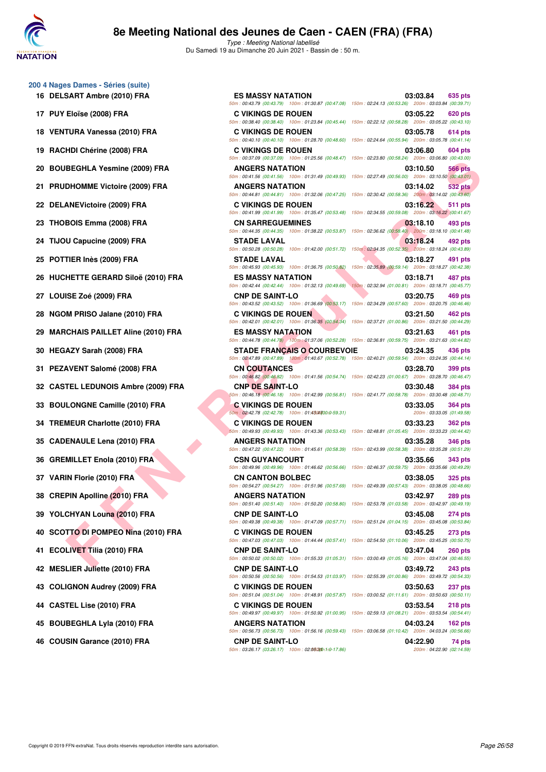

Type : Meeting National labellisé Du Samedi 19 au Dimanche 20 Juin 2021 - Bassin de : 50 m.

- **200 4 Nages Dames Séries (suite)**
	-
	-
	-
	-
	-
	-
	-
	-
	-
	-
	-
	-
	-
	-
	-
	-
	-
	-
	-
	-
	-
	-
	-
	-
	-
	-
	-
	-
	-
	-

| 00 4 Nages Dames - Séries (suite)<br>16 DELSART Ambre (2010) FRA | <b>ES MASSY NATATION</b>                                                     | 03:03.84<br>635 pts<br>50m: 00:43.79 (00:43.79) 100m: 01:30.87 (00:47.08) 150m: 02:24.13 (00:53.26) 200m: 03:03.84 (00:39.71)            |
|------------------------------------------------------------------|------------------------------------------------------------------------------|------------------------------------------------------------------------------------------------------------------------------------------|
| 17 PUY Eloïse (2008) FRA                                         | <b>C VIKINGS DE ROUEN</b>                                                    | 03:05.22<br>620 pts<br>50m: 00:38.40 (00:38.40) 100m: 01:23.84 (00:45.44) 150m: 02:22.12 (00:58.28) 200m: 03:05.22 (00:43.10)            |
| 18 VENTURA Vanessa (2010) FRA                                    | <b>C VIKINGS DE ROUEN</b>                                                    | 03:05.78<br>614 pts                                                                                                                      |
| 19 RACHDI Chérine (2008) FRA                                     | <b>C VIKINGS DE ROUEN</b>                                                    | 50m: 00:40.10 (00:40.10) 100m: 01:28.70 (00:48.60) 150m: 02:24.64 (00:55.94) 200m: 03:05.78 (00:41.14)<br>03:06.80<br>604 pts            |
| 20 BOUBEGHLA Yesmine (2009) FRA                                  | <b>ANGERS NATATION</b>                                                       | 50m: 00:37.09 (00:37.09) 100m: 01:25.56 (00:48.47) 150m: 02:23.80 (00:58.24) 200m: 03:06.80 (00:43.00)<br>03:10.50<br><b>566 pts</b>     |
| 21 PRUDHOMME Victoire (2009) FRA                                 | <b>ANGERS NATATION</b>                                                       | 50m: 00:41.56 (00:41.56) 100m: 01:31.49 (00:49.93) 150m: 02:27.49 (00:56.00) 200m: 03:10.50 (00:43.01)<br>03:14.02<br>532 pts            |
| 22 DELANEVictoire (2009) FRA                                     | <b>C VIKINGS DE ROUEN</b>                                                    | 50m: 00:44.81 (00:44.81) 100m: 01:32.06 (00:47.25) 150m: 02:30.42 (00:58.36) 200m: 03:14.02 (00:43.60)<br>03:16.22<br>511 pts            |
| 23 THOBOIS Emma (2008) FRA                                       | <b>CN SARREGUEMINES</b>                                                      | 50m : 00:41.99 (00:41.99) 100m : 01:35.47 (00:53.48) 150m : 02:34.55 (00:59.08) 200m : 03:16.22 (00:41.67)<br>03:18.10<br>493 pts        |
| 24 TIJOU Capucine (2009) FRA                                     | STADE LAVAL                                                                  | 50m: 00:44.35 (00:44.35) 100m: 01:38.22 (00:53.87) 150m: 02:36.62 (00:58.40) 200m: 03:18.10 (00:41.48)<br>03:18.24<br>492 pts            |
| 25 POTTIER Inès (2009) FRA                                       | <b>STADE LAVAL</b>                                                           | 50m: 00:50.28 (00:50.28) 100m: 01:42.00 (00:51.72) 150m: 02:34.35 (00:52.35) 200m: 03:18.24 (00:43.89)<br>03:18.27<br>491 pts            |
| 26 HUCHETTE GERARD Siloë (2010) FRA                              | <b>ES MASSY NATATION</b>                                                     | 50m: 00:45.93 (00:45.93) 100m: 01:36.75 (00:50.82) 150m: 02:35.89 (00:59.14) 200m: 03:18.27 (00:42.38)<br>03:18.71<br>487 pts            |
| 27 LOUISE Zoé (2009) FRA                                         | 50m: 00:42.44 (00:42.44) 100m: 01:32.13 (00:49.69)<br><b>CNP DE SAINT-LO</b> | 150m: 02:32.94 (01:00.81) 200m: 03:18.71 (00:45.77)<br>03:20.75<br>469 pts                                                               |
| 28 NGOM PRISO Jalane (2010) FRA                                  | <b>C VIKINGS DE ROUEN</b>                                                    | 50m: 00:43.52 (00:43.52) 100m: 01:36.69 (00:53.17) 150m: 02:34.29 (00:57.60) 200m: 03:20.75 (00:46.46)<br>03:21.50<br>462 pts            |
| 29 MARCHAIS PAILLET Aline (2010) FRA                             | <b>ES MASSY NATATION</b>                                                     | 50m: 00:42.01 (00:42.01) 100m: 01:36.35 (00:54.34) 150m: 02:37.21 (01:00.86) 200m: 03:21.50 (00:44.29)<br>03:21.63<br>461 pts            |
| 30 HEGAZY Sarah (2008) FRA                                       | <b>STADE FRANÇAIS O COURBEVOIE</b>                                           | 50m: 00:44.78 (00:44.78) 100m: 01:37.06 (00:52.28) 150m: 02:36.81 (00:59.75) 200m: 03:21.63 (00:44.82)<br>03:24.35<br>436 pts            |
| 31 PEZAVENT Salomé (2008) FRA                                    | <b>CN COUTANCES</b>                                                          | 50m: 00:47.89 (00:47.89) 100m: 01:40.67 (00:52.78) 150m: 02:40.21 (00:59.54) 200m: 03:24.35 (00:44.14)<br>03:28.70<br>399 pts            |
| 32 CASTEL LEDUNOIS Ambre (2009) FRA                              | <b>CNP DE SAINT-LO</b>                                                       | 50m : 00:46.82 (00:46.82) 100m : 01:41.56 (00:54.74) 150m : 02:42.23 (01:00.67) 200m : 03:28.70 (00:46.47)<br>03:30.48<br>384 pts        |
| 33 BOULONGNE Camille (2010) FRA                                  | <b>C VIKINGS DE ROUEN</b>                                                    | 50m: 00:46.18 (00:46.18) 100m: 01:42.99 (00:56.81) 150m: 02:41.77 (00:58.78) 200m: 03:30.48 (00:48.71)<br>03:33.05<br>364 pts            |
|                                                                  | 50m: 02:42.78 (02:42.78) 100m: 01:4304700:0-59.31)                           | 200m: 03:33.05 (01:49.58)                                                                                                                |
| 34 TREMEUR Charlotte (2010) FRA                                  | <b>C VIKINGS DE ROUEN</b>                                                    | 03:33.23<br><b>362 pts</b><br>50m: 00:49.93 (00:49.93) 100m: 01:43.36 (00:53.43) 150m: 02:48.81 (01:05.45) 200m: 03:33.23 (00:44.42)     |
| 35 CADENAULE Lena (2010) FRA                                     | <b>ANGERS NATATION</b>                                                       | 03:35.28<br><b>346 pts</b><br>50m : 00:47.22 (00:47.22) 100m : 01:45.61 (00:58.39) 150m : 02:43.99 (00:58.38) 200m : 03:35.28 (00:51.29) |
| 36 GREMILLET Enola (2010) FRA                                    | <b>CSN GUYANCOURT</b>                                                        | 03:35.66<br>343 pts<br>50m : 00:49.96 (00:49.96) 100m : 01:46.62 (00:56.66) 150m : 02:46.37 (00:59.75) 200m : 03:35.66 (00:49.29)        |
| 37 VARIN Florie (2010) FRA                                       | <b>CN CANTON BOLBEC</b>                                                      | 03:38.05<br><b>325 pts</b><br>50m: 00:54.27 (00:54.27) 100m: 01:51.96 (00:57.69) 150m: 02:49.39 (00:57.43) 200m: 03:38.05 (00:48.66)     |
| 38 CREPIN Apolline (2010) FRA                                    | <b>ANGERS NATATION</b>                                                       | 03:42.97<br><b>289 pts</b><br>50m: 00:51.40 (00:51.40) 100m: 01:50.20 (00:58.80) 150m: 02:53.78 (01:03.58) 200m: 03:42.97 (00:49.19)     |
| 39 YOLCHYAN Louna (2010) FRA                                     | <b>CNP DE SAINT-LO</b>                                                       | 03:45.08<br>274 pts<br>50m : 00:49.38 (00:49.38) 100m : 01:47.09 (00:57.71) 150m : 02:51.24 (01:04.15) 200m : 03:45.08 (00:53.84)        |
| 40 SCOTTO DI POMPEO Nina (2010) FRA                              | <b>C VIKINGS DE ROUEN</b>                                                    | 03:45.25<br><b>273 pts</b><br>50m : 00:47.03 (00:47.03) 100m : 01:44.44 (00:57.41) 150m : 02:54.50 (01:10.06) 200m : 03:45.25 (00:50.75) |
| 41 ECOLIVET Tilia (2010) FRA                                     | <b>CNP DE SAINT-LO</b>                                                       | 03:47.04<br><b>260 pts</b><br>50m: 00:50.02 (00:50.02) 100m: 01:55.33 (01:05.31) 150m: 03:00.49 (01:05.16) 200m: 03:47.04 (00:46.55)     |
| 42 MESLIER Juliette (2010) FRA                                   | <b>CNP DE SAINT-LO</b>                                                       | 03:49.72<br><b>243 pts</b><br>50m: 00:50.56 (00:50.56) 100m: 01:54.53 (01:03.97) 150m: 02:55.39 (01:00.86) 200m: 03:49.72 (00:54.33)     |
| 43 COLIGNON Audrey (2009) FRA                                    | <b>C VIKINGS DE ROUEN</b>                                                    | 03:50.63<br>237 pts<br>50m: 00:51.04 (00:51.04) 100m: 01:48.91 (00:57.87) 150m: 03:00.52 (01:11.61) 200m: 03:50.63 (00:50.11)            |
| 44 CASTEL Lise (2010) FRA                                        | <b>C VIKINGS DE ROUEN</b>                                                    | 03:53.54<br>218 pts                                                                                                                      |
| 45 BOUBEGHLA Lyla (2010) FRA                                     | <b>ANGERS NATATION</b>                                                       | 50m : 00:49.97 (00:49.97) 100m : 01:50.92 (01:00.95) 150m : 02:59.13 (01:08.21) 200m : 03:53.54 (00:54.41)<br>04:03.24<br>$162$ pts      |
| 46 COUSIN Garance (2010) FRA                                     | <b>CNP DE SAINT-LO</b>                                                       | 50m : 00:56.73 (00:56.73) 100m : 01:56.16 (00:59.43) 150m : 03:06.58 (01:10.42) 200m : 04:03.24 (00:56.66)<br>04:22.90<br>74 pts         |
|                                                                  | 50m: 03:26.17 (03:26.17) 100m: 02:08(3)(0-1-:0-17.86)                        | 200m: 04:22.90 (02:14.59)                                                                                                                |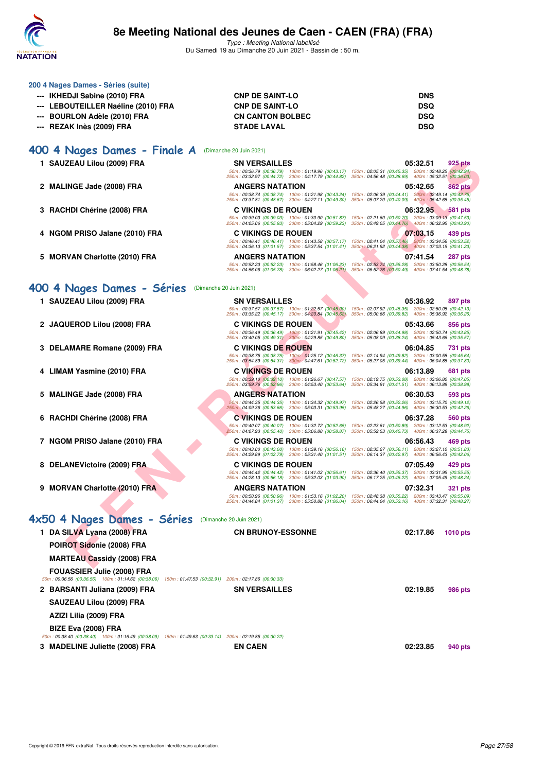

Type : Meeting National labellisé Du Samedi 19 au Dimanche 20 Juin 2021 - Bassin de : 50 m.

| 200 4 Nages Dames - Séries (suite)                            |                                                                              |                                                                                                                                                                                                                     |
|---------------------------------------------------------------|------------------------------------------------------------------------------|---------------------------------------------------------------------------------------------------------------------------------------------------------------------------------------------------------------------|
| --- IKHEDJI Sabine (2010) FRA                                 | <b>CNP DE SAINT-LO</b>                                                       | <b>DNS</b>                                                                                                                                                                                                          |
| --- LEBOUTEILLER Naéline (2010) FRA<br><b>CNP DE SAINT-LO</b> |                                                                              | <b>DSQ</b>                                                                                                                                                                                                          |
| --- BOURLON Adèle (2010) FRA                                  | <b>CN CANTON BOLBEC</b>                                                      | <b>DSQ</b>                                                                                                                                                                                                          |
| --- REZAK Inès (2009) FRA                                     | <b>STADE LAVAL</b>                                                           | <b>DSQ</b>                                                                                                                                                                                                          |
| 400 4 Nages Dames - Finale A                                  | (Dimanche 20 Juin 2021)                                                      |                                                                                                                                                                                                                     |
| 1 SAUZEAU Lilou (2009) FRA                                    | <b>SN VERSAILLES</b>                                                         | 05:32.51<br>925 pts                                                                                                                                                                                                 |
|                                                               |                                                                              | 50m: 00:36.79 (00:36.79) 100m: 01:19.96 (00:43.17) 150m: 02:05.31 (00:45.35) 200m: 02:48.25 (00:42.94<br>250m : 03:32.97 (00:44.72) 300m : 04:17.79 (00:44.82) 350m : 04:56.48 (00:38.69) 400m : 05:32.51 (00:36.03 |
| 2 MALINGE Jade (2008) FRA                                     | <b>ANGERS NATATION</b>                                                       | 05:42.65<br><b>862 pts</b>                                                                                                                                                                                          |
|                                                               | 50m: 00:38.74 (00:38.74) 100m: 01:21.98 (00:43.24) 150m: 02:06.39 (00:44.41) | 200m: 02:49.14 (00:42.75<br>250m: 03:37.81 (00:48.67) 300m: 04:27.11 (00:49.30) 350m: 05:07.20 (00:40.09) 400m: 05:42.65 (00:35.45                                                                                  |

- **3 RACHDI Chérine (2008) FRA C VIKINGS DE ROUEN 06:32.95 581 pts**
- **4 NGOM PRISO Jalane (2010) FRA C VIKINGS DE ROUEN 07:03.15 439 pts**
- **5 MORVAN Charlotte (2010) FRA ANGERS NATATION 07:41.54 287 pts**

## **[400 4 Nages Dames - Séries](http://www.ffnatation.fr/webffn/resultats.php?idact=nat&go=epr&idcpt=70045&idepr=42)** (Dimanche 20 Juin 2021)

| 1 SAUZEAU Lilou (2009) FRA                                                                                                                  | <b>SN VERSAILLES</b>                                                                                                                                                                                              | 05:32.51<br>925 pts                                                                                                           |
|---------------------------------------------------------------------------------------------------------------------------------------------|-------------------------------------------------------------------------------------------------------------------------------------------------------------------------------------------------------------------|-------------------------------------------------------------------------------------------------------------------------------|
|                                                                                                                                             | 250m: 03:32.97 (00:44.72) 300m: 04:17.79 (00:44.82) 350m: 04:56.48 (00:38.69) 400m: 05:32.51 (00:36.03)                                                                                                           | 50m: 00:36.79 (00:36.79) 100m: 01:19.96 (00:43.17) 150m: 02:05.31 (00:45.35) 200m: 02:48.25 (00:42.94)                        |
| 2 MALINGE Jade (2008) FRA                                                                                                                   | <b>ANGERS NATATION</b>                                                                                                                                                                                            | 05:42.65<br>862 pts                                                                                                           |
|                                                                                                                                             | 250m: 03:37.81 (00:48.67) 300m: 04:27.11 (00:49.30) 350m: 05:07.20 (00:40.09) 400m: 05:42.65 (00:35.45)                                                                                                           | 50m: 00:38.74 (00:38.74) 100m: 01:21.98 (00:43.24) 150m: 02:06.39 (00:44.41) 200m: 02:49.14 (00:42.75)                        |
| 3 RACHDI Chérine (2008) FRA                                                                                                                 | <b>C VIKINGS DE ROUEN</b>                                                                                                                                                                                         | 06:32.95<br><b>581 pts</b>                                                                                                    |
|                                                                                                                                             | 250m: 04:05.06 (00:55.93) 300m: 05:04.29 (00:59.23) 350m: 05:49.05 (00:44.76) 400m: 06:32.95 (00:43.90)                                                                                                           | 50m: 00:39.03 (00:39.03) 100m: 01:30.90 (00:51.87) 150m: 02:21.60 (00:50.70) 200m: 03:09.13 (00:47.53)                        |
| 4 NGOM PRISO Jalane (2010) FRA                                                                                                              | <b>C VIKINGS DE ROUEN</b>                                                                                                                                                                                         | 07:03.15<br>439 pts                                                                                                           |
|                                                                                                                                             | 50m: 00:46.41 (00:46.41) 100m: 01:43.58 (00:57.17) 150m: 02:41.04 (00:57.46) 200m: 03:34.56 (00:53.52)<br>250m: 04:36.13 (01:01.57) 300m: 05:37.54 (01:01.41) 350m: 06:21.92 (00:44.38) 400m: 07:03.15 (00:41.23) |                                                                                                                               |
| 5 MORVAN Charlotte (2010) FRA                                                                                                               | <b>ANGERS NATATION</b>                                                                                                                                                                                            | 07:41.54<br>287 pts                                                                                                           |
|                                                                                                                                             | 50m: 00:52.23 (00:52.23) 100m: 01:58.46 (01:06.23) 150m: 02:53.74 (00:55.28) 200m: 03:50.28 (00:56.54)<br>250m: 04:56.06 (01:05.78) 300m: 06:02.27 (01:06.21) 350m: 06:52.76 (00:50.49) 400m: 07:41.54 (00:48.78) |                                                                                                                               |
|                                                                                                                                             |                                                                                                                                                                                                                   |                                                                                                                               |
| 400 4 Nages Dames - Séries                                                                                                                  | (Dimanche 20 Juin 2021)                                                                                                                                                                                           |                                                                                                                               |
| 1 SAUZEAU Lilou (2009) FRA                                                                                                                  | <b>SN VERSAILLES</b>                                                                                                                                                                                              | 05:36.92<br>897 pts<br>50m: 00:37.57 (00:37.57) 100m: 01:22.57 (00:45.00) 150m: 02:07.92 (00:45.35) 200m: 02:50.05 (00:42.13) |
|                                                                                                                                             | 250m: 03:35.22 (00:45.17) 300m: 04:20.84 (00:45.62) 350m: 05:00.66 (00:39.82) 400m: 05:36.92 (00:36.26)                                                                                                           |                                                                                                                               |
| 2 JAQUEROD Lilou (2008) FRA                                                                                                                 | <b>C VIKINGS DE ROUEN</b><br>$50m$ : 00:36.49 (00:36.49) $100m$ : 01:21.91 (00:45.42) $150m$ : 02:06.89 (00:44.98) $200m$ : 02:50.74 (00:43.85)                                                                   | 05:43.66<br>856 pts                                                                                                           |
|                                                                                                                                             | 250m: 03:40.05 (00:49.31) 300m: 04:29.85 (00:49.80)                                                                                                                                                               | 350m: 05:08.09 (00:38.24) 400m: 05:43.66 (00:35.57)                                                                           |
| 3 DELAMARE Romane (2009) FRA                                                                                                                | <b>C VIKINGS DE ROUEN</b><br>50m: 00:38.75 (00:38.75) 100m: 01:25.12 (00:46.37) 150m: 02:14.94 (00:49.82) 200m: 03:00.58 (00:45.64)                                                                               | 06:04.85<br>731 pts                                                                                                           |
|                                                                                                                                             | 250m: 03:54.89 (00:54.31) 300m: 04:47.61 (00:52.72) 350m: 05:27.05 (00:39.44) 400m: 06:04.85 (00:37.80)                                                                                                           |                                                                                                                               |
| 4 LIMAM Yasmine (2010) FRA                                                                                                                  | <b>C VIKINGS DE ROUEN</b>                                                                                                                                                                                         | 06:13.89<br>681 pts                                                                                                           |
|                                                                                                                                             | 50m: 00:39.10 (00:39.10) 100m: 01:26.67 (00:47.57) 150m: 02:19.75 (00:53.08) 200m: 03:06.80 (00:47.05)<br>250m: 03:59.76 (00:52.96) 300m: 04:53.40 (00:53.64) 350m: 05:34.91 (00:41.51) 400m: 06:13.89 (00:38.98) |                                                                                                                               |
| 5 MALINGE Jade (2008) FRA                                                                                                                   | <b>ANGERS NATATION</b>                                                                                                                                                                                            | 06:30.53<br>593 pts                                                                                                           |
|                                                                                                                                             | 50m: 00:44.35 (00:44.35) 100m: 01:34.32 (00:49.97)<br>250m: 04:09.36 (00:53.66) 300m: 05:03.31 (00:53.95)                                                                                                         | 150m: 02:26.58 (00:52.26) 200m: 03:15.70 (00:49.12)<br>350m: 05:48.27 (00:44.96) 400m: 06:30.53 (00:42.26)                    |
| 6 RACHDI Chérine (2008) FRA                                                                                                                 | <b>C VIKINGS DE ROUEN</b>                                                                                                                                                                                         | 06:37.28<br>560 pts                                                                                                           |
|                                                                                                                                             | 50m: 00:40.07 (00:40.07) 100m: 01:32.72 (00:52.65)<br>250m: 04:07.93 (00:55.40) 300m: 05:06.80 (00:58.87)                                                                                                         | 150m: 02:23.61 (00:50.89) 200m: 03:12.53 (00:48.92)<br>350m: 05:52.53 (00:45.73) 400m: 06:37.28 (00:44.75)                    |
| 7 NGOM PRISO Jalane (2010) FRA                                                                                                              | <b>C VIKINGS DE ROUEN</b>                                                                                                                                                                                         | 06:56.43<br>469 pts                                                                                                           |
|                                                                                                                                             | 50m: 00:43.00 (00:43.00) 100m: 01:39.16 (00:56.16) 150m: 02:35.27 (00:56.11) 200m: 03:27.10 (00:51.83)<br>250m: 04:29.89 (01:02.79) 300m: 05:31.40 (01:01.51) 350m: 06:14.37 (00:42.97) 400m: 06:56.43 (00:42.06) |                                                                                                                               |
| 8 DELANEVictoire (2009) FRA                                                                                                                 | <b>C VIKINGS DE ROUEN</b>                                                                                                                                                                                         | 07:05.49<br>429 pts                                                                                                           |
|                                                                                                                                             | 50m: 00:44.42 (00:44.42) 100m: 01:41.03 (00:56.61) 150m: 02:36.40 (00:55.37) 200m: 03:31.95 (00:55.55)<br>250m: 04:28.13 (00:56.18) 300m: 05:32.03 (01:03.90)                                                     | 350m: 06:17.25 (00:45.22) 400m: 07:05.49 (00:48.24)                                                                           |
| 9 MORVAN Charlotte (2010) FRA                                                                                                               | <b>ANGERS NATATION</b>                                                                                                                                                                                            | 07:32.31<br><b>321 pts</b>                                                                                                    |
|                                                                                                                                             | 50m: 00:50.96 (00:50.96) 100m: 01:53.16 (01:02.20) 150m: 02:48.38 (00:55.22) 200m: 03:43.47 (00:55.09)<br>250m: 04:44.84 (01:01.37) 300m: 05:50.88 (01:06.04) 350m: 06:44.04 (00:53.16) 400m: 07:32.31 (00:48.27) |                                                                                                                               |
|                                                                                                                                             |                                                                                                                                                                                                                   |                                                                                                                               |
| 4x50 4 Nages Dames - Séries (Dimanche 20 Juin 2021)                                                                                         |                                                                                                                                                                                                                   |                                                                                                                               |
| 1 DA SILVA Lyana (2008) FRA                                                                                                                 | <b>CN BRUNOY-ESSONNE</b>                                                                                                                                                                                          | 02:17.86<br><b>1010 pts</b>                                                                                                   |
| POIROT Sidonie (2008) FRA                                                                                                                   |                                                                                                                                                                                                                   |                                                                                                                               |
| <b>MARTEAU Cassidy (2008) FRA</b>                                                                                                           |                                                                                                                                                                                                                   |                                                                                                                               |
| <b>FOUASSIER Julie (2008) FRA</b><br>50m: 00:36.56 (00:36.56) 100m: 01:14.62 (00:38.06) 150m: 01:47.53 (00:32.91) 200m: 02:17.86 (00:30.33) |                                                                                                                                                                                                                   |                                                                                                                               |
| 2 BARSANTI Juliana (2009) FRA                                                                                                               | <b>SN VERSAILLES</b>                                                                                                                                                                                              | 02:19.85<br><b>986 pts</b>                                                                                                    |
|                                                                                                                                             |                                                                                                                                                                                                                   |                                                                                                                               |

**SAUZEAU Lilou (2009) FRA AZIZI Lilia (2009) FRA BIZE Eva (2008) FRA** 50m : 00:38.40 (00:38.40) 100m : 01:16.49 (00:38.09) 150m : 01:49.63 (00:33.14) 200m : 02:19.85 (00:30.22)

**3 MADELINE Juliette (2008) FRA EN CAEN 02:23.85 940 pts**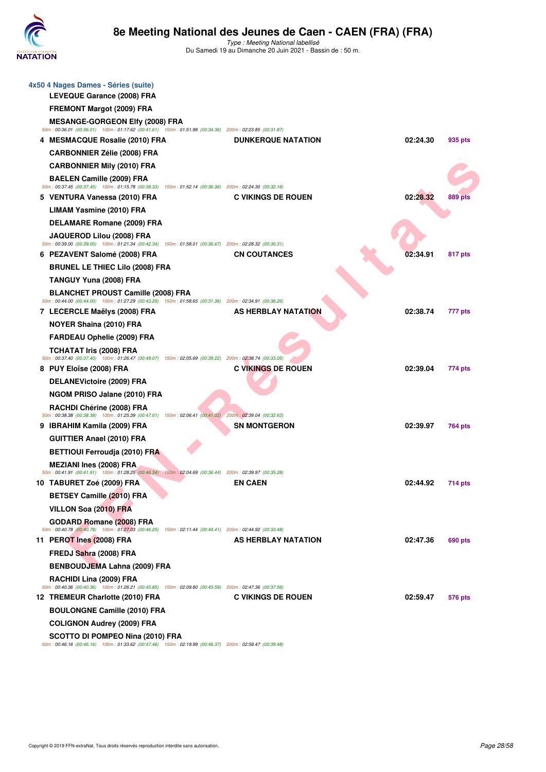

Type : Meeting National labellisé Du Samedi 19 au Dimanche 20 Juin 2021 - Bassin de : 50 m.

| 4x50 4 Nages Dames - Séries (suite)<br><b>LEVEQUE Garance (2008) FRA</b>                                                                   |                            |          |         |
|--------------------------------------------------------------------------------------------------------------------------------------------|----------------------------|----------|---------|
| FREMONT Margot (2009) FRA                                                                                                                  |                            |          |         |
| <b>MESANGE-GORGEON Elfy (2008) FRA</b>                                                                                                     |                            |          |         |
| 50m : 00:36.01 (00:36.01) 100m : 01:17.62 (00:41.61) 150m : 01:51.98 (00:34.36) 200m : 02:23.85 (00:31.87)                                 |                            |          |         |
| 4 MESMACQUE Rosalie (2010) FRA                                                                                                             | <b>DUNKERQUE NATATION</b>  | 02:24.30 | 935 pts |
| <b>CARBONNIER Zélie (2008) FRA</b>                                                                                                         |                            |          |         |
| <b>CARBONNIER Mily (2010) FRA</b><br><b>BAELEN Camille (2009) FRA</b>                                                                      |                            |          |         |
| 50m: 00:37.45 (00:37.45) 100m: 01:15.78 (00:38.33) 150m: 01:52.14 (00:36.36) 200m: 02:24.30 (00:32.16)                                     |                            |          |         |
| 5 VENTURA Vanessa (2010) FRA                                                                                                               | <b>C VIKINGS DE ROUEN</b>  | 02:28.32 | 889 pts |
| <b>LIMAM Yasmine (2010) FRA</b>                                                                                                            |                            |          |         |
| <b>DELAMARE Romane (2009) FRA</b>                                                                                                          |                            |          |         |
| JAQUEROD Lilou (2008) FRA<br>50m: 00:39.00 (00:39.00) 100m: 01:21.34 (00:42.34) 150m: 01:58.01 (00:36.67) 200m: 02:28.32 (00:30.31)        |                            |          |         |
| 6 PEZAVENT Salomé (2008) FRA                                                                                                               | <b>CN COUTANCES</b>        | 02:34.91 | 817 pts |
| <b>BRUNEL LE THIEC Lilo (2008) FRA</b>                                                                                                     |                            |          |         |
| <b>TANGUY Yuna (2008) FRA</b>                                                                                                              |                            |          |         |
| <b>BLANCHET PROUST Camille (2008) FRA</b>                                                                                                  |                            |          |         |
| 50m : 00:44.00 (00:44.00) 100m : 01:27.29 (00:43.29) 150m : 01:58.65 (00:31.36) 200m : 02:34.91 (00:36.26)<br>7 LECERCLE Maëlys (2008) FRA | <b>AS HERBLAY NATATION</b> | 02:38.74 | 777 pts |
| <b>NOYER Shaina (2010) FRA</b>                                                                                                             |                            |          |         |
| <b>FARDEAU Ophelie (2009) FRA</b>                                                                                                          |                            |          |         |
| TCHATAT Iris (2008) FRA                                                                                                                    |                            |          |         |
| 50m: 00:37.40 (00:37.40) 100m: 01:26.47 (00:49.07) 150m: 02:05.69 (00:39.22) 200m: 02:38.74 (00:33.05)                                     |                            |          |         |
| 8 PUY Eloïse (2008) FRA                                                                                                                    | <b>C VIKINGS DE ROUEN</b>  | 02:39.04 | 774 pts |
| <b>DELANEVictoire (2009) FRA</b>                                                                                                           |                            |          |         |
| NGOM PRISO Jalane (2010) FRA                                                                                                               |                            |          |         |
| RACHDI Chérine (2008) FRA<br>$50m$ : 00:38.38 (00:38.38) 100m: 01:25.39 (00:47.01) 150m: 02:06.41 (00:41.02) 200m: 02:39.04 (00:32.63)     |                            |          |         |
| 9 IBRAHIM Kamila (2009) FRA                                                                                                                | <b>SN MONTGERON</b>        | 02:39.97 | 764 pts |
| <b>GUITTIER Anael (2010) FRA</b>                                                                                                           |                            |          |         |
| <b>BETTIOUI Ferroudja (2010) FRA</b>                                                                                                       |                            |          |         |
| <b>MEZIANI Ines (2008) FRA</b>                                                                                                             |                            |          |         |
| 50m: 00:41.91 (00:41.91) 100m: 01:28.25 (00:46.34) 150m: 02:04.69 (00:36.44) 200m: 02:39.97 (00:35.28)<br>10 TABURET Zoé (2009) FRA        | <b>EN CAEN</b>             | 02:44.92 | 714 pts |
| BETSEY Camille (2010) FRA                                                                                                                  |                            |          |         |
| VILLON Soa (2010) FRA                                                                                                                      |                            |          |         |
| <b>GODARD Romane (2008) FRA</b>                                                                                                            |                            |          |         |
| 50m: 00:40.78 (00:40.78) 100m: 01:27.03 (00:46.25) 150m: 02:11.44 (00:44.41) 200m: 02:44.92 (00:33.48)                                     |                            |          |         |
| 11 PEROT Ines (2008) FRA                                                                                                                   | AS HERBLAY NATATION        | 02:47.36 | 690 pts |
| FREDJ Sahra (2008) FRA                                                                                                                     |                            |          |         |
| BENBOUDJEMA Lahna (2009) FRA                                                                                                               |                            |          |         |
| RACHIDI Lina (2009) FRA<br>50m: 00:40.36 (00:40.36) 100m: 01:26.21 (00:45.85) 150m: 02:09.80 (00:43.59) 200m: 02:47.36 (00:37.56)          |                            |          |         |
| 12 TREMEUR Charlotte (2010) FRA                                                                                                            | <b>C VIKINGS DE ROUEN</b>  | 02:59.47 | 576 pts |
| <b>BOULONGNE Camille (2010) FRA</b>                                                                                                        |                            |          |         |
| <b>COLIGNON Audrey (2009) FRA</b>                                                                                                          |                            |          |         |
| SCOTTO DI POMPEO Nina (2010) FRA                                                                                                           |                            |          |         |

**SCOTTO DI POMPEO Nina (2010) FRA**<br>50m : 00:46.16 (00:46.16) 100m : 01:33.62 (00:47.46) 150m : 02:19.99 (00:46.37) 200m : 02:59.47 (00:39.48)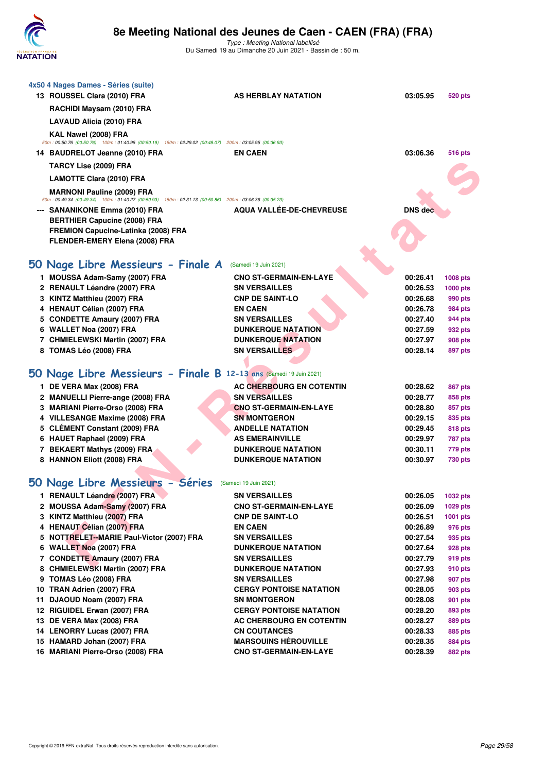

Type : Meeting National labellisé Du Samedi 19 au Dimanche 20 Juin 2021 - Bassin de : 50 m.

| 4x50 4 Nages Dames - Séries (suite)<br>13 ROUSSEL Clara (2010) FRA                                                                                                                                   | <b>AS HERBLAY NATATION</b>                            | 03:05.95             | 520 pts             |
|------------------------------------------------------------------------------------------------------------------------------------------------------------------------------------------------------|-------------------------------------------------------|----------------------|---------------------|
| RACHIDI Maysam (2010) FRA                                                                                                                                                                            |                                                       |                      |                     |
| LAVAUD Alicia (2010) FRA                                                                                                                                                                             |                                                       |                      |                     |
| KAL Nawel (2008) FRA<br>50m : 00:50.76 (00:50.76) 100m : 01:40.95 (00:50.19) 150m : 02:29.02 (00:48.07) 200m : 03:05.95 (00:36.93)<br>14 BAUDRELOT Jeanne (2010) FRA<br><b>TARCY Lise (2009) FRA</b> | <b>EN CAEN</b>                                        | 03:06.36             | <b>516 pts</b>      |
|                                                                                                                                                                                                      |                                                       |                      |                     |
| <b>LAMOTTE Clara (2010) FRA</b>                                                                                                                                                                      |                                                       |                      |                     |
| <b>MARNONI Pauline (2009) FRA</b><br>50m : 00:49.34 (00:49.34) 100m : 01:40.27 (00:50.93) 150m : 02:31.13 (00:50.86) 200m : 03:06.36 (00:35.23)                                                      |                                                       |                      |                     |
| --- SANANIKONE Emma (2010) FRA<br><b>BERTHIER Capucine (2008) FRA</b><br><b>FREMION Capucine-Latinka (2008) FRA</b>                                                                                  | AQUA VALLÉE-DE-CHEVREUSE                              | <b>DNS</b> dec       |                     |
| FLENDER-EMERY Elena (2008) FRA                                                                                                                                                                       |                                                       |                      |                     |
|                                                                                                                                                                                                      |                                                       |                      |                     |
| 50 Nage Libre Messieurs - Finale A                                                                                                                                                                   | (Samedi 19 Juin 2021)                                 |                      |                     |
|                                                                                                                                                                                                      |                                                       |                      |                     |
| 1 MOUSSA Adam-Samy (2007) FRA<br>2 RENAULT Léandre (2007) FRA                                                                                                                                        | <b>CNO ST-GERMAIN-EN-LAYE</b><br><b>SN VERSAILLES</b> | 00:26.41<br>00:26.53 | 1008 pts            |
| 3 KINTZ Matthieu (2007) FRA                                                                                                                                                                          | <b>CNP DE SAINT-LO</b>                                | 00:26.68             | 1000 pts<br>990 pts |
| 4 HENAUT Célian (2007) FRA                                                                                                                                                                           | <b>EN CAEN</b>                                        | 00:26.78             | 984 pts             |
| 5 CONDETTE Amaury (2007) FRA                                                                                                                                                                         | <b>SN VERSAILLES</b>                                  | 00:27.40             | 944 pts             |
| 6 WALLET Noa (2007) FRA                                                                                                                                                                              | <b>DUNKERQUE NATATION</b>                             | 00:27.59             | 932 pts             |
| 7 CHMIELEWSKI Martin (2007) FRA                                                                                                                                                                      | <b>DUNKERQUE NATATION</b>                             | 00:27.97             | 908 pts             |
| 8 TOMAS Léo (2008) FRA                                                                                                                                                                               | <b>SN VERSAILLES</b>                                  | 00:28.14             | 897 pts             |
|                                                                                                                                                                                                      |                                                       |                      |                     |
| 50 Nage Libre Messieurs - Finale B 12-13 ans (Samedi 19 Juin 2021)                                                                                                                                   |                                                       |                      |                     |
| 1 DE VERA Max (2008) FRA                                                                                                                                                                             | <b>AC CHERBOURG EN COTENTIN</b>                       | 00:28.62             | <b>867 pts</b>      |
| 2 MANUELLI Pierre-ange (2008) FRA                                                                                                                                                                    | <b>SN VERSAILLES</b>                                  | 00:28.77             | 858 pts             |
| 3 MARIANI Pierre-Orso (2008) FRA<br>4 VILLESANGE Maxime (2008) FRA                                                                                                                                   | <b>CNO ST-GERMAIN-EN-LAYE</b><br><b>SN MONTGERON</b>  | 00:28.80<br>00:29.15 | 857 pts             |
| 5 CLÉMENT Constant (2009) FRA                                                                                                                                                                        | <b>ANDELLE NATATION</b>                               | 00:29.45             | 835 pts<br>818 pts  |
| 6 HAUET Raphael (2009) FRA                                                                                                                                                                           | <b>AS EMERAINVILLE</b>                                | 00:29.97             | <b>787 pts</b>      |
| 7 BEKAERT Mathys (2009) FRA                                                                                                                                                                          | <b>DUNKERQUE NATATION</b>                             | 00:30.11             | 779 pts             |
| 8 HANNON Eliott (2008) FRA                                                                                                                                                                           | <b>DUNKERQUE NATATION</b>                             | 00:30.97             | 730 pts             |
|                                                                                                                                                                                                      |                                                       |                      |                     |
| 50 Nage Libre Messieurs - Séries                                                                                                                                                                     | (Samedi 19 Juin 2021)                                 |                      |                     |
| 1 RENAULT Léandre (2007) FRA                                                                                                                                                                         | <b>SN VERSAILLES</b>                                  | 00:26.05             | 1032 pts            |
| 2 MOUSSA Adam-Samy (2007) FRA                                                                                                                                                                        | <b>CNO ST-GERMAIN-EN-LAYE</b>                         | 00:26.09             | 1029 pts            |
| 3 KINTZ Matthieu (2007) FRA                                                                                                                                                                          | <b>CNP DE SAINT-LO</b>                                | 00:26.51             | 1001 pts            |
| 4 HENAUT Célian (2007) FRA                                                                                                                                                                           | <b>EN CAEN</b>                                        | 00:26.89             | 976 pts             |
| 5 NOTTRELET-MARIE Paul-Victor (2007) FRA<br>6 WALLET Noa (2007) FRA                                                                                                                                  | <b>SN VERSAILLES</b><br><b>DUNKERQUE NATATION</b>     | 00:27.54             | 935 pts             |
| 7 CONDETTE Amaury (2007) FRA                                                                                                                                                                         | <b>SN VERSAILLES</b>                                  | 00:27.64<br>00:27.79 | 928 pts<br>919 pts  |
| 8 CHMIELEWSKI Martin (2007) FRA                                                                                                                                                                      | <b>DUNKERQUE NATATION</b>                             | 00:27.93             | 910 pts             |
| 9 TOMAS Léo (2008) FRA                                                                                                                                                                               | <b>SN VERSAILLES</b>                                  | 00:27.98             | 907 pts             |
| 10 TRAN Adrien (2007) FRA                                                                                                                                                                            | <b>CERGY PONTOISE NATATION</b>                        | 00:28.05             | 903 pts             |
| 11 DJAOUD Noam (2007) FRA                                                                                                                                                                            | <b>SN MONTGERON</b>                                   | 00:28.08             | 901 pts             |
| 12 RIGUIDEL Erwan (2007) FRA                                                                                                                                                                         | <b>CERGY PONTOISE NATATION</b>                        | 00:28.20             | 893 pts             |
| 13 DE VERA Max (2008) FRA                                                                                                                                                                            | AC CHERBOURG EN COTENTIN                              | 00:28.27             | 889 pts             |
| 14 LENORRY Lucas (2007) FRA                                                                                                                                                                          | <b>CN COUTANCES</b>                                   | 00:28.33             | 885 pts             |
| 15 HAMARD Johan (2007) FRA                                                                                                                                                                           | <b>MARSOUINS HÉROUVILLE</b>                           | 00:28.35             | 884 pts             |
| 16 MARIANI Pierre-Orso (2008) FRA                                                                                                                                                                    | <b>CNO ST-GERMAIN-EN-LAYE</b>                         | 00:28.39             | 882 pts             |
|                                                                                                                                                                                                      |                                                       |                      |                     |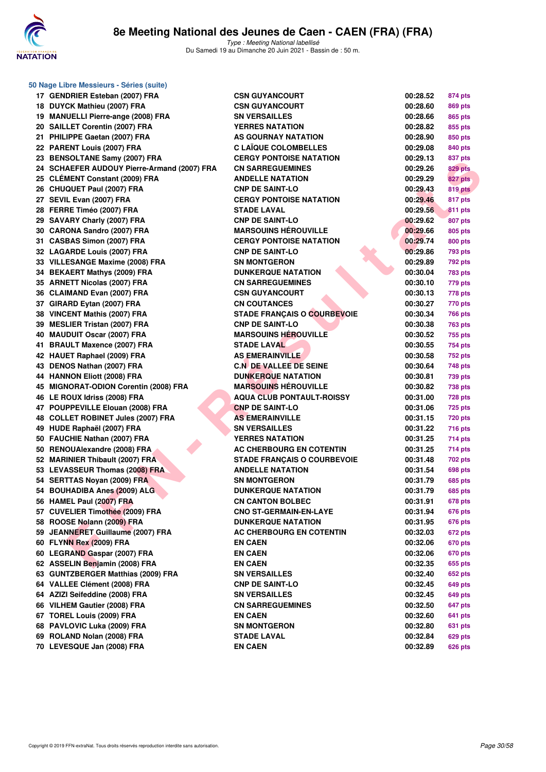

| 50 Nage Libre Messieurs - Séries (suite)                        |                                                               |                      |                |
|-----------------------------------------------------------------|---------------------------------------------------------------|----------------------|----------------|
| 17 GENDRIER Esteban (2007) FRA                                  | <b>CSN GUYANCOURT</b>                                         | 00:28.52             | 874 pts        |
| 18 DUYCK Mathieu (2007) FRA                                     | <b>CSN GUYANCOURT</b>                                         | 00:28.60             | 869 pts        |
| 19 MANUELLI Pierre-ange (2008) FRA                              | <b>SN VERSAILLES</b>                                          | 00:28.66             | 865 pts        |
| 20 SAILLET Corentin (2007) FRA                                  | <b>YERRES NATATION</b>                                        | 00:28.82             | 855 pts        |
| 21 PHILIPPE Gaetan (2007) FRA                                   | AS GOURNAY NATATION                                           | 00:28.90             | 850 pts        |
| 22 PARENT Louis (2007) FRA                                      | <b>C LAÏQUE COLOMBELLES</b>                                   | 00:29.08             | 840 pts        |
| 23 BENSOLTANE Samy (2007) FRA                                   | <b>CERGY PONTOISE NATATION</b>                                | 00:29.13             | 837 pts        |
| 24 SCHAEFER AUDOUY Pierre-Armand (2007) FRA                     | <b>CN SARREGUEMINES</b>                                       | 00:29.26             | <b>829 pts</b> |
| 25 CLÉMENT Constant (2009) FRA                                  | <b>ANDELLE NATATION</b>                                       | 00:29.29             | 827 pts        |
| 26 CHUQUET Paul (2007) FRA                                      | <b>CNP DE SAINT-LO</b>                                        | 00:29.43             | 819 pts        |
| 27 SEVIL Evan (2007) FRA                                        | <b>CERGY PONTOISE NATATION</b>                                | 00:29.46             | 817 pts        |
| 28 FERRE Timéo (2007) FRA                                       | <b>STADE LAVAL</b>                                            | 00:29.56             | 811 pts        |
| 29 SAVARY Charly (2007) FRA                                     | <b>CNP DE SAINT-LO</b>                                        | 00:29.62             | 807 pts        |
| 30 CARONA Sandro (2007) FRA                                     | <b>MARSOUINS HÉROUVILLE</b>                                   | 00:29.66             | 805 pts        |
| 31 CASBAS Simon (2007) FRA                                      | <b>CERGY PONTOISE NATATION</b>                                | 00:29.74             | 800 pts        |
| 32 LAGARDE Louis (2007) FRA                                     | <b>CNP DE SAINT-LO</b>                                        | 00:29.86             | <b>793 pts</b> |
| 33 VILLESANGE Maxime (2008) FRA                                 | <b>SN MONTGERON</b>                                           | 00:29.89             | <b>792 pts</b> |
| 34 BEKAERT Mathys (2009) FRA                                    | <b>DUNKERQUE NATATION</b>                                     | 00:30.04             | <b>783 pts</b> |
| 35 ARNETT Nicolas (2007) FRA                                    | <b>CN SARREGUEMINES</b>                                       | 00:30.10             | 779 pts        |
| 36 CLAIMAND Evan (2007) FRA                                     | <b>CSN GUYANCOURT</b>                                         | 00:30.13             | 778 pts        |
| 37 GIRARD Eytan (2007) FRA                                      | <b>CN COUTANCES</b>                                           | 00:30.27             | 770 pts        |
| 38 VINCENT Mathis (2007) FRA                                    | <b>STADE FRANÇAIS O COURBEVOIE</b>                            | 00:30.34             | <b>766 pts</b> |
| 39 MESLIER Tristan (2007) FRA                                   | <b>CNP DE SAINT-LO</b>                                        | 00:30.38             | <b>763 pts</b> |
| 40 MAUDUIT Oscar (2007) FRA                                     | <b>MARSOUINS HÉROUVILLE</b>                                   | 00:30.52             | 755 pts        |
| 41 BRAULT Maxence (2007) FRA                                    | <b>STADE LAVAL</b>                                            | 00:30.55             | 754 pts        |
| 42 HAUET Raphael (2009) FRA                                     | <b>AS EMERAINVILLE</b>                                        | 00:30.58             | <b>752 pts</b> |
| 43 DENOS Nathan (2007) FRA                                      | <b>C.N. DE VALLEE DE SEINE</b>                                | 00:30.64             | 748 pts        |
| 44 HANNON Eliott (2008) FRA                                     | <b>DUNKERQUE NATATION</b>                                     | 00:30.81             | <b>739 pts</b> |
| 45 MIGNORAT-ODION Corentin (2008) FRA                           | <b>MARSOUINS HÉROUVILLE</b>                                   | 00:30.82             | <b>738 pts</b> |
| 46 LE ROUX Idriss (2008) FRA                                    | <b>AQUA CLUB PONTAULT-ROISSY</b>                              | 00:31.00             | <b>728 pts</b> |
| 47 POUPPEVILLE Elouan (2008) FRA                                | <b>CNP DE SAINT-LO</b>                                        | 00:31.06             | <b>725 pts</b> |
| 48 COLLET ROBINET Jules (2007) FRA                              | <b>AS EMERAINVILLE</b>                                        | 00:31.15             |                |
| 49 HUDE Raphaël (2007) FRA                                      | <b>SN VERSAILLES</b>                                          | 00:31.22             | <b>720 pts</b> |
|                                                                 | <b>YERRES NATATION</b>                                        |                      | <b>716 pts</b> |
| 50 FAUCHIE Nathan (2007) FRA                                    | AC CHERBOURG EN COTENTIN                                      | 00:31.25             | 714 pts        |
| 50 RENOUAlexandre (2008) FRA<br>52 MARINIER Thibault (2007) FRA |                                                               | 00:31.25             | 714 pts        |
|                                                                 | <b>STADE FRANCAIS O COURBEVOIE</b><br><b>ANDELLE NATATION</b> | 00:31.48             | 702 pts        |
| 53 LEVASSEUR Thomas (2008) FRA                                  | <b>SN MONTGERON</b>                                           | 00:31.54<br>00:31.79 | <b>698 pts</b> |
| 54 SERTTAS Noyan (2009) FRA                                     |                                                               |                      | <b>685 pts</b> |
| 54 BOUHADIBA Anes (2009) ALG                                    | <b>DUNKERQUE NATATION</b>                                     | 00:31.79             | <b>685 pts</b> |
| 56 HAMEL Paul (2007) FRA                                        | <b>CN CANTON BOLBEC</b>                                       | 00:31.91             | 678 pts        |
| 57 CUVELIER Timothée (2009) FRA                                 | <b>CNO ST-GERMAIN-EN-LAYE</b>                                 | 00:31.94             | 676 pts        |
| 58 ROOSE Nolann (2009) FRA                                      | <b>DUNKERQUE NATATION</b>                                     | 00:31.95             | 676 pts        |
| 59 JEANNERET Guillaume (2007) FRA                               | AC CHERBOURG EN COTENTIN                                      | 00:32.03             | 672 pts        |
| 60 FLYNN Rex (2009) FRA                                         | <b>EN CAEN</b>                                                | 00:32.06             | <b>670 pts</b> |
| 60 LEGRAND Gaspar (2007) FRA                                    | <b>EN CAEN</b>                                                | 00:32.06             | 670 pts        |
| 62 ASSELIN Benjamin (2008) FRA                                  | <b>EN CAEN</b>                                                | 00:32.35             | 655 pts        |
| 63 GUNTZBERGER Matthias (2009) FRA                              | <b>SN VERSAILLES</b>                                          | 00:32.40             | <b>652 pts</b> |
| 64 VALLEE Clément (2008) FRA                                    | <b>CNP DE SAINT-LO</b>                                        | 00:32.45             | 649 pts        |
| 64 AZIZI Seifeddine (2008) FRA                                  | <b>SN VERSAILLES</b>                                          | 00:32.45             | <b>649 pts</b> |
| 66 VILHEM Gautier (2008) FRA                                    | <b>CN SARREGUEMINES</b>                                       | 00:32.50             | 647 pts        |
| 67 TOREL Louis (2009) FRA                                       | <b>EN CAEN</b>                                                | 00:32.60             | 641 pts        |
| 68 PAVLOVIC Luka (2009) FRA                                     | <b>SN MONTGERON</b>                                           | 00:32.80             | 631 pts        |
| 69 ROLAND Nolan (2008) FRA                                      | <b>STADE LAVAL</b>                                            | 00:32.84             | 629 pts        |
| 70 LEVESQUE Jan (2008) FRA                                      | <b>EN CAEN</b>                                                | 00:32.89             | <b>626 pts</b> |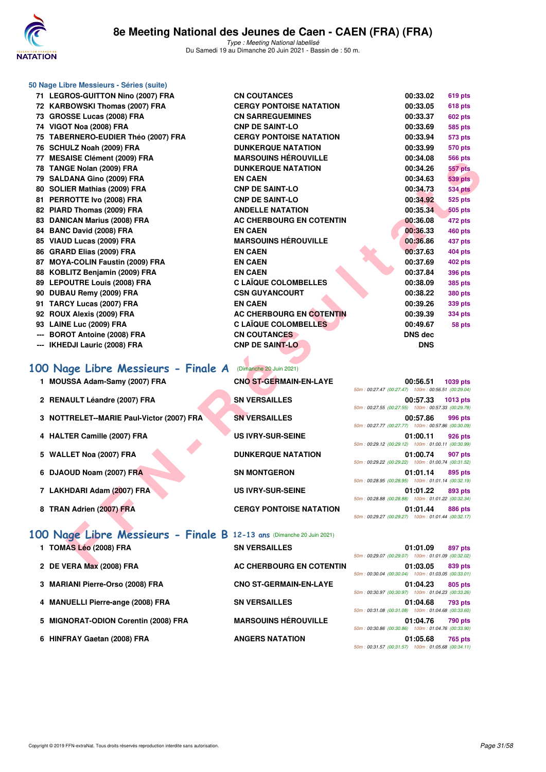

| 50 Nage Libre Messieurs - Séries (suite)                              |                                |                                                                |                 |
|-----------------------------------------------------------------------|--------------------------------|----------------------------------------------------------------|-----------------|
| 71 LEGROS-GUITTON Nino (2007) FRA                                     | <b>CN COUTANCES</b>            | 00:33.02                                                       | 619 pts         |
| 72 KARBOWSKI Thomas (2007) FRA                                        | <b>CERGY PONTOISE NATATION</b> | 00:33.05                                                       | <b>618 pts</b>  |
| 73 GROSSE Lucas (2008) FRA                                            | <b>CN SARREGUEMINES</b>        | 00:33.37                                                       | <b>602 pts</b>  |
| 74 VIGOT Noa (2008) FRA                                               | <b>CNP DE SAINT-LO</b>         | 00:33.69                                                       | 585 pts         |
| 75 TABERNERO-EUDIER Théo (2007) FRA                                   | <b>CERGY PONTOISE NATATION</b> | 00:33.94                                                       | 573 pts         |
| 76 SCHULZ Noah (2009) FRA                                             | <b>DUNKERQUE NATATION</b>      | 00:33.99                                                       | 570 pts         |
| 77 MESAISE Clément (2009) FRA                                         | <b>MARSOUINS HÉROUVILLE</b>    | 00:34.08                                                       | <b>566 pts</b>  |
| 78 TANGE Nolan (2009) FRA                                             | <b>DUNKERQUE NATATION</b>      | 00:34.26                                                       | <b>557 pts</b>  |
| 79 SALDANA Gino (2009) FRA                                            | <b>EN CAEN</b>                 | 00:34.63                                                       | <b>539 pts</b>  |
| 80 SOLIER Mathias (2009) FRA                                          | <b>CNP DE SAINT-LO</b>         | 00:34.73                                                       | <b>534 pts</b>  |
| 81 PERROTTE Ivo (2008) FRA                                            | <b>CNP DE SAINT-LO</b>         | 00:34.92                                                       | 525 pts         |
| 82 PIARD Thomas (2009) FRA                                            | <b>ANDELLE NATATION</b>        | 00:35.34                                                       | <b>505 pts</b>  |
| 83 DANICAN Marius (2008) FRA                                          | AC CHERBOURG EN COTENTIN       | 00:36.08                                                       | 472 pts         |
| 84 BANC David (2008) FRA                                              | <b>EN CAEN</b>                 | 00:36.33                                                       | <b>460 pts</b>  |
| 85 VIAUD Lucas (2009) FRA                                             | <b>MARSOUINS HÉROUVILLE</b>    | 00:36.86                                                       | 437 pts         |
| 86 GRARD Elias (2009) FRA                                             | <b>EN CAEN</b>                 | 00:37.63                                                       | 404 pts         |
| 87 MOYA-COLIN Faustin (2009) FRA                                      | <b>EN CAEN</b>                 | 00:37.69                                                       | <b>402 pts</b>  |
| 88 KOBLITZ Benjamin (2009) FRA                                        | <b>EN CAEN</b>                 | 00:37.84                                                       | <b>396 pts</b>  |
| 89 LEPOUTRE Louis (2008) FRA                                          | <b>C LAÏQUE COLOMBELLES</b>    | 00:38.09                                                       | <b>385 pts</b>  |
| 90 DUBAU Remy (2009) FRA                                              | <b>CSN GUYANCOURT</b>          | 00:38.22                                                       | <b>380 pts</b>  |
| 91 TARCY Lucas (2007) FRA                                             | <b>EN CAEN</b>                 | 00:39.26                                                       | 339 pts         |
| 92 ROUX Alexis (2009) FRA                                             | AC CHERBOURG EN COTENTIN       | 00:39.39                                                       | <b>334 pts</b>  |
| 93 LAINE Luc (2009) FRA                                               | <b>C LAÏQUE COLOMBELLES</b>    | 00:49.67                                                       | 58 pts          |
| <b>BOROT Antoine (2008) FRA</b>                                       | <b>CN COUTANCES</b>            | DNS dec                                                        |                 |
| <b>IKHEDJI Lauric (2008) FRA</b>                                      | <b>CNP DE SAINT-LO</b>         | <b>DNS</b>                                                     |                 |
|                                                                       |                                |                                                                |                 |
| 100 Nage Libre Messieurs - Finale A                                   | (Dimanche 20 Juin 2021)        |                                                                |                 |
| 1 MOUSSA Adam-Samy (2007) FRA                                         | <b>CNO ST-GERMAIN-EN-LAYE</b>  | 00:56.51<br>50m: 00:27.47 (00:27.47) 100m: 00:56.51 (00:29.04) | 1039 pts        |
| 2 RENAULT Léandre (2007) FRA                                          | <b>SN VERSAILLES</b>           | 00:57.33                                                       | <b>1013 pts</b> |
|                                                                       |                                | 50m: 00:27.55 (00:27.55) 100m: 00:57.33 (00:29.78)             |                 |
| 3 NOTTRELET--MARIE Paul-Victor (2007) FRA                             | <b>SN VERSAILLES</b>           | 00:57.86                                                       | 996 pts         |
|                                                                       |                                | 50m: 00:27.77 (00:27.77) 100m: 00:57.86 (00:30.09)             |                 |
| 4 HALTER Camille (2007) FRA                                           | <b>US IVRY-SUR-SEINE</b>       | 01:00.11<br>50m: 00:29.12 (00:29.12) 100m: 01:00.11 (00:30.99) | 926 pts         |
| 5 WALLET Noa (2007) FRA                                               | <b>DUNKERQUE NATATION</b>      | 01:00.74                                                       | 907 pts         |
|                                                                       |                                | 50m: 00:29.22 (00:29.22) 100m: 01:00.74 (00:31.52)             |                 |
| 6 DJAOUD Noam (2007) FRA                                              | <b>SN MONTGERON</b>            | 01:01.14                                                       | 895 pts         |
|                                                                       |                                | 50m: 00:28.95 (00:28.95) 100m: 01:01.14 (00:32.19)             |                 |
| 7 LAKHDARI Adam (2007) FRA                                            | <b>US IVRY-SUR-SEINE</b>       | 01:01.22<br>50m: 00:28.88 (00:28.88) 100m: 01:01.22 (00:32.34) | 893 pts         |
| 8 TRAN Adrien (2007) FRA                                              | <b>CERGY PONTOISE NATATION</b> | 01:01.44                                                       | 886 pts         |
|                                                                       |                                | 50m: 00:29.27 (00:29.27) 100m: 01:01.44 (00:32.17)             |                 |
|                                                                       |                                |                                                                |                 |
| 100 Nage Libre Messieurs - Finale B 12-13 ans (Dimanche 20 Juin 2021) |                                |                                                                |                 |
| 1 TOMAS Léo (2008) FRA                                                | <b>SN VERSAILLES</b>           | 01:01.09                                                       | 897 pts         |
|                                                                       |                                | 50m: 00:29.07 (00:29.07) 100m: 01:01.09 (00:32.02)             |                 |
| 2 DE VERA Max (2008) FRA                                              | AC CHERBOURG EN COTENTIN       | 01:03.05                                                       | 839 pts         |

# **[100 Nage Libre Messieurs - Finale A](http://www.ffnatation.fr/webffn/resultats.php?idact=nat&go=epr&idcpt=70045&idepr=52)** (Dimanche 20 Juin 2021)

- 1 **MOUSSA Adam-Samy (2007) FRA**
- 2 RENAULT Léandre (2007) FRA
- **3 NOTTRELET--MARIE Paul-Victor (2007) FRA**
- **4 HALTER Camille (2007) FRA**
- **5 WALLET Noa (2007) FRA**
- **6 DJAOUD Noam (2007) FRA**
- 7 LAKHDARI Adam (2007) FRA
- **8 TRAN Adrien (2007) FRA**

| <b>CNO ST-GERMAIN-EN-LAYE</b>  |
|--------------------------------|
| <b>SN VERSAILLES</b>           |
| <b>SN VERSAILLES</b>           |
| <b>US IVRY-SUR-SEINE</b>       |
| <b>DUNKERQUE NATATION</b>      |
| <b>SN MONTGERON</b>            |
| <b>US IVRY-SUR-SEINE</b>       |
| <b>CERGY PONTOISE NATATION</b> |

|                                                    | 00:56.51 1039 pts |  |
|----------------------------------------------------|-------------------|--|
| 50m: 00:27.47 (00:27.47) 100m: 00:56.51 (00:29.04) |                   |  |
|                                                    | 00:57.33 1013 pts |  |
| 50m: 00:27.55 (00:27.55) 100m: 00:57.33 (00:29.78) |                   |  |
|                                                    | 00:57.86 996 pts  |  |
| 50m: 00:27.77 (00:27.77) 100m: 00:57.86 (00:30.09) |                   |  |
|                                                    | 01:00.11 926 pts  |  |
| 50m: 00:29.12 (00:29.12) 100m: 01:00.11 (00:30.99) |                   |  |
|                                                    |                   |  |
|                                                    | 01:00.74 907 pts  |  |
| 50m: 00:29.22 (00:29.22) 100m: 01:00.74 (00:31.52) |                   |  |
|                                                    | 01:01.14 895 pts  |  |
| 50m: 00:28.95 (00:28.95) 100m: 01:01.14 (00:32.19) |                   |  |
|                                                    | 01:01.22 893 pts  |  |
| 50m: 00:28.88 (00:28.88) 100m: 01:01.22 (00:32.34) |                   |  |
|                                                    | 01:01.44 886 pts  |  |

### **[100 Nage Libre Messieurs - Finale B](http://www.ffnatation.fr/webffn/resultats.php?idact=nat&go=epr&idcpt=70045&idepr=52) 12-13 ans** (Dimanche 20 Juin 2021) 1 TOMAS Léo (2008) FRA SN VERSAILLES

- 
- 3 MARIANI Pierre-Orso (2008) FRA CNO ST-GERMAIN-EN-LAYE
- 4 MANUELLI Pierre-ange (2008) FRA SN VERSAILLES
- 5 MIGNORAT-ODION Corentin (2008) FRA MARSOUINS HÉROUVILLE
- 6 HINFRAY Gaetan (2008) FRA **ANGERS NATATION**

2 DE VERA Max (2008) FRA **AC CHERBOURG EN COTENTIN** 

| 50m: 00:29.07 (00:29.07) 100m: 01:01.09 (00:32.02) | 01:01.09 897 pts |  |
|----------------------------------------------------|------------------|--|
| 50m: 00:30.04 (00:30.04) 100m: 01:03.05 (00:33.01) | 01:03.05 839 pts |  |
| 50m: 00:30.97 (00:30.97) 100m: 01:04.23 (00:33.26) | 01:04.23 805 pts |  |
| 50m: 00:31.08 (00:31.08) 100m: 01:04.68 (00:33.60) | 01:04.68 793 pts |  |
| 50m: 00:30.86 (00:30.86) 100m: 01:04.76 (00:33.90) | 01:04.76 790 pts |  |
| 50m: 00:31.57 (00:31.57) 100m: 01:05.68 (00:34.11) | 01:05.68 765 pts |  |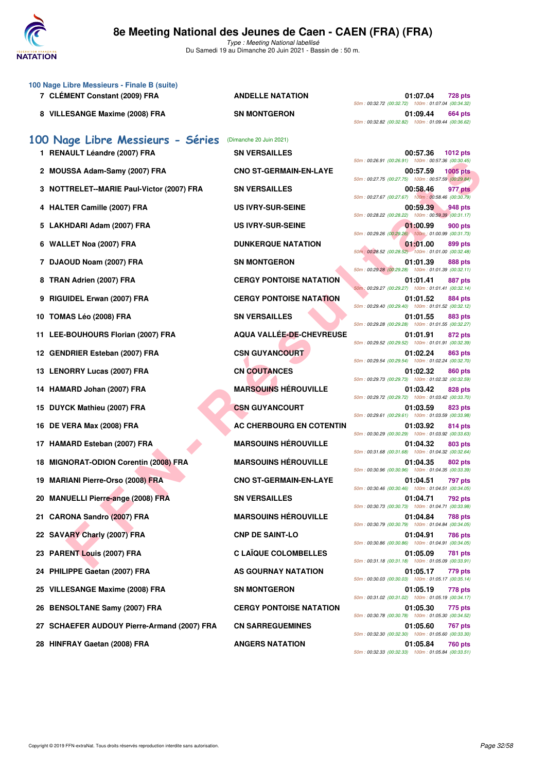

Type : Meeting National labellisé Du Samedi 19 au Dimanche 20 Juin 2021 - Bassin de : 50 m.

| 100 Nage Libre Messieurs - Finale B (suite)<br>7 CLÉMENT Constant (2009) FRA | <b>ANDELLE NATATION</b>        | 01:07.04<br><b>728 pts</b>                                                                                                              |
|------------------------------------------------------------------------------|--------------------------------|-----------------------------------------------------------------------------------------------------------------------------------------|
| 8 VILLESANGE Maxime (2008) FRA                                               | <b>SN MONTGERON</b>            | 50m: 00:32.72 (00:32.72) 100m: 01:07.04 (00:34.32)<br>01:09.44<br>664 pts<br>50m: 00:32.82 (00:32.82) 100m: 01:09.44 (00:36.62)         |
| 100 Nage Libre Messieurs - Séries                                            | (Dimanche 20 Juin 2021)        |                                                                                                                                         |
| 1 RENAULT Léandre (2007) FRA                                                 | <b>SN VERSAILLES</b>           | 00:57.36<br>1012 pts                                                                                                                    |
| 2 MOUSSA Adam-Samy (2007) FRA                                                | <b>CNO ST-GERMAIN-EN-LAYE</b>  | 50m: 00:26.91 (00:26.91) 100m: 00:57.36 (00:30.45)<br><b>1005 pts</b><br>00:57.59<br>50m: 00:27.75 (00:27.75) 100m: 00:57.59 (00:29.84) |
| 3 NOTTRELET--MARIE Paul-Victor (2007) FRA                                    | <b>SN VERSAILLES</b>           | 00:58.46<br>977 pts                                                                                                                     |
| 4 HALTER Camille (2007) FRA                                                  | <b>US IVRY-SUR-SEINE</b>       | 50m: 00:27.67 (00:27.67) 100m: 00:58.46 (00:30.79)<br>00:59.39<br>948 pts<br>50m: 00:28.22 (00:28.22) 100m: 00:59.39 (00:31.17)         |
| 5 LAKHDARI Adam (2007) FRA                                                   | <b>US IVRY-SUR-SEINE</b>       | 01:00.99<br>900 pts                                                                                                                     |
| 6 WALLET Noa (2007) FRA                                                      | <b>DUNKERQUE NATATION</b>      | 50m: 00:29.26 (00:29.26) 100m: 01:00.99 (00:31.73)<br>01:01.00<br>899 pts                                                               |
| 7 DJAOUD Noam (2007) FRA                                                     | <b>SN MONTGERON</b>            | 50m: 00:28.52 (00:28.52) 100m: 01:01.00 (00:32.48)<br>01:01.39<br>888 pts                                                               |
| 8 TRAN Adrien (2007) FRA                                                     | <b>CERGY PONTOISE NATATION</b> | 50m: 00:29.28 (00:29.28) 100m: 01:01.39 (00:32.11)<br>01:01.41<br>887 pts                                                               |
| 9 RIGUIDEL Erwan (2007) FRA                                                  | <b>CERGY PONTOISE NATATION</b> | 50m: 00:29.27 (00:29.27) 100m: 01:01.41 (00:32.14)<br>01:01.52<br>884 pts                                                               |
|                                                                              |                                | 50m: 00:29.40 (00:29.40) 100m: 01:01.52 (00:32.12)                                                                                      |
| 10 TOMAS Léo (2008) FRA                                                      | <b>SN VERSAILLES</b>           | 01:01.55<br>883 pts<br>50m: 00:29.28 (00:29.28) 100m: 01:01.55 (00:32.27)                                                               |
| 11 LEE-BOUHOURS Florian (2007) FRA                                           | AQUA VALLÉE-DE-CHEVREUSE       | 01:01.91<br>872 pts<br>50m: 00:29.52 (00:29.52) 100m: 01:01.91 (00:32.39)                                                               |
| 12 GENDRIER Esteban (2007) FRA                                               | <b>CSN GUYANCOURT</b>          | 01:02.24<br>863 pts<br>50m: 00:29.54 (00:29.54) 100m: 01:02.24 (00:32.70)                                                               |
| 13 LENORRY Lucas (2007) FRA                                                  | <b>CN COUTANCES</b>            | 01:02.32<br>860 pts<br>50m: 00:29.73 (00:29.73) 100m: 01:02.32 (00:32.59)                                                               |
| 14 HAMARD Johan (2007) FRA                                                   | <b>MARSOUINS HÉROUVILLE</b>    | 01:03.42<br>828 pts                                                                                                                     |
| 15 DUYCK Mathieu (2007) FRA                                                  | <b>CSN GUYANCOURT</b>          | 50m: 00:29.72 (00:29.72) 100m: 01:03.42 (00:33.70)<br>01:03.59<br>823 pts<br>50m: 00:29.61 (00:29.61) 100m: 01:03.59 (00:33.98)         |
| 16 DE VERA Max (2008) FRA                                                    | AC CHERBOURG EN COTENTIN       | 01:03.92<br>814 pts                                                                                                                     |
| 17 HAMARD Esteban (2007) FRA                                                 | <b>MARSOUINS HÉROUVILLE</b>    | 50m: 00:30.29 (00:30.29) 100m: 01:03.92 (00:33.63)<br>01:04.32<br><b>803 pts</b><br>50m: 00:31.68 (00:31.68) 100m: 01:04.32 (00:32.64)  |
| 18 MIGNORAT-ODION Corentin (2008) FRA                                        | <b>MARSOUINS HÉROUVILLE</b>    | 01:04.35<br>802 pts                                                                                                                     |
| 19 MARIANI Pierre-Orso (2008) FRA                                            | <b>CNO ST-GERMAIN-EN-LAYE</b>  | 50m: 00:30.96 (00:30.96) 100m: 01:04.35 (00:33.39)<br>01:04.51<br>797 pts<br>50m: 00:30.46 (00:30.46) 100m: 01:04.51 (00:34.05)         |
| 20 MANUELLI Pierre-ange (2008) FRA                                           | <b>SN VERSAILLES</b>           | 01:04.71<br>792 pts                                                                                                                     |
| 21 CARONA Sandro (2007) FRA                                                  | <b>MARSOUINS HÉROUVILLE</b>    | 50m: 00:30.73 (00:30.73) 100m: 01:04.71 (00:33.98)<br>01:04.84<br>788 pts<br>50m: 00:30.79 (00:30.79) 100m: 01:04.84 (00:34.05)         |
| 22 SAVARY Charly (2007) FRA                                                  | <b>CNP DE SAINT-LO</b>         | 01:04.91<br>786 pts                                                                                                                     |
| 23 PARENT Louis (2007) FRA                                                   | <b>C LAÏQUE COLOMBELLES</b>    | 50m: 00:30.86 (00:30.86) 100m: 01:04.91 (00:34.05)<br>01:05.09<br>781 pts<br>50m: 00:31.18 (00:31.18) 100m: 01:05.09 (00:33.91)         |
| 24 PHILIPPE Gaetan (2007) FRA                                                | AS GOURNAY NATATION            | 01:05.17<br>779 pts                                                                                                                     |
| 25 VILLESANGE Maxime (2008) FRA                                              | <b>SN MONTGERON</b>            | 50m: 00:30.03 (00:30.03) 100m: 01:05.17 (00:35.14)<br>01:05.19<br>778 pts                                                               |
| 26 BENSOLTANE Samy (2007) FRA                                                | <b>CERGY PONTOISE NATATION</b> | 50m: 00:31.02 (00:31.02) 100m: 01:05.19 (00:34.17)<br>01:05.30<br>775 pts                                                               |
| 27 SCHAEFER AUDOUY Pierre-Armand (2007) FRA                                  | <b>CN SARREGUEMINES</b>        | 50m: 00:30.78 (00:30.78) 100m: 01:05.30 (00:34.52)<br>01:05.60<br>767 pts<br>50m: 00:32.30 (00:32.30) 100m: 01:05.60 (00:33.30)         |
| 28 HINFRAY Gaetan (2008) FRA                                                 | <b>ANGERS NATATION</b>         | 01:05.84<br><b>760 pts</b>                                                                                                              |

| 00:57.36<br>1012 pts<br>50m: 00:26.91 (00:26.91)<br>100m: 00:57.36 (00:30.45)       |
|-------------------------------------------------------------------------------------|
| 00:57.59<br><b>1005 pts</b>                                                         |
| 50m: 00:27.75 (00:27.75)<br>100m: 00:57.59 (00:29.84)                               |
| 00:58.46<br>977 pts<br>50m: 00:27.67 (00:27.67)<br>100m: 00:58.46 (00:30.79)        |
| 00:59.39<br>948 pts                                                                 |
| 50m: 00:28.22 (00:28.22)<br>100m: 00:59.39 (00:31.17)                               |
| 01:00.99<br><b>900 pts</b><br>50m: 00:29.26 (00:29.26)<br>100m; 01:00.99 (00:31.73) |
| 01:01.00<br>899 pts                                                                 |
| 50m: 00:28.52 (00:28.52) 100m: 01:01.00 (00:32.48)                                  |
| 01:01.39<br>888 pts<br>50m: 00:29.28 (00:29.28)<br>100m: 01:01.39 (00:32.11)        |
| 01:01.41<br><b>887 pts</b>                                                          |
| 50m: 00:29.27 (00:29.27)<br>100m: 01:01.41 (00:32.14)                               |
| 01:01.52<br>884 pts<br>50m: 00:29.40 (00:29.40)<br>100m: 01:01.52 (00:32.12)        |
| 01:01.55<br>883 pts                                                                 |
| 50m: 00:29.28 (00:29.28)<br>100m: 01:01.55 (00:32.27)                               |
| 01:01.91<br>872 pts<br>50m: 00:29.52 (00:29.52)<br>100m: 01:01.91 (00:32.39)        |
| 01:02.24<br><b>863 pts</b>                                                          |
| 50m: 00:29.54 (00:29.54)<br>100m: 01:02.24 (00:32.70)                               |
| 01:02.32<br>860 pts<br>50m: 00:29.73 (00:29.73)<br>100m: 01:02.32 (00:32.59)        |
| 01:03.42<br><b>828 pts</b>                                                          |
| 50m: 00:29.72 (00:29.72)<br>100m: 01:03.42 (00:33.70)                               |
| 01:03.59<br>823 pts<br>50m: 00:29.61 (00:29.61)<br>100m: 01:03.59 (00:33.98)        |
| 01:03.92<br>814 pts                                                                 |
| 50m: 00:30.29 (00:30.29)<br>100m: 01:03.92 (00:33.63)<br>01:04.32<br>803 pts        |
| 50m: 00:31.68 (00:31.68)<br>100m: 01:04.32 (00:32.64)                               |
| 01:04.35<br>802 pts<br>50m: 00:30.96 (00:30.96)<br>100m: 01:04.35 (00:33.39)        |
| 01:04.51<br>797 pts                                                                 |
| 50m: 00:30.46 (00:30.46)<br>100m: 01:04.51 (00:34.05)                               |
| 01:04.71<br>792 pts<br>50m: 00:30.73 (00:30.73)<br>100m: 01:04.71 (00:33.98)        |
| 01:04.84<br>788 pts                                                                 |
| 50m: 00:30.79 (00:30.79)<br>100m: 01:04.84 (00:34.05)                               |
| 01:04.91<br><b>786 pts</b><br>50m: 00:30.86 (00:30.86)<br>100m: 01:04.91 (00:34.05) |
| 01:05.09<br><b>781 pts</b>                                                          |
| 50m: 00:31.18 (00:31.18)<br>100m: 01:05.09 (00:33.91)                               |
| 01:05.17<br>779 pts<br>50m: 00:30.03 (00:30.03) 100m: 01:05.17 (00:35.14)           |
| 01:05.19<br>778 pts                                                                 |
| 50m: 00:31.02 (00:31.02) 100m: 01:05.19 (00:34.17)<br>01:05.30<br>775 pts           |
| 50m: 00:30.78 (00:30.78) 100m: 01:05.30 (00:34.52)                                  |
| 01:05.60<br><b>767 pts</b><br>50m: 00:32.30 (00:32.30) 100m: 01:05.60 (00:33.30)    |
| 01:05.84<br><b>760 pts</b>                                                          |
| 50m: 00:32.33 (00:32.33) 100m: 01:05.84 (00:33.51)                                  |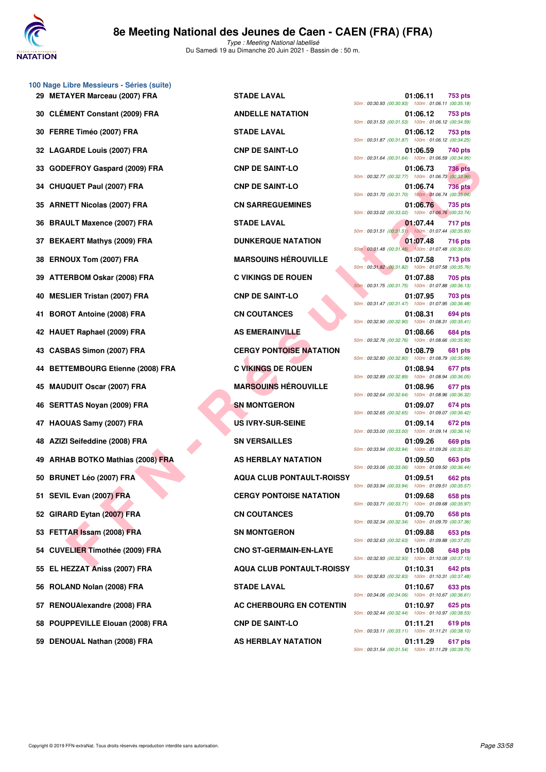

| 29 METAYER Marceau (2007) FRA     | <b>STADE LAVAL</b>               |                                                                                                        | 01:06.11 | 753 pts        |
|-----------------------------------|----------------------------------|--------------------------------------------------------------------------------------------------------|----------|----------------|
| 30 CLÉMENT Constant (2009) FRA    | <b>ANDELLE NATATION</b>          | 50m: 00:30.93 (00:30.93) 100m: 01:06.11 (00:35.18<br>50m: 00:31.53 (00:31.53) 100m: 01:06.12 (00:34.59 | 01:06.12 | 753 pts        |
| 30 FERRE Timéo (2007) FRA         | <b>STADE LAVAL</b>               | 50m: 00:31.87 (00:31.87) 100m: 01:06.12 (00:34.25                                                      | 01:06.12 | 753 pts        |
| 32 LAGARDE Louis (2007) FRA       | <b>CNP DE SAINT-LO</b>           | 50m: 00:31.64 (00:31.64) 100m: 01:06.59 (00:34.95)                                                     | 01:06.59 | 740 pts        |
| 33 GODEFROY Gaspard (2009) FRA    | <b>CNP DE SAINT-LO</b>           | 50m: 00:32.77 (00:32.77) 100m: 01:06.73 (00:33.96                                                      | 01:06.73 | 736 pts        |
| 34 CHUQUET Paul (2007) FRA        | <b>CNP DE SAINT-LO</b>           | 50m: 00:31.70 (00:31.70) 100m: 01:06.74 (00:35.04                                                      | 01:06.74 | <b>736 pts</b> |
| 35 ARNETT Nicolas (2007) FRA      | <b>CN SARREGUEMINES</b>          | 50m: 00:33.02 (00:33.02) 100m: 01:06.76 (00:33.74                                                      | 01:06.76 | 735 pts        |
| 36 BRAULT Maxence (2007) FRA      | <b>STADE LAVAL</b>               | 50m: 00:31.51 (00:31.51) 100m: 01:07.44 (00:35.93)                                                     | 01:07.44 | 717 pts        |
| 37 BEKAERT Mathys (2009) FRA      | <b>DUNKERQUE NATATION</b>        | 50m: 00:31.48 (00:31.48) 100m: 01:07.48 (00:36.00)                                                     | 01:07.48 | <b>716 pts</b> |
| 38 ERNOUX Tom (2007) FRA          | <b>MARSOUINS HÉROUVILLE</b>      | 50m: 00:31.82 (00:31.82) 100m: 01:07.58 (00:35.76)                                                     | 01:07.58 | <b>713 pts</b> |
| 39 ATTERBOM Oskar (2008) FRA      | <b>C VIKINGS DE ROUEN</b>        | 50m: 00:31.75 (00:31.75) 100m: 01:07.88 (00:36.13)                                                     | 01:07.88 | 705 pts        |
| 40 MESLIER Tristan (2007) FRA     | <b>CNP DE SAINT-LO</b>           | 50m: 00:31.47 (00:31.47) 100m: 01:07.95 (00:36.48)                                                     | 01:07.95 | <b>703 pts</b> |
| 41 BOROT Antoine (2008) FRA       | <b>CN COUTANCES</b>              | 50m: 00:32.90 (00:32.90) 100m: 01:08.31 (00:35.41)                                                     | 01:08.31 | 694 pts        |
| 42 HAUET Raphael (2009) FRA       | <b>AS EMERAINVILLE</b>           | 50m: 00:32.76 (00:32.76) 100m: 01:08.66 (00:35.90                                                      | 01:08.66 | 684 pts        |
| 43 CASBAS Simon (2007) FRA        | <b>CERGY PONTOISE NATATION</b>   | 50m: 00:32.80 (00:32.80) 100m: 01:08.79 (00:35.99)                                                     | 01:08.79 | 681 pts        |
| 44 BETTEMBOURG Etienne (2008) FRA | <b>C VIKINGS DE ROUEN</b>        | 50m: 00:32.89 (00:32.89) 100m: 01:08.94 (00:36.05                                                      | 01:08.94 | 677 pts        |
| 45 MAUDUIT Oscar (2007) FRA       | <b>MARSOUINS HEROUVILLE</b>      | 50m: 00:32.64 (00:32.64) 100m: 01:08.96 (00:36.32                                                      | 01:08.96 | 677 pts        |
| 46 SERTTAS Noyan (2009) FRA       | <b>SN MONTGERON</b>              | 50m: 00:32.65 (00:32.65) 100m: 01:09.07 (00:36.42)                                                     | 01:09.07 | 674 pts        |
| 47 HAOUAS Samy (2007) FRA         | <b>US IVRY-SUR-SEINE</b>         | 50m: 00:33.00 (00:33.00) 100m: 01:09.14 (00:36.14)                                                     | 01:09.14 | 672 pts        |
| 48 AZIZI Seifeddine (2008) FRA    | <b>SN VERSAILLES</b>             | 50m: 00:33.94 (00:33.94) 100m: 01:09.26 (00:35.32)                                                     | 01:09.26 | 669 pts        |
| 49 ARHAB BOTKO Mathias (2008) FRA | AS HERBLAY NATATION              | 50m: 00:33.06 (00:33.06) 100m: 01:09.50 (00:36.44                                                      | 01:09.50 | 663 pts        |
| 50 BRUNET Léo (2007) FRA          | <b>AQUA CLUB PONTAULT-ROISSY</b> | 50m: 00:33.94 (00:33.94) 100m: 01:09.51 (00:35.57                                                      | 01:09.51 | <b>662 pts</b> |
| 51 SEVIL Evan (2007) FRA          | <b>CERGY PONTOISE NATATION</b>   | 50m: 00:33.71 (00:33.71) 100m: 01:09.68 (00:35.97)                                                     | 01:09.68 | 658 pts        |
| 52 GIRARD Eytan (2007) FRA        | <b>CN COUTANCES</b>              | 50m: 00:32.34 (00:32.34) 100m: 01:09.70 (00:37.36                                                      | 01:09.70 | 658 pts        |
| 53 FETTAR Issam (2008) FRA        | <b>SN MONTGERON</b>              | 50m: 00:32.63 (00:32.63) 100m: 01:09.88 (00:37.25                                                      | 01:09.88 | 653 pts        |
| 54 CUVELIER Timothée (2009) FRA   | <b>CNO ST-GERMAIN-EN-LAYE</b>    | 50m: 00:32.93 (00:32.93) 100m: 01:10.08 (00:37.15                                                      | 01:10.08 | 648 pts        |
| 55 EL HEZZAT Aniss (2007) FRA     | <b>AQUA CLUB PONTAULT-ROISSY</b> | 50m: 00:32.83 (00:32.83) 100m: 01:10.31 (00:37.48                                                      | 01:10.31 | <b>642 pts</b> |
| 56 ROLAND Nolan (2008) FRA        | <b>STADE LAVAL</b>               | 50m: 00:34.06 (00:34.06) 100m: 01:10.67 (00:36.61                                                      | 01:10.67 | 633 pts        |
| 57 RENOUAlexandre (2008) FRA      | <b>AC CHERBOURG EN COTENTIN</b>  | 50m: 00:32.44 (00:32.44) 100m: 01:10.97 (00:38.53)                                                     | 01:10.97 | 625 pts        |
| 58 POUPPEVILLE Elouan (2008) FRA  | <b>CNP DE SAINT-LO</b>           | 50m: 00:33.11 (00:33.11) 100m: 01:11.21 (00:38.10                                                      | 01:11.21 | 619 pts        |
| 59 DENOUAL Nathan (2008) FRA      | AS HERBLAY NATATION              |                                                                                                        | 01:11.29 | 617 pts        |

**100 Nage Libre Messieurs - Séries (suite)**

| AYER Marceau (2007) FRA            | <b>STADE LAVAL</b>               | 01:06.11<br>753 pts<br>50m: 00:30.93 (00:30.93) 100m: 01:06.11 (00:35.18)        |
|------------------------------------|----------------------------------|----------------------------------------------------------------------------------|
| MENT Constant (2009) FRA           | <b>ANDELLE NATATION</b>          | 01:06.12<br>753 pts<br>50m: 00:31.53 (00:31.53) 100m: 01:06.12 (00:34.59)        |
| RE Timéo (2007) FRA                | <b>STADE LAVAL</b>               | 01:06.12<br>753 pts<br>50m: 00:31.87 (00:31.87) 100m: 01:06.12 (00:34.25)        |
| ARDE Louis (2007) FRA              | <b>CNP DE SAINT-LO</b>           | 01:06.59<br>740 pts                                                              |
| EFROY Gaspard (2009) FRA           | <b>CNP DE SAINT-LO</b>           | 50m: 00:31.64 (00:31.64) 100m: 01:06.59 (00:34.95)<br>01:06.73<br>736 pts        |
| QUET Paul (2007) FRA               | <b>CNP DE SAINT-LO</b>           | 50m: 00:32.77 (00:32.77) 100m: 01:06.73 (00:33.96)<br>01:06.74<br><b>736 pts</b> |
| ETT Nicolas (2007) FRA             | <b>CN SARREGUEMINES</b>          | 50m: 00:31.70 (00:31.70) 100m: 01:06.74 (00:35.04)<br>01:06.76<br>735 pts        |
| ULT Maxence (2007) FRA             | <b>STADE LAVAL</b>               | 50m: 00:33.02 (00:33.02) 100m: 01:06.76 (00:33.74)<br>01:07.44<br>717 pts        |
| AERT Mathys (2009) FRA             | <b>DUNKERQUE NATATION</b>        | 50m: 00:31.51 (00:31.51) 100m: 01:07.44 (00:35.93)<br>01:07.48<br><b>716 pts</b> |
| OUX Tom (2007) FRA                 | <b>MARSOUINS HÉROUVILLE</b>      | 50m: 00:31.48 (00:31.48) 100m: 01:07.48 (00:36.00)<br>01:07.58<br>713 pts        |
| ERBOM Oskar (2008) FRA             | <b>C VIKINGS DE ROUEN</b>        | 50m: 00:31.82 (00:31.82) 100m: 01:07.58 (00:35.76)<br>01:07.88<br>705 pts        |
| LIER Tristan (2007) FRA            | <b>CNP DE SAINT-LO</b>           | 50m: 00:31.75 (00:31.75) 100m: 01:07.88 (00:36.13)<br>01:07.95<br>703 pts        |
| OT Antoine (2008) FRA              | <b>CN COUTANCES</b>              | 50m: 00:31.47 (00:31.47) 100m: 01:07.95 (00:36.48)<br>01:08.31<br>694 pts        |
| ET Raphael (2009) FRA              | <b>AS EMERAINVILLE</b>           | 50m: 00:32.90 (00:32.90) 100m: 01:08.31 (00:35.41)<br>01:08.66<br>684 pts        |
| BAS Simon (2007) FRA               | <b>CERGY PONTOISE NATATION</b>   | 50m: 00:32.76 (00:32.76) 100m: 01:08.66 (00:35.90)<br>01:08.79<br>681 pts        |
| <b>TEMBOURG Etienne (2008) FRA</b> | <b>C VIKINGS DE ROUEN</b>        | 50m: 00:32.80 (00:32.80) 100m: 01:08.79 (00:35.99)<br>01:08.94<br>677 pts        |
| DUIT Oscar (2007) FRA              | <b>MARSOUINS HÉROUVILLE</b>      | 50m: 00:32.89 (00:32.89) 100m: 01:08.94 (00:36.05)<br>01:08.96<br>677 pts        |
| TTAS Noyan (2009) FRA              | <b>SN MONTGERON</b>              | 50m: 00:32.64 (00:32.64) 100m: 01:08.96 (00:36.32)<br>01:09.07<br>674 pts        |
| UAS Samy (2007) FRA                | <b>US IVRY-SUR-SEINE</b>         | 50m: 00:32.65 (00:32.65) 100m: 01:09.07 (00:36.42)<br>01:09.14<br>672 pts        |
| l Seifeddine (2008) FRA            | <b>SN VERSAILLES</b>             | 50m: 00:33.00 (00:33.00) 100m: 01:09.14 (00:36.14)<br>01:09.26<br>669 pts        |
| AB BOTKO Mathias (2008) FRA        | <b>AS HERBLAY NATATION</b>       | 50m: 00:33.94 (00:33.94) 100m: 01:09.26 (00:35.32)<br>01:09.50<br>663 pts        |
| NET Léo (2007) FRA                 | <b>AQUA CLUB PONTAULT-ROISSY</b> | 50m: 00:33.06 (00:33.06) 100m: 01:09.50 (00:36.44)<br>01:09.51<br><b>662 pts</b> |
| IL Evan (2007) FRA                 | <b>CERGY PONTOISE NATATION</b>   | 50m: 00:33.94 (00:33.94) 100m: 01:09.51 (00:35.57)<br>01:09.68<br>658 pts        |
| <b>\RD Eytan (2007) FRA</b>        | <b>CN COUTANCES</b>              | 50m: 00:33.71 (00:33.71) 100m: 01:09.68 (00:35.97)<br>01:09.70<br>658 pts        |
| <b>FAR Issam (2008) FRA</b>        | <b>SN MONTGERON</b>              | 50m: 00:32.34 (00:32.34) 100m: 01:09.70 (00:37.36)<br>01:09.88<br>653 pts        |
| ELIER Timothée (2009) FRA          | <b>CNO ST-GERMAIN-EN-LAYE</b>    | 50m: 00:32.63 (00:32.63) 100m: 01:09.88 (00:37.25)<br>01:10.08<br><b>648 pts</b> |
| EZZAT Aniss (2007) FRA             | <b>AQUA CLUB PONTAULT-ROISSY</b> | 50m: 00:32.93 (00:32.93) 100m: 01:10.08 (00:37.15)<br>01:10.31<br>642 pts        |
| AND Nolan (2008) FRA               | <b>STADE LAVAL</b>               | 50m: 00:32.83 (00:32.83) 100m: 01:10.31 (00:37.48)<br>01:10.67<br>633 pts        |
| OUAlexandre (2008) FRA             | AC CHERBOURG EN COTENTIN         | 50m: 00:34.06 (00:34.06) 100m: 01:10.67 (00:36.61)<br>01:10.97<br>625 pts        |
| PPEVILLE Elouan (2008) FRA         | <b>CNP DE SAINT-LO</b>           | 50m: 00:32.44 (00:32.44) 100m: 01:10.97 (00:38.53)<br>01:11.21<br>619 pts        |
| OUAL Nathan (2008) FRA             | AS HERBLAY NATATION              | 50m: 00:33.11 (00:33.11) 100m: 01:11.21 (00:38.10)<br>01:11.29<br>617 pts        |
|                                    |                                  | 50m: 00:31.54 (00:31.54) 100m: 01:11.29 (00:39.75)                               |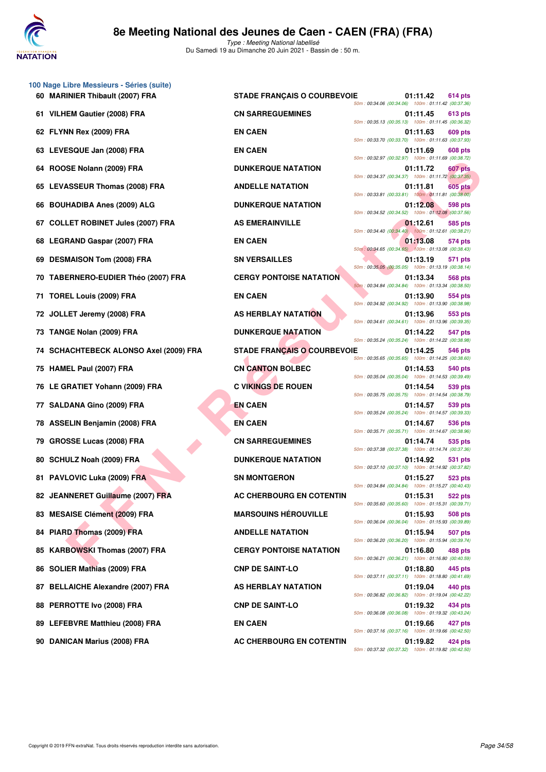

**100 Nage Libre Messieurs - Séries (suite)**

Type : Meeting National labellisé Du Samedi 19 au Dimanche 20 Juin 2021 - Bassin de : 50 m.

| 60 MARINIER Thibault (2007) FRA              | <b>STADE FRANÇAIS O COURBEVOIE</b> | 01:11.42<br>614 pts<br>50m: 00:34.06 (00:34.06) 100m: 01:11.42 (00:37.36)                                                       |
|----------------------------------------------|------------------------------------|---------------------------------------------------------------------------------------------------------------------------------|
| 61 VILHEM Gautier (2008) FRA                 | <b>CN SARREGUEMINES</b>            | 01:11.45<br>613 pts<br>50m: 00:35.13 (00:35.13) 100m: 01:11.45 (00:36.32)                                                       |
| 62 FLYNN Rex (2009) FRA                      | <b>EN CAEN</b>                     | 01:11.63<br>609 pts<br>50m: 00:33.70 (00:33.70) 100m: 01:11.63 (00:37.93)                                                       |
| 63 LEVESQUE Jan (2008) FRA                   | <b>EN CAEN</b>                     | 01:11.69<br>608 pts<br>50m: 00:32.97 (00:32.97) 100m: 01:11.69 (00:38.72)                                                       |
| 64 ROOSE Nolann (2009) FRA                   | <b>DUNKERQUE NATATION</b>          | 01:11.72<br>607 pts<br>50m: 00:34.37 (00:34.37) 100m: 01:11.72 (00:37.35)                                                       |
| 65 LEVASSEUR Thomas (2008) FRA               | <b>ANDELLE NATATION</b>            | 01:11.81<br><b>605 pts</b><br>50m: 00:33.81 (00:33.81) 100m: 01:11.81 (00:38.00)                                                |
| <b>BOUHADIBA Anes (2009) ALG</b><br>66       | <b>DUNKERQUE NATATION</b>          | 01:12.08<br>598 pts<br>50m: 00:34.52 (00:34.52) 100m: 01:12.08 (00:37.56)                                                       |
| <b>COLLET ROBINET Jules (2007) FRA</b><br>67 | <b>AS EMERAINVILLE</b>             | 01:12.61<br>585 pts<br>50m: 00:34.40 (00:34.40) 100m: 01:12.61 (00:38.21)                                                       |
| <b>LEGRAND Gaspar (2007) FRA</b><br>68       | <b>EN CAEN</b>                     | 01:13.08<br>574 pts<br>50m: 00:34.65 (00:34.65) 100m: 01:13.08 (00:38.43)                                                       |
| 69 DESMAISON Tom (2008) FRA                  | <b>SN VERSAILLES</b>               | 01:13.19<br>571 pts<br>50m: 00:35.05 (00:35.05) 100m: 01:13.19 (00:38.14)                                                       |
| 70 TABERNERO-EUDIER Théo (2007) FRA          | <b>CERGY PONTOISE NATATION</b>     | 01:13.34<br>568 pts<br>50m: 00:34.84 (00:34.84) 100m: 01:13.34 (00:38.50)                                                       |
| TOREL Louis (2009) FRA<br>71.                | <b>EN CAEN</b>                     | 01:13.90<br>554 pts<br>50m: 00:34.92 (00:34.92) 100m: 01:13.90 (00:38.98)                                                       |
| 72 JOLLET Jeremy (2008) FRA                  | AS HERBLAY NATATION                | 01:13.96<br>553 pts<br>50m: 00:34.61 (00:34.61) 100m: 01:13.96 (00:39.35)                                                       |
| 73 TANGE Nolan (2009) FRA                    | <b>DUNKERQUE NATATION</b>          | 01:14.22<br>547 pts<br>50m: 00:35.24 (00:35.24) 100m: 01:14.22 (00:38.98)                                                       |
| 74 SCHACHTEBECK ALONSO Axel (2009) FRA       | <b>STADE FRANÇAIS O COURBEVOIE</b> | 01:14.25<br>546 pts<br>50m: 00:35.65 (00:35.65) 100m: 01:14.25 (00:38.60)                                                       |
| 75 HAMEL Paul (2007) FRA                     | <b>CN CANTON BOLBEC</b>            | 01:14.53<br>540 pts<br>50m: 00:35.04 (00:35.04) 100m: 01:14.53 (00:39.49)                                                       |
| 76 LE GRATIET Yohann (2009) FRA              | <b>C VIKINGS DE ROUEN</b>          | 01:14.54<br>539 pts<br>50m: 00:35.75 (00:35.75) 100m: 01:14.54 (00:38.79)                                                       |
| <b>SALDANA Gino (2009) FRA</b><br>77         | <b>EN CAEN</b>                     | 01:14.57<br>539 pts<br>50m: 00:35.24 (00:35.24) 100m: 01:14.57 (00:39.33)                                                       |
| 78 ASSELIN Benjamin (2008) FRA               | <b>EN CAEN</b>                     | 01:14.67<br><b>536 pts</b><br>50m: 00:35.71 (00:35.71) 100m: 01:14.67 (00:38.96)                                                |
| <b>GROSSE Lucas (2008) FRA</b><br>79         | <b>CN SARREGUEMINES</b>            | 01:14.74<br>535 pts<br>50m: 00:37.38 (00:37.38) 100m: 01:14.74 (00:37.36)                                                       |
| 80 SCHULZ Noah (2009) FRA                    | <b>DUNKERQUE NATATION</b>          | 01:14.92<br>531 pts<br>50m: 00:37.10 (00:37.10) 100m: 01:14.92 (00:37.82)                                                       |
| PAVLOVIC Luka (2009) FRA<br>81.              | <b>SN MONTGERON</b>                | 01:15.27<br>523 pts<br>50m: 00:34.84 (00:34.84) 100m: 01:15.27 (00:40.43)                                                       |
| 82 JEANNERET Guillaume (2007) FRA            | AC CHERBOURG EN COTENTIN           | 01:15.31<br><b>522 pts</b><br>50m: 00:35.60 (00:35.60) 100m: 01:15.31 (00:39.71)                                                |
| 83 MESAISE Clément (2009) FRA                | <b>MARSOUINS HÉROUVILLE</b>        | 01:15.93<br>508 pts<br>50m: 00:36.04 (00:36.04) 100m: 01:15.93 (00:39.89)                                                       |
| PIARD Thomas (2009) FRA<br>84                | <b>ANDELLE NATATION</b>            | 01:15.94<br>507 pts<br>50m: 00:36.20 (00:36.20) 100m: 01:15.94 (00:39.74)                                                       |
| <b>KARBOWSKI Thomas (2007) FRA</b><br>85     | <b>CERGY PONTOISE NATATION</b>     | 01:16.80<br>488 pts<br>50m: 00:36.21 (00:36.21) 100m: 01:16.80 (00:40.59)                                                       |
| <b>SOLIER Mathias (2009) FRA</b><br>86       | <b>CNP DE SAINT-LO</b>             | 01:18.80<br>445 pts<br>50m: 00:37.11 (00:37.11) 100m: 01:18.80 (00:41.69)                                                       |
| <b>BELLAICHE Alexandre (2007) FRA</b><br>87  | AS HERBLAY NATATION                | 01:19.04<br>440 pts<br>50m: 00:36.82 (00:36.82) 100m: 01:19.04 (00:42.22)                                                       |
| PERROTTE Ivo (2008) FRA<br>88                | <b>CNP DE SAINT-LO</b>             | 01:19.32<br>434 pts                                                                                                             |
| 89 LEFEBVRE Matthieu (2008) FRA              | <b>EN CAEN</b>                     | 50m: 00:36.08 (00:36.08) 100m: 01:19.32 (00:43.24)<br>01:19.66<br>427 pts<br>50m: 00:37.16 (00:37.16) 100m: 01:19.66 (00:42.50) |
|                                              |                                    |                                                                                                                                 |

50m : 00:35.05 (00:35.05) 100m : 01:13.19 (00:38.14) 50m : 00:34.84 (00:34.84) 100m : 01:13.34 (00:38.50) 50m : 00:34.92 (00:34.92) 100m : 01:13.90 (00:38.98) 50m : 00:34.61 (00:34.61) 100m : 01:13.96 (00:39.35) 50m : 00:35.24 (00:35.24) 100m : 01:14.22 (00:38.98) 50m : 00:35.65 (00:35.65) 100m : 01:14.25 (00:38.60) 50m : 00:35.04 (00:35.04) 100m : 01:14.53 (00:39.49) 50m : 00:35.75 (00:35.75) 100m : 01:14.54 (00:38.79) 50m : 00:35.24 (00:35.24) 100m : 01:14.57 (00:39.33) 50m : 00:35.71 (00:35.71) 100m : 01:14.67 (00:38.96) 50m : 00:37.38 (00:37.38) 100m : 01:14.74 (00:37.36) 50m : 00:37.10 (00:37.10) 100m : 01:14.92 (00:37.82) 50m : 00:34.84 (00:34.84) 100m : 01:15.27 (00:40.43) 50m : 00:35.60 (00:35.60) 100m : 01:15.31 (00:39.71) 50m : 00:36.04 (00:36.04) 100m : 01:15.93 (00:39.89) 50m : 00:36.20 (00:36.20) 100m : 01:15.94 (00:39.74) 50m : 00:36.21 (00:36.21) 100m : 01:16.80 (00:40.59) 50m : 00:37.11 (00:37.11) 100m : 01:18.80 (00:41.69) 50m : 00:36.82 (00:36.82) 100m : 01:19.04 (00:42.22) 50m : 00:36.08 (00:36.08) 100m : 01:19.32 (00:43.24) 50m : 00:37.16 (00:37.16) 100m : 01:19.66 (00:42.50) 50m : 00:37.32 (00:37.32) 100m : 01:19.82 (00:42.50)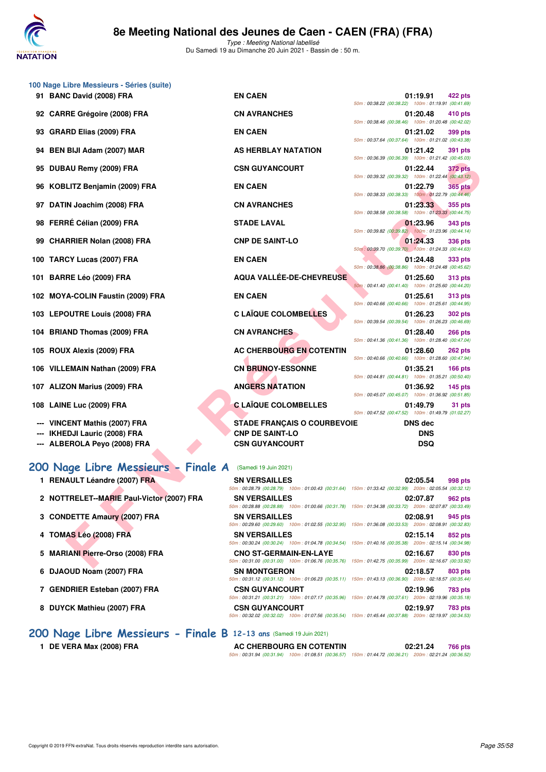

Type : Meeting National labellisé Du Samedi 19 au Dimanche 20 Juin 2021 - Bassin de : 50 m.

| 100 Nage Libre Messieurs - Séries (suite)                 |                                    |                                                                                                                                   |
|-----------------------------------------------------------|------------------------------------|-----------------------------------------------------------------------------------------------------------------------------------|
| 91 BANC David (2008) FRA                                  | <b>EN CAEN</b>                     | 01:19.91<br>422 pts                                                                                                               |
| 92 CARRE Grégoire (2008) FRA                              | <b>CN AVRANCHES</b>                | 50m: 00:38.22 (00:38.22) 100m: 01:19.91 (00:41.69)<br>01:20.48<br>410 pts                                                         |
| 93 GRARD Elias (2009) FRA                                 | <b>EN CAEN</b>                     | 50m: 00:38.46 (00:38.46) 100m: 01:20.48 (00:42.02)<br>01:21.02<br>399 pts                                                         |
|                                                           |                                    | 50m: 00:37.64 (00:37.64) 100m: 01:21.02 (00:43.38)                                                                                |
| 94 BEN BIJI Adam (2007) MAR                               | <b>AS HERBLAY NATATION</b>         | 01:21.42<br>391 pts<br>50m: 00:36.39 (00:36.39) 100m: 01:21.42 (00:45.03)                                                         |
| 95 DUBAU Remy (2009) FRA                                  | <b>CSN GUYANCOURT</b>              | 01:22.44<br><b>372 pts</b><br>50m: 00:39.32 (00:39.32) 100m: 01:22.44 (00:43.12)                                                  |
| 96 KOBLITZ Benjamin (2009) FRA                            | <b>EN CAEN</b>                     | 01:22.79<br>365 pts                                                                                                               |
| 97 DATIN Joachim (2008) FRA                               | <b>CN AVRANCHES</b>                | 50m: 00:38.33 (00:38.33) 100m: 01:22.79 (00:44.46)<br>01:23.33<br>355 pts<br>50m: 00:38.58 (00:38.58) 100m: 01:23.33 (00:44.75)   |
| 98 FERRÉ Célian (2009) FRA                                | <b>STADE LAVAL</b>                 | 01:23.96<br>343 pts                                                                                                               |
| 99 CHARRIER Nolan (2008) FRA                              | <b>CNP DE SAINT-LO</b>             | 50m: 00:39.82 (00:39.82) 100m: 01:23.96 (00:44.14)<br>01:24.33<br><b>336 pts</b>                                                  |
|                                                           |                                    | 50m: 00:39.70 (00:39.70) 100m: 01:24.33 (00:44.63)                                                                                |
| 100 TARCY Lucas (2007) FRA                                | <b>EN CAEN</b>                     | 01:24.48<br>333 pts<br>50m: 00:38.86 (00:38.86) 100m: 01:24.48 (00:45.62)                                                         |
| 101 BARRE Léo (2009) FRA                                  | AQUA VALLÉE-DE-CHEVREUSE           | 01:25.60<br><b>313 pts</b><br>50m: 00:41.40 (00:41.40) 100m: 01:25.60 (00:44.20)                                                  |
| 102 MOYA-COLIN Faustin (2009) FRA                         | <b>EN CAEN</b>                     | 01:25.61<br><b>313 pts</b><br>50m: 00:40.66 (00:40.66) 100m: 01:25.61 (00:44.95)                                                  |
| 103 LEPOUTRE Louis (2008) FRA                             | <b>C LAÏQUE COLOMBELLES</b>        | 01:26.23<br>302 pts                                                                                                               |
| 104 BRIAND Thomas (2009) FRA                              | <b>CN AVRANCHES</b>                | 50m: 00:39.54 (00:39.54) 100m: 01:26.23 (00:46.69)<br>01:28.40<br><b>266 pts</b>                                                  |
| 105 ROUX Alexis (2009) FRA                                | AC CHERBOURG EN COTENTIN           | 50m: 00:41.36 (00:41.36) 100m: 01:28.40 (00:47.04)<br>01:28.60                                                                    |
|                                                           |                                    | <b>262 pts</b><br>50m: 00:40.66 (00:40.66) 100m: 01:28.60 (00:47.94)                                                              |
| 106 VILLEMAIN Nathan (2009) FRA                           | <b>CN BRUNOY-ESSONNE</b>           | 01:35.21<br>$166$ pts<br>50m: 00:44.81 (00:44.81) 100m: 01:35.21 (00:50.40)                                                       |
| 107 ALIZON Marius (2009) FRA                              | <b>ANGERS NATATION</b>             | 01:36.92<br>145 pts<br>50m: 00:45.07 (00:45.07) 100m: 01:36.92 (00:51.85)                                                         |
| 108 LAINE Luc (2009) FRA                                  | <b>C LAÏQUE COLOMBELLES</b>        | 01:49.79<br>31 pts<br>50m: 00:47.52 (00:47.52) 100m: 01:49.79 (01:02.27)                                                          |
| --- VINCENT Mathis (2007) FRA                             | <b>STADE FRANÇAIS O COURBEVOIE</b> | <b>DNS</b> dec                                                                                                                    |
| --- IKHEDJI Lauric (2008) FRA                             | <b>CNP DE SAINT-LO</b>             | <b>DNS</b>                                                                                                                        |
| --- ALBEROLA Peyo (2008) FRA                              | <b>CSN GUYANCOURT</b>              | <b>DSQ</b>                                                                                                                        |
| 200 Nage Libre Messieurs - Finale A (Samedi 19 Juin 2021) |                                    |                                                                                                                                   |
| 1 RENAULT Léandre (2007) FRA                              | <b>SN VERSAILLES</b>               | 02:05.54<br>998 pts                                                                                                               |
|                                                           |                                    | 50m: 00:28.79 (00:28.79) 100m: 01:00.43 (00:31.64) 150m: 01:33.42 (00:32.99) 200m: 02:05.54 (00:32.12)                            |
| 2 NOTTRELET--MARIE Paul-Victor (2007) FRA                 | <b>SN VERSAILLES</b>               | 02:07.87<br>962 pts<br>50m: 00:28.88 (00:28.88) 100m: 01:00.66 (00:31.78) 150m: 01:34.38 (00:33.72) 200m: 02:07.87 (00:33.49)     |
| 3 CONDETTE Amaury (2007) FRA                              | <b>SN VERSAILLES</b>               | 02:08.91<br>945 pts                                                                                                               |
| 4 TOMAS Léo (2008) FRA                                    | <b>SN VERSAILLES</b>               | 50m : 00:29.60 (00:29.60) 100m : 01:02.55 (00:32.95) 150m : 01:36.08 (00:33.53) 200m : 02:08.91 (00:32.83)<br>02:15.14<br>852 pts |
|                                                           |                                    | 50m: 00:30.24 (00:30.24) 100m: 01:04.78 (00:34.54) 150m: 01:40.16 (00:35.38) 200m: 02:15.14 (00:34.98)                            |
| 5 MARIANI Pierre-Orso (2008) FRA                          | <b>CNO ST-GERMAIN-EN-LAYE</b>      | 02:16.67<br>830 pts<br>50m: 00:31.00 (00:31.00) 100m: 01:06.76 (00:35.76) 150m: 01:42.75 (00:35.99) 200m: 02:16.67 (00:33.92)     |
|                                                           |                                    |                                                                                                                                   |

- **1 RENAULT Léandre (2007) FRA** S
- **2 NOTTRELET--MARIE Paul-Victor (2007) FRA** S
- **3 CONDETTE Amaury (2007) FRA** SI
- **4 TOMAS Léo (2008) FRA** SI
- **5 MARIANI Pierre-Orso (2008) FRA CI CI CI**
- **6 DJAOUD Noam (2007) FRA** SI
- **7 GENDRIER Esteban (2007) FRA CSN CSN CSN GUYANCOURT OF SOME SOME.**
- **8 DUYCK Mathieu (2007) FRA CSN GUYANCOURT 02:19.97 783 pts**

| (Samedi 19 Juin 2021)         |                                                                                                        |  |                    |         |
|-------------------------------|--------------------------------------------------------------------------------------------------------|--|--------------------|---------|
| <b>SN VERSAILLES</b>          |                                                                                                        |  | 02:05.54 998 pts   |         |
|                               | 50m: 00:28.79 (00:28.79) 100m: 01:00.43 (00:31.64) 150m: 01:33.42 (00:32.99) 200m: 02:05.54 (00:32.12) |  |                    |         |
| <b>SN VERSAILLES</b>          |                                                                                                        |  | 02:07.87 962 pts   |         |
|                               | 50m: 00:28.88 (00:28.88) 100m: 01:00.66 (00:31.78) 150m: 01:34.38 (00:33.72) 200m: 02:07.87 (00:33.49) |  |                    |         |
| <b>SN VERSAILLES</b>          |                                                                                                        |  | 02:08.91           | 945 pts |
|                               | 50m: 00:29.60 (00:29.60) 100m: 01:02.55 (00:32.95) 150m: 01:36.08 (00:33.53) 200m: 02:08.91 (00:32.83) |  |                    |         |
| <b>SN VERSAILLES</b>          |                                                                                                        |  | $02:15.14$ 852 pts |         |
|                               | 50m: 00:30.24 (00:30.24) 100m: 01:04.78 (00:34.54) 150m: 01:40.16 (00:35.38) 200m: 02:15.14 (00:34.98) |  |                    |         |
| <b>CNO ST-GERMAIN-EN-LAYE</b> |                                                                                                        |  | 02:16.67 830 pts   |         |
|                               | 50m: 00:31.00 (00:31.00) 100m: 01:06.76 (00:35.76) 150m: 01:42.75 (00:35.99) 200m: 02:16.67 (00:33.92) |  |                    |         |
| <b>SN MONTGERON</b>           |                                                                                                        |  | 02:18.57 803 pts   |         |
|                               | 50m: 00:31.12 (00:31.12) 100m: 01:06.23 (00:35.11) 150m: 01:43.13 (00:36.90) 200m: 02:18.57 (00:35.44) |  |                    |         |
| <b>CSN GUYANCOURT</b>         |                                                                                                        |  | 02:19.96 783 pts   |         |
|                               | 50m: 00:31.21 (00:31.21) 100m: 01:07.17 (00:35.96) 150m: 01:44.78 (00:37.61) 200m: 02:19.96 (00:35.18) |  |                    |         |
| <b>CSN GUYANCOURT</b>         |                                                                                                        |  | 02:19.97           | 783 pts |
|                               | 50m: 00:32.02 (00:32.02) 100m: 01:07.56 (00:35.54) 150m: 01:45.44 (00:37.88) 200m: 02:19.97 (00:34.53) |  |                    |         |
|                               |                                                                                                        |  |                    |         |

50m : 00:31.94 (00:31.94) 100m : 01:08.51 (00:36.57) 150m : 01:44.72 (00:36.21) 200m : 02:21.24 (00:36.52)

## **[200 Nage Libre Messieurs - Finale B](http://www.ffnatation.fr/webffn/resultats.php?idact=nat&go=epr&idcpt=70045&idepr=53) 12-13 ans** (Samedi 19 Juin 2021)

1 DE VERA Max (2008) FRA **AC CHERBOURG EN COTENTIN** 02:21.24 766 pts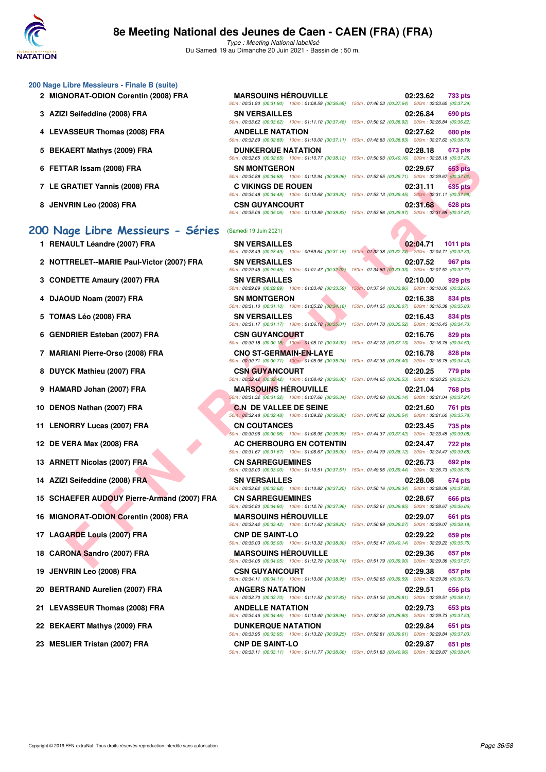

#### **200 Nage Libre Messieurs - Finale B (suite)**

- 2 **MIGNORAT-ODION Corentin (2008) FRA**
- **3 AZIZI Seifeddine (2008) FRA**
- **4 LEVASSEUR Thomas (2008) FRA**
- **5 BEKAERT Mathys (2009) FRA**
- **6 FETTAR Issam (2008) FRA**
- **7 LE GRATIET Yannis (2008) FRA**
- **8 JENVRIN Leo (2008) FRA**

## **[200 Nage Libre Messieurs - Séries](http://www.ffnatation.fr/webffn/resultats.php?idact=nat&go=epr&idcpt=70045&idepr=53)** (Samedi 19 Juin 2021)

- 1 RENAULT Léandre (2007) FRA
- **2 NOTTRELET--MARIE Paul-Victor (2007) FRA**
- **3 CONDETTE Amaury (2007) FRA**
- **4 DJAOUD Noam (2007) FRA**
- **5 TOMAS Léo (2008) FRA**  $\frac{5}{5}$
- **6 GENDRIER Esteban (2007) FRA**
- **7 MARIANI Pierre-Orso (2008) FRA**
- **8 DUYCK Mathieu (2007) FRA**
- **9 HAMARD Johan (2007) FRA**
- **10 DENOS Nathan (2007) FRA**
- 11 LENORRY Lucas (2007) FRA
- **12 DE VERA Max (2008) FRA**
- **13 ARNETT Nicolas (2007) FRA**
- 14 AZIZI Seifeddine (2008) FRA
- **15 SCHAEFER AUDOUY Pierre-Armand (2007) FRA**
- **16 MIGNORAT-ODION Corentin (2008) FRA**
- **17 LAGARDE Louis (2007) FRA**
- **18 CARONA Sandro (2007) FRA** 65
- **19 JENVRIN Leo (2008) FRA**
- 20 BERTRAND Aurelien (2007) FRA
- **21 LEVASSEUR Thomas (2008) FRA**
- 22 BEKAERT Mathys (2009) FRA
- 

| <b>MARSOUINS HÉROUVILLE</b> |                                                                                                        | 02:23.62 733 pts |  |
|-----------------------------|--------------------------------------------------------------------------------------------------------|------------------|--|
|                             | 50m: 00:31.90 (00:31.90) 100m: 01:08.59 (00:36.69) 150m: 01:46.23 (00:37.64) 200m: 02:23.62 (00:37.39) |                  |  |
| <b>SN VERSAILLES</b>        |                                                                                                        | 02:26.84 690 pts |  |
|                             | 50m: 00:33.62 (00:33.62) 100m: 01:11.10 (00:37.48) 150m: 01:50.02 (00:38.92) 200m: 02:26.84 (00:36.82) |                  |  |
| <b>ANDELLE NATATION</b>     |                                                                                                        | 02:27.62 680 pts |  |
|                             | 50m: 00:32.89 (00:32.89) 100m: 01:10.00 (00:37.11) 150m: 01:48.83 (00:38.83) 200m: 02:27.62 (00:38.79) |                  |  |
| <b>DUNKERQUE NATATION</b>   |                                                                                                        | 02:28.18 673 pts |  |
|                             | 50m: 00:32.65 (00:32.65) 100m: 01:10.77 (00:38.12) 150m: 01:50.93 (00:40.16) 200m: 02:28.18 (00:37.25) |                  |  |
| <b>SN MONTGERON</b>         |                                                                                                        | 02:29.67 653 pts |  |
|                             | 50m: 00:34.88 (00:34.88) 100m: 01:12.94 (00:38.06) 150m: 01:52.65 (00:39.71) 200m: 02:29.67 (00:37.02) |                  |  |
| <b>C VIKINGS DE ROUEN</b>   |                                                                                                        | 02:31.11 635 pts |  |
|                             | 50m: 00:34.48 (00:34.48) 100m: 01:13.68 (00:39.20) 150m: 01:53.13 (00:39.45) 200m: 02:31.11 (00:37.98) |                  |  |
| <b>CSN GUYANCOURT</b>       |                                                                                                        | 02:31.68 628 pts |  |
|                             | 50m: 00:35.06 (00:35.06) 100m: 01:13.89 (00:38.83) 150m: 01:53.86 (00:39.97) 200m: 02:31.68 (00:37.82) |                  |  |

|                                             |                                                                            | 00.02.00 (00.02.00) [00.07.10] [00.00.12] [00.00.12] [00.00.12] [00.00 [00.40.10] [00.40.10] [00.07.20]                                                                                                                                 |
|---------------------------------------------|----------------------------------------------------------------------------|-----------------------------------------------------------------------------------------------------------------------------------------------------------------------------------------------------------------------------------------|
| 6 FETTAR Issam (2008) FRA                   | <b>SN MONTGERON</b>                                                        | 02:29.67<br><b>653 pts</b>                                                                                                                                                                                                              |
| 7 LE GRATIET Yannis (2008) FRA              | <b>C VIKINGS DE ROUEN</b>                                                  | 50m : 00:34.88 (00:34.88) 100m : 01:12.94 (00:38.06) 150m : 01:52.65 (00:39.71) 200m : 02:29.67 (00:37.02)<br>02:31.11<br><b>635 pts</b>                                                                                                |
| 8 JENVRIN Leo (2008) FRA                    | <b>CSN GUYANCOURT</b>                                                      | 50m: 00:34.48 (00:34.48) 100m: 01:13.68 (00:39.20) 150m: 01:53.13 (00:39.45) 200m: 02:31.11 (00:37.98)<br>02:31.68<br>628 pts<br>50m: 00:35.06 (00:35.06) 100m: 01:13.89 (00:38.83) 150m: 01:53.86 (00:39.97) 200m: 02:31.68 (00:37.82) |
| 00 Nage Libre Messieurs - Séries            | (Samedi 19 Juin 2021)                                                      |                                                                                                                                                                                                                                         |
| 1 RENAULT Léandre (2007) FRA                | <b>SN VERSAILLES</b>                                                       | 02:04.71<br>1011 pts<br>50m: 00:28.49 (00:28.49) 100m: 00:59.64 (00:31.15) 150m: 01:32.38 (00:32.74) 200m: 02:04.71 (00:32.33)                                                                                                          |
| 2 NOTTRELET--MARIE Paul-Victor (2007) FRA   | <b>SN VERSAILLES</b><br>50m: 00:29.45 (00:29.45) 100m: 01:01.47 (00:32.02) | 02:07.52<br>967 pts<br>150m: 01:34.80 (00:33.33) 200m: 02:07.52 (00:32.72)                                                                                                                                                              |
| 3 CONDETTE Amaury (2007) FRA                | <b>SN VERSAILLES</b>                                                       | 02:10.00<br>929 pts                                                                                                                                                                                                                     |
| 4 DJAOUD Noam (2007) FRA                    | 50m: 00:29.89 (00:29.89) 100m: 01:03.48 (00:33.59)<br><b>SN MONTGERON</b>  | 150m: 01:37.34 (00:33.86) 200m: 02:10.00 (00:32.66)<br>02:16.38<br>834 pts                                                                                                                                                              |
| 5 TOMAS Léo (2008) FRA                      | <b>SN VERSAILLES</b>                                                       | 50m: 00:31.10 (00:31.10) 100m: 01:05.28 (00:34.18) 150m: 01:41.35 (00:36.07) 200m: 02:16.38 (00:35.03)<br>02:16.43<br>834 pts                                                                                                           |
| 6 GENDRIER Esteban (2007) FRA               | <b>CSN GUYANCOURT</b>                                                      | 50m: 00:31.17 (00:31.17) 100m: 01:06:18 (00:35.01) 150m: 01:41.70 (00:35.52) 200m: 02:16.43 (00:34.73)<br>02:16.76<br>829 pts                                                                                                           |
| 7 MARIANI Pierre-Orso (2008) FRA            | <b>CNO ST-GERMAIN-EN-LAYE</b>                                              | 50m : 00:30.18 (00:30.18) 100m : 01:05.10 (00:34.92) 150m : 01:42.23 (00:37.13) 200m : 02:16.76 (00:34.53)<br>02:16.78<br><b>828 pts</b>                                                                                                |
| 8 DUYCK Mathieu (2007) FRA                  | <b>CSN GUYANCOURT</b>                                                      | 50m : 00:30.71 (00:30.71) 100m : 01:05.95 (00:35.24) 150m : 01:42.35 (00:36.40) 200m : 02:16.78 (00:34.43)<br>02:20.25<br>779 pts                                                                                                       |
|                                             |                                                                            | 50m : 00:32.42 (00:32.42) 100m : 01:08.42 (00:36.00) 150m : 01:44.95 (00:36.53) 200m : 02:20.25 (00:35.30)                                                                                                                              |
| 9 HAMARD Johan (2007) FRA                   | <b>MARSOUINS HEROUVILLE</b>                                                | 02:21.04<br><b>768 pts</b><br>50m : 00:31.32 (00:31.32) 100m : 01:07.66 (00:36.34) 150m : 01:43.80 (00:36.14) 200m : 02:21.04 (00:37.24)                                                                                                |
| 10 DENOS Nathan (2007) FRA                  | <b>C.N DE VALLEE DE SEINE</b>                                              | 02:21.60<br>761 pts<br>50m; 00:32.48 (00:32.48) 100m: 01:09.28 (00:36.80) 150m: 01:45.82 (00:36.54) 200m: 02:21.60 (00:35.78)                                                                                                           |
| 11 LENORRY Lucas (2007) FRA                 | <b>CN COUTANCES</b>                                                        | 02:23.45<br>735 pts<br>50m : 00:30.96 (00:30.96) 100m : 01:06.95 (00:35.99) 150m : 01:44.37 (00:37.42) 200m : 02:23.45 (00:39.08)                                                                                                       |
| 12 DE VERA Max (2008) FRA                   | <b>AC CHERBOURG EN COTENTIN</b>                                            | 02:24.47<br><b>722 pts</b><br>50m: 00:31.67 (00:31.67) 100m: 01:06.67 (00:35.00) 150m: 01:44.79 (00:38.12) 200m: 02:24.47 (00:39.68)                                                                                                    |
| 13 ARNETT Nicolas (2007) FRA                | <b>CN SARREGUEMINES</b>                                                    | 02:26.73<br>692 pts<br>50m: 00:33.00 (00:33.00) 100m: 01:10.51 (00:37.51) 150m: 01:49.95 (00:39.44) 200m: 02:26.73 (00:36.78)                                                                                                           |
| 14 AZIZI Seifeddine (2008) FRA              | <b>SN VERSAILLES</b>                                                       | 02:28.08<br>674 pts                                                                                                                                                                                                                     |
| 15 SCHAEFER AUDOUY Pierre-Armand (2007) FRA | <b>CN SARREGUEMINES</b>                                                    | 50m : 00:33.62 (00:33.62) 100m : 01:10.82 (00:37.20) 150m : 01:50.16 (00:39.34) 200m : 02:28.08 (00:37.92)<br>02:28.67<br>666 pts                                                                                                       |
| 16 MIGNORAT-ODION Corentin (2008) FRA       | <b>MARSOUINS HÉROUVILLE</b>                                                | 50m: 00:34.80 (00:34.80) 100m: 01:12.76 (00:37.96) 150m: 01:52.61 (00:39.85) 200m: 02:28.67 (00:36.06)<br>02:29.07<br>661 pts                                                                                                           |
| 17 LAGARDE Louis (2007) FRA                 | <b>CNP DE SAINT-LO</b>                                                     | 50m: 00:33.42 (00:33.42) 100m: 01:11.62 (00:38.20) 150m: 01:50.89 (00:39.27) 200m: 02:29.07 (00:38.18)<br>02:29.22<br>659 pts                                                                                                           |
| 18 CARONA Sandro (2007) FRA                 | <b>MARSOUINS HEROUVILLE</b>                                                | 50m: 00:35.03 (00:35.03) 100m: 01:13.33 (00:38.30) 150m: 01:53.47 (00:40.14) 200m: 02:29.22 (00:35.75)<br>02:29.36<br>657 pts                                                                                                           |
| 19 JENVRIN Leo (2008) FRA                   | <b>CSN GUYANCOURT</b>                                                      | 50m : 00:34.05 (00:34.05) 100m : 01:12.79 (00:38.74) 150m : 01:51.79 (00:39.00) 200m : 02:29.36 (00:37.57)<br>02:29.38<br>657 pts                                                                                                       |
| 20 BERTRAND Aurelien (2007) FRA             | <b>ANGERS NATATION</b>                                                     | 50m: 00:34.11 (00:34.11) 100m: 01:13.06 (00:38.95) 150m: 01:52.65 (00:39.59) 200m: 02:29.38 (00:36.73)<br>02:29.51<br>656 pts                                                                                                           |
|                                             |                                                                            | 50m : 00:33.70 (00:33.70) 100m : 01:11.53 (00:37.83) 150m : 01:51.34 (00:39.81) 200m : 02:29.51 (00:38.17)                                                                                                                              |
| 21 LEVASSEUR Thomas (2008) FRA              | <b>ANDELLE NATATION</b>                                                    | 02:29.73<br>653 pts<br>50m: 00:34.46 (00:34.46) 100m: 01:13.40 (00:38.94) 150m: 01:52.20 (00:38.80) 200m: 02:29.73 (00:37.53)                                                                                                           |
| 22 BEKAERT Mathys (2009) FRA                | <b>DUNKERQUE NATATION</b>                                                  | 02:29.84<br>651 pts<br>50m: 00:33.95 (00:33.95) 100m: 01:13.20 (00:39.25) 150m: 01:52.81 (00:39.61) 200m: 02:29.84 (00:37.03)                                                                                                           |
| 23 MESLIER Tristan (2007) FRA               | <b>CNP DE SAINT-LO</b>                                                     | 02:29.87<br>651 pts                                                                                                                                                                                                                     |

50m : 00:33.11 (00:33.11) 100m : 01:11.77 (00:38.66) 150m : 01:51.83 (00:40.06) 200m : 02:29.87 (00:38.04)

|        |                                                     | 02:04.71 1011 pts                                               |                |
|--------|-----------------------------------------------------|-----------------------------------------------------------------|----------------|
| 1.15)  | 150m: 01:32.38 (00:32.74) 200m: 02:04.71 (00:32.33) |                                                                 |                |
|        |                                                     | 02:07.52                                                        | 967 pts        |
| 2.02)  |                                                     | 150m: 01:34.80 (00:33.33) 200m: 02:07.52 (00:32.72)             |                |
| 3.59)  |                                                     | 02:10.00<br>150m: 01:37.34 (00:33.86) 200m: 02:10.00 (00:32.66) | 929 pts        |
|        |                                                     |                                                                 |                |
| 4.18   |                                                     | 02:16.38<br>150m: 01:41.35 (00:36.07) 200m: 02:16.38 (00:35.03) | 834 pts        |
|        |                                                     | 02:16.43                                                        | 834 pts        |
| 5.01)  |                                                     | 150m: 01:41.70 (00:35.52) 200m: 02:16.43 (00:34.73)             |                |
|        |                                                     | 02:16.76                                                        | 829 pts        |
| 4.92)  |                                                     | 150m: 01:42.23 (00:37.13) 200m: 02:16.76 (00:34.53)             |                |
|        |                                                     | 02:16.78                                                        | <b>828 pts</b> |
| 5.24)  | 150m: 01:42.35 (00:36.40) 200m: 02:16.78 (00:34.43) |                                                                 |                |
|        |                                                     | 02:20.25                                                        | <b>779 pts</b> |
| 6.00)  |                                                     | 150m: 01:44.95 (00:36.53) 200m: 02:20.25 (00:35.30)             |                |
|        |                                                     | 02:21.04                                                        | <b>768 pts</b> |
| 5.34)  |                                                     | 150m: 01:43.80 (00:36.14) 200m: 02:21.04 (00:37.24)             |                |
| 5.80)  |                                                     | 02:21.60                                                        | <b>761 pts</b> |
|        |                                                     | 150m: 01:45.82 (00:36.54) 200m: 02:21.60 (00:35.78)             |                |
| 5.99)  |                                                     | 02:23.45<br>150m: 01:44.37 (00:37.42) 200m: 02:23.45 (00:39.08) | <b>735 pts</b> |
| ΓIΝ    |                                                     | 02:24.47                                                        | <b>722 pts</b> |
| 5.00)  |                                                     | 150m: 01:44.79 (00:38.12) 200m: 02:24.47 (00:39.68)             |                |
|        |                                                     | 02:26.73                                                        | <b>692 pts</b> |
| 7.51)  |                                                     | 150m: 01:49.95 (00:39.44) 200m: 02:26.73 (00:36.78)             |                |
|        |                                                     | 02:28.08                                                        | 674 pts        |
| 7.20)  |                                                     | 150m: 01:50.16 (00:39.34) 200m: 02:28.08 (00:37.92)             |                |
|        |                                                     | 02:28.67                                                        | <b>666 pts</b> |
| 7.96)  |                                                     | 150m: 01:52.61 (00:39.85) 200m: 02:28.67 (00:36.06)             |                |
|        |                                                     | 02:29.07                                                        | <b>661 pts</b> |
| 3.20)  |                                                     | 150m: 01:50.89 (00:39.27) 200m: 02:29.07 (00:38.18)             |                |
| 3.30)  |                                                     | 02:29.22<br>150m: 01:53.47 (00:40.14) 200m: 02:29.22 (00:35.75) | <b>659 pts</b> |
|        |                                                     |                                                                 |                |
| (3.74) |                                                     | 02:29.36<br>150m: 01:51.79 (00:39.00) 200m: 02:29.36 (00:37.57) | 657 pts        |
|        |                                                     | 02:29.38                                                        | 657 pts        |
| 9.95)  |                                                     | 150m: 01:52.65 (00:39.59) 200m: 02:29.38 (00:36.73)             |                |
|        |                                                     | 02:29.51                                                        | <b>656 pts</b> |
| 7.83)  |                                                     | 150m: 01:51.34 (00:39.81) 200m: 02:29.51 (00:38.17)             |                |
|        |                                                     | 02:29.73                                                        | 653 pts        |
| 3.94)  | 150m: 01:52.20 (00:38.80) 200m: 02:29.73 (00:37.53) |                                                                 |                |
|        |                                                     | 02:29.84                                                        | 651 pts        |
|        |                                                     |                                                                 |                |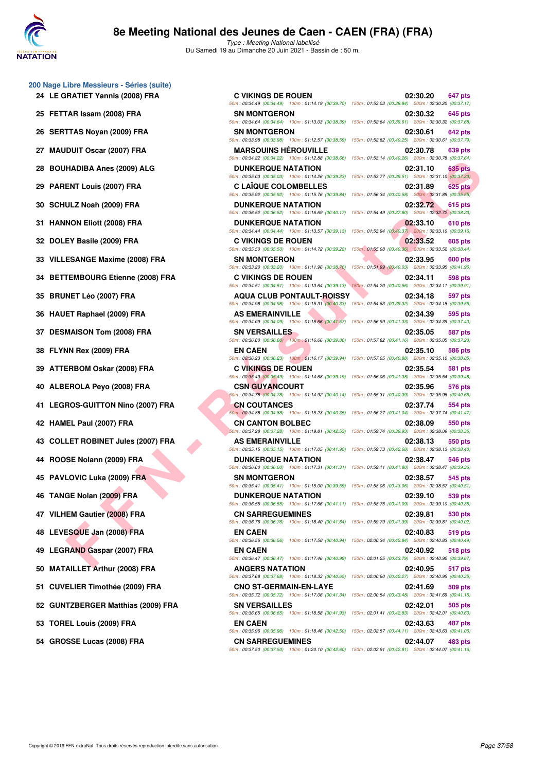

Type : Meeting National labellisé Du Samedi 19 au Dimanche 20 Juin 2021 - Bassin de : 50 m.

# **200 Nage Libre Messieurs - Séries (suite)**

- 
- 
- 
- 
- 
- 
- 
- 
- 
- 
- 
- 
- 
- 
- 
- 
- 
- 
- 
- 
- 
- 
- 
- 
- 
- 
- 
- 
- 
- 
- **54 GROSSE Lucas (2008) FRA CN SARREGUEMINES 02:44.07 483 pts**

**FANDA Anos (2009) FRA**<br>
ENT Louis (2007) FRA<br>
ENT Louis (2007) FRA<br>
C. LAIGNE COMPARELLES<br>
TOWER COMPARELLES<br>
TOWER COMPARELLES<br>
TOWER ON THE COMPARELLES<br>
TOWER ON THE COMPARELLES<br>
SENGTH AND THE COMPARELLES<br>
SENGTH AND **24 LE GRATIET Yannis (2008) FRA C VIKINGS DE ROUEN 02:30.20 647 pts** 50m : 00:34.49 (00:34.49) 100m : 01:14.19 (00:39.70) 150m : 01:53.03 (00:38.84) 200m : 02:30.20 (00:37.17) 25 FETTAR Issam (2008) FRA SN MONTGERON SN MONTGERON 02:30.32 645 pts 50m : 00:34.64 (00:34.64) 100m : 01:13.03 (00:38.39) 150m : 01:52.64 (00:39.61) 200m : 02:30.32 (00:37.68) 26 SERTTAS Noyan (2009) FRA SN MONTGERON 502:30.61 642 pts 50m : 00:33.98 (00:33.98) 100m : 01:12.57 (00:38.59) 150m : 01:52.82 (00:40.25) 200m : 02:30.61 (00:37.79) **27 MAUDUIT Oscar (2007) FRA MARSOUINS HÉROUVILLE 02:30.78 639 pts** 50m : 00:34.22 (00:34.22) 100m : 01:12.88 (00:38.66) 150m : 01:53.14 (00:40.26) 200m : 02:30.78 (00:37.64) **28 BOUHADIBA Anes (2009) ALG DUNKERQUE NATATION 02:31.10 635 pts** 50m : 00:35.03 (00:35.03) 100m : 01:14.26 (00:39.23) 150m : 01:53.77 (00:39.51) 200m : 02:31.10 (00:37.33) **29 PARENT Louis (2007) FRA C LAÏQUE COLOMBELLES 02:31.89 625 pts** 50m : 00:35.92 (00:35.92) 100m : 01:15.76 (00:39.84) 150m : 01:56.34 (00:40.58) 200m : 02:31.89 (00:35.55) **30 SCHULZ Noah (2009) FRA DUNKERQUE NATATION 02:32.72 615 pts** 50m : 00:36.52 (00:36.52) 100m : 01:16.69 (00:40.17) 150m : 01:54.49 (00:37.80) 200m : 02:32.72 (00:38.23) **31 HANNON Eliott (2008) FRA DUNKERQUE NATATION 02:33.10 610 pts** 50m : 00:34.44 (00:34.44) 100m : 01:13.57 (00:39.13) 150m : 01:53.94 (00:40.37) 200m : 02:33.10 (00:39.16) **32 DOLEY Basile (2009) FRA C VIKINGS DE ROUEN 02:33.52 605 pts** 50m : 00:35.50 (00:35.50) 100m : 01:14.72 (00:39.22) 150m : 01:55.08 (00:40.36) 200m : 02:33.52 (00:38.44) **33 VILLESANGE Maxime (2008) FRA SN MONTGERON 02:33.95 600 pts** 50m : 00:33.20 (00:33.20) 100m : 01:11.96 (00:38.76) 150m : 01:51.99 (00:40.03) 200m : 02:33.95 (00:41.96) **34 BETTEMBOURG Etienne (2008) FRA C VIKINGS DE ROUEN 02:34.11 598 pts** 50m : 00:34.51 (00:34.51) 100m : 01:13.64 (00:39.13) 150m : 01:54.20 (00:40.56) 200m : 02:34.11 (00:39.91) **35 BRUNET Léo (2007) FRA AQUA CLUB PONTAULT-ROISSY 02:34.18 597 pts** 50m : 00:34.98 (00:34.98) 100m : 01:15.31 (00:40.33) 150m : 01:54.63 (00:39.32) 200m : 02:34.18 (00:39.55) **36 HAUET Raphael (2009) FRA AS EMERAINVILLE 1999 12:34.39 595 pts** 50m : 00:34.09 (00:34.09) 100m : 01:15.66 (00:41.57) 150m : 01:56.99 (00:41.33) 200m : 02:34.39 (00:37.40) **37 DESMAISON Tom (2008) FRA SN VERSAILLES SN VERSAILLES 02:35.05 587 pts** 50m : 00:36.80 (00:36.80) 100m : 01:16.66 (00:39.86) 150m : 01:57.82 (00:41.16) 200m : 02:35.05 (00:37.23) **38 FLYNN Rex (2009) FRA EN CAEN 02:35.10 586 pts** 50m : 00:36.23 (00:36.23) 100m : 01:16.17 (00:39.94) 150m : 01:57.05 (00:40.88) 200m : 02:35.10 (00:38.05) **39 ATTERBOM Oskar (2008) FRA C VIKINGS DE ROUEN 02:35.54 581 pts** 50m : 00:35.49 (00:35.49) 100m : 01:14.68 (00:39.19) 150m : 01:56.06 (00:41.38) 200m : 02:35.54 (00:39.48) **40 ALBEROLA Peyo (2008) FRA CSN GUYANCOURT 02:35.96 576 pts** 50m : 00:34.78 (00:34.78) 100m : 01:14.92 (00:40.14) 150m : 01:55.31 (00:40.39) 200m : 02:35.96 (00:40.65) **41 LEGROS-GUITTON Nino (2007) FRA CN COUTANCES 02:37.74 554 pts** 50m : 00:34.88 (00:34.88) 100m : 01:15.23 (00:40.35) 150m : 01:56.27 (00:41.04) 200m : 02:37.74 (00:41.47) **42 HAMEL Paul (2007) FRA CN CN CANTON BOLBEC 02:38.09 550 pts** 50m : 00:37.28 (00:37.28) 100m : 01:19.81 (00:42.53) 150m : 01:59.74 (00:39.93) 200m : 02:38.09 (00:38.35) **43 COLLET ROBINET Jules (2007) FRA AS EMERAINVILLE 1999 12:38.13 550 pts** 50m : 00:35.15 (00:35.15) 100m : 01:17.05 (00:41.90) 150m : 01:59.73 (00:42.68) 200m : 02:38.13 (00:38.40) **44 ROOSE Nolann (2009) FRA DUNKERQUE NATATION 02:38.47 546 pts** 50m : 00:36.00 (00:36.00) 100m : 01:17.31 (00:41.31) 150m : 01:59.11 (00:41.80) 200m : 02:38.47 (00:39.36) **45 PAVLOVIC Luka (2009) FRA SN MONTGERON 502:38.57 545 pts** 50m : 00:35.41 (00:35.41) 100m : 01:15.00 (00:39.59) 150m : 01:58.06 (00:43.06) 200m : 02:38.57 (00:40.51) **46 TANGE Nolan (2009) FRA DUNKERQUE NATATION 02:39.10 539 pts** 50m : 00:36.55 (00:36.55) 100m : 01:17.66 (00:41.11) 150m : 01:58.75 (00:41.09) 200m : 02:39.10 (00:40.35) **47 VILHEM Gautier (2008) FRA CN SARREGUEMINES 02:39.81 530 pts** 50m : 00:36.76 (00:36.76) 100m : 01:18.40 (00:41.64) 150m : 01:59.79 (00:41.39) 200m : 02:39.81 (00:40.02) **48 LEVESQUE Jan (2008) FRA EN CAEN 02:40.83 519 pts** 50m : 00:36.56 (00:36.56) 100m : 01:17.50 (00:40.94) 150m : 02:00.34 (00:42.84) 200m : 02:40.83 (00:40.49) **49 LEGRAND Gaspar (2007) FRA EN CAEN 02:40.92 518 pts** 50m : 00:36.47 (00:36.47) 100m : 01:17.46 (00:40.99) 150m : 02:01.25 (00:43.79) 200m : 02:40.92 (00:39.67) **50 MATAILLET Arthur (2008) FRA ANGERS NATATION 02:40.95 517 pts** 50m : 00:37.68 (00:37.68) 100m : 01:18.33 (00:40.65) 150m : 02:00.60 (00:42.27) 200m : 02:40.95 (00:40.35) **51 CUVELIER Timothée (2009) FRA CNO ST-GERMAIN-EN-LAYE 02:41.69 509 pts** 50m : 00:35.72 (00:35.72) 100m : 01:17.06 (00:41.34) 150m : 02:00.54 (00:43.48) 200m : 02:41.69 (00:41.15) **52 GUNTZBERGER Matthias (2009) FRA SN VERSAILLES 02:42.01 505 pts** 50m : 00:36.65 (00:36.65) 100m : 01:18.58 (00:41.93) 150m : 02:01.41 (00:42.83) 200m : 02:42.01 (00:40.60) **53 TOREL Louis (2009) FRA EN CAEN 02:43.63 487 pts** 50m : 00:35.96 (00:35.96) 100m : 01:18.46 (00:42.50) 150m : 02:02.57 (00:44.11) 200m : 02:43.63 (00:41.06)

50m : 00:37.50 (00:37.50) 100m : 01:20.10 (00:42.60) 150m : 02:02.91 (00:42.81) 200m : 02:44.07 (00:41.16)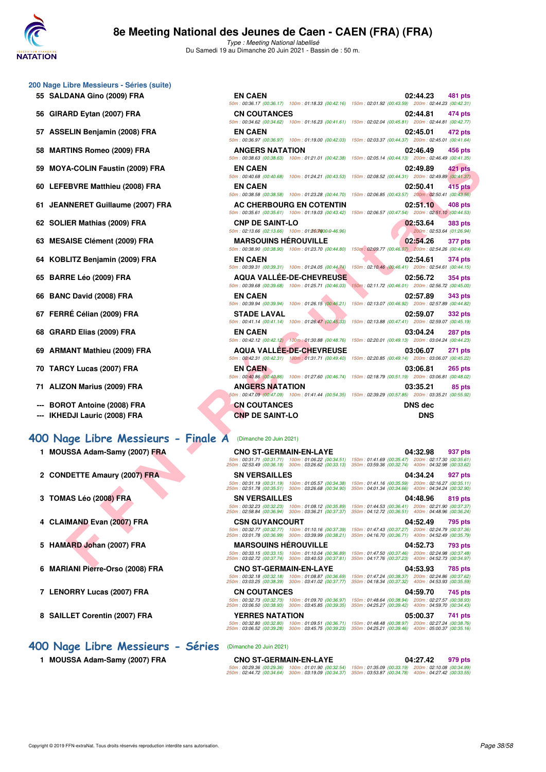

Type : Meeting National labellisé Du Samedi 19 au Dimanche 20 Juin 2021 - Bassin de : 50 m.

- **200 Nage Libre Messieurs Séries (suite)**
	-
	-
	-
	-
	-
	-
	-
	-
	-
	-
	-
	-
	-
	-
	-
	-
	-
	- **--- BOROT Antoine (2008) FRA**
	-

## **[400 Nage Libre Messieurs - Finale A](http://www.ffnatation.fr/webffn/resultats.php?idact=nat&go=epr&idcpt=70045&idepr=54)** (Dimanche 20 Juin 2021)

- 1 MOUSSA Adam-Samy (2007) **FRA**
- 2 CONDETTE Amaury (2007) FRA
- **3 TOMAS Léo (2008) FRA**
- 4 CLAIMAND Evan (2007) FRA
- 5 HAMARD Johan (2007) FRA
- **6 MARIANI Pierre-Orso (2008) FRA**
- 7 LENORRY Lucas (2007) FRA
- **8 SAILLET Corentin (2007) FRA**
- **[400 Nage Libre Messieurs Séries](http://www.ffnatation.fr/webffn/resultats.php?idact=nat&go=epr&idcpt=70045&idepr=54)** (Dimanche 20 Juin 2021)
	- 1 **MOUSSA Adam-Samy (2007) FRA**

| 00 Nage Libre Messieurs - Séries (suite)                      |                                                                                                                                     |                                                                                                                                                                                      |
|---------------------------------------------------------------|-------------------------------------------------------------------------------------------------------------------------------------|--------------------------------------------------------------------------------------------------------------------------------------------------------------------------------------|
| 55 SALDANA Gino (2009) FRA                                    | <b>EN CAEN</b>                                                                                                                      | 02:44.23<br>481 pts<br>50m: 00:36.17 (00:36.17) 100m: 01:18.33 (00:42.16) 150m: 02:01.92 (00:43.59) 200m: 02:44.23 (00:42.31)                                                        |
| 56 GIRARD Eytan (2007) FRA                                    | <b>CN COUTANCES</b>                                                                                                                 | 02:44.81<br>474 pts<br>50m: 00:34.62 (00:34.62) 100m: 01:16.23 (00:41.61) 150m: 02:02.04 (00:45.81) 200m: 02:44.81 (00:42.77)                                                        |
| 57 ASSELIN Benjamin (2008) FRA                                | <b>EN CAEN</b>                                                                                                                      | 02:45.01<br>472 pts<br>50m: 00:36.97 (00:36.97) 100m: 01:19.00 (00:42.03) 150m: 02:03.37 (00:44.37) 200m: 02:45.01 (00:41.64)                                                        |
| 58 MARTINS Romeo (2009) FRA                                   | <b>ANGERS NATATION</b>                                                                                                              | 02:46.49<br>456 pts<br>50m: 00:38.63 (00:38.63) 100m: 01:21.01 (00:42.38) 150m: 02:05.14 (00:44.13) 200m: 02:46.49 (00:41.35)                                                        |
| 59 MOYA-COLIN Faustin (2009) FRA                              | <b>EN CAEN</b>                                                                                                                      | 02:49.89<br>421 pts<br>50m: 00:40.68 (00:40.68) 100m: 01:24.21 (00:43.53) 150m: 02:08.52 (00:44.31) 200m: 02:49.89 (00:41.37)                                                        |
| 60 LEFEBVRE Matthieu (2008) FRA                               | <b>EN CAEN</b><br>50m: 00:38.58 (00:38.58) 100m: 01:23.28 (00:44.70)                                                                | 415 pts<br>02:50.41<br>150m: 02:06.85 (00:43.57) 200m: 02:50.41 (00:43.56)                                                                                                           |
| 61 JEANNERET Guillaume (2007) FRA                             | AC CHERBOURG EN COTENTIN                                                                                                            | 02:51.10<br>408 pts<br>50m: 00:35.61 (00:35.61) 100m: 01:19.03 (00:43.42) 150m: 02:06.57 (00:47.54) 200m: 02:51.10 (00:44.53)                                                        |
| 62 SOLIER Mathias (2009) FRA                                  | <b>CNP DE SAINT-LO</b><br>50m: 02:13.66 (02:13.66) 100m: 01:2607000:0-46.96)                                                        | 02:53.64<br>383 pts<br>200m: 02:53.64 (01:26.94)                                                                                                                                     |
| 63 MESAISE Clément (2009) FRA                                 | <b>MARSOUINS HEROUVILLE</b>                                                                                                         | 02:54.26<br>377 pts<br>50m : 00:38.90 (00:38.90) 100m : 01:23.70 (00:44.80) 150m : 02:09.77 (00:46.07) 200m : 02:54.26 (00:44.49)                                                    |
| 64 KOBLITZ Benjamin (2009) FRA                                | <b>EN CAEN</b><br>50m: 00:39.31 (00:39.31) 100m: 01:24.05 (00:44.74)                                                                | 02:54.61<br>374 pts<br>150m: 02:10.46 (00:46.41) 200m: 02:54.61 (00:44.15)                                                                                                           |
| 65 BARRE Léo (2009) FRA                                       | <b>AQUA VALLÉE-DE-CHEVREUSE</b><br>50m: 00:39.68 (00:39.68) 100m: 01:25.71 (00:46.03)                                               | 02:56.72<br>354 pts<br>150m: 02:11.72 (00:46.01) 200m: 02:56.72 (00:45.00)                                                                                                           |
| 66 BANC David (2008) FRA                                      | <b>EN CAEN</b>                                                                                                                      | 02:57.89<br>343 pts<br>50m: 00:39.94 (00:39.94) 100m: 01:26.15 (00:46.21) 150m: 02:13.07 (00:46.92) 200m: 02:57.89 (00:44.82)                                                        |
| 67 FERRÉ Célian (2009) FRA                                    | <b>STADE LAVAL</b>                                                                                                                  | 02:59.07<br><b>332 pts</b>                                                                                                                                                           |
| 68 GRARD Elias (2009) FRA                                     | EN CAEN                                                                                                                             | 50m: 00:41.14 (00:41.14) 100m: 01:26.47 (00:45.33) 150m: 02:13.88 (00:47.41) 200m: 02:59.07 (00:45.19)<br>03:04.24<br>287 pts                                                        |
| 69 ARMANT Mathieu (2009) FRA                                  | <b>AQUA VALLEE-DE-CHEVREUSE</b>                                                                                                     | 50m : 00:42.12 (00:42.12) 100m : 01:30.88 (00:48.76) 150m : 02:20.01 (00:49.13) 200m : 03:04.24 (00:44.23)<br>03:06.07<br>271 pts                                                    |
| 70 TARCY Lucas (2007) FRA                                     | <b>EN CAEN</b>                                                                                                                      | 50m: 00:42.31 (00:42.31) 100m: 01:31.71 (00:49.40) 150m: 02:20.85 (00:49.14) 200m: 03:06.07 (00:45.22)<br>03:06.81<br><b>265 pts</b>                                                 |
| 71 ALIZON Marius (2009) FRA                                   | <b>ANGERS NATATION</b>                                                                                                              | 50m : 00:40.86 (00:40.86) 100m : 01:27.60 (00:46.74) 150m : 02:18.79 (00:51.19) 200m : 03:06.81 (00:48.02)<br>03:35.21<br>85 pts                                                     |
| --- BOROT Antoine (2008) FRA<br>--- IKHEDJI Lauric (2008) FRA | <b>CN COUTANCES</b><br><b>CNP DE SAINT-LO</b>                                                                                       | 50m: 00:47.09 (00:47.09) 100m: 01:41.44 (00:54.35) 150m: 02:39.29 (00:57.85) 200m: 03:35.21 (00:55.92)<br>DNS dec<br><b>DNS</b>                                                      |
| 00 Nage Libre Messieurs - Finale A                            | (Dimanche 20 Juin 2021)                                                                                                             |                                                                                                                                                                                      |
| 1 MOUSSA Adam-Samy (2007) FRA                                 | <b>CNO ST-GERMAIN-EN-LAYE</b><br>50m: 00:31.71 (00:31.71) 100m: 01:06.22 (00:34.51)                                                 | 04:32.98<br>937 pts<br>150m: 01:41.69 (00:35.47) 200m: 02:17.30 (00:35.61)                                                                                                           |
| 2 CONDETTE Amaury (2007) FRA                                  | 250m: 02:53.49 (00:36.19) 300m: 03:26.62 (00:33.13)<br><b>SN VERSAILLES</b>                                                         | 350m: 03:59.36 (00:32.74) 400m: 04:32.98 (00:33.62)<br>04:34.24<br>927 pts<br>50m: 00:31.19 (00:31.19) 100m: 01:05.57 (00:34.38) 150m: 01:41.16 (00:35.59) 200m: 02:16.27 (00:35.11) |
| 3 TOMAS Léo (2008) FRA                                        | 250m : 02:51.78 (00:35.51) 300m : 03:26.68 (00:34.90) 350m : 04:01.34 (00:34.66) 400m : 04:34.24 (00:32.90)<br><b>SN VERSAILLES</b> | 04:48.96<br>819 pts                                                                                                                                                                  |
|                                                               | 50m: 00:32.23 (00:32.23) 100m: 01:08.12 (00:35.89)<br>250m: 02:58.84 (00:36.94) 300m: 03:36.21 (00:37.37)                           | 150m: 01:44.53 (00:36.41) 200m: 02:21.90 (00:37.37)<br>350m: 04:12.72 (00:36.51) 400m: 04:48.96 (00:36.24)                                                                           |
| 4 CLAIMAND Evan (2007) FRA                                    | <b>CSN GUYANCOURT</b><br>50m: 00:32.77 (00:32.77) 100m: 01:10.16 (00:37.39)<br>250m: 03:01.78 (00:36.99) 300m: 03:39.99 (00:38.21)  | 04:52.49<br>795 pts<br>150m: 01:47.43 (00:37.27) 200m: 02:24.79 (00:37.36)<br>350m: 04:16.70 (00:36.71) 400m: 04:52.49 (00:35.79)                                                    |
| 5 HAMARD Johan (2007) FRA                                     | <b>MARSOUINS HEROUVILLE</b><br>50m: 00:33.15 (00:33.15) 100m: 01:10.04 (00:36.89)                                                   | 04:52.73<br>793 pts<br>150m: 01:47.50 (00:37.46) 200m: 02:24.98 (00:37.48)                                                                                                           |
| C. MADIANI Diassa Osaa (0000) EDA                             | 250m: 03:02.72 (00:37.74) 300m: 03:40.53 (00:37.81)<br>CHO CT CEDMAIN EN LAVE                                                       | 350m: 04:17.76 (00:37.23) 400m: 04:52.73 (00:34.97)<br>0.4.52.02<br>$70E - 4$                                                                                                        |

|                                                       | <b>CNO ST-GERMAIN-EN-LAYE</b>                          |                                                        | 04:32.98                                               | 937 pts        |
|-------------------------------------------------------|--------------------------------------------------------|--------------------------------------------------------|--------------------------------------------------------|----------------|
| 50m: 00:31.71 (00:31.71)<br>250m: 02:53.49 (00:36.19) | 100m: 01:06.22 (00:34.51)<br>300m: 03:26.62 (00:33.13) | 150m: 01:41.69 (00:35.47)<br>350m: 03:59.36 (00:32.74) | 200m: 02:17.30 (00:35.61)<br>400m: 04:32.98 (00:33.62) |                |
| <b>SN VERSAILLES</b>                                  |                                                        |                                                        | 04:34.24                                               | 927 pts        |
| 50m: 00:31.19 (00:31.19)<br>250m: 02:51.78 (00:35.51) | 100m: 01:05.57 (00:34.38)<br>300m: 03:26.68 (00:34.90) | 150m: 01:41.16 (00:35.59)<br>350m: 04:01.34 (00:34.66) | 200m: 02:16.27 (00:35.11)<br>400m: 04:34.24 (00:32.90) |                |
| <b>SN VERSAILLES</b>                                  |                                                        |                                                        | 04:48.96                                               | 819 pts        |
| 50m: 00:32.23 (00:32.23)<br>250m: 02:58.84 (00:36.94) | 100m: 01:08.12 (00:35.89)<br>300m: 03:36.21 (00:37.37) | 150m: 01:44.53 (00:36.41)<br>350m: 04:12.72 (00:36.51) | 200m: 02:21.90 (00:37.37)<br>400m: 04:48.96 (00:36.24) |                |
| <b>CSN GUYANCOURT</b>                                 |                                                        |                                                        | 04:52.49                                               | 795 pts        |
| 50m: 00:32.77 (00:32.77)<br>250m: 03:01.78 (00:36.99) | 100m: 01:10.16 (00:37.39)<br>300m: 03:39.99 (00:38.21) | 150m: 01:47.43 (00:37.27)<br>350m: 04:16.70 (00:36.71) | 200m: 02:24.79 (00:37.36)<br>400m: 04:52.49 (00:35.79) |                |
| <b>MARSOUINS HEROUVILLE</b>                           |                                                        |                                                        | 04:52.73                                               | 793 pts        |
|                                                       |                                                        |                                                        |                                                        |                |
| 50m: 00:33.15 (00:33.15)<br>250m: 03:02.72 (00:37.74) | 100m: 01:10.04 (00:36.89)<br>300m: 03:40.53 (00:37.81) | 150m: 01:47.50 (00:37.46)<br>350m: 04:17.76 (00:37.23) | 200m: 02:24.98 (00:37.48)<br>400m: 04:52.73 (00:34.97) |                |
| <b>CNO ST-GERMAIN-EN-LAYE</b>                         |                                                        |                                                        | 04:53.93                                               | <b>785 pts</b> |
| 50m: 00:32.18 (00:32.18)<br>250m: 03:03.25 (00:38.39) | 100m: 01:08.87 (00:36.69)<br>300m: 03:41.02 (00:37.77) | 150m: 01:47.24 (00:38.37)<br>350m: 04:18.34 (00:37.32) | 200m: 02:24.86 (00:37.62)<br>400m: 04:53.93 (00:35.59) |                |
| <b>CN COUTANCES</b>                                   |                                                        |                                                        | 04:59.70                                               | 745 pts        |
| 50m: 00:32.73 (00:32.73)<br>250m: 03:06.50 (00:38.93) | 100m: 01:09.70 (00:36.97)<br>300m: 03:45.85 (00:39.35) | 150m: 01:48.64 (00:38.94)<br>350m: 04:25.27 (00:39.42) | 200m: 02:27.57 (00:38.93)<br>400m: 04:59.70 (00:34.43) |                |
| <b>YERRES NATATION</b>                                |                                                        |                                                        | 05:00.37                                               | 741 pts        |

|                                                                                                         | <b>CNO ST-GERMAIN-EN-LAYE</b>                                                                          | 04:27.42<br>979 pts |  |  |  |
|---------------------------------------------------------------------------------------------------------|--------------------------------------------------------------------------------------------------------|---------------------|--|--|--|
|                                                                                                         | 50m; 00:29.36 (00:29.36) 100m; 01:01.90 (00:32.54) 150m; 01:35.09 (00:33.19) 200m; 02:10.08 (00:34.99) |                     |  |  |  |
| 250m: 02:44.72 (00:34.64) 300m: 03:19.09 (00:34.37) 350m: 03:53.87 (00:34.78) 400m: 04:27.42 (00:33.55) |                                                                                                        |                     |  |  |  |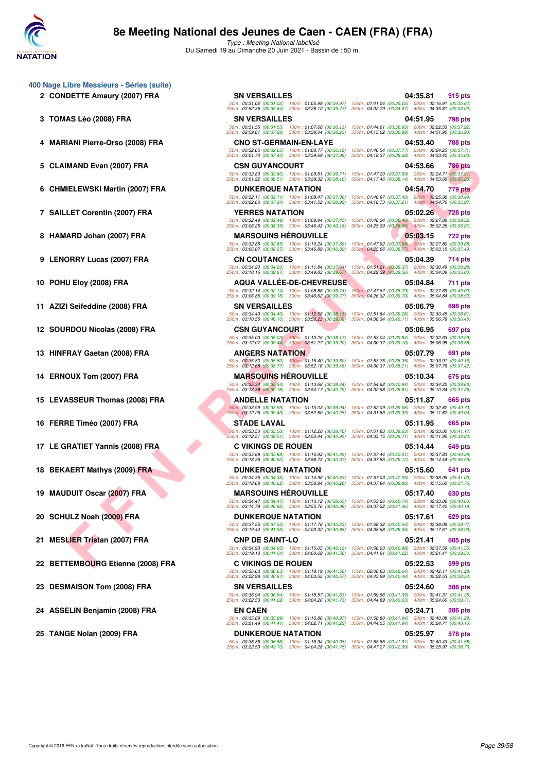

- **400 Nage Libre Messieurs Séries (suite)**
	-
	-
	-
	-
	-
	-
	-
	-
	-
	-
	-
	-
	-
	-
	-
	-
	-
	-
	-
	-
	-
	-
	-
	-

 $HAN QAOI) FRA \n  
\nHELEWSI Martin (2007) FRA \n  
\nELEWSI Martin (2007) FRA \n  
\nLEWSI Matin (2007) FRA \n  
\nLEWSI Matin (2007) FRA \n  
\nLEWSI Matin (2007) FRA \n  
\nLEWSI Mink (2008) FRA \n  
\nLEWSI Mink (2008) FRA \n  
\nLEWSI Mink (2008) FRA \n  
\nEWSI Mink (2008) FRA \n  
\nEWSI Mink (2008) FRA \n  
\nEWSI Mink (2008) FRA \n  
\nEWSI Mink (2$ **2 CONDETTE Amaury (2007) FRA SN VERSAILLES 04:35.81 915 pts** 50m : 00:31.02 (00:31.02) 100m : 01:05.99 (00:34.97) 150m : 01:41.24 (00:35.25) 200m : 02:16.91 (00:35.67) 250m : 02:52.35 (00:35.44) 300m : 03:28.12 (00:35.77) 350m : 04:02.79 (00:34.67) 400m : 04:35.81 (00:33.02) **3 TOMAS Léo (2008) FRA SN VERSAILLES 04:51.95 798 pts** 50m : 00:31.55 (00:31.55) 100m : 01:07.68 (00:36.13) 150m : 01:44.61 (00:36.93) 200m : 02:22.53 (00:37.92) 250m : 02:59.81 (00:37.28) 300m : 03:38.04 (00:38.23) 350m : 04:15.02 (00:36.98) 400m : 04:51.95 (00:36.93) **4 MARIANI Pierre-Orso (2008) FRA CNO ST-GERMAIN-EN-LAYE 04:53.40 788 pts** 50m : 00:32.65 (00:32.65) 100m : 01:08.77 (00:36.12) 150m : 01:46.54 (00:37.77) 200m : 02:24.25 (00:37.71) 250m : 03:01.70 (00:37.45) 300m : 03:39.69 (00:37.99) 350m : 04:18.37 (00:38.68) 400m : 04:53.40 (00:35.03) **5 CLAIMAND Evan (2007) FRA CSN GUYANCOURT 04:53.66 786 pts** 50m : 00:32.80 (00:32.80) 100m : 01:09.51 (00:36.71) 150m : 01:47.20 (00:37.69) 200m : 02:24.71 (00:37.51) 250m : 03:01.22 (00:36.51) 300m : 03:39.32 (00:38.10) 350m : 04:17.46 (00:38.14) 400m : 04:53.66 (00:36.20) **6 CHMIELEWSKI Martin (2007) FRA DUNKERQUE NATATION 04:54.70 779 pts** 50m : 00:32.11 (00:32.11) 100m : 01:09.47 (00:37.36) 150m : 01:46.87 (00:37.40) 200m : 02:25.36 (00:38.49) 250m : 03:02.60 (00:37.24) 300m : 03:41.52 (00:38.92) 350m : 04:18.73 (00:37.21) 400m : 04:54.70 (00:35.97) **7 SAILLET Corentin (2007) FRA YERRES NATATION 05:02.26 728 pts** 50m : 00:32.49 (00:32.49) 100m : 01:09.94 (00:37.45) 150m : 01:48.34 (00:38.40) 200m : 02:27.86 (00:39.52) 250m : 03:06.25 (00:38.39) 300m : 03:46.43 (00:40.18) 350m : 04:25.39 (00:38.96) 400m : 05:02.26 (00:36.87) **8 HAMARD Johan (2007) FRA MARSOUINS HÉROUVILLE 05:03.15 722 pts** 50m : 00:32.85 (00:32.85) 100m : 01:10.24 (00:37.39) 150m : 01:47.92 (00:37.68) 200m : 02:27.80 (00:39.88) 250m : 03:06.07 (00:38.27) 300m : 03:46.89 (00:40.82) 350m : 04:25.66 (00:38.77) 400m : 05:03.15 (00:37.49) **9 LENORRY Lucas (2007) FRA CN COUTANCES COUTANCES 05:04.39 714 pts** 50m : 00:34.20 (00:34.20) 100m : 01:11.84 (00:37.64) 150m : 01:51.21 (00:39.37) 200m : 02:30.49 (00:39.28) 250m : 03:10.16 (00:39.67) 300m : 03:49.83 (00:39.67) 350m : 04:29.39 (00:39.56) 400m : 05:04.39 (00:35.00) **10 POHU Eloy (2008) FRA AQUA VALLÉE-DE-CHEVREUSE 05:04.84 711 pts** 50m : 00:32.14 (00:32.14) 100m : 01:08.88 (00:36.74) 150m : 01:47.67 (00:38.79) 200m : 02:27.69 (00:40.02) 250m : 03:06.85 (00:39.16) 300m : 03:46.62 (00:39.77) 350m : 04:26.32 (00:39.70) 400m : 05:04.84 (00:38.52) **11 AZIZI Seifeddine (2008) FRA SN VERSAILLES 05:06.79 698 pts** 50m : 00:34.43 (00:34.43) 100m : 01:12.58 (00:38.15) 150m : 01:51.84 (00:39.26) 200m : 02:30.45 (00:38.61) 250m : 03:10.55 (00:40.10) 300m : 03:50.23 (00:39.68) 350m : 04:30.34 (00:40.11) 400m : 05:06.79 (00:36.45) **12 SOURDOU Nicolas (2008) FRA CSN GUYANCOURT 05:06.95 697 pts** 50m : 00:35.03 (00:35.03) 100m : 01:13.20 (00:38.17) 150m : 01:53.04 (00:39.84) 200m : 02:32.63 (00:39.59) 250m : 03:12.07 (00:39.44) 300m : 03:51.27 (00:39.20) 350m : 04:30.37 (00:39.10) 400m : 05:06.95 (00:36.58) **13 HINFRAY Gaetan (2008) FRA ANGERS NATATION 05:07.79 691 pts** 50m : 01:53.75 (00:38.35) 200m : 02:33.91 (00:40.16)<br>350m : 04:30.37 (00:38.21) 400m : 05:07.79 (00:37.42) 250m : 03:12.68 (00:38.77) 300m : 03:52.16 (00:39.48) 350m : 04:30.37 (00:38.21) 400m : 05:07.79 (00:37.42) **14 ERNOUX Tom (2007) FRA MARSOUINS HÉROUVILLE 05:10.34 675 pts** 50m : 00:35.34 (00:35.34) 100m : 01:13.68 (00:38.34) 150m : 01:54.62 (00:40.94) 200m : 02:34.22 (00:39.60) 250m : 03:13.38 (00:39.16) 300m : 03:54.17 (00:40.79) 350m : 04:32.98 (00:38.81) 400m : 05:10.34 (00:37.36) **15 LEVASSEUR Thomas (2008) FRA ANDELLE NATATION 05:11.87 665 pts** 50m : 00:33.99 (00:33.99) 100m : 01:13.03 (00:39.04) 150m : 01:52.09 (00:39.06) 200m : 02:32.82 (00:40.73) 250m : 03:12.25 (00:39.43) 300m : 03:52.50 (00:40.25) 350m : 04:31.83 (00:39.33) 400m : 05:11.87 (00:40.04) **16 FERRE Timéo (2007) FRA STADE LAVAL 05:11.95 665 pts** 50m : 00:33.50 (00:33.50) 100m : 01:12.20 (00:38.70) 150m : 01:51.83 (00:39.63) 200m : 02:33.00 (00:41.17) 250m : 03:12.51 (00:39.51) 300m : 03:53.44 (00:40.93) 350m : 04:33.15 (00:39.71) 400m : 05:11.95 (00:38.80) **17 LE GRATIET Yannis (2008) FRA C VIKINGS DE ROUEN 05:14.44 649 pts** 50m : 00:35.88 (00:35.88) 100m : 01:16.93 (00:41.05) 150m : 01:57.44 (00:40.51) 200m : 02:37.83 (00:40.39) 250m : 03:18.36 (00:40.53) 300m : 03:58.73 (00:40.37) 350m : 04:37.85 (00:39.12) 400m : 05:14.44 (00:36.59) **18 BEKAERT Mathys (2009) FRA DUNKERQUE NATATION 05:15.60 641 pts** 50m : 00:34.35 (00:34.35) 100m : 01:14.98 (00:40.63) 150m : 01:57.03 (00:42.05) 200m : 02:38.06 (00:41.03) 250m : 03:18.68 (00:40.62) 300m : 03:58.94 (00:40.26) 350m : 04:37.84 (00:38.90) 400m : 05:15.60 (00:37.76) **19 MAUDUIT Oscar (2007) FRA MARSOUINS HÉROUVILLE 05:17.40** 630 pts 50m : 00:34.47 (00:34.47) 100m : 01:13.12 (00:38.65) 150m : 01:53.26 (00:40.14) 200m : 02:33.86 (00:40.60) 250m : 03:14.78 (00:40.92) 300m : 03:55.76 (00:40.98) 350m : 04:37.22 (00:41.46) 400m : 05:17.40 (00:40.18) **20 SCHULZ Noah (2009) FRA DUNKERQUE NATATION 05:17.61 629 pts** 50m : 00:37.55 (00:37.55) 100m : 01:17.78 (00:40.23) 150m : 01:58.32 (00:40.54) 200m : 02:38.09 (00:39.77) 250m : 03:19.44 (00:41.35) 300m : 04:00.32 (00:40.88) 350m : 04:38.68 (00:38.36) 400m : 05:17.61 (00:38.93) **21 MESLIER Tristan (2007) FRA CNP DE SAINT-LO 05:21.41 605 pts** 50m : 00:34.93 (00:34.93) 100m : 01:15.05 (00:40.12) 150m : 01:56.03 (00:40.98) 200m : 02:37.59 (00:41.56) 250m : 03:19.13 (00:41.54) 300m : 04:00.69 (00:41.56) 350m : 04:41.91 (00:41.22) 400m : 05:21.41 (00:39.50) **22 BETTEMBOURG Etienne (2008) FRA C VIKINGS DE ROUEN 05:22.53 599 pts** 50m : 00:36.63 (00:36.63) 100m : 01:18.19 (00:41.56) 150m : 02:00.83 (00:42.64) 200m : 02:42.11 (00:41.28) 250m : 03:22.98 (00:40.87) 300m : 04:03.55 (00:40.57) 350m : 04:43.99 (00:40.44) 400m : 05:22.53 (00:38.54) **23 DESMAISON Tom (2008) FRA SN VERSAILLES 656 pts** 05:24.60 **586 pts** 50m : 00:36.94 (00:36.94) 100m : 01:18.57 (00:41.63) 150m : 01:59.96 (00:41.39) 200m : 02:41.31 (00:41.35) 250m : 03:22.53 (00:41.22) 300m : 04:04.26 (00:41.73) 350m : 04:44.89 (00:40.63) 400m : 05:24.60 (00:39.71) **24 ASSELIN Benjamin (2008) FRA EN CAEN 05:24.71 586 pts** 50m : 00:35.89 (00:35.89) 100m : 01:16.86 (00:40.97) 150m : 01:58.80 (00:41.94) 200m : 02:40.08 (00:41.28) 250m : 03:21.49 (00:41.41) 300m : 04:02.71 (00:41.22) 350m : 04:44.55 (00:41.84) 400m : 05:24.71 (00:40.16) **25 TANGE Nolan (2009) FRA DUNKERQUE NATATION 05:25.97 578 pts**

50m : 00:36.86 (00:36.86) 100m : 01:16.94 (00:40.08) 150m : 01:58.85 (00:41.91) 200m : 02:40.43 (00:41.58) 250m : 03:22.53 (00:42.10) 300m : 04:04.28 (00:41.75) 350m : 04:47.27 (00:42.99) 400m : 05:25.97 (00:38.70)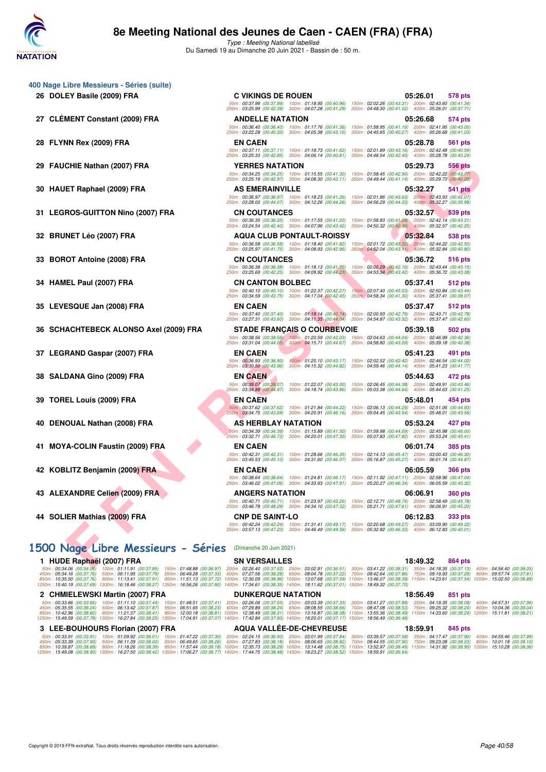

Type : Meeting National labellisé Du Samedi 19 au Dimanche 20 Juin 2021 - Bassin de : 50 m.

| 400 Nage Libre Messieurs - Séries (suite) |                                                                                                              |                                                                                                                                                                                                                       |
|-------------------------------------------|--------------------------------------------------------------------------------------------------------------|-----------------------------------------------------------------------------------------------------------------------------------------------------------------------------------------------------------------------|
| 26 DOLEY Basile (2009) FRA                | <b>C VIKINGS DE ROUEN</b><br>250m: 03:25.99 (00:42.39) 300m: 04:07.28 (00:41.29)                             | 05:26.01<br>578 pts<br>50m : 00:37.99 (00:37.99) 100m : 01:18.95 (00:40.96) 150m : 02:02.26 (00:43.31) 200m : 02:43.60 (00:41.34)<br>350m: 04:48.30 (00:41.02) 400m: 05:26.01 (00:37.71)                              |
| 27 CLÉMENT Constant (2009) FRA            | <b>ANDELLE NATATION</b>                                                                                      | 05:26.68<br>574 pts                                                                                                                                                                                                   |
|                                           | 50m: 00:36.40 (00:36.40) 100m: 01:17.76 (00:41.36)<br>250m: 03:22.28 (00:40.33)<br>300m: 04:05.38 (00:43.10) | 150m: 01:58.95 (00:41.19) 200m: 02:41.95 (00:43.00)<br>350m: 04:45.65 (00:40.27) 400m: 05:26.68 (00:41.03)                                                                                                            |
| 28 FLYNN Rex (2009) FRA                   | <b>EN CAEN</b>                                                                                               | 05:28.78<br>561 pts                                                                                                                                                                                                   |
|                                           | 50m: 00:37.11 (00:37.11) 100m: 01:18.73 (00:41.62)<br>250m: 03:25.33 (00:42.85) 300m: 04:06.14 (00:40.81)    | 150m: 02:01.89 (00:43.16) 200m: 02:42.48 (00:40.59)<br>350m: 04:48.54 (00:42.40) 400m: 05:28.78 (00:40.24)                                                                                                            |
| 29 FAUCHIE Nathan (2007) FRA              | <b>YERRES NATATION</b>                                                                                       | 05:29.73<br><b>556 pts</b>                                                                                                                                                                                            |
|                                           |                                                                                                              | 50m: 00:34.25 (00:34.25) 100m: 01:15.55 (00:41.30) 150m: 01:58.45 (00:42.90) 200m: 02:42.22 (00:43.77)<br>250m: 03:25.19 (00:42.97) 300m: 04:08.30 (00:43.11) 350m: 04:49.44 (00:41.14) 400m: 05:29.73 (00:40.29)     |
| 30 HAUET Raphael (2009) FRA               | <b>AS EMERAINVILLE</b>                                                                                       | 05:32.27<br>541 pts                                                                                                                                                                                                   |
|                                           | 50m: 00:36.97 (00:36.97) 100m: 01:18.23 (00:41.26)                                                           | 150m: 02:01.86 (00:43.63) 200m: 02:43.93 (00:42.07)<br>250m: 03:28.00 (00:44.07) 300m: 04:12.26 (00:44.26) 350m: 04:56.29 (00:44.03) 400m: 05:32.27 (00:35.98)                                                        |
| 31 LEGROS-GUITTON Nino (2007) FRA         | <b>CN COUTANCES</b>                                                                                          | 05:32.57<br>539 pts                                                                                                                                                                                                   |
|                                           | 50m: 00:36.35 (00:36.35) 100m: 01:17.55 (00:41.20)                                                           | 150m: 01:58.83 (00:41.28) 200m: 02:42.14 (00:43.31)                                                                                                                                                                   |
| 32 BRUNET Léo (2007) FRA                  | 250m: 03:24.54 (00:42.40) 300m: 04:07.96 (00:43.42)<br><b>AQUA CLUB PONTAULT-ROISSY</b>                      | 350m: 04:50.32 (00:42.36) 400m: 05:32.57 (00:42.25)<br>05:32.84<br>538 pts                                                                                                                                            |
|                                           | 50m: 00:36.58 (00:36.58) 100m: 01:18.40 (00:41.82)                                                           | 150m: 02:01.72 (00:43.32) 200m: 02:44.22 (00:42.50)                                                                                                                                                                   |
|                                           | 250m: 03:25.97 (00:41.75) 300m: 04:08.93 (00:42.96)<br><b>CN COUTANCES</b>                                   | 350m: 04:52.04 (00:43.11) 400m: 05:32.84 (00:40.80)<br>05:36.72                                                                                                                                                       |
| 33 BOROT Antoine (2008) FRA               |                                                                                                              | 516 pts<br>50m: 00:36.38 (00:36.38) 100m: 01:18.13 (00:41.75) 150m: 02:00.29 (00:42.16) 200m: 02:43.44 (00:43.15)                                                                                                     |
|                                           | 250m: 03:25.69 (00:42.25) 300m: 04:09.92 (00:44.23)                                                          | 350m: 04:53.34 (00:43.42) 400m: 05:36.72 (00:43.38)                                                                                                                                                                   |
| 34 HAMEL Paul (2007) FRA                  | <b>CN CANTON BOLBEC</b><br>50m: 00:40.10 (00:40.10) 100m: 01:22.37 (00:42.27)                                | 05:37.41<br>512 pts<br>150m: 02:07.40 (00:45.03) 200m: 02:50.84 (00:43.44)                                                                                                                                            |
|                                           | 250m: 03:34.59 (00:43.75) 300m: 04:17.04 (00:42.45)                                                          | 350m : 04:58.34 (00:41.30) 400m : 05:37.41 (00:39.07)                                                                                                                                                                 |
| 35 LEVESQUE Jan (2008) FRA                | <b>EN CAEN</b><br>50m: 00:37.40 (00:37.40) 100m: 01:18.14 (00:40.74)                                         | 05:37.47<br>512 pts<br>150m: 02:00.93 (00:42.79) 200m: 02:43.71 (00:42.78)                                                                                                                                            |
|                                           | 250m: 03:27.31 (00:43.60) 300m: 04:11.35 (00:44.04)                                                          | 350m: 04:54.87 (00:43.52) 400m: 05:37.47 (00:42.60)                                                                                                                                                                   |
| 36 SCHACHTEBECK ALONSO Axel (2009) FRA    | <b>STADE FRANÇAIS O COURBEVOIE</b><br>50m: 00:38.56 (00:38.56) 100m: 01:20.59 (00:42.03)                     | 05:39.18<br>502 pts<br>150m: 02:04.63 (00:44.04) 200m: 02:46.99 (00:42.36)                                                                                                                                            |
|                                           | 250m: 03:31.04 (00:44.05) 300m: 04:15.71 (00:44.67)                                                          | 350m: 04:58.80 (00:43.09) 400m: 05:39.18 (00:40.38)                                                                                                                                                                   |
| 37 LEGRAND Gaspar (2007) FRA              | <b>EN CAEN</b><br>50m: 00:36.93 (00:36.93)                                                                   | 05:41.23<br>491 pts<br>100m: 01:20.10 (00:43.17) 150m: 02:02.52 (00:42.42) 200m: 02:46.54 (00:44.02)                                                                                                                  |
|                                           | 250m: 03:30.50 (00:43.96)                                                                                    | 300m: 04:15.32 (00:44.82) 350m: 04:59.46 (00:44.14) 400m: 05:41.23 (00:41.77)                                                                                                                                         |
| 38 SALDANA Gino (2009) FRA                | <b>EN CAEN</b>                                                                                               | 05:44.63<br>472 pts                                                                                                                                                                                                   |
|                                           | 50m: 00:39.07 (00:39.07) 100m: 01:22.07 (00:43.00)                                                           | 150m: 02:06.45 (00:44.38) 200m: 02:49.91 (00:43.46)<br>250m: 03:34.88 (00:44.97) 300m: 04:18.74 (00:43.86) 350m: 05:03.38 (00:44.64) 400m: 05:44.63 (00:41.25)                                                        |
| 39 TOREL Louis (2009) FRA                 | <b>EN CAEN</b>                                                                                               | 05:48.01<br>454 pts                                                                                                                                                                                                   |
|                                           | 50m: 00:37.62 (00:37.62) 100m: 01:21.84 (00:44.22)<br>250m: 03:34.75 (00:43.69) 300m: 04:20.91 (00:46.16)    | 150m: 02:06.13 (00:44.29) 200m: 02:51.06 (00:44.93)<br>350m: 05:04.45 (00:43.54) 400m: 05:48.01 (00:43.56)                                                                                                            |
| 40 DENOUAL Nathan (2008) FRA              | AS HERBLAY NATATION                                                                                          | 05:53.24<br>427 pts                                                                                                                                                                                                   |
|                                           | 50m: 00:34.39 (00:34.39) 100m: 01:15.89 (00:41.50)                                                           | 150m: 01:59.98 (00:44.09) 200m: 02:45.98 (00:46.00)<br>$250m: 03:32.71$ $(00.46.73)$ $300m: 04:20.01$ $(00.47.30)$ $350m: 05:07.83$ $(00.47.82)$ $400m: 05:53.24$ $(00.45.41)$                                        |
| 41 MOYA-COLIN Faustin (2009) FRA          | <b>EN CAEN</b>                                                                                               | 06:01.74<br><b>385 pts</b>                                                                                                                                                                                            |
|                                           |                                                                                                              | 50m : 00:42.31 (00:42.31) 100m : 01:28.66 (00:46.35) 150m : 02:14.13 (00:45.47) 200m : 03:00.43 (00:46.30)<br>250m: 03:45.53 (00:45.10) 300m: 04:31.60 (00:46.07) 350m: 05:16.87 (00:45.27) 400m: 06:01.74 (00:44.87) |
| 42 KOBLITZ Benjamin (2009) FRA            | <b>EN CAEN</b>                                                                                               | 06:05.59<br><b>366 pts</b>                                                                                                                                                                                            |
|                                           |                                                                                                              | 50m: 00:38.64 (00:38.64) 100m: 01:24.81 (00:46.17) 150m: 02:11.92 (00:47.11) 200m: 02:58.96 (00:47.04)<br>250m: 03:46.02 (00:47.06) 300m: 04:33.93 (00:47.91) 350m: 05:20.27 (00:46.34) 400m: 06:05.59 (00:45.32)     |
| 43 ALEXANDRE Celien (2009) FRA            | ANGERS NATATION                                                                                              | <b>360 pts</b><br><b>06:06.91</b>                                                                                                                                                                                     |
|                                           | 50m: 00:40.71 (00:40.71) 100m: 01:23.97 (00:43.26)                                                           | 250m: 03:46.78 (00:48.29) 300m: 04:34.10 (00:47.32) 350m: 05:21.71 (00:47.61) 400m: 06:06.91 (00:45.20)                                                                                                               |
| 44 SOLIER Mathias (2009) FRA              | <b>CNP DE SAINT-LO</b>                                                                                       | 06:12.83<br>333 pts                                                                                                                                                                                                   |
|                                           |                                                                                                              | 50m: 00:42.24 (00:42.24) 100m: 01:31.41 (00:49.17) 150m: 02:20.68 (00:49.27) 200m: 03:09.90 (00:49.22)<br>250m: 03:57.13 (00:47.23) 300m: 04:46.49 (00:49.36) 350m: 05:32.82 (00:46.33) 400m: 06:12.83 (00:40.01)     |
|                                           |                                                                                                              |                                                                                                                                                                                                                       |
|                                           |                                                                                                              |                                                                                                                                                                                                                       |
| 1500 Nage Libre Messieurs - Séries        | (Dimanche 20 Juin 2021)                                                                                      |                                                                                                                                                                                                                       |

|  |  |  |  |  |  | 1500 Nage Libre Messieurs - Séries (Dimanche 20 Juin 2021) |
|--|--|--|--|--|--|------------------------------------------------------------|
|--|--|--|--|--|--|------------------------------------------------------------|

|                                                        | 1 HUDE Raphaël (2007) FRA         |                                                                                                                                                                                                                                                                                                                                                                                                                                                                                                                                                                                                                                                                                                                                                                                                                          | <b>SN VERSAILLES</b> |                                 |  | 18:49.32 | 864 pts |  |
|--------------------------------------------------------|-----------------------------------|--------------------------------------------------------------------------------------------------------------------------------------------------------------------------------------------------------------------------------------------------------------------------------------------------------------------------------------------------------------------------------------------------------------------------------------------------------------------------------------------------------------------------------------------------------------------------------------------------------------------------------------------------------------------------------------------------------------------------------------------------------------------------------------------------------------------------|----------------------|---------------------------------|--|----------|---------|--|
| 50m: 00:34.06 (00:34.06)                               |                                   | 100m:01:11.91 (00:37.85) 150m:01:48.88 (00:36.97) 200m:02:26.40 (00:37.52) 250m:03:02.91 (00:36.51) 300m:03:41.22 (00:38.31) 350m:04:18.35 (00:37.13) 400m:04:56.40 (00:38.05<br>450m : 05:34.16 (00:37.76) 500m : 06:11.95 (00:37.79) 550m : 06:49.28 (00:37.33) 600m : 07:27.56 (00:38.28) 650m : 08:04.78 (00:37.22) 700m : 08:42.64 (00:37.86) 750m : 09:19.93 (00:37.29) 800m : 09:57.74 (00:37.81<br>850m:10:35.50 (00:37.76) 900m:11:13.41 (00:37.91) 950m:11:51.13 (00:37.72) 1000m:12:30.09 (00:38.96) 1050m:13:07.68 (00:37.59) 1100m:13:46.07 (00:38.39) 1150m:14:23.61 (00:37.54) 1200m:15:02.50 (00:38.89<br>1250m : <b>15:40.19 (00:37.69) 1300m : 16:18.46 (00:38.27) 1350m : 16:56.26 (00:37.80) 1400m : 17:34.61 (00:38.35) 1450m : 18:11.62 (00:37.01) 1500m : 18:49.32 (00:37.70)</b>                 |                      |                                 |  |          |         |  |
|                                                        | 2 CHMIELEWSKI Martin (2007) FRA   |                                                                                                                                                                                                                                                                                                                                                                                                                                                                                                                                                                                                                                                                                                                                                                                                                          |                      | <b>DUNKERQUE NATATION</b>       |  | 18:56.49 | 851 pts |  |
|                                                        |                                   | 50m:00:33.66 (00:33.66) 100m:01:11.10 (00:37.44) 150m:01:48.51 (00:37.41) 200m:02:26.06 (00:37.55) 250m:03:03.39 (00:37.33) 300m:03:14.27 (00:37.88) 350m:04:19.35 (00:38.08) 400m:04:57.31 (00:37.96<br>450m:05:35.55 (00:38.24) 500m:06:13.42 (00:37.87) 550m:06:51.65 (00:38.23) 600m:07:29.89 (00:38.24) 650m:08:05.55 (00:38.66) 700m:08:47.08 (00:38.53) 750m:09:25.32 (00:38.24) 800m:10:04.36 (00:39.04<br>850m:10:42.96 (00:38.60) 900m:11:21.37 (00:38.41) 950m:12:00.18 (00:38.81) 1000m:12:38.49 (00:38.31) 1050m:13:16.87 (00:38.38) 1100m:13:55.36 (00:38.49) 1150m:14:33.60 (00:38.24) 1200m:15:11.81 (00:38.21)<br>1250m : <b>15:49.59 (00:37.78) 1300m : 16:27.84 (00:38.25) 1350m : 17:04.91 (00:37.07) 1400m : 17:42.84 (00:37.93) 1450m : <b>18:20.01 (00:37.17) 1500m : 18:56.49 (00:36.48</b>)</b> |                      |                                 |  |          |         |  |
|                                                        | 3 LEE-BOUHOURS Florian (2007) FRA |                                                                                                                                                                                                                                                                                                                                                                                                                                                                                                                                                                                                                                                                                                                                                                                                                          |                      | <b>AQUA VALLÉE-DE-CHEVREUSE</b> |  | 18:59.91 | 845 pts |  |
| 50m: 00:33.91 (00:33.91)<br>450m : 05:33.39 (00:37.93) |                                   | 100m : 01:09.92 (00:36.01) 150m : 01:47.22 (00:37.30) 200m : 02:24.15 (00:36.93) 250m : 03:01.99 (00:37.84) 300m : 03:39.57 (00:37.58) 350m : 04:17.47 (00:37.90) 400m : 04:55.46 (00:37.99<br>500m: 06:11.39 (00:38.00) 550m: 06:49.65 (00:38.26) 600m: 07:27.83 (00:38.18) 650m: 08:06.65 (00:38.82) 700m: 08:44.55 (00:37.90) 750m: 09:23.08 (00:38.53) 800m: 10:01.18 (00:38.10<br>850m:10:39.87 (00:38.69) 900m:11:18.26 (00:38.39) 950m:11:57.44 (00:39.18) 1000m:12:35.73 (00:38.29) 1050m:13:14.48 (00:38.75) 1100m:13:52.97 (00:38.49) 1150m:14:31.92 (00:38.95) 1200m:15:10.28 (00:38.36)<br>1250m : 15:49.08 (00:38.80) 1300m : 16:27.50 (00:38.42) 1350m : 17:06.27 (00:38.77) 1400m : 17:44.75 (00:38.48) 1450m : 18:23.27 (00:38.52) 1500m : 18:59.91 (00:36.64)                                           |                      |                                 |  |          |         |  |

Copyright © 2019 FFN-extraNat. Tous droits réservés reproduction interdite sans autorisation.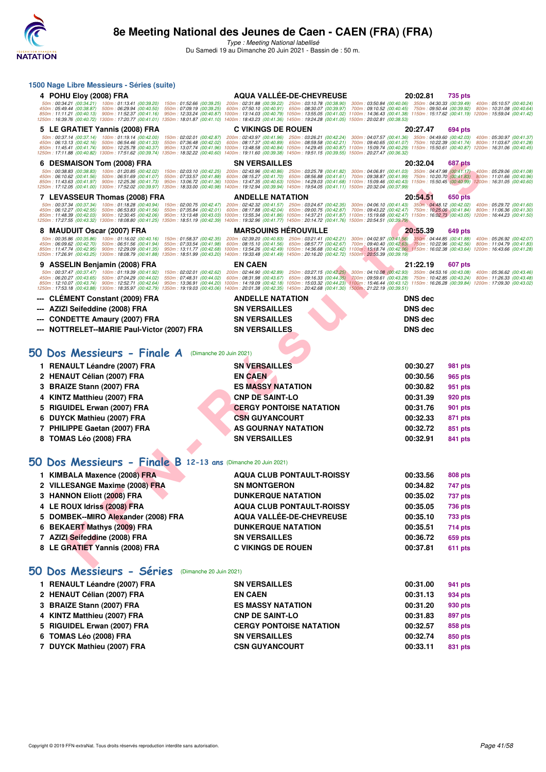

Type : Meeting National labellisé Du Samedi 19 au Dimanche 20 Juin 2021 - Bassin de : 50 m.

| 1500 Nage Libre Messieurs - Séries (suite)                                                                 |                                                        |                                                                                                                                                                                                                                                                                                                                                                                     |                                                                                                            |                      |                           |                                                                                                            |
|------------------------------------------------------------------------------------------------------------|--------------------------------------------------------|-------------------------------------------------------------------------------------------------------------------------------------------------------------------------------------------------------------------------------------------------------------------------------------------------------------------------------------------------------------------------------------|------------------------------------------------------------------------------------------------------------|----------------------|---------------------------|------------------------------------------------------------------------------------------------------------|
| 4 POHU Eloy (2008) FRA                                                                                     |                                                        | <b>AQUA VALLÉE-DE-CHEVREUSE</b>                                                                                                                                                                                                                                                                                                                                                     |                                                                                                            | 20:02.81             | 735 pts                   |                                                                                                            |
| 450m: 05:49.44 (00:38.87) 500m: 06:29.94 (00:40.50)                                                        |                                                        | 50m: 00:34.21 (00:34.21) 100m: 01:13.41 (00:39.20) 150m: 01:52.66 (00:39.25) 200m: 02:31.88 (00:39.22) 250m: 03:10.78 (00:38.90) 300m: 03:50.84 (00:40.06) 350m: 04:30.33 (00:39.49) 400m: 05:10.57 (00:40.24)<br>550m : 07:09.19 (00:39.25) 600m : 07:50.10 (00:40.91) 650m : 08:30.07 (00:39.97) 700m : 09:10.52 (00:40.45) 750m : 09:50.44 (00:39.92) 800m : 10:31.08 (00:40.64) |                                                                                                            |                      |                           |                                                                                                            |
| 850m: 11:11.21 (00:40.13) 900m: 11:52.37 (00:41.16)                                                        |                                                        | 950m: 12:33.24 (00:40.87) 1000m: 13:14.03 (00:40.79) 1050m: 13:55.05 (00:41.02) 1100m: 14:36.43 (00:41.38) 1150m: 15:17.62 (00:41.19) 1200m: 15:59.04 (00:41.42)<br>1250m: 16:39.76 (00:40.72) 1300m: 17:20.77 (00:41.01) 1350m: 18:01.87 (00:41.10) 1400m: 18:43.23 (00:41.36) 1450m: 19:24.28 (00:41.05) 1500m: 20:02.81 (00:38.53)                                               |                                                                                                            |                      |                           |                                                                                                            |
| 5 LE GRATIET Yannis (2008) FRA                                                                             |                                                        | <b>C VIKINGS DE ROUEN</b>                                                                                                                                                                                                                                                                                                                                                           |                                                                                                            | 20:27.47             | 694 pts                   |                                                                                                            |
| 50m: 00:37.14 (00:37.14) 100m: 01:19.14 (00:42.00)<br>450m: 06:13.13 (00:42.16) 500m: 06:54.46 (00:41.33)  |                                                        | 150m: 02:02.01 (00:42.87) 200m: 02:43.97 (00:41.96)<br>550m : 07:36.48 (00:42.02) 600m : 08:17.37 (00:40.89) 650m : 08:59.58 (00:42.21) 700m : 09:40.65 (00:41.07) 750m : 10:22.39 (00:41.74) 800m : 11:03.67 (00:41.28)                                                                                                                                                            | 250m: 03:26.21 (00:42.24) 300m: 04:07.57 (00:41.36)                                                        |                      |                           | 350m: 04:49.60 (00:42.03) 400m: 05:30.97 (00:41.37)                                                        |
| 850m: 11:45.41 (00:41.74) 900m: 12:25.78 (00:40.37)                                                        |                                                        | 950m: 13:07.74 (00:41.96) 1000m: 13:48.58 (00:40.84) 1050m: 14:29.45 (00:40.87) 1100m: 15:09.74 (00:40.29) 1150m: 15:50.61 (00:40.87) 1200m: 16:31.06 (00:40.45)<br>1250m : 17:11.88 (00:40.82) 1300m : 17:51.62 (00:39.74) 1350m : 18:32.22 (00:40.60) 1400m : 19:11.60 (00:39.38) 1450m : 19:51.15 (00:39.55) 1500m : 20:27.47 (00:36.32)                                         |                                                                                                            |                      |                           |                                                                                                            |
| 6 DESMAISON Tom (2008) FRA                                                                                 |                                                        | <b>SN VERSAILLES</b>                                                                                                                                                                                                                                                                                                                                                                |                                                                                                            | 20:32.04             | <b>687 pts</b>            |                                                                                                            |
| 50m: 00:38.83 (00:38.83) 100m: 01:20.85 (00:42.02)                                                         |                                                        | 150m: 02:03.10 (00:42.25) 200m: 02:43.96 (00:40.86)                                                                                                                                                                                                                                                                                                                                 | 250m: 03:25.78 (00:41.82) 300m: 04:06.81 (00:41.03) 350m: 04:47.98 (00:41.17) 400m: 05:29.06 (00:41.08)    |                      |                           |                                                                                                            |
| 450m: 06:10.62 (00:41.56) 500m: 06:51.69 (00:41.07)<br>850m: 11:43.63 (00:41.97) 900m: 12:25.36 (00:41.73) |                                                        | 550m : 07:33.57 (00:41.88) = 600m : 08:15.27 (00:41.70) = 650m : 08:56.88 (00:41.61) = 700m : 09:38.87 (00:41.99) = 750m : 10:20.70 (00:41.83) = 800m : 11:01.66 (00:40.96)<br>950m : 13:06.72 (00:41.36) 1000m : 13:47.35 (00:40                                                                                                                                                   |                                                                                                            |                      |                           |                                                                                                            |
|                                                                                                            |                                                        | 1250m : 17:12.05 (00:41.00) 1300m : 17:52.02 (00:39.97) 1350m : 18:33.00 (00:40.98) 1400m : 19:12.94 (00:39.94) 1450m : 19:54.05 (00:41.11) 1500m : 20:32.04 (00:37.99)                                                                                                                                                                                                             |                                                                                                            |                      |                           |                                                                                                            |
| 7 LEVASSEUR Thomas (2008) FRA                                                                              |                                                        | <b>ANDELLE NATATION</b><br>$50m: 00.37.34 (00.37.34) 100m: 01.18.28 (00.40.94) 150m: 02.00.75 (00.42.47) 200m: 02.42.32 (00.41.57) 250m: 03.24.67 (00.42.35) 300m: 04.06.10 (00.41.43) 350m: 04.48.12 (00.42.02)$                                                                                                                                                                   |                                                                                                            | 20:54.51             | <b>650 pts</b>            | 400m: 05:29.72 (00:41.60)                                                                                  |
| 450m: 06:12.27 (00:42.55) 500m: 06:53.83 (00:41.56)<br>850m: 11:48.39 (00:42.03) 900m: 12:30.45 (00:42.06) | 550m: 07:35.84 (00:42.01)                              | 600m: 08:17.88 (00:42.04) 650m: 09:00.75 (00:42.87) 700m: 09:43.22 (00:42.47) 750m: 10:25.06 (00:41.84)<br>950m: 13:13.48 (00:43.03) 1000m: 13:55.34 (00:41.86) 1050m: 14:37.21 (00:41.87) 1100m: 15:19.68 (00:42.47) 1150m: 16:02.73 (00:43.05) 1200m: 16:44.23 (00:41.50)                                                                                                         |                                                                                                            |                      |                           | 800m: 11:06.36 (00:41.30)                                                                                  |
|                                                                                                            |                                                        | 1250m: 17:27.55 (00:43.32) 1300m: 18:08.80 (00:41.25) 1350m: 18:51.19 (00:42.39) 1400m: 19:32.96 (00:41.77) 1450m: 20:14.72 (00:41.76) 1500m: 20:54.51 (00:39.79)                                                                                                                                                                                                                   |                                                                                                            |                      |                           |                                                                                                            |
| 8 MAUDUIT Oscar (2007) FRA<br>50m: 00:35.86 (00:35.86) 100m: 01:16.02 (00:40.16)                           |                                                        | <b>MARSOUINS HEROUVILLE</b><br>150m: 01:58.37 (00:42.35) 200m: 02:39.20 (00:40.83) 250m: 03:21.41 (00:42.21) 300m: 04:02.97 (00:41.56) 350m: 04:44.85 (00:41.88)                                                                                                                                                                                                                    |                                                                                                            | 20:55.39             | 649 pts                   | 400m: 05:26.92 (00:42.07)                                                                                  |
| 450m: 06:09.62 (00:42.70)<br>850m: 11:47.74 (00:42.95) 900m: 12:29.09 (00:41.35)                           | 500m: 06:51.56 (00:41.94)<br>550m: 07:33.54 (00:41.98) | 600m: 08:15.10 (00:41.56)<br>950m: 13:11.77 (00:42.68) 1000m: 13:54.26 (00:42.49) 1050m: 14:36.68 (00:42.42) 1100m: 15:18.74 (00:42.06) 1150m: 16:02.38 (00:43.64) 1200m: 16:43.66 (00:41.28)                                                                                                                                                                                       | 650m: 08:57.77 (00:42.67) 700m: 09:40.40 (00:42.63) 750m: 10:22.96 (00:42.56)                              |                      |                           | 800m: 11:04.79 (00:41.83)                                                                                  |
| 1250m: 17:26.91 (00:43.25) 1300m: 18:08.79 (00:41.88)                                                      |                                                        | 1350m: 18:51.99 (00:43.20) 1400m: 19:33.48 (00:41.49) 1450m: 20:16.20 (00:42.72) 1500m: 20:55.39 (00:39.19)                                                                                                                                                                                                                                                                         |                                                                                                            |                      |                           |                                                                                                            |
| 9 ASSELIN Benjamin (2008) FRA                                                                              |                                                        | <b>EN CAEN</b>                                                                                                                                                                                                                                                                                                                                                                      |                                                                                                            | 21:22.19             | 607 pts                   |                                                                                                            |
| 50m: 00:37.47 (00:37.47) 100m: 01:19.39 (00:41.92)<br>450m: 06:20.27 (00:43.65) 500m: 07:04.29 (00:44.02)  | 550m: 07:48.31 (00:44.02)                              | 150m: 02:02.01 (00:42.62) 200m: 02:44.90 (00:42.89)<br>600m: 08:31.98 (00:43.67)                                                                                                                                                                                                                                                                                                    | 250m: 03:27.15 (00:42.25) 300m: 04:10.08 (00:42.93)<br>650m: 09:16.33 (00:44.35) 700m: 09:59.61 (00:43.28) |                      |                           | 350m: 04:53.16 (00:43.08) 400m: 05:36.62 (00:43.46)<br>750m: 10:42.85 (00:43.24) 800m: 11:26.33 (00:43.48) |
| 850m: 12:10.07 (00:43.74) 900m: 12:52.71 (00:42.64)                                                        |                                                        | 950m: 13:36.91 (00:44.20) 1000m: 14:19.09 (00:42.18) 1050m: 15:03.32 (00:44.23) 1100m: 15:46.44 (00:43.12) 1150m: 16:26.28 (00:39.84) 1200m: 17:09.30 (00:43.02)<br>1250m: 17:53.18 (00:43.88) 1300m: 18:35.97 (00:42.79) 1350m: 19:19.03 (00:43.06) 1400m: 20:01.38 (00:42.35) 1450m: 20:42.68 (00:41.30) 1500m: 21:22.19 (00:39.51)                                               |                                                                                                            |                      |                           |                                                                                                            |
| --- CLEMENT Constant (2009) FRA                                                                            |                                                        | <b>ANDELLE NATATION</b>                                                                                                                                                                                                                                                                                                                                                             |                                                                                                            | <b>DNS</b> dec       |                           |                                                                                                            |
| AZIZI Seifeddine (2008) FRA                                                                                |                                                        | <b>SN VERSAILLES</b>                                                                                                                                                                                                                                                                                                                                                                |                                                                                                            | <b>DNS</b> dec       |                           |                                                                                                            |
| <b>CONDETTE Amaury (2007) FRA</b>                                                                          |                                                        | <b>SN VERSAILLES</b>                                                                                                                                                                                                                                                                                                                                                                |                                                                                                            | <b>DNS</b> dec       |                           |                                                                                                            |
| NOTTRELET--MARIE Paul-Victor (2007) FRA                                                                    |                                                        | <b>SN VERSAILLES</b>                                                                                                                                                                                                                                                                                                                                                                |                                                                                                            | <b>DNS</b> dec       |                           |                                                                                                            |
|                                                                                                            |                                                        |                                                                                                                                                                                                                                                                                                                                                                                     |                                                                                                            |                      |                           |                                                                                                            |
| 50 Dos Messieurs - Finale A                                                                                | (Dimanche 20 Juin 2021)                                |                                                                                                                                                                                                                                                                                                                                                                                     |                                                                                                            |                      |                           |                                                                                                            |
| 1 RENAULT Léandre (2007) FRA                                                                               |                                                        | <b>SN VERSAILLES</b>                                                                                                                                                                                                                                                                                                                                                                |                                                                                                            | 00:30.27             | 981 pts                   |                                                                                                            |
| <b>HENAUT Célian (2007) FRA</b><br>2                                                                       |                                                        | <b>EN CAEN</b>                                                                                                                                                                                                                                                                                                                                                                      |                                                                                                            | 00:30.56             | 965 pts                   |                                                                                                            |
| <b>BRAIZE Stann (2007) FRA</b>                                                                             |                                                        | <b>ES MASSY NATATION</b>                                                                                                                                                                                                                                                                                                                                                            |                                                                                                            | 00:30.82             | 951 pts                   |                                                                                                            |
| KINTZ Matthieu (2007) FRA                                                                                  |                                                        | <b>CNP DE SAINT-LO</b>                                                                                                                                                                                                                                                                                                                                                              |                                                                                                            | 00:31.39             | 920 pts                   |                                                                                                            |
| RIGUIDEL Erwan (2007) FRA                                                                                  |                                                        | <b>CERGY PONTOISE NATATION</b>                                                                                                                                                                                                                                                                                                                                                      |                                                                                                            | 00:31.76             | 901 pts                   |                                                                                                            |
| DUYCK Mathieu (2007) FRA                                                                                   |                                                        | <b>CSN GUYANCOURT</b>                                                                                                                                                                                                                                                                                                                                                               |                                                                                                            | 00:32.33             | 871 pts                   |                                                                                                            |
| PHILIPPE Gaetan (2007) FRA<br>7                                                                            |                                                        | AS GOURNAY NATATION                                                                                                                                                                                                                                                                                                                                                                 |                                                                                                            | 00:32.72             | 851 pts                   |                                                                                                            |
| 8 TOMAS Léo (2008) FRA                                                                                     |                                                        | <b>SN VERSAILLES</b>                                                                                                                                                                                                                                                                                                                                                                |                                                                                                            | 00:32.91             | 841 pts                   |                                                                                                            |
|                                                                                                            |                                                        |                                                                                                                                                                                                                                                                                                                                                                                     |                                                                                                            |                      |                           |                                                                                                            |
| 50 Dos Messieurs - Finale B 12-13 ans (Dimanche 20 Juin 2021)                                              |                                                        |                                                                                                                                                                                                                                                                                                                                                                                     |                                                                                                            |                      |                           |                                                                                                            |
|                                                                                                            |                                                        |                                                                                                                                                                                                                                                                                                                                                                                     |                                                                                                            |                      |                           |                                                                                                            |
| 1 KIMBALA Maxence (2008) FRA                                                                               |                                                        | <b>AQUA CLUB PONTAULT-ROISSY</b>                                                                                                                                                                                                                                                                                                                                                    |                                                                                                            | 00:33.56             | 808 pts                   |                                                                                                            |
| 2 VILLESANGE Maxime (2008) FRA<br>3 HANNON Eliott (2008) FRA                                               |                                                        | <b>SN MONTGERON</b><br><b>DUNKERQUE NATATION</b>                                                                                                                                                                                                                                                                                                                                    |                                                                                                            | 00:34.82<br>00:35.02 | 747 pts<br><b>737 pts</b> |                                                                                                            |
| 4 LE ROUX Idriss (2008) FRA                                                                                |                                                        | <b>AQUA CLUB PONTAULT-ROISSY</b>                                                                                                                                                                                                                                                                                                                                                    |                                                                                                            | 00:35.05             | <b>736 pts</b>            |                                                                                                            |
| 5 DOMBEK--MIRO Alexander (2008) FRA                                                                        |                                                        | <b>AQUA VALLEE-DE-CHEVREUSE</b>                                                                                                                                                                                                                                                                                                                                                     |                                                                                                            | 00:35.10             | <b>733 pts</b>            |                                                                                                            |
| 6 BEKAERT Mathys (2009) FRA                                                                                |                                                        | <b>DUNKERQUE NATATION</b>                                                                                                                                                                                                                                                                                                                                                           |                                                                                                            | 00:35.51             | <b>714 pts</b>            |                                                                                                            |
| 7 AZIZI Seifeddine (2008) FRA                                                                              |                                                        | <b>SN VERSAILLES</b>                                                                                                                                                                                                                                                                                                                                                                |                                                                                                            | 00:36.72             | 659 pts                   |                                                                                                            |
| 8 LE GRATIET Yannis (2008) FRA                                                                             |                                                        | <b>C VIKINGS DE ROUEN</b>                                                                                                                                                                                                                                                                                                                                                           |                                                                                                            | 00:37.81             | <b>611 pts</b>            |                                                                                                            |
|                                                                                                            |                                                        |                                                                                                                                                                                                                                                                                                                                                                                     |                                                                                                            |                      |                           |                                                                                                            |
| 50 Dos Messieurs - Séries                                                                                  | (Dimanche 20 Juin 2021)                                |                                                                                                                                                                                                                                                                                                                                                                                     |                                                                                                            |                      |                           |                                                                                                            |
|                                                                                                            |                                                        |                                                                                                                                                                                                                                                                                                                                                                                     |                                                                                                            |                      |                           |                                                                                                            |
| 1 RENAULT Léandre (2007) FRA                                                                               |                                                        | <b>SN VERSAILLES</b>                                                                                                                                                                                                                                                                                                                                                                |                                                                                                            | 00:31.00             | 941 pts                   |                                                                                                            |
| 2 HENAUT Célian (2007) FRA                                                                                 |                                                        | <b>EN CAEN</b>                                                                                                                                                                                                                                                                                                                                                                      |                                                                                                            | 00:31.13             | 934 pts                   |                                                                                                            |
| 3 BRAIZE Stann (2007) FRA                                                                                  |                                                        | <b>ES MASSY NATATION</b>                                                                                                                                                                                                                                                                                                                                                            |                                                                                                            | 00:31.20             | 930 pts                   |                                                                                                            |
| 4 KINTZ Matthieu (2007) FRA                                                                                |                                                        | <b>CNP DE SAINT-LO</b>                                                                                                                                                                                                                                                                                                                                                              |                                                                                                            | 00:31.83             | 897 pts                   |                                                                                                            |
| 5 RIGUIDEL Erwan (2007) FRA                                                                                |                                                        | <b>CERGY PONTOISE NATATION</b>                                                                                                                                                                                                                                                                                                                                                      |                                                                                                            | 00:32.57             | 858 pts                   |                                                                                                            |
| 6 TOMAS Léo (2008) FRA                                                                                     |                                                        | <b>SN VERSAILLES</b>                                                                                                                                                                                                                                                                                                                                                                |                                                                                                            | 00:32.74             | 850 pts                   |                                                                                                            |
|                                                                                                            |                                                        |                                                                                                                                                                                                                                                                                                                                                                                     |                                                                                                            |                      |                           |                                                                                                            |
| 7 DUYCK Mathieu (2007) FRA                                                                                 |                                                        | <b>CSN GUYANCOURT</b>                                                                                                                                                                                                                                                                                                                                                               |                                                                                                            | 00:33.11             | 831 pts                   |                                                                                                            |
|                                                                                                            |                                                        |                                                                                                                                                                                                                                                                                                                                                                                     |                                                                                                            |                      |                           |                                                                                                            |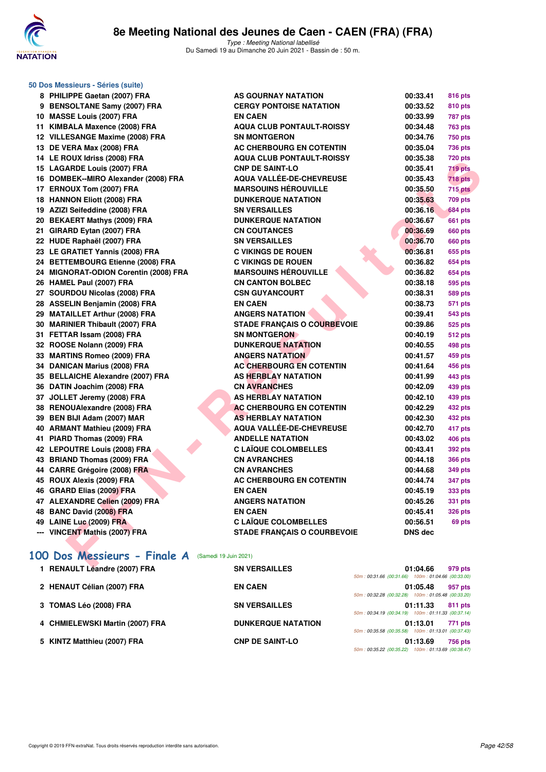

**50 Dos Messieurs - Séries (suite)**

Type : Meeting National labellisé Du Samedi 19 au Dimanche 20 Juin 2021 - Bassin de : 50 m.

| 8   | PHILIPPE Gaetan (2007) FRA            |
|-----|---------------------------------------|
| 9   | <b>BENSOLTANE Samy (2007) FRA</b>     |
| 10  | <b>MASSE Louis (2007) FRA</b>         |
| 11  | KIMBALA Maxence (2008) FRA            |
| 12  | <b>VILLESANGE Maxime (2008) FRA</b>   |
| 13  | DE VERA Max (2008) FRA                |
| 14  | LE ROUX Idriss (2008) FRA             |
| 15  | <b>LAGARDE Louis (2007) FRA</b>       |
| 16  | DOMBEK--MIRO Alexander (2008) FRA     |
|     | 17 ERNOUX Tom (2007) FRA              |
| 18  | <b>HANNON Eliott (2008) FRA</b>       |
| 19  | AZIZI Seifeddine (2008) FRA           |
| 20  | <b>BEKAERT Mathys (2009) FRA</b>      |
| 21  | GIRARD Eytan (2007) FRA               |
| 22  | HUDE Raphaël (2007) FRA               |
|     | 23 LE GRATIET Yannis (2008) FRA       |
|     | 24 BETTEMBOURG Etienne (2008) FRA     |
|     | 24 MIGNORAT-ODION Corentin (2008) FRA |
| 26  | <b>HAMEL Paul (2007) FRA</b>          |
|     | 27 SOURDOU Nicolas (2008) FRA         |
| 28  | <b>ASSELIN Benjamin (2008) FRA</b>    |
| 29  | <b>MATAILLET Arthur (2008) FRA</b>    |
| 30  | <b>MARINIER Thibault (2007) FRA</b>   |
| 31  | FETTAR Issam (2008) FRA               |
| 32  | ROOSE Nolann (2009) FRA               |
| 33  | <b>MARTINS Romeo (2009) FRA</b>       |
| 34  | <b>DANICAN Marius (2008) FRA</b>      |
| 35  | <b>BELLAICHE Alexandre (2007) FRA</b> |
| 36  | DATIN Joachim (2008) FRA              |
|     | 37 JOLLET Jeremy (2008) FRA           |
| 38  | <b>RENOUAlexandre (2008) FRA</b>      |
| 39  | BEN BIJI Adam (2007) MAR              |
| 40  | <b>ARMANT Mathieu (2009) FRA</b>      |
| 41  | PIARD Thomas (2009) FRA               |
| 42  | <b>LEPOUTRE Louis (2008) FRA</b>      |
| 43  | <b>BRIAND Thomas (2009) FRA</b>       |
| 44  | <b>CARRE Grégoire (2008) FRA</b>      |
| 45  | ROUX Alexis (2009) FRA                |
| 46  | <b>GRARD Elias (2009) FRA</b>         |
|     | 47 ALEXANDRE Celien (2009) FRA        |
| 48  | <b>BANC David (2008) FRA</b>          |
| 49  | LAINE Luc (2009) FRA                  |
| --- | <b>VINCENT Mathis (2007) FRA</b>      |

| 8 PHILIPPE Gaetan (2007) FRA                                          | AS GOURNAY NATATION                | 00:33.41  | <b>816 pts</b> |
|-----------------------------------------------------------------------|------------------------------------|-----------|----------------|
| 9 BENSOLTANE Samy (2007) FRA                                          | <b>CERGY PONTOISE NATATION</b>     | 00:33.52  | <b>810 pts</b> |
| 10 MASSE Louis (2007) FRA                                             | <b>EN CAEN</b>                     | 00:33.99  | 787 pts        |
| 11 KIMBALA Maxence (2008) FRA                                         | <b>AQUA CLUB PONTAULT-ROISSY</b>   | 00:34.48  | <b>763 pts</b> |
| 12 VILLESANGE Maxime (2008) FRA                                       | <b>SN MONTGERON</b>                | 00:34.76  | <b>750 pts</b> |
| 13 DE VERA Max (2008) FRA                                             | AC CHERBOURG EN COTENTIN           | 00:35.04  | <b>736 pts</b> |
| 14 LE ROUX Idriss (2008) FRA                                          | <b>AQUA CLUB PONTAULT-ROISSY</b>   | 00:35.38  | <b>720 pts</b> |
| 15 LAGARDE Louis (2007) FRA                                           | <b>CNP DE SAINT-LO</b>             | 00:35.41  | 719 pts        |
| 16 DOMBEK--MIRO Alexander (2008) FRA                                  | <b>AQUA VALLÉE-DE-CHEVREUSE</b>    | 00:35.43  | 718 pts        |
| 17 ERNOUX Tom (2007) FRA                                              | <b>MARSOUINS HÉROUVILLE</b>        | 00:35.50  | 715 pts        |
| 18 HANNON Eliott (2008) FRA                                           | <b>DUNKERQUE NATATION</b>          | 00:35.63  | <b>709 pts</b> |
| 19 AZIZI Seifeddine (2008) FRA                                        | <b>SN VERSAILLES</b>               | 00:36.16  | 684 pts        |
| 20 BEKAERT Mathys (2009) FRA                                          | <b>DUNKERQUE NATATION</b>          | 00:36.67  | <b>661 pts</b> |
| 21 GIRARD Eytan (2007) FRA                                            | <b>CN COUTANCES</b>                | 00:36.69  | 660 pts        |
| 22 HUDE Raphaël (2007) FRA                                            | <b>SN VERSAILLES</b>               | 00:36.70  | 660 pts        |
| 23 LE GRATIET Yannis (2008) FRA                                       | <b>C VIKINGS DE ROUEN</b>          | 00:36.81  | <b>655 pts</b> |
| 24 BETTEMBOURG Etienne (2008) FRA                                     | <b>C VIKINGS DE ROUEN</b>          | 00:36.82  | 654 pts        |
| 24 MIGNORAT-ODION Corentin (2008) FRA                                 | <b>MARSOUINS HEROUVILLE</b>        | 00:36.82  | 654 pts        |
| 26 HAMEL Paul (2007) FRA                                              | <b>CN CANTON BOLBEC</b>            | 00:38.18  | 595 pts        |
| 27 SOURDOU Nicolas (2008) FRA                                         | <b>CSN GUYANCOURT</b>              | 00:38.31  | <b>589 pts</b> |
| 28 ASSELIN Benjamin (2008) FRA                                        | <b>EN CAEN</b>                     | 00:38.73  | 571 pts        |
| 29 MATAILLET Arthur (2008) FRA                                        | <b>ANGERS NATATION</b>             | 00:39.41  | <b>543 pts</b> |
| 30 MARINIER Thibault (2007) FRA                                       | <b>STADE FRANCAIS O COURBEVOIE</b> | 00:39.86  | <b>525 pts</b> |
| 31 FETTAR Issam (2008) FRA                                            | <b>SN MONTGERON</b>                | 00:40.19  | 512 pts        |
| 32 ROOSE Nolann (2009) FRA                                            | <b>DUNKERQUE NATATION</b>          | 00:40.55  | 498 pts        |
| 33 MARTINS Romeo (2009) FRA                                           | <b>ANGERS NATATION</b>             | 00:41.57  | 459 pts        |
| 34 DANICAN Marius (2008) FRA                                          | <b>AC CHERBOURG EN COTENTIN</b>    | 00:41.64  | 456 pts        |
| 35 BELLAICHE Alexandre (2007) FRA                                     | <b>AS HERBLAY NATATION</b>         | 00:41.99  | 443 pts        |
| 36 DATIN Joachim (2008) FRA                                           | <b>CN AVRANCHES</b>                | 00:42.09  | 439 pts        |
| 37 JOLLET Jeremy (2008) FRA                                           | AS HERBLAY NATATION                | 00:42.10  | 439 pts        |
| 38 RENOUAlexandre (2008) FRA                                          | <b>AC CHERBOURG EN COTENTIN</b>    | 00:42.29  | <b>432 pts</b> |
| 39 BEN BIJI Adam (2007) MAR                                           | <b>AS HERBLAY NATATION</b>         | 00:42.30  | 432 pts        |
| 40 ARMANT Mathieu (2009) FRA                                          | AQUA VALLÉE-DE-CHEVREUSE           | 00:42.70  | 417 pts        |
| 41 PIARD Thomas (2009) FRA                                            | <b>ANDELLE NATATION</b>            | 00:43.02  | <b>406 pts</b> |
| 42 LEPOUTRE Louis (2008) FRA                                          | <b>C LAÏQUE COLOMBELLES</b>        | 00:43.41  | 392 pts        |
| 43 BRIAND Thomas (2009) FRA                                           | <b>CN AVRANCHES</b>                | 00:44.18  | <b>366 pts</b> |
| 44 CARRE Grégoire (2008) FRA                                          | <b>CN AVRANCHES</b>                | 00:44.68  | 349 pts        |
| 45 ROUX Alexis (2009) FRA                                             | AC CHERBOURG EN COTENTIN           | 00:44.74  | 347 pts        |
| 46 GRARD Elias (2009) FRA                                             | <b>EN CAEN</b>                     | 00:45.19  | 333 pts        |
| 47 ALEXANDRE Celien (2009) FRA                                        | <b>ANGERS NATATION</b>             | 00:45.26  | 331 pts        |
| 48 BANC David (2008) FRA                                              | <b>EN CAEN</b>                     | 00:45.41  | <b>326 pts</b> |
| 49 LAINE Luc (2009) FRA                                               | <b>C LAIQUE COLOMBELLES</b>        | 00:56.51  | 69 pts         |
| --- VINCENT Mathis (2007) FRA                                         | <b>STADE FRANÇAIS O COURBEVOIE</b> | DNS dec   |                |
|                                                                       |                                    |           |                |
| OO Dos Messieurs - Finale A (Samedi 19 Juin 2021)                     |                                    |           |                |
| $\overline{A}$ DEMAIL TI $\overline{A}$ and $\overline{A}$ (0007) EDA | CHIVEDCAULES                       | 0.4.04.00 |                |
|                                                                       |                                    |           | $070 - 1$      |

## **[100 Dos Messieurs - Finale A](http://www.ffnatation.fr/webffn/resultats.php?idact=nat&go=epr&idcpt=70045&idepr=62)** (Samedi 19 Juin 2021)

| <b>RENAULT Léandre (2007) FRA</b> | <b>SN VERSAILLES</b>      |                                                    | 01:04.66 | 979 pts |
|-----------------------------------|---------------------------|----------------------------------------------------|----------|---------|
|                                   |                           | 50m: 00:31.66 (00:31.66) 100m: 01:04.66 (00:33.00  |          |         |
| 2 HENAUT Célian (2007) FRA        | <b>EN CAEN</b>            |                                                    | 01:05.48 | 957 pts |
|                                   |                           | 50m: 00:32.28 (00:32.28) 100m: 01:05.48 (00:33.20) |          |         |
| 3 TOMAS Léo (2008) FRA            | <b>SN VERSAILLES</b>      | 50m: 00:34.19 (00:34.19) 100m: 01:11.33 (00:37.14) | 01:11.33 | 811 pts |
| 4 CHMIELEWSKI Martin (2007) FRA   | <b>DUNKERQUE NATATION</b> |                                                    | 01:13.01 | 771 pts |
|                                   |                           | 50m: 00:35.58 (00:35.58) 100m: 01:13.01 (00:37.43  |          |         |
| 5 KINTZ Matthieu (2007) FRA       | <b>CNP DE SAINT-LO</b>    |                                                    | 01:13.69 | 756 pts |
|                                   |                           | 50m: 00:35.22 (00:35.22) 100m: 01:13.69 (00:38.47) |          |         |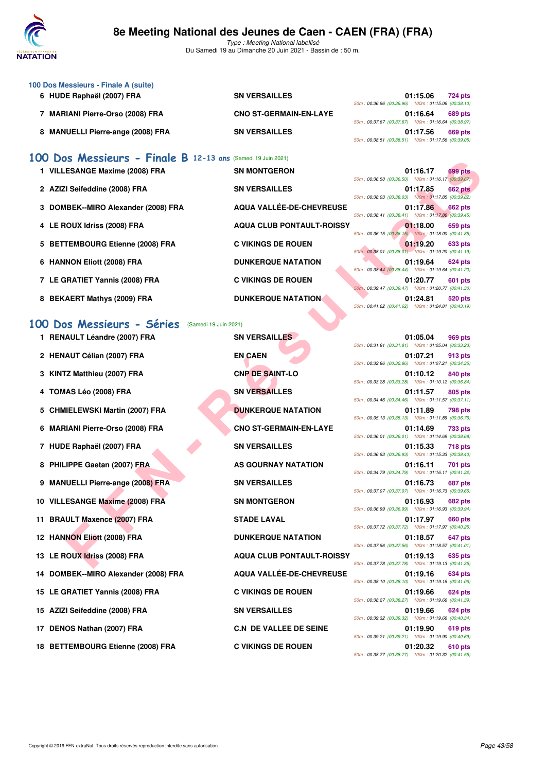

Type : Meeting National labellisé Du Samedi 19 au Dimanche 20 Juin 2021 - Bassin de : 50 m.

| 100 Dos Messieurs - Finale A (suite) |                               |                                                    |
|--------------------------------------|-------------------------------|----------------------------------------------------|
| 6 HUDE Raphaël (2007) FRA            | <b>SN VERSAILLES</b>          | 01:15.06<br><b>724 pts</b>                         |
|                                      |                               | 50m: 00:36.96 (00:36.96) 100m: 01:15.06 (00:38.10) |
| 7 MARIANI Pierre-Orso (2008) FRA     | <b>CNO ST-GERMAIN-EN-LAYE</b> | 01:16.64<br><b>689 pts</b>                         |
|                                      |                               | 50m: 00:37.67 (00:37.67) 100m: 01:16.64 (00:38.97) |
| 8 MANUELLI Pierre-ange (2008) FRA    | <b>SN VERSAILLES</b>          | 01:17.56<br>669 pts                                |
|                                      |                               | 50m: 00:38.51 (00:38.51) 100m: 01:17.56 (00:39.05) |

## **[100 Dos Messieurs - Finale B](http://www.ffnatation.fr/webffn/resultats.php?idact=nat&go=epr&idcpt=70045&idepr=62) 12-13 ans** (Samedi 19 Juin 2021)

| 1 VILLESANGE Maxime (2008) FRA      | <b>SN MONTGERON</b>                 | 01:16.17<br>699 pts<br>50m: 00:36.50 (00:36.50) 100m: 01:16.17 (00:39.67)        |
|-------------------------------------|-------------------------------------|----------------------------------------------------------------------------------|
| 2 AZIZI Seifeddine (2008) FRA       | <b>SN VERSAILLES</b>                | 01:17.85<br><b>662 pts</b><br>50m: 00:38.03 (00:38.03) 100m: 01:17.85 (00:39.82) |
| 3 DOMBEK--MIRO Alexander (2008) FRA | AQUA VALLÉE-DE-CHEVREUSE            | 01:17.86<br>662 pts<br>50m: 00:38.41 (00:38.41) 100m: 01:17.86 (00:39.45)        |
| 4 LE ROUX Idriss (2008) FRA         | <b>AQUA CLUB PONTAULT-ROISSY</b>    | 01:18.00<br>659 pts<br>50m: 00:36.15 (00:36.15) 100m: 01:18.00 (00:41.85)        |
| 5 BETTEMBOURG Etienne (2008) FRA    | <b>C VIKINGS DE ROUEN</b>           | 01:19.20<br>633 pts<br>50m: 00:38.01 (00:38.01) 100m: 01:19.20 (00:41.19)        |
| 6 HANNON Eliott (2008) FRA          | <b>DUNKERQUE NATATION</b>           | 01:19.64<br>624 pts<br>50m: 00:38.44 (00:38.44) 100m: 01:19.64 (00:41.20)        |
| 7 LE GRATIET Yannis (2008) FRA      | <b>C VIKINGS DE ROUEN</b>           | 01:20.77<br>601 pts<br>50m: 00:39.47 (00:39.47) 100m: 01:20.77 (00:41.30)        |
| 8 BEKAERT Mathys (2009) FRA         | <b>DUNKERQUE NATATION</b><br>$\sim$ | 01:24.81<br>520 pts<br>50m: 00:41.62 (00:41.62) 100m: 01:24.81 (00:43.19)        |

## **[100 Dos Messieurs - Séries](http://www.ffnatation.fr/webffn/resultats.php?idact=nat&go=epr&idcpt=70045&idepr=62)** (Samedi 19 Juin 2021)

| $\frac{1}{2}$ os <i>i i</i> is the set of $\frac{1}{2}$ is the set of $\frac{1}{2}$ is the set of $\frac{1}{2}$ |                                  |                                                                                  |
|-----------------------------------------------------------------------------------------------------------------|----------------------------------|----------------------------------------------------------------------------------|
| 1 VILLESANGE Maxime (2008) FRA                                                                                  | <b>SN MONTGERON</b>              | 699 pts<br>01:16.17<br>50m: 00:36.50 (00:36.50) 100m: 01:16.17 (00:39.67)        |
| 2 AZIZI Seifeddine (2008) FRA                                                                                   | <b>SN VERSAILLES</b>             | 01:17.85<br><b>662 pts</b><br>50m: 00:38.03 (00:38.03) 100m: 01:17.85 (00:39.82) |
| 3 DOMBEK--MIRO Alexander (2008) FRA                                                                             | AQUA VALLÉE-DE-CHEVREUSE         | 01:17.86<br><b>662 pts</b><br>50m: 00:38.41 (00:38.41) 100m: 01:17.86 (00:39.45) |
| 4 LE ROUX Idriss (2008) FRA                                                                                     | <b>AQUA CLUB PONTAULT-ROISSY</b> | 01:18.00<br>659 pts                                                              |
| 5 BETTEMBOURG Etienne (2008) FRA                                                                                | <b>C VIKINGS DE ROUEN</b>        | 50m: 00:36.15 (00:36.15) 100m: 01:18.00 (00:41.85)<br>01:19.20<br>633 pts        |
| 6 HANNON Eliott (2008) FRA                                                                                      | <b>DUNKERQUE NATATION</b>        | 50m: 00:38.01 (00:38.01) 100m: 01:19.20 (00:41.19)<br>01:19.64<br>624 pts        |
| 7 LE GRATIET Yannis (2008) FRA                                                                                  | <b>C VIKINGS DE ROUEN</b>        | 50m: 00:38.44 (00:38.44) 100m: 01:19.64 (00:41.20)<br>01:20.77<br>601 pts        |
| 8 BEKAERT Mathys (2009) FRA                                                                                     | <b>DUNKERQUE NATATION</b>        | 50m: 00:39.47 (00:39.47) 100m: 01:20.77 (00:41.30)<br>01:24.81<br>520 pts        |
|                                                                                                                 |                                  | 50m: 00:41.62 (00:41.62) 100m: 01:24.81 (00:43.19)                               |
| 00 Dos Messieurs - Séries<br>(Samedi 19 Juin 2021)                                                              |                                  |                                                                                  |
| 1 RENAULT Léandre (2007) FRA                                                                                    | <b>SN VERSAILLES</b>             | 01:05.04<br>969 pts<br>50m: 00:31.81 (00:31.81) 100m: 01:05.04 (00:33.23)        |
| 2 HENAUT Célian (2007) FRA                                                                                      | <b>EN CAEN</b>                   | 01:07.21<br>913 pts<br>50m: 00:32.86 (00:32.86) 100m: 01:07.21 (00:34.35)        |
| 3 KINTZ Matthieu (2007) FRA                                                                                     | <b>CNP DE SAINT-LO</b>           | 01:10.12<br>840 pts<br>50m: 00:33.28 (00:33.28) 100m: 01:10.12 (00:36.84)        |
| 4 TOMAS Léo (2008) FRA                                                                                          | <b>SN VERSAILLES</b>             | 01:11.57<br>805 pts<br>50m: 00:34.46 (00:34.46) 100m: 01:11.57 (00:37.11)        |
| 5 CHMIELEWSKI Martin (2007) FRA                                                                                 | <b>DUNKERQUE NATATION</b>        | 01:11.89<br><b>798 pts</b><br>50m: 00:35.13 (00:35.13) 100m: 01:11.89 (00:36.76) |
| 6 MARIANI Pierre-Orso (2008) FRA                                                                                | <b>CNO ST-GERMAIN-EN-LAYE</b>    | 01:14.69<br>733 pts                                                              |
| 7 HUDE Raphaël (2007) FRA                                                                                       | <b>SN VERSAILLES</b>             | 50m: 00:36.01 (00:36.01) 100m: 01:14.69 (00:38.68)<br>01:15.33<br><b>718 pts</b> |
| 8 PHILIPPE Gaetan (2007) FRA                                                                                    | AS GOURNAY NATATION              | 50m: 00:36.93 (00:36.93) 100m: 01:15.33 (00:38.40)<br>01:16.11<br><b>701 pts</b> |
| 9 MANUELLI Pierre-ange (2008) FRA                                                                               | <b>SN VERSAILLES</b>             | 50m: 00:34.79 (00:34.79) 100m: 01:16.11 (00:41.32)<br>01:16.73<br>687 pts        |
| 10 VILLESANGE Maxime (2008) FRA                                                                                 | <b>SN MONTGERON</b>              | 50m: 00:37.07 (00:37.07) 100m: 01:16.73 (00:39.66)<br>01:16.93<br>682 pts        |
| 11 BRAULT Maxence (2007) FRA                                                                                    | <b>STADE LAVAL</b>               | 50m: 00:36.99 (00:36.99) 100m: 01:16.93 (00:39.94)<br>01:17.97<br><b>660 pts</b> |
| 12 HANNON Eliott (2008) FRA                                                                                     | <b>DUNKERQUE NATATION</b>        | 50m: 00:37.72 (00:37.72) 100m: 01:17.97 (00:40.25)<br>01:18.57<br>647 pts        |
| 13 LE ROUX Idriss (2008) FRA                                                                                    | <b>AQUA CLUB PONTAULT-ROISSY</b> | 50m: 00:37.56 (00:37.56) 100m: 01:18.57 (00:41.01)<br>01:19.13<br>635 pts        |
| 14 DOMBEK--MIRO Alexander (2008) FRA                                                                            | <b>AQUA VALLEE-DE-CHEVREUSE</b>  | 50m: 00:37.78 (00:37.78) 100m: 01:19.13 (00:41.35)<br>01:19.16<br>634 pts        |
| 15 LE GRATIET Yannis (2008) FRA                                                                                 | <b>C VIKINGS DE ROUEN</b>        | 50m: 00:38.10 (00:38.10) 100m: 01:19.16 (00:41.06)<br>01:19.66<br>624 pts        |
| 15 AZIZI Seifeddine (2008) FRA                                                                                  | <b>SN VERSAILLES</b>             | 50m: 00:38.27 (00:38.27) 100m: 01:19.66 (00:41.39)<br>01:19.66<br>624 pts        |
|                                                                                                                 |                                  | 50m: 00:39.32 (00:39.32) 100m: 01:19.66 (00:40.34)                               |
| 17 DENOS Nathan (2007) FRA                                                                                      | <b>C.N DE VALLEE DE SEINE</b>    | 01:19.90<br>619 pts<br>50m: 00:39.21 (00:39.21) 100m: 01:19.90 (00:40.69)        |
| 18 BETTEMBOURG Etienne (2008) FRA                                                                               | <b>C VIKINGS DE ROUEN</b>        | 01:20.32<br><b>610 pts</b>                                                       |

| 50m: 00:31.81 (00:31.81) 100m: 01:05.04 (00:33.23) | 01:05.04 969 pts |                |
|----------------------------------------------------|------------------|----------------|
|                                                    | 01:07.21         | 913 pts        |
| 50m: 00:32.86 (00:32.86) 100m: 01:07.21 (00:34.35) |                  |                |
| 50m: 00:33.28 (00:33.28) 100m: 01:10.12 (00:36.84) | 01:10.12         | <b>840 pts</b> |
|                                                    | 01:11.57         | <b>805 pts</b> |
| 50m: 00:34.46 (00:34.46) 100m: 01:11.57 (00:37.11) |                  |                |
| 50m: 00:35.13 (00:35.13) 100m: 01:11.89 (00:36.76) | 01:11.89         | 798 pts        |
| 50m: 00:36.01 (00:36.01) 100m: 01:14.69 (00:38.68) | 01:14.69         | 733 pts        |
|                                                    | 01:15.33         | <b>718 pts</b> |
| 50m: 00:36.93 (00:36.93) 100m: 01:15.33 (00:38.40) |                  |                |
| 50m: 00:34.79 (00:34.79) 100m: 01:16.11 (00:41.32) | 01:16.11         | 701 pts        |
| 50m: 00:37.07 (00:37.07) 100m: 01:16.73 (00:39.66) | 01:16.73         | 687 pts        |
|                                                    | 01:16.93         | 682 pts        |
| 50m: 00:36.99 (00:36.99) 100m: 01:16.93 (00:39.94) |                  |                |
|                                                    | 01:17.97         | 660 pts        |
| 50m: 00:37.72 (00:37.72) 100m: 01:17.97 (00:40.25) | 01:18.57         |                |
| 50m: 00:37.56 (00:37.56) 100m: 01:18.57 (00:41.01) |                  | 647 pts        |
| 50m: 00:37.78 (00:37.78) 100m: 01:19.13 (00:41.35) | 01:19.13         | 635 pts        |
|                                                    | 01:19.16         | <b>634 pts</b> |
| 50m: 00:38.10 (00:38.10) 100m: 01:19.16 (00:41.06) |                  |                |
| 50m: 00:38.27 (00:38.27) 100m: 01:19.66 (00:41.39) | 01:19.66         | 624 pts        |
|                                                    | 01:19.66         | 624 pts        |
| 50m: 00:39.32 (00:39.32) 100m: 01:19.66 (00:40.34) |                  |                |
|                                                    | 01:19.90         | 619 pts        |
| 50m: 00:39.21 (00:39.21) 100m: 01:19.90 (00:40.69) | 01:20.32         |                |
| 50m: 00:38.77 (00:38.77) 100m: 01:20.32 (00:41.55) |                  | 610 pts        |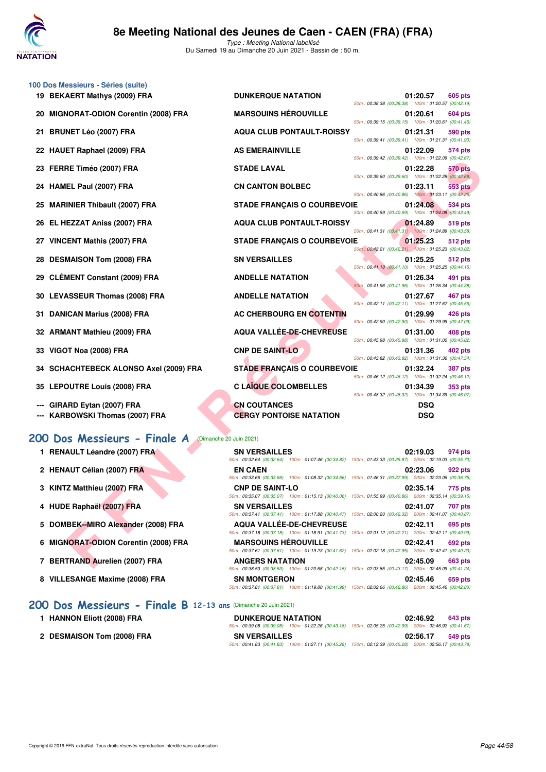

|    | 100 Dos Messieurs - Séries (suite)                      |                                                                                                                                               |                                                    |            |                |
|----|---------------------------------------------------------|-----------------------------------------------------------------------------------------------------------------------------------------------|----------------------------------------------------|------------|----------------|
|    | 19 BEKAERT Mathys (2009) FRA                            | <b>DUNKERQUE NATATION</b>                                                                                                                     | 50m: 00:38.38 (00:38.38) 100m: 01:20.57 (00:42.19) | 01:20.57   | 605 pts        |
| 20 | <b>MIGNORAT-ODION Corentin (2008) FRA</b>               | <b>MARSOUINS HÉROUVILLE</b>                                                                                                                   | 50m: 00:39.15 (00:39.15) 100m: 01:20.61 (00:41.46) | 01:20.61   | 604 pts        |
| 21 | <b>BRUNET Léo (2007) FRA</b>                            | <b>AQUA CLUB PONTAULT-ROISSY</b>                                                                                                              | 50m: 00:39.41 (00:39.41) 100m: 01:21.31 (00:41.90) | 01:21.31   | 590 pts        |
| 22 | <b>HAUET Raphael (2009) FRA</b>                         | <b>AS EMERAINVILLE</b>                                                                                                                        |                                                    | 01:22.09   | 574 pts        |
|    | 23 FERRE Timéo (2007) FRA                               | <b>STADE LAVAL</b>                                                                                                                            | 50m: 00:39.42 (00:39.42) 100m: 01:22.09 (00:42.67) | 01:22.28   | 570 pts        |
| 24 | HAMEL Paul (2007) FRA                                   | <b>CN CANTON BOLBEC</b>                                                                                                                       | 50m: 00:39.60 (00:39.60) 100m: 01:22.28 (00:42.68) | 01:23.11   | 553 pts        |
| 25 | <b>MARINIER Thibault (2007) FRA</b>                     | <b>STADE FRANÇAIS O COURBEVOIE</b>                                                                                                            | 50m: 00:40.86 (00:40.86) 100m: 01:23.11 (00:42.25) | 01:24.08   | 534 pts        |
| 26 | EL HEZZAT Aniss (2007) FRA                              | <b>AQUA CLUB PONTAULT-ROISSY</b>                                                                                                              | 50m: 00:40.59 (00:40.59) 100m: 01:24.08 (00:43.49) | 01:24.89   | 519 pts        |
| 27 | <b>VINCENT Mathis (2007) FRA</b>                        | <b>STADE FRANÇAIS O COURBEVOIE</b>                                                                                                            | 50m: 00:41.31 (00:41.31) 100m: 01:24.89 (00:43.58) | 01:25.23   | 512 pts        |
| 28 | <b>DESMAISON Tom (2008) FRA</b>                         | <b>SN VERSAILLES</b>                                                                                                                          | 50m: 00:42.21 (00:42.21) 100m: 01:25.23 (00:43.02) | 01:25.25   | 512 pts        |
| 29 | <b>CLÉMENT Constant (2009) FRA</b>                      | <b>ANDELLE NATATION</b>                                                                                                                       | 50m: 00:41.10 (00:41.10) 100m: 01:25.25 (00:44.15) | 01:26.34   | 491 pts        |
| 30 | <b>LEVASSEUR Thomas (2008) FRA</b>                      | <b>ANDELLE NATATION</b>                                                                                                                       | 50m: 00:41.96 (00:41.96) 100m: 01:26.34 (00:44.38) | 01:27.67   | 467 pts        |
| 31 | <b>DANICAN Marius (2008) FRA</b>                        | <b>AC CHERBOURG EN COTENTIN</b>                                                                                                               | 50m: 00:42.11 (00:42.11) 100m: 01:27.67 (00:45.56) | 01:29.99   | 426 pts        |
|    | 32 ARMANT Mathieu (2009) FRA                            | <b>AQUA VALLÉE-DE-CHEVREUSE</b>                                                                                                               | 50m: 00:42.90 (00:42.90) 100m: 01:29.99 (00:47.09) | 01:31.00   | <b>408 pts</b> |
|    |                                                         |                                                                                                                                               | 50m: 00:45.98 (00:45.98) 100m: 01:31.00 (00:45.02) |            |                |
| 33 | VIGOT Noa (2008) FRA                                    | <b>CNP DE SAINT-LO</b>                                                                                                                        | 50m: 00:43.82 (00:43.82) 100m: 01:31.36 (00:47.54) | 01:31.36   | 402 pts        |
| 34 | <b>SCHACHTEBECK ALONSO Axel (2009) FRA</b>              | <b>STADE FRANÇAIS O COURBEVOIE</b>                                                                                                            | 50m: 00:46.12 (00:46.12) 100m: 01:32.24 (00:46.12) | 01:32.24   | <b>387 pts</b> |
| 35 | <b>LEPOUTRE Louis (2008) FRA</b>                        | <b>C LAÏQUE COLOMBELLES</b>                                                                                                                   | 50m: 00:48.32 (00:48.32) 100m: 01:34.39 (00:46.07) | 01:34.39   | 353 pts        |
|    | GIRARD Eytan (2007) FRA                                 | <b>CN COUTANCES</b>                                                                                                                           |                                                    | <b>DSQ</b> |                |
|    | KARBOWSKI Thomas (2007) FRA                             | <b>CERGY PONTOISE NATATION</b>                                                                                                                |                                                    | <b>DSQ</b> |                |
|    | 200 Dos Messieurs - Finale A<br>(Dimanche 20 Juin 2021) |                                                                                                                                               |                                                    |            |                |
|    | 1 RENAULT Léandre (2007) FRA                            | <b>SN VERSAILLES</b><br>50m: 00:32.64 (00:32.64) 100m: 01:07.46 (00:34.82) 150m: 01:43.33 (00:35.87) 200m: 02:19.03 (00:35.70)                |                                                    | 02:19.03   | 974 pts        |
|    | 2 HENAUT Célian (2007) FRA                              | <b>EN CAEN</b><br>50m: 00:33.66 (00:33.66) 100m: 01:08.32 (00:34.66) 150m: 01:46.31 (00:37.99) 200m: 02:23.06 (00:36.75)                      |                                                    | 02:23.06   | <b>922 pts</b> |
|    | 3 KINTZ Matthieu (2007) FRA                             | <b>CNP DE SAINT-LO</b><br>50m: 00:35.07 (00:35.07) 100m: 01:15.13 (00:40.06) 150m: 01:55.99 (00:40.86) 200m: 02:35.14 (00:39.15)              |                                                    | 02:35.14   | 775 pts        |
|    | 4 HUDE Raphaël (2007) FRA                               | <b>SN VERSAILLES</b>                                                                                                                          |                                                    | 02:41.07   | 707 pts        |
|    | 5 DOMBEK--MIRO Alexander (2008) FRA                     | 50m : 00:37.41 (00:37.41) 100m : 01:17.88 (00:40.47) 150m : 02:00.20 (00:42.32) 200m : 02:41.07 (00:40.87)<br><b>AQUA VALLEE-DE-CHEVREUSE</b> |                                                    | 02:42.11   | 695 pts        |
|    | 6 MIGNORAT-ODION Corentin (2008) FRA                    | 50m: 00:37.18 (00:37.18) 100m: 01:18.91 (00:41.73) 150m: 02:01.12 (00:42.21) 200m: 02:42.11 (00:40.99)<br><b>MARSOUINS HEROUVILLE</b>         |                                                    | 02:42.41   | 692 pts        |
|    | 7 BERTRAND Aurelien (2007) FRA                          | 50m: 00:37.61 (00:37.61) 100m: 01:19.23 (00:41.62) 150m: 02:02.18 (00:42.95) 200m: 02:42.41 (00:40.23)<br><b>ANGERS NATATION</b>              |                                                    | 02:45.09   | 663 pts        |
|    |                                                         |                                                                                                                                               | 24.22.22.12.42.471.472.02.22.22.42.47              |            |                |

- **2 HENAUT Célian (2007) FRA EN CAEN 02:23.06 922 pts**
- **3 KINTZ Matthieu (2007) FRA CNP DE SAINT-LO 02:35.14 775 pts**
- **4 HUDE Raphaël (2007) FRA SN VERSAILLES 02:41.07 707 pts**
- **5 DOMBEK--MIRO Alexander (2008) FRA AQUA VALLÉE-DE-CHEVREUSE 02:42.11 695 pts**
- **6 MIGNORAT-ODION Corentin (2008) FRA MARSOUINS HÉROUVILLE 02:42.41 692 pts**
- **7 BERTRAND Aurelien (2007) FRA ANGERS NATATION 02:45.09 663 pts**
- **8 VILLESANGE Maxime (2008) FRA SN MONTGERON 02:45.46 659 pts**

#### **[200 Dos Messieurs - Finale B](http://www.ffnatation.fr/webffn/resultats.php?idact=nat&go=epr&idcpt=70045&idepr=63) 12-13 ans** (Dimanche 20 Juin 2021)

- 
- 

**2 DESMAISON Tom (2008) FRA SN VERSAILLES 02:56.17 549 pts** 50m : 00:41.83 (00:41.83) 100m : 01:27.11 (00:45.28) 150m : 02:12.39 (00:45.28) 200m : 02:56.17 (00:43.78)

50m : 00:38.53 (00:38.53) 100m : 01:20.68 (00:42.15) 150m : 02:03.85 (00:43.17) 200m : 02:45.09 (00:41.24)

50m : 00:37.81 (00:37.81) 100m : 01:19.80 (00:41.99) 150m : 02:02.66 (00:42.86) 200m : 02:45.46 (00:42.80)

**1 HANNON Eliott (2008) FRA DUNKERQUE NATATION 02:46.92 643 pts** 50m : 00:39.08 (00:39.08) 100m : 01:22.26 (00:43.18) 150m : 02:05.25 (00:42.99) 200m : 02:46.92 (00:41.67)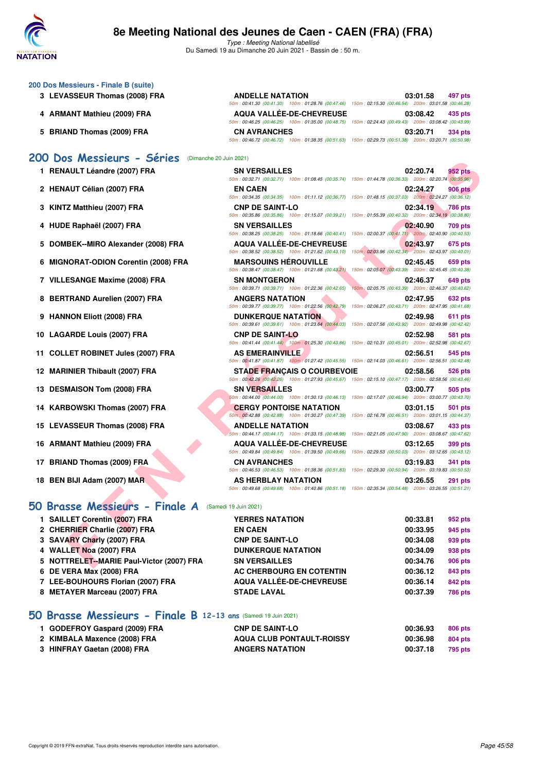

Type : Meeting National labellisé Du Samedi 19 au Dimanche 20 Juin 2021 - Bassin de : 50 m.

|  |  | 200 Dos Messieurs - Finale B (suite) |  |
|--|--|--------------------------------------|--|
|  |  |                                      |  |

- **3 LEVASSEUR Thomas (2008) FRA ANDELLE NATATION 03:01.58 497 pts**
- **4 ARMANT Mathieu (2009) FRA AQUA VALLÉE-DE-CHEVREUSE 03:08.42 435 pts**
- **5 BRIAND Thomas (2009) FRA CN AVRANCHES 03:20.71 334 pts**

#### **[200 Dos Messieurs - Séries](http://www.ffnatation.fr/webffn/resultats.php?idact=nat&go=epr&idcpt=70045&idepr=63)** (Dimanche 20 Juin 2021)

- **1 RENAULT Léandre (2007) FRA**
- 2 HENAUT Célian (2007) FRA
- **3 KINTZ Matthieu (2007) FRA**
- 4 HUDE Raphaël (2007) FRA
- 5 DOMBEK--MIRO Alexander (2008) FRA
- **6 MIGNORAT-ODION Corentin (2008) FRA**
- **7 VILLESANGE Maxime (2008) FRA**
- **8 BERTRAND Aurelien (2007) FRA**
- **9 HANNON Eliott (2008) FRA**
- 10 LAGARDE Louis (2007) FRA
- **11 COLLET ROBINET Jules (2007) FRA**
- **12 MARINIER Thibault (2007) FRA**
- 13 DESMAISON Tom (2008) FRA
- 14 KARBOWSKI Thomas (2007) FRA
- 15 LEVASSEUR Thomas (2008) FRA
- **16 ARMANT Mathieu (2009) FRA**
- **17 BRIAND Thomas (2009) FRA**
- **18 BEN BIJI Adam (2007) MAR**

#### **[50 Brasse Messieurs - Finale A](http://www.ffnatation.fr/webffn/resultats.php?idact=nat&go=epr&idcpt=70045&idepr=71)** (Samedi 19 Juin 2021)

| 1 SAILLET Corentin (2007) FRA             | <b>YERRES NATATION</b>    | 00:33.81 | 952 pts        |
|-------------------------------------------|---------------------------|----------|----------------|
| 2 CHERRIER Charlie (2007) FRA             | <b>EN CAEN</b>            | 00:33.95 | 945 pts        |
| 3 SAVARY Charly (2007) FRA                | <b>CNP DE SAINT-LO</b>    | 00:34.08 | 939 pts        |
| 4 WALLET Noa (2007) FRA                   | <b>DUNKERQUE NATATION</b> | 00:34.09 | 938 pts        |
| 5 NOTTRELET--MARIE Paul-Victor (2007) FRA | <b>SN VERSAILLES</b>      | 00:34.76 | <b>906 pts</b> |
| 6 DE VERA Max (2008) FRA                  | AC CHERBOURG EN COTENTIN  | 00:36.12 | 843 pts        |
| 7 LEE-BOUHOURS Florian (2007) FRA         | AQUA VALLÉE-DE-CHEVREUSE  | 00:36.14 | 842 pts        |
| 8 METAYER Marceau (2007) FRA              | <b>STADE LAVAL</b>        | 00:37.39 | <b>786 pts</b> |
|                                           |                           |          |                |

## **[50 Brasse Messieurs - Finale B](http://www.ffnatation.fr/webffn/resultats.php?idact=nat&go=epr&idcpt=70045&idepr=71) 12-13 ans** (Samedi 19 Juin 2021)

| 1 GODEFROY Gaspard (2009) FRA | <b>CNP DE SAINT-LO</b>           | 00:36.93 | 806 pts |
|-------------------------------|----------------------------------|----------|---------|
| 2 KIMBALA Maxence (2008) FRA  | <b>AQUA CLUB PONTAULT-ROISSY</b> | 00:36.98 | 804 pts |
| 3 HINFRAY Gaetan (2008) FRA   | <b>ANGERS NATATION</b>           | 00:37.18 | 795 pts |

| AULT Léandre (2007) FRA                        | <b>SN VERSAILLES</b><br>50m : 00:32.71 (00:32.71) 100m : 01:08.45 (00:35.74) 150m : 01:44.78 (00:36.33) 200m : 02:20.74 (00:35.96)            | 02:20.74<br>952 pts                                                        |
|------------------------------------------------|-----------------------------------------------------------------------------------------------------------------------------------------------|----------------------------------------------------------------------------|
| AUT Célian (2007) FRA                          | <b>EN CAEN</b><br>50m: 00:34.35 (00:34.35) 100m: 01:11.12 (00:36.77) 150m: 01:48.15 (00:37.03) 200m: 02:24.27 (00:36.12)                      | 02:24.27<br>906 pts                                                        |
| <b>Z Matthieu (2007) FRA</b>                   | <b>CNP DE SAINT-LO</b><br>50m: 00:35.86 (00:35.86) 100m: 01:15.07 (00:39.21) 150m: 01:55.39 (00:40.32) 200m: 02:34.19 (00:38.80)              | 02:34.19<br><b>786 pts</b>                                                 |
| E Raphaël (2007) FRA                           | <b>SN VERSAILLES</b><br>50m: 00:38.25 (00:38.25) 100m: 01:18.66 (00:40.41) 150m: 02:00.37 (00:41.71) 200m: 02:40.90 (00:40.53)                | 02:40.90<br>709 pts                                                        |
| <b>IBEK--MIRO Alexander (2008) FRA</b>         | <b>AQUA VALLÉE-DE-CHEVREUSE</b><br>50m: 00:38.52 (00:38.52) 100m: 01:21.62 (00:43.10) 150m: 02:03.96 (00:42.34) 200m: 02:43.97 (00:40.01)     | 02:43.97<br>675 pts                                                        |
| <b>NORAT-ODION Corentin (2008) FRA</b>         | <b>MARSOUINS HÉROUVILLE</b><br>50m: 00:38.47 (00:38.47) 100m: 01:21.68 (00:43.21)                                                             | 02:45.45<br>659 pts<br>150m: 02:05.07 (00:43.39) 200m: 02:45.45 (00:40.38) |
| ESANGE Maxime (2008) FRA                       | <b>SN MONTGERON</b><br>50m: 00:39.71 (00:39.71) 100m: 01:22.36 (00:42.65)                                                                     | 02:46.37<br>649 pts<br>150m: 02:05.75 (00:43.39) 200m: 02:46.37 (00:40.62) |
| TRAND Aurelien (2007) FRA                      | <b>ANGERS NATATION</b><br>50m: 00:39.77 (00:39.77) 100m: 01:22.56 (00:42.79)                                                                  | 02:47.95<br>632 pts<br>150m: 02:06.27 (00:43.71) 200m: 02:47.95 (00:41.68) |
| NON Eliott (2008) FRA                          | <b>DUNKERQUE NATATION</b><br>50m: 00:39.61 (00:39.61) 100m: 01:23.64 (00:44.03) 150m: 02:07.56 (00:43.92) 200m: 02:49.98 (00:42.42)           | 02:49.98<br>611 pts                                                        |
| ARDE Louis (2007) FRA                          | <b>CNP DE SAINT-LO</b><br>50m : 00:41.44 (00:41.44) 100m : 01:25.30 (00:43.86) 150m : 02:10.31 (00:45.01) 200m : 02:52.98 (00:42.67)          | 02:52.98<br>581 pts                                                        |
| LET ROBINET Jules (2007) FRA                   | <b>AS EMERAINVILLE</b><br>50m: 00:41.87 (00:41.87) 100m: 01:27.42 (00:45.55) 150m: 02:14.03 (00:46.61) 200m: 02:56.51 (00:42.48)              | 02:56.51<br>545 pts                                                        |
| INIER Thibault (2007) FRA                      | <b>STADE FRANCAIS O COURBEVOIE</b><br>50m: 00:42.26 (00:42.26) 100m: 01:27.93 (00:45.67) 150m: 02:15.10 (00:47.17) 200m: 02:58.56 (00:43.46)  | 02:58.56<br>526 pts                                                        |
| <b>MAISON Tom (2008) FRA</b>                   | <b>SN VERSAILLES</b><br>50m : 00:44.00 (00:44.00) 100m : 01:30.13 (00:46.13) 150m : 02:17.07 (00:46.94) 200m : 03:00.77 (00:43.70)            | 03:00.77<br>505 pts                                                        |
| BOWSKI Thomas (2007) FRA                       | <b>CERGY PONTOISE NATATION</b><br>50m : 00:42.88 (00:42.88) 100m : 01:30.27 (00:47.39) 150m : 02:16.78 (00:46.51) 200m : 03:01.15 (00:44.37)  | 03:01.15<br>501 pts                                                        |
| <b>ASSEUR Thomas (2008) FRA</b>                | <b>ANDELLE NATATION</b><br>50m: 00:44.17 (00:44.17) 100m: 01:33.15 (00:48.98) 150m: 02:21.05 (00:47.90) 200m: 03:08.67 (00:47.62)             | 03:08.67<br>433 pts                                                        |
| <b>ANT Mathieu (2009) FRA</b>                  | <b>AQUA VALLÉE-DE-CHEVREUSE</b><br>50m : 00:49.84 (00:49.84) 100m : 01:39.50 (00:49.66) 150m : 02:29.53 (00:50.03) 200m : 03:12.65 (00:43.12) | 03:12.65<br>399 pts                                                        |
| <b>ND Thomas (2009) FRA</b>                    | <b>CN AVRANCHES</b><br>50m : 00:46.53 (00:46.53) 100m : 01:38.36 (00:51.83) 150m : 02:29.30 (00:50.94) 200m : 03:19.83 (00:50.53)             | 03:19.83<br>341 pts                                                        |
| BIJI Adam (2007) MAR                           | AS HERBLAY NATATION<br>50m: 00:49.68 (00:49.68) 100m: 01:40.86 (00:51.18) 150m: 02:35.34 (00:54.48) 200m: 03:26.55 (00:51.21)                 | 03:26.55<br>291 pts                                                        |
| SSe Messieurs - Finale A (Samedi 19 Juin 2021) |                                                                                                                                               |                                                                            |
| LET Corentin (2007) FRA                        | <b>YERRES NATATION</b>                                                                                                                        | 00:33.81<br>952 pts                                                        |
| RRIER Charlie (2007) FRA                       | <b>EN CAEN</b>                                                                                                                                | 00:33.95<br>945 pts                                                        |
| <b>ARY Charly (2007) FRA</b>                   | <b>CNP DE SAINT-LO</b>                                                                                                                        | 00:34.08<br>939 pts                                                        |
| LET Noa (2007) FRA                             | <b>DUNKERQUE NATATION</b>                                                                                                                     | 00:34.09<br>938 pts                                                        |
| TRELET--MARIE Paul-Victor (2007) FRA           | <b>SN VERSAILLES</b>                                                                                                                          | 00:34.76<br><b>906 pts</b>                                                 |
|                                                |                                                                                                                                               |                                                                            |

50m : 00:41.30 (00:41.30) 100m : 01:28.76 (00:47.46) 150m : 02:15.30 (00:46.54) 200m : 03:01.58 (00:46.28)

50m : 00:46.25 (00:46.25) 100m : 01:35.00 (00:48.75) 150m : 02:24.43 (00:49.43) 200m : 03:08.42 (00:43.99)

50m : 00:46.72 (00:46.72) 100m : 01:38.35 (00:51.63) 150m : 02:29.73 (00:51.38) 200m : 03:20.71 (00:50.98)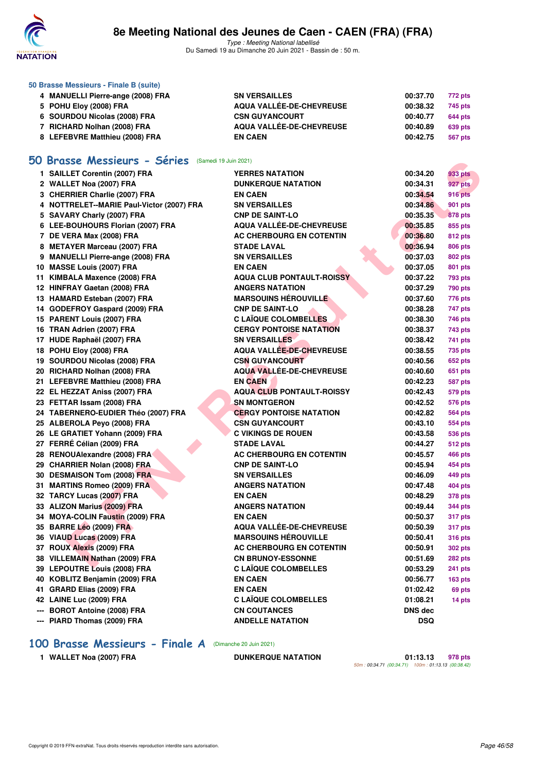

Type : Meeting National labellisé Du Samedi 19 au Dimanche 20 Juin 2021 - Bassin de : 50 m.

| 50 Brasse Messieurs - Finale B (suite) |                          |          |         |  |  |  |  |
|----------------------------------------|--------------------------|----------|---------|--|--|--|--|
| 4 MANUELLI Pierre-ange (2008) FRA      | <b>SN VERSAILLES</b>     | 00:37.70 | 772 pts |  |  |  |  |
| 5 POHU Eloy (2008) FRA                 | AQUA VALLÉE-DE-CHEVREUSE | 00:38.32 | 745 pts |  |  |  |  |
| 6 SOURDOU Nicolas (2008) FRA           | <b>CSN GUYANCOURT</b>    | 00:40.77 | 644 pts |  |  |  |  |
| RICHARD Nolhan (2008) FRA              | AQUA VALLÉE-DE-CHEVREUSE | 00:40.89 | 639 pts |  |  |  |  |
| 8 LEFEBVRE Matthieu (2008) FRA         | <b>EN CAEN</b>           | 00:42.75 | 567 pts |  |  |  |  |

## **[50 Brasse Messieurs - Séries](http://www.ffnatation.fr/webffn/resultats.php?idact=nat&go=epr&idcpt=70045&idepr=71)** (Samedi 19 Juin 2021)

| <b>Brasse Messieurs - Series</b> (Samedi 19 Juin 2021) |                                  |                |                |
|--------------------------------------------------------|----------------------------------|----------------|----------------|
| 1 SAILLET Corentin (2007) FRA                          | <b>YERRES NATATION</b>           | 00:34.20       | 933 pts        |
| 2 WALLET Noa (2007) FRA                                | <b>DUNKERQUE NATATION</b>        | 00:34.31       | 927 pts        |
| 3 CHERRIER Charlie (2007) FRA                          | <b>EN CAEN</b>                   | 00:34.54       | <b>916 pts</b> |
| 4 NOTTRELET--MARIE Paul-Victor (2007) FRA              | <b>SN VERSAILLES</b>             | 00:34.86       | 901 pts        |
| 5 SAVARY Charly (2007) FRA                             | <b>CNP DE SAINT-LO</b>           | 00:35.35       | <b>878 pts</b> |
| 6 LEE-BOUHOURS Florian (2007) FRA                      | <b>AQUA VALLÉE-DE-CHEVREUSE</b>  | 00:35.85       | 855 pts        |
| 7 DE VERA Max (2008) FRA                               | AC CHERBOURG EN COTENTIN         | 00:36.80       | <b>812 pts</b> |
| 8 METAYER Marceau (2007) FRA                           | <b>STADE LAVAL</b>               | 00:36.94       | <b>806 pts</b> |
| 9 MANUELLI Pierre-ange (2008) FRA                      | <b>SN VERSAILLES</b>             | 00:37.03       | <b>802 pts</b> |
| 10 MASSE Louis (2007) FRA                              | <b>EN CAEN</b>                   | 00:37.05       | 801 pts        |
| 11 KIMBALA Maxence (2008) FRA                          | <b>AQUA CLUB PONTAULT-ROISSY</b> | 00:37.22       | <b>793 pts</b> |
| 12 HINFRAY Gaetan (2008) FRA                           | <b>ANGERS NATATION</b>           | 00:37.29       | <b>790 pts</b> |
| 13 HAMARD Esteban (2007) FRA                           | <b>MARSOUINS HÉROUVILLE</b>      | 00:37.60       | 776 pts        |
| 14 GODEFROY Gaspard (2009) FRA                         | <b>CNP DE SAINT-LO</b>           | 00:38.28       | 747 pts        |
| 15 PARENT Louis (2007) FRA                             | <b>C LAÏQUE COLOMBELLES</b>      | 00:38.30       | <b>746 pts</b> |
| 16 TRAN Adrien (2007) FRA                              | <b>CERGY PONTOISE NATATION</b>   | 00:38.37       | 743 pts        |
| 17 HUDE Raphaël (2007) FRA                             | <b>SN VERSAILLES</b>             | 00:38.42       | <b>741 pts</b> |
| 18 POHU Eloy (2008) FRA                                | <b>AQUA VALLÉE-DE-CHEVREUSE</b>  | 00:38.55       | <b>735 pts</b> |
| 19 SOURDOU Nicolas (2008) FRA                          | <b>CSN GUYANCOURT</b>            | 00:40.56       | <b>652 pts</b> |
| 20 RICHARD Nolhan (2008) FRA                           | AQUA VALLÉE-DE-CHEVREUSE         | 00:40.60       | <b>651 pts</b> |
| 21 LEFEBVRE Matthieu (2008) FRA                        | <b>EN CAEN</b>                   | 00:42.23       | <b>587 pts</b> |
| 22 EL HEZZAT Aniss (2007) FRA                          | <b>AQUA CLUB PONTAULT-ROISSY</b> | 00:42.43       | <b>579 pts</b> |
| 23 FETTAR Issam (2008) FRA                             | <b>SN MONTGERON</b>              | 00:42.52       | <b>576 pts</b> |
| 24 TABERNERO-EUDIER Théo (2007) FRA                    | <b>CERGY PONTOISE NATATION</b>   | 00:42.82       | <b>564 pts</b> |
| 25 ALBEROLA Peyo (2008) FRA                            | <b>CSN GUYANCOURT</b>            | 00:43.10       | <b>554 pts</b> |
| 26 LE GRATIET Yohann (2009) FRA                        | <b>C VIKINGS DE ROUEN</b>        | 00:43.58       | <b>536 pts</b> |
| 27 FERRÉ Célian (2009) FRA                             | <b>STADE LAVAL</b>               | 00:44.27       | <b>512 pts</b> |
| 28 RENOUAlexandre (2008) FRA                           | AC CHERBOURG EN COTENTIN         | 00:45.57       | <b>466 pts</b> |
| 29 CHARRIER Nolan (2008) FRA                           | <b>CNP DE SAINT-LO</b>           | 00:45.94       | 454 pts        |
| 30 DESMAISON Tom (2008) FRA                            | <b>SN VERSAILLES</b>             | 00:46.09       | 449 pts        |
| 31 MARTINS Romeo (2009) FRA                            | <b>ANGERS NATATION</b>           | 00:47.48       | <b>404 pts</b> |
| 32 TARCY Lucas (2007) FRA                              | <b>EN CAEN</b>                   | 00:48.29       | <b>378 pts</b> |
| 33 ALIZON Marius (2009) FRA                            | <b>ANGERS NATATION</b>           | 00:49.44       | <b>344 pts</b> |
| 34 MOYA-COLIN Faustin (2009) FRA                       | <b>EN CAEN</b>                   | 00:50.37       | 317 pts        |
| 35 BARRE Léo (2009) FRA                                | <b>AQUA VALLÉE-DE-CHEVREUSE</b>  | 00:50.39       | <b>317 pts</b> |
| 36 VIAUD Lucas (2009) FRA                              | <b>MARSOUINS HÉROUVILLE</b>      | 00:50.41       | <b>316 pts</b> |
| 37 ROUX Alexis (2009) FRA                              | AC CHERBOURG EN COTENTIN         | 00:50.91       | <b>302 pts</b> |
| 38 VILLEMAIN Nathan (2009) FRA                         | <b>CN BRUNOY-ESSONNE</b>         | 00:51.69       | 282 pts        |
| 39 LEPOUTRE Louis (2008) FRA                           | <b>C LAÏQUE COLOMBELLES</b>      | 00:53.29       | 241 pts        |
| 40 KOBLITZ Benjamin (2009) FRA                         | <b>EN CAEN</b>                   | 00:56.77       | <b>163 pts</b> |
| 41 GRARD Elias (2009) FRA                              | <b>EN CAEN</b>                   | 01:02.42       | 69 pts         |
| 42 LAINE Luc (2009) FRA                                | <b>C LAÏQUE COLOMBELLES</b>      | 01:08.21       | 14 pts         |
| --- BOROT Antoine (2008) FRA                           | <b>CN COUTANCES</b>              | <b>DNS dec</b> |                |
| --- PIARD Thomas (2009) FRA                            | <b>ANDELLE NATATION</b>          | <b>DSQ</b>     |                |

## **[100 Brasse Messieurs - Finale A](http://www.ffnatation.fr/webffn/resultats.php?idact=nat&go=epr&idcpt=70045&idepr=72)** (Dimanche 20 Juin 2021)

**1 WALLET Noa (2007) FRA DUNKERQUE NATATION 01:13.13 978 pts** 50m : 00:34.71 (00:34.71) 100m : 01:13.13 (00:38.42)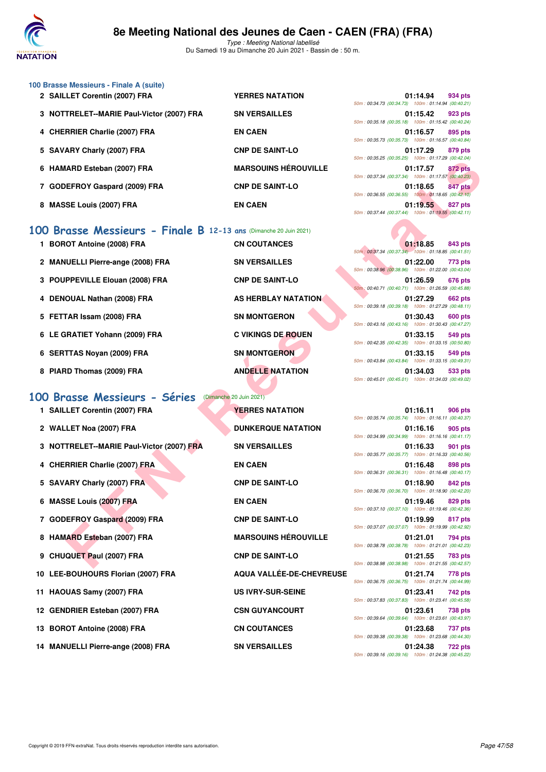

| 100 Brasse Messieurs - Finale A (suite)   |                             |                                                                           |
|-------------------------------------------|-----------------------------|---------------------------------------------------------------------------|
| 2 SAILLET Corentin (2007) FRA             | <b>YERRES NATATION</b>      | 01:14.94<br>934 pts<br>50m: 00:34.73 (00:34.73) 100m: 01:14.94 (00:40.21) |
| 3 NOTTRELET--MARIE Paul-Victor (2007) FRA | <b>SN VERSAILLES</b>        | 01:15.42<br>923 pts<br>50m: 00:35.18 (00:35.18) 100m: 01:15.42 (00:40.24  |
| 4 CHERRIER Charlie (2007) FRA             | <b>EN CAEN</b>              | 01:16.57<br>895 pts<br>50m: 00:35.73 (00:35.73) 100m: 01:16.57 (00:40.84  |
| 5 SAVARY Charly (2007) FRA                | <b>CNP DE SAINT-LO</b>      | 01:17.29<br>879 pts<br>50m: 00:35.25 (00:35.25) 100m: 01:17.29 (00:42.04) |
| 6 HAMARD Esteban (2007) FRA               | <b>MARSOUINS HÉROUVILLE</b> | 01:17.57<br>872 pts<br>50m: 00:37.34 (00:37.34) 100m: 01:17.57 (00:40.23  |
| 7 GODEFROY Gaspard (2009) FRA             | <b>CNP DE SAINT-LO</b>      | 01:18.65<br>847 pts<br>50m: 00:36.55 (00:36.55) 100m: 01:18.65 (00:42.10  |
| 8 MASSE Louis (2007) FRA                  | <b>EN CAEN</b>              | 01:19.55<br>827 pts<br>50m: 00:37.44 (00:37.44) 100m: 01:19.55 (00:42.11  |
|                                           |                             |                                                                           |

## **[100 Brasse Messieurs - Finale B](http://www.ffnatation.fr/webffn/resultats.php?idact=nat&go=epr&idcpt=70045&idepr=72) 12-13 ans** (Dimanche 20 Juin 2021)

| 1 BOROT Antoine (2008) FRA        | <b>CN COUTANCES</b>       |                                                                                                        | 01:18.85 | 843 pts |
|-----------------------------------|---------------------------|--------------------------------------------------------------------------------------------------------|----------|---------|
| 2 MANUELLI Pierre-ange (2008) FRA | <b>SN VERSAILLES</b>      | 50m: 00:37.34 (00:37.34) 100m: 01:18.85 (00:41.51<br>50m: 00:38.96 (00:38.96) 100m: 01:22.00 (00:43.04 | 01:22.00 | 773 pts |
| 3 POUPPEVILLE Elouan (2008) FRA   | <b>CNP DE SAINT-LO</b>    | 50m: 00:40.71 (00:40.71) 100m: 01:26.59 (00:45.88)                                                     | 01:26.59 | 676 pts |
| 4 DENOUAL Nathan (2008) FRA       | AS HERBLAY NATATION       | 50m: 00:39.18 (00:39.18) 100m: 01:27.29 (00:48.11)                                                     | 01:27.29 | 662 pts |
| 5 FETTAR Issam (2008) FRA         | <b>SN MONTGERON</b>       | 50m: 00:43.16 (00:43.16) 100m: 01:30.43 (00:47.27)                                                     | 01:30.43 | 600 pts |
| 6 LE GRATIET Yohann (2009) FRA    | <b>C VIKINGS DE ROUEN</b> | 50m: 00:42.35 (00:42.35) 100m: 01:33.15 (00:50.80                                                      | 01:33.15 | 549 pts |
| 6 SERTTAS Novan (2009) FRA        | <b>SN MONTGERON</b>       | 50m: 00:43.84 (00:43.84) 100m: 01:33.15 (00:49.31                                                      | 01:33.15 | 549 pts |
| 8 PIARD Thomas (2009) FRA         | <b>ANDELLE NATATION</b>   |                                                                                                        | 01:34.03 | 533 pts |

## **[100 Brasse Messieurs - Séries](http://www.ffnatation.fr/webffn/resultats.php?idact=nat&go=epr&idcpt=70045&idepr=72)** (Dimanche 20 Juin 2021)

|    | 6 HAMARD Esteban (2007) FRA                                                                 | <b>MARSOUINS HÉROUVILLE</b>     | $10011.003221100032010011001110011120100342041$<br>01:17.57<br><b>872 pts</b>                                                          |
|----|---------------------------------------------------------------------------------------------|---------------------------------|----------------------------------------------------------------------------------------------------------------------------------------|
|    | 7 GODEFROY Gaspard (2009) FRA                                                               | <b>CNP DE SAINT-LO</b>          | 50m: 00:37.34 (00:37.34) 100m: 01:17.57 (00:40.23)<br>01:18.65<br>847 pts                                                              |
|    | 8 MASSE Louis (2007) FRA                                                                    | <b>EN CAEN</b>                  | 50m: 00:36.55 (00:36.55) 100m: 01:18.65 (00:42.10)<br>01:19.55<br><b>827 pts</b><br>50m: 00:37.44 (00:37.44) 100m: 01:19.55 (00:42.11) |
| 00 | Brasse Messieurs - Finale B 12-13 ans (Dimanche 20 Juin 2021)<br>1 BOROT Antoine (2008) FRA | <b>CN COUTANCES</b>             | 01:18.85<br>843 pts<br>50m: 00:37.34 (00:37.34) 100m: 01:18.85 (00:41.51)                                                              |
|    | 2 MANUELLI Pierre-ange (2008) FRA                                                           | <b>SN VERSAILLES</b>            | 01:22.00<br>773 pts<br>50m: 00:38.96 (00:38.96) 100m: 01:22.00 (00:43.04)                                                              |
|    | 3 POUPPEVILLE Elouan (2008) FRA                                                             | <b>CNP DE SAINT-LO</b>          | 01:26.59<br>676 pts<br>50m; 00:40.71 (00:40.71) 100m; 01:26.59 (00:45.88)                                                              |
|    | 4 DENOUAL Nathan (2008) FRA                                                                 | AS HERBLAY NATATION             | 01:27.29<br>662 pts<br>50m: 00:39.18 (00:39.18) 100m: 01:27.29 (00:48.11)                                                              |
|    | 5 FETTAR Issam (2008) FRA                                                                   | <b>SN MONTGERON</b>             | 01:30.43<br>600 pts<br>50m: 00:43.16 (00:43.16) 100m: 01:30.43 (00:47.27)                                                              |
|    | 6 LE GRATIET Yohann (2009) FRA                                                              | <b>C VIKINGS DE ROUEN</b>       | 01:33.15<br>549 pts<br>50m: 00:42.35 (00:42.35) 100m: 01:33.15 (00:50.80)                                                              |
|    | 6 SERTTAS Noyan (2009) FRA                                                                  | <b>SN MONTGERON</b>             | 01:33.15<br>549 pts                                                                                                                    |
|    | 8 PIARD Thomas (2009) FRA                                                                   | <b>ANDELLE NATATION</b>         | 50m: 00:43.84 (00:43.84) 100m: 01:33.15 (00:49.31)<br>01:34.03<br>533 pts<br>50m: 00:45.01 (00:45.01) 100m: 01:34.03 (00:49.02)        |
|    | 00 Brasse Messieurs - Séries                                                                | (Dimanche 20 Juin 2021)         |                                                                                                                                        |
|    | 1 SAILLET Corentin (2007) FRA                                                               | <b>YERRES NATATION</b>          | 01:16.11<br><b>906 pts</b><br>50m: 00:35.74 (00:35.74) 100m: 01:16.11 (00:40.37)                                                       |
|    | 2 WALLET Noa (2007) FRA                                                                     | <b>DUNKERQUE NATATION</b>       | 01:16.16<br>905 pts<br>50m: 00:34.99 (00:34.99) 100m: 01:16.16 (00:41.17)                                                              |
|    | 3 NOTTRELET--MARIE Paul-Victor (2007) FRA                                                   | <b>SN VERSAILLES</b>            | 01:16.33<br>901 pts<br>50m: 00:35.77 (00:35.77) 100m: 01:16.33 (00:40.56)                                                              |
|    | 4 CHERRIER Charlie (2007) FRA                                                               | <b>EN CAEN</b>                  | 01:16.48<br>898 pts<br>50m: 00:36.31 (00:36.31) 100m: 01:16.48 (00:40.17)                                                              |
|    | 5 SAVARY Charly (2007) FRA                                                                  | <b>CNP DE SAINT-LO</b>          | 01:18.90<br>842 pts<br>50m: 00:36.70 (00:36.70) 100m: 01:18.90 (00:42.20)                                                              |
|    | 6 MASSE Louis (2007) FRA                                                                    | <b>EN CAEN</b>                  | 01:19.46<br>829 pts<br>50m: 00:37.10 (00:37.10) 100m: 01:19.46 (00:42.36)                                                              |
|    | 7 GODEFROY Gaspard (2009) FRA                                                               | <b>CNP DE SAINT-LO</b>          | 01:19.99<br>817 pts<br>50m: 00:37.07 (00:37.07) 100m: 01:19.99 (00:42.92)                                                              |
|    | 8 HAMARD Esteban (2007) FRA                                                                 | <b>MARSOUINS HÉROUVILLE</b>     | 01:21.01<br>794 pts<br>50m: 00:38.78 (00:38.78) 100m: 01:21.01 (00:42.23)                                                              |
|    | 9 CHUQUET Paul (2007) FRA                                                                   | <b>CNP DE SAINT-LO</b>          | 01:21.55<br>783 pts<br>50m: 00:38.98 (00:38.98) 100m: 01:21.55 (00:42.57)                                                              |
|    | 10 LEE-BOUHOURS Florian (2007) FRA                                                          | <b>AQUA VALLEE-DE-CHEVREUSE</b> | 01:21.74<br>778 pts                                                                                                                    |
|    | 11 HAOUAS Samy (2007) FRA                                                                   | US IVRY-SUR-SEINE               | 50m: 00:36.75 (00:36.75) 100m: 01:21.74 (00:44.99)<br>01:23.41<br>742 pts                                                              |
|    | 12 GENDRIER Esteban (2007) FRA                                                              | <b>CSN GUYANCOURT</b>           | 50m: 00:37.83 (00:37.83) 100m: 01:23.41 (00:45.58)<br>01:23.61<br>738 pts                                                              |
|    | 13 BOROT Antoine (2008) FRA                                                                 | <b>CN COUTANCES</b>             | 50m: 00:39.64 (00:39.64) 100m: 01:23.61 (00:43.97)<br>01:23.68<br>737 pts                                                              |
|    | 14 MANUELLI Pierre-ange (2008) FRA                                                          | <b>SN VERSAILLES</b>            | 50m: 00:39.38 (00:39.38) 100m: 01:23.68 (00:44.30)<br>01:24.38<br>722 pts<br>$60m + 00.2916$ (00.2916) $100m + 01.2428$ (00.45.22)     |

| CN COUTANCES           |
|------------------------|
| <b>SN VERSAILLES</b>   |
| <b>CNP DE SAINT-LO</b> |
| AS HERBLAY NATATION    |
| <b>SN MONTGERON</b>    |
| C VIKINGS DE ROUEN     |
| SN MONTGERON           |
| ANDELLE NATATION       |
|                        |

|  | 50m: 00:34.73 (00:34.73) 100m: 01:14.94 (00:40.21)                     |  |
|--|------------------------------------------------------------------------|--|
|  | 01:15.42 923 pts<br>50m: 00:35.18 (00:35.18) 100m: 01:15.42 (00:40.24) |  |
|  | 01:16.57 895 pts<br>50m: 00:35.73 (00:35.73) 100m: 01:16.57 (00:40.84) |  |
|  | 01:17.29 879 pts<br>50m: 00:35.25 (00:35.25) 100m: 01:17.29 (00:42.04) |  |
|  | 01:17.57 872 pts<br>50m: 00:37.34 (00:37.34) 100m: 01:17.57 (00:40.23) |  |
|  | 01:18.65 847 pts<br>50m: 00:36.55 (00:36.55) 100m: 01:18.65 (00:42.10) |  |
|  | 01:19.55 827 pts<br>50m: 00:37.44 (00:37.44) 100m: 01:19.55 (00:42.11) |  |
|  |                                                                        |  |
|  | 01.10 OF 042 nto                                                       |  |

|  | $01:18.85$ 843 pts                                 |  |
|--|----------------------------------------------------|--|
|  | 50m: 00:37.34 (00:37.34) 100m: 01:18.85 (00:41.51) |  |
|  | 01:22.00 773 pts                                   |  |
|  | 50m: 00:38.96 (00:38.96) 100m: 01:22.00 (00:43.04) |  |
|  | 01:26.59 676 pts                                   |  |
|  | 50m: 00:40.71 (00:40.71) 100m: 01:26.59 (00:45.88) |  |
|  | 01:27.29 662 pts                                   |  |
|  | 50m: 00:39.18 (00:39.18) 100m: 01:27.29 (00:48.11) |  |
|  |                                                    |  |
|  | 01:30.43 600 pts                                   |  |
|  | 50m: 00:43.16 (00:43.16) 100m: 01:30.43 (00:47.27) |  |
|  | 01:33.15 549 pts                                   |  |
|  | 50m: 00:42.35 (00:42.35) 100m: 01:33.15 (00:50.80) |  |
|  | 01:33.15 549 pts                                   |  |
|  | 50m: 00:43.84 (00:43.84) 100m: 01:33.15 (00:49.31) |  |
|  | 01:34.03 533 pts                                   |  |

|                                                    | 01:16.11 906 pts |  |
|----------------------------------------------------|------------------|--|
| 50m: 00:35.74 (00:35.74) 100m: 01:16.11 (00:40.37) |                  |  |
|                                                    | 01:16.16 905 pts |  |
| 50m: 00:34.99 (00:34.99) 100m: 01:16.16 (00:41.17) |                  |  |
|                                                    | 01:16.33 901 pts |  |
| 50m: 00:35.77 (00:35.77) 100m: 01:16.33 (00:40.56) |                  |  |
|                                                    | 01:16.48 898 pts |  |
| 50m: 00:36.31 (00:36.31) 100m: 01:16.48 (00:40.17) |                  |  |
|                                                    | 01:18.90 842 pts |  |
| 50m: 00:36.70 (00:36.70) 100m: 01:18.90 (00:42.20) |                  |  |
|                                                    | 01:19.46 829 pts |  |
| 50m: 00:37.10 (00:37.10) 100m: 01:19.46 (00:42.36) |                  |  |
|                                                    | 01:19.99 817 pts |  |
| 50m: 00:37.07 (00:37.07) 100m: 01:19.99 (00:42.92) |                  |  |
|                                                    |                  |  |
|                                                    | 01:21.01 794 pts |  |
| 50m: 00:38.78 (00:38.78) 100m: 01:21.01 (00:42.23) |                  |  |
|                                                    | 01:21.55 783 pts |  |
| 50m: 00:38.98 (00:38.98) 100m: 01:21.55 (00:42.57) |                  |  |
|                                                    | 01:21.74 778 pts |  |
| 50m: 00:36.75 (00:36.75) 100m: 01:21.74 (00:44.99) |                  |  |
|                                                    | 01:23.41 742 pts |  |
| 50m: 00:37.83 (00:37.83) 100m: 01:23.41 (00:45.58) |                  |  |
|                                                    |                  |  |
| 50m: 00:39.64 (00:39.64) 100m: 01:23.61 (00:43.97) | 01:23.61 738 pts |  |
|                                                    | 01:23.68 737 pts |  |
| 50m: 00:39.38 (00:39.38) 100m: 01:23.68 (00:44.30) |                  |  |
|                                                    | 01:24.38 722 pts |  |
| 50m: 00:39.16 (00:39.16) 100m: 01:24.38 (00:45.22) |                  |  |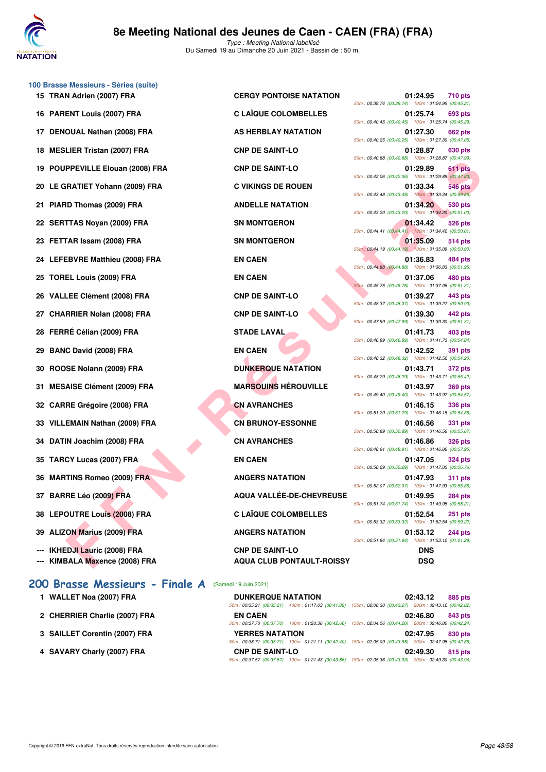

| 100 Brasse Messieurs - Séries (suite) |                                                                                                                                    |                                                                                  |
|---------------------------------------|------------------------------------------------------------------------------------------------------------------------------------|----------------------------------------------------------------------------------|
| 15 TRAN Adrien (2007) FRA             | <b>CERGY PONTOISE NATATION</b>                                                                                                     | 01:24.95<br><b>710 pts</b><br>50m: 00:39.74 (00:39.74) 100m: 01:24.95 (00:45.21) |
| 16 PARENT Louis (2007) FRA            | <b>C LAÏQUE COLOMBELLES</b>                                                                                                        | 01:25.74<br>693 pts<br>50m: 00:40.45 (00:40.45) 100m: 01:25.74 (00:45.29         |
| 17 DENOUAL Nathan (2008) FRA          | AS HERBLAY NATATION                                                                                                                | 01:27.30<br>662 pts<br>50m: 00:40.25 (00:40.25) 100m: 01:27.30 (00:47.05         |
| 18 MESLIER Tristan (2007) FRA         | <b>CNP DE SAINT-LO</b>                                                                                                             | 01:28.87<br>630 pts<br>50m: 00:40.88 (00:40.88) 100m: 01:28.87 (00:47.99         |
| 19 POUPPEVILLE Elouan (2008) FRA      | <b>CNP DE SAINT-LO</b>                                                                                                             | 01:29.89<br>611 pts<br>50m: 00:42.06 (00:42.06) 100m: 01:29.89 (00:47.83         |
| 20 LE GRATIET Yohann (2009) FRA       | <b>C VIKINGS DE ROUEN</b>                                                                                                          | 01:33.34<br>546 pts<br>50m: 00:43.48 (00:43.48) 100m: 01:33.34 (00:49.86)        |
| 21 PIARD Thomas (2009) FRA            | <b>ANDELLE NATATION</b>                                                                                                            | 01:34.20<br>530 pts<br>50m: 00:43.20 (00:43.20) 100m: 01:34.20 (00:51.00         |
| 22 SERTTAS Noyan (2009) FRA           | <b>SN MONTGERON</b>                                                                                                                | 01:34.42<br>526 pts<br>50m: 00:44.41 (00:44.41) 100m: 01:34.42 (00:50.01)        |
| 23 FETTAR Issam (2008) FRA            | <b>SN MONTGERON</b>                                                                                                                | 01:35.09<br>514 pts<br>50m : 00:44.19 (00:44.19) 100m : 01:35.09 (00:50.90)      |
| 24 LEFEBVRE Matthieu (2008) FRA       | <b>EN CAEN</b>                                                                                                                     | 01:36.83<br>484 pts<br>50m: 00:44.88 (00:44.88) 100m: 01:36.83 (00:51.95         |
| 25 TOREL Louis (2009) FRA             | <b>EN CAEN</b>                                                                                                                     | 01:37.06<br><b>480 pts</b><br>50m: 00:45.75 (00:45.75) 100m: 01:37.06 (00:51.31) |
| 26 VALLEE Clément (2008) FRA          | <b>CNP DE SAINT-LO</b>                                                                                                             | 01:39.27<br>443 pts<br>50m: 00:48.37 (00:48.37) 100m: 01:39.27 (00:50.90         |
| 27 CHARRIER Nolan (2008) FRA          | <b>CNP DE SAINT-LO</b>                                                                                                             | 01:39.30<br>442 pts<br>50m: 00:47.99 (00:47.99) 100m: 01:39.30 (00:51.31)        |
| 28 FERRÉ Célian (2009) FRA            | <b>STADE LAVAL</b>                                                                                                                 | 01:41.73<br>403 pts<br>50m: 00:46.89 (00:46.89) 100m: 01:41.73 (00:54.84         |
| 29 BANC David (2008) FRA              | <b>EN CAEN</b>                                                                                                                     | 01:42.52<br>391 pts<br>50m: 00:48.32 (00:48.32) 100m: 01:42.52 (00:54.20)        |
| 30 ROOSE Nolann (2009) FRA            | <b>DUNKERQUE NATATION</b>                                                                                                          | 01:43.71<br>372 pts<br>50m: 00:48.29 (00:48.29) 100m: 01:43.71 (00:55.42)        |
| 31 MESAISE Clément (2009) FRA         | <b>MARSOUINS HÉROUVILLE</b>                                                                                                        | 01:43.97<br><b>369 pts</b><br>50m: 00:49.40 (00:49.40) 100m: 01:43.97 (00:54.57  |
| 32 CARRE Grégoire (2008) FRA          | <b>CN AVRANCHES</b>                                                                                                                | 01:46.15<br>336 pts<br>50m: 00:51.29 (00:51.29) 100m: 01:46.15 (00:54.86)        |
| 33 VILLEMAIN Nathan (2009) FRA        | <b>CN BRUNOY-ESSONNE</b>                                                                                                           | 01:46.56<br>331 pts<br>50m: 00:50.89 (00:50.89) 100m: 01:46.56 (00:55.67         |
| 34 DATIN Joachim (2008) FRA           | <b>CN AVRANCHES</b>                                                                                                                | 01:46.86<br><b>326 pts</b><br>50m: 00:48.91 (00:48.91) 100m: 01:46.86 (00:57.95  |
| 35 TARCY Lucas (2007) FRA             | <b>EN CAEN</b>                                                                                                                     | 01:47.05<br>324 pts<br>50m: 00:50.29 (00:50.29) 100m: 01:47.05 (00:56.76)        |
| 36 MARTINS Romeo (2009) FRA           | <b>ANGERS NATATION</b>                                                                                                             | 01:47.93<br><b>311 pts</b><br>50m: 00:52.07 (00:52.07) 100m: 01:47.93 (00:55.86  |
| 37 BARRE Léo (2009) FRA               | AQUA VALLÉE-DE-CHEVREUSE                                                                                                           | 01:49.95<br><b>284 pts</b><br>50m: 00:51.74 (00:51.74) 100m: 01:49.95 (00:58.21  |
| 38 LEPOUTRE Louis (2008) FRA          | <b>C LAÏQUE COLOMBELLES</b>                                                                                                        | 01:52.54<br>$251$ pts<br>50m: 00:53.32 (00:53.32) 100m: 01:52.54 (00:59.22)      |
| 39 ALIZON Marius (2009) FRA           | <b>ANGERS NATATION</b>                                                                                                             | 01:53.12<br><b>244 pts</b><br>50m: 00:51.84 (00:51.84) 100m: 01:53.12 (01:01.28  |
| --- IKHEDJI Lauric (2008) FRA         | <b>CNP DE SAINT-LO</b>                                                                                                             | <b>DNS</b>                                                                       |
| --- KIMBALA Maxence (2008) FRA        | <b>AQUA CLUB PONTAULT-ROISSY</b>                                                                                                   | <b>DSQ</b>                                                                       |
| 200 Brasse Messieurs - Finale A       | (Samedi 19 Juin 2021)                                                                                                              |                                                                                  |
| 1 WALLET Noa (2007) FRA               | <b>DUNKERQUE NATATION</b><br>50m: 00:35.21 (00:35.21) 100m: 01:17.03 (00:41.82) 150m: 02:00.30 (00:43.27) 200m: 02:43.12 (00:42.82 | 02:43.12<br>885 pts                                                              |
| 2 CHERRIER Charlie (2007) FRA         | <b>EN CAEN</b><br>50m: 00:37.70 (00:37.70) 100m: 01:20.36 (00:42.66) 150m: 02:04.56 (00:44.20) 200m: 02:46.80 (00:42.24            | 02:46.80<br>843 pts                                                              |
| 3 SAILLET Corentin (2007) FRA         | <b>YERRES NATATION</b>                                                                                                             | 02:47.95<br>830 pts                                                              |

|                                                                 |                                                            | 50m: 00:40.88 (00:40.88) 100m: 01:28.87 (00:47.99)                               |
|-----------------------------------------------------------------|------------------------------------------------------------|----------------------------------------------------------------------------------|
| PPEVILLE Elouan (2008) FRA                                      | <b>CNP DE SAINT-LO</b>                                     | 01:29.89<br>611 pts<br>50m: 00:42.06 (00:42.06) 100m: 01:29.89 (00:47.83)        |
| RATIET Yohann (2009) FRA                                        | <b>C VIKINGS DE ROUEN</b>                                  | 01:33.34<br><b>546 pts</b>                                                       |
| <b>ID Thomas (2009) FRA</b>                                     | <b>ANDELLE NATATION</b>                                    | 50m: 00:43.48 (00:43.48) 100m: 01:33.34 (00:49.86)<br>01:34.20<br>530 pts        |
|                                                                 |                                                            | 50m: 00:43.20 (00:43.20) 100m: 01:34.20 (00:51.00)                               |
| TTAS Noyan (2009) FRA                                           | <b>SN MONTGERON</b>                                        | 01:34.42<br>526 pts<br>50m: 00:44.41 (00:44.41) 100m: 01:34.42 (00:50.01)        |
| <b>FAR Issam (2008) FRA</b>                                     | <b>SN MONTGERON</b>                                        | 01:35.09<br>514 pts<br>50m: 00:44.19 (00:44.19) 100m: 01:35.09 (00:50.90)        |
| EBVRE Matthieu (2008) FRA                                       | <b>EN CAEN</b>                                             | 01:36.83<br>484 pts<br>50m: 00:44.88 (00:44.88) 100m: 01:36.83 (00:51.95)        |
| EL Louis (2009) FRA                                             | <b>EN CAEN</b>                                             | 01:37.06<br>480 pts                                                              |
| LEE Clément (2008) FRA                                          | <b>CNP DE SAINT-LO</b>                                     | 50m: 00:45.75 (00:45.75) 100m: 01:37.06 (00:51.31)<br>01:39.27<br>443 pts        |
|                                                                 |                                                            | 50m: 00:48.37 (00:48.37) 100m: 01:39.27 (00:50.90)                               |
| RRIER Nolan (2008) FRA                                          | <b>CNP DE SAINT-LO</b>                                     | 01:39.30<br>442 pts<br>50m: 00:47.99 (00:47.99) 100m: 01:39.30 (00:51.31)        |
| RÉ Célian (2009) FRA                                            | <b>STADE LAVAL</b>                                         | 01:41.73<br>403 pts                                                              |
| C David (2008) FRA                                              | <b>EN CAEN</b>                                             | 50m: 00:46.89 (00:46.89) 100m: 01:41.73 (00:54.84)<br>01:42.52<br><b>391 pts</b> |
|                                                                 |                                                            | 50m: 00:48.32 (00:48.32) 100m: 01:42.52 (00:54.20)                               |
| <b>SE Nolann (2009) FRA</b>                                     | <b>DUNKERQUE NATATION</b>                                  | 01:43.71<br>372 pts<br>50m: 00:48.29 (00:48.29) 100m: 01:43.71 (00:55.42)        |
| AISE Clément (2009) FRA                                         | <b>MARSOUINS HÉROUVILLE</b>                                | 01:43.97<br><b>369 pts</b><br>50m: 00:49.40 (00:49.40) 100m: 01:43.97 (00:54.57) |
| RE Grégoire (2008) FRA                                          | <b>CN AVRANCHES</b>                                        | 01:46.15<br><b>336 pts</b>                                                       |
|                                                                 | <b>CN BRUNOY-ESSONNE</b>                                   | 50m: 00:51.29 (00:51.29) 100m: 01:46.15 (00:54.86)                               |
| EMAIN Nathan (2009) FRA                                         |                                                            | 01:46.56<br>331 pts<br>50m: 00:50.89 (00:50.89) 100m: 01:46.56 (00:55.67)        |
| IN Joachim (2008) FRA                                           | <b>CN AVRANCHES</b>                                        | 01:46.86<br><b>326 pts</b><br>50m: 00:48.91 (00:48.91) 100m: 01:46.86 (00:57.95) |
| CY Lucas (2007) FRA                                             | <b>EN CAEN</b>                                             | 01:47.05<br><b>324 pts</b>                                                       |
| TINS Romeo (2009) FRA                                           | <b>ANGERS NATATION</b>                                     | 50m: 00:50.29 (00:50.29) 100m: 01:47.05 (00:56.76)<br>01:47.93<br>311 pts        |
|                                                                 |                                                            | 50m: 00:52.07 (00:52.07) 100m: 01:47.93 (00:55.86)                               |
| RE Léo (2009) FRA                                               | AQUA VALLÉE-DE-CHEVREUSE                                   | 01:49.95<br><b>284 pts</b><br>50m: 00:51.74 (00:51.74) 100m: 01:49.95 (00:58.21) |
| <b>OUTRE Louis (2008) FRA</b>                                   | <b>C LAÏQUE COLOMBELLES</b>                                | 01:52.54<br><b>251 pts</b><br>50m: 00:53.32 (00:53.32) 100m: 01:52.54 (00:59.22) |
| ON Marius (2009) FRA                                            | <b>ANGERS NATATION</b>                                     | 01:53.12<br><b>244 pts</b>                                                       |
|                                                                 |                                                            | 50m: 00:51.84 (00:51.84) 100m: 01:53.12 (01:01.28)                               |
| <b>EDJI Lauric (2008) FRA</b><br><b>BALA Maxence (2008) FRA</b> | <b>CNP DE SAINT-LO</b><br><b>AQUA CLUB PONTAULT-ROISSY</b> | <b>DNS</b><br><b>DSQ</b>                                                         |
|                                                                 |                                                            |                                                                                  |

| 1 WALLET Noa (2007) FRA       | <b>DUNKERQUE NATATION</b> | 02:43.12<br>885 pts                                                                                    |
|-------------------------------|---------------------------|--------------------------------------------------------------------------------------------------------|
|                               |                           | 50m: 00:35.21 (00:35.21) 100m: 01:17.03 (00:41.82) 150m: 02:00.30 (00:43.27) 200m: 02:43.12 (00:42.82) |
| 2 CHERRIER Charlie (2007) FRA | <b>EN CAEN</b>            | 02:46.80<br>843 pts                                                                                    |
|                               |                           | 50m: 00:37.70 (00:37.70) 100m: 01:20.36 (00:42.66) 150m: 02:04.56 (00:44.20) 200m: 02:46.80 (00:42.24) |
| 3 SAILLET Corentin (2007) FRA | <b>YERRES NATATION</b>    | 02:47.95<br>830 pts                                                                                    |
|                               |                           | 50m: 00:38.71 (00:38.71) 100m: 01:21.11 (00:42.40) 150m: 02:05.09 (00:43.98) 200m: 02:47.95 (00:42.86) |
| 4 SAVARY Charly (2007) FRA    | <b>CNP DE SAINT-LO</b>    | 02:49.30<br>815 pts                                                                                    |
|                               |                           | 50m: 00:37.57 (00:37.57) 100m: 01:21.43 (00:43.86) 150m: 02:05.36 (00:43.93) 200m: 02:49.30 (00:43.94) |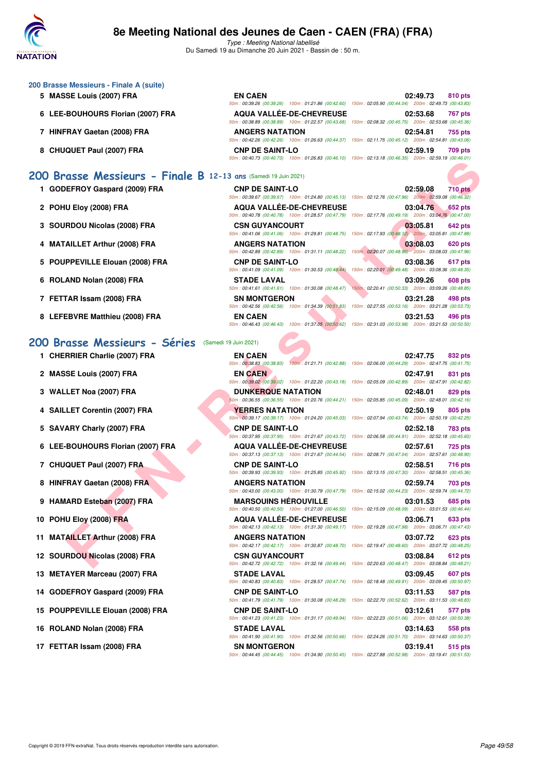

**200 Brasse Messieurs - Finale A (suite)**

# **8e Meeting National des Jeunes de Caen - CAEN (FRA) (FRA)**

Type : Meeting National labellisé Du Samedi 19 au Dimanche 20 Juin 2021 - Bassin de : 50 m.

| 5 MASSE Louis (2007) FRA                                        | <b>EN CAEN</b>                                                               | 02:49.73<br>810 pts                                                                                                                      |
|-----------------------------------------------------------------|------------------------------------------------------------------------------|------------------------------------------------------------------------------------------------------------------------------------------|
| 6 LEE-BOUHOURS Florian (2007) FRA                               | <b>AQUA VALLÉE-DE-CHEVREUSE</b>                                              | 50m : 00:39.26 (00:39.26) 100m : 01:21.86 (00:42.60) 150m : 02:05.90 (00:44.04) 200m : 02:49.73 (00:43.83)<br>02:53.68<br><b>767 pts</b> |
|                                                                 |                                                                              | 50m: 00:38.89 (00:38.89) 100m: 01:22.57 (00:43.68) 150m: 02:08.32 (00:45.75) 200m: 02:53.68 (00:45.36)                                   |
| 7 HINFRAY Gaetan (2008) FRA                                     | <b>ANGERS NATATION</b>                                                       | 02:54.81<br>755 pts                                                                                                                      |
|                                                                 |                                                                              | 50m: 00:42.26 (00:42.26) 100m: 01:26.63 (00:44.37) 150m: 02:11.75 (00:45.12) 200m: 02:54.81 (00:43.06)                                   |
| <b>CHUQUET Paul (2007) FRA</b><br>8                             | <b>CNP DE SAINT-LO</b>                                                       | 02:59.19<br>709 pts<br>50m: 00:40.73 (00:40.73) 100m: 01:26.83 (00:46.10) 150m: 02:13.18 (00:46.35) 200m: 02:59.19 (00:46.01)            |
|                                                                 |                                                                              |                                                                                                                                          |
| 200 Brasse Messieurs - Finale B 12-13 ans (Samedi 19 Juin 2021) |                                                                              |                                                                                                                                          |
| 1 GODEFROY Gaspard (2009) FRA                                   | <b>CNP DE SAINT-LO</b>                                                       | 02:59.08<br><b>710 pts</b>                                                                                                               |
|                                                                 |                                                                              | 50m: 00:39.67 (00:39.67) 100m: 01:24.80 (00:45.13) 150m: 02:12.76 (00:47.96) 200m: 02:59.08 (00:46.32)                                   |
| 2 POHU Eloy (2008) FRA                                          | <b>AQUA VALLÉE-DE-CHEVREUSE</b>                                              | 03:04.76<br><b>652 pts</b>                                                                                                               |
|                                                                 |                                                                              | 50m: 00:40.78 (00:40.78) 100m: 01:28.57 (00:47.79) 150m: 02:17.76 (00:49.19) 200m: 03:04.76 (00:47.00)                                   |
| 3 SOURDOU Nicolas (2008) FRA                                    | <b>CSN GUYANCOURT</b>                                                        | 03:05.81<br>642 pts<br>50m : 00:41.06 (00:41.06) 100m : 01:29.81 (00:48.75) 150m : 02:17.93 (00:48.12) 200m : 03:05.81 (00:47.88)        |
| <b>MATAILLET Arthur (2008) FRA</b>                              | <b>ANGERS NATATION</b>                                                       | 03:08.03<br>620 pts                                                                                                                      |
|                                                                 |                                                                              | 50m : 00:42.89 (00:42.89) 100m : 01:31.11 (00:48.22) 150m : 02:20.07 (00:48.96) 200m : 03:08.03 (00:47.96)                               |
| 5 POUPPEVILLE Elouan (2008) FRA                                 | <b>CNP DE SAINT-LO</b>                                                       | 03:08.36<br>617 pts                                                                                                                      |
|                                                                 | 50m: 00:41.09 (00:41.09) 100m: 01:30.53 (00:49.44)                           | 150m: 02:20.01 (00:49.48) 200m: 03:08.36 (00:48.35)                                                                                      |
| 6 ROLAND Nolan (2008) FRA                                       | <b>STADE LAVAL</b><br>50m: 00:41.61 (00:41.61) 100m: 01:30.08 (00:48.47)     | 03:09.26<br><b>608 pts</b><br>150m: 02:20.41 (00:50.33) 200m: 03:09.26 (00:48.85)                                                        |
| 7 FETTAR Issam (2008) FRA                                       | <b>SN MONTGERON</b>                                                          | 03:21.28<br>498 pts                                                                                                                      |
|                                                                 | 50m: 00:42.56 (00:42.56) 100m: 01:34.39 (00:51.83)                           | 150m: 02:27.55 (00:53.16) 200m: 03:21.28 (00:53.73)                                                                                      |
| 8 LEFEBVRE Matthieu (2008) FRA                                  | <b>EN CAEN</b>                                                               | 03:21.53<br>496 pts                                                                                                                      |
|                                                                 |                                                                              | 50m: 00:46.43 (00:46.43) 100m: 01:37.05 (00:50.62) 150m: 02:31.03 (00:53.98) 200m: 03:21.53 (00:50.50)                                   |
|                                                                 |                                                                              |                                                                                                                                          |
|                                                                 |                                                                              |                                                                                                                                          |
|                                                                 | (Samedi 19 Juin 2021)                                                        |                                                                                                                                          |
| 1 CHERRIER Charlie (2007) FRA                                   | <b>EN CAEN</b>                                                               | 02:47.75<br>832 pts<br>50m: 00:38.83 (00:38.83) 100m: 01:21.71 (00:42.88) 150m: 02:06.00 (00:44.29) 200m: 02:47.75 (00:41.75)            |
|                                                                 | <b>EN CAEN</b>                                                               | 02:47.91<br>831 pts                                                                                                                      |
| 2 MASSE Louis (2007) FRA                                        |                                                                              | 50m: 00:39.02 (00:39.02) 100m: 01:22.20 (00:43.18) 150m: 02:05.09 (00:42.89) 200m: 02:47.91 (00:42.82)                                   |
| <b>WALLET Noa (2007) FRA</b>                                    | <b>DUNKERQUE NATATION</b>                                                    | 02:48.01<br>829 pts                                                                                                                      |
|                                                                 |                                                                              | 50m : 00:36.55 (00:36.55) 100m : 01:20.76 (00:44.21) 150m : 02:05.85 (00:45.09) 200m : 02:48.01 (00:42.16)                               |
| <b>SAILLET Corentin (2007) FRA</b>                              | <b>YERRES NATATION</b>                                                       | 02:50.19<br>805 pts                                                                                                                      |
|                                                                 | <b>CNP DE SAINT-LO</b>                                                       | 50m : 00:39.17 (00:39.17) 100m : 01:24.20 (00:45.03) 150m : 02:07.94 (00:43.74) 200m : 02:50.19 (00:42.25)<br>02:52.18<br>783 pts        |
| 5 SAVARY Charly (2007) FRA                                      | 50m: 00:37.95 (00:37.95) 100m: 01:21.67 (00:43.72)                           | 150m: 02:06.58 (00:44.91) 200m: 02:52.18 (00:45.60)                                                                                      |
| LEE-BOUHOURS Florian (2007) FRA<br>6                            | <b>AQUA VALLEE-DE-CHEVREUSE</b>                                              | 02:57.61<br><b>725 pts</b>                                                                                                               |
|                                                                 | 50m: 00:37.13 (00:37.13) 100m: 01:21.67 (00:44.54)                           | 150m: 02:08.71 (00:47.04) 200m: 02:57.61 (00:48.90)                                                                                      |
| 7 CHUQUET Paul (2007) FRA                                       | <b>CNP DE SAINT-LO</b>                                                       | 02:58.51<br>716 pts                                                                                                                      |
|                                                                 | 50m: 00:39.93 (00:39.93) 100m: 01:25.85 (00:45.92)                           | 150m: 02:13.15 (00:47.30) 200m: 02:58.51 (00:45.36)                                                                                      |
| 200 Brasse Messieurs - Séries<br>8 HINFRAY Gaetan (2008) FRA    | <b>ANGERS NATATION</b><br>50m: 00:43.00 (00:43.00) 100m: 01:30.79 (00:47.79) | 02:59.74<br>703 pts<br>150m: 02:15.02 (00:44.23) 200m: 02:59.74 (00:44.72)                                                               |
| 9 HAMARD Esteban (2007) FRA                                     | <b>MARSOUINS HEROUVILLE</b>                                                  | 03:01.53<br>685 pts                                                                                                                      |
|                                                                 |                                                                              | 50m: 00:40.50 (00:40.50) 100m: 01:27.00 (00:46.50) 150m: 02:15.09 (00:48.09) 200m: 03:01.53 (00:46.44)                                   |
| 10 POHU Eloy (2008) FRA                                         | <b>AQUA VALLEE-DE-CHEVREUSE</b>                                              | 03:06.71<br>633 pts                                                                                                                      |
|                                                                 |                                                                              | 50m : 00:42.13 (00:42.13) 100m : 01:31.30 (00:49.17) 150m : 02:19.28 (00:47.98) 200m : 03:06.71 (00:47.43)                               |
| 11 MATAILLET Arthur (2008) FRA                                  | <b>ANGERS NATATION</b>                                                       | 03:07.72<br>623 pts<br>50m: 00:42.17 (00:42.17) 100m: 01:30.87 (00:48.70) 150m: 02:19.47 (00:48.60) 200m: 03:07.72 (00:48.25)            |
| 12 SOURDOU Nicolas (2008) FRA                                   | <b>CSN GUYANCOURT</b>                                                        | 03:08.84<br>612 pts                                                                                                                      |

50m : 00:40.83 (00:40.83) 100m : 01:28.57 (00:47.74) 150m : 02:18.48 (00:49.91) 200m : 03:09.45 (00:50.97)

50m : 00:41.79 (00:41.79) 100m : 01:30.08 (00:48.29) 150m : 02:22.70 (00:52.62) 200m : 03:11.53 (00:48.83)

50m : 00:41.23 (00:41.23) 100m : 01:31.17 (00:49.94) 150m : 02:22.23 (00:51.06) 200m : 03:12.61 (00:50.38)

50m : 00:41.90 (00:41.90) 100m : 01:32.56 (00:50.66) 150m : 02:24.26 (00:51.70) 200m : 03:14.63 (00:50.37)

50m : 00:44.45 (00:44.45) 100m : 01:34.90 (00:50.45) 150m : 02:27.88 (00:52.98) 200m : 03:19.41 (00:51.53)

- **5 SAVARY Charly (2007) FRA CNP DE SAINT-LO 02:52.18 783 pts**
- **6 LEE-BOUHOURS Florian (2007) FRA AQUA VALLÉE-DE-CHEVREUSE 02:57.61 725 pts**
- **7 CHUQUET Paul (2007) FRA CNP DE SAINT-LO 02:58.51 716 pts**
- **8 HINFRAY Gaetan (2008) FRA ANGERS NATATION 02:59.74 703 pts**
- **9 HAMARD Esteban (2007) FRA MARSOUINS HÉROUVILLE 03:01.53 685 pts**
- **10 POHU Eloy (2008) FRA AQUA VALLÉE-DE-CHEVREUSE** 03:06.71 633 pts
- **11 MATAILLET Arthur (2008) FRA ANGERS NATATION 03:07.72 623 pts**
- **12 SOURDOU Nicolas (2008) FRA CSN GUYANCOURT 03:08.84 612 pts**
- **13 METAYER Marceau (2007) FRA STADE LAVAL 03:09.45 607 pts**
- **14 GODEFROY Gaspard (2009) FRA CNP DE SAINT-LO 03:11.53 587 pts**
- **15 POUPPEVILLE Elouan (2008) FRA CNP DE SAINT-LO 03:12.61 577 pts**
- **16 ROLAND Nolan (2008) FRA STADE LAVAL 03:14.63 558 pts**
- **17 FETTAR Issam (2008) FRA SN MONTGERON 515 PTS** 615 pts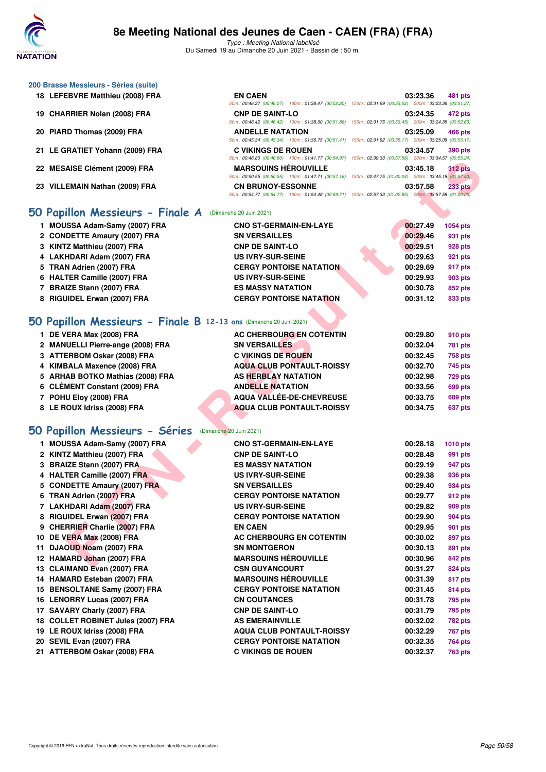

**200 Brasse Messieurs - Séries (suite)**

# **8e Meeting National des Jeunes de Caen - CAEN (FRA) (FRA)**

Type : Meeting National labellisé Du Samedi 19 au Dimanche 20 Juin 2021 - Bassin de : 50 m.

50m : 00:46.27 (00:46.27) 100m : 01:38.47 (00:52.20) 150m : 02:31.99 (00:53.52) 200m : 03:23.36 (00:51.37)

**18 LEFEBVRE Matthieu (2008) FRA EN CAEN 03:23.36 481 pts**

| 19 CHARRIER Nolan (2008) FRA                                       | <b>CNP DE SAINT-LO</b>                                                                                                                    | 03:24.35             | 472 pts            |
|--------------------------------------------------------------------|-------------------------------------------------------------------------------------------------------------------------------------------|----------------------|--------------------|
| 20 PIARD Thomas (2009) FRA                                         | 50m: 00:46.42 (00:46.42) 100m: 01:38.30 (00:51.88) 150m: 02:31.75 (00:53.45) 200m: 03:24.35 (00:52.60)<br><b>ANDELLE NATATION</b>         | 03:25.09             | 466 pts            |
|                                                                    | 50m: 00:45.34 (00:45.34) 100m: 01:36.75 (00:51.41) 150m: 02:31.92 (00:55.17) 200m: 03:25.09 (00:53.17)                                    |                      |                    |
| 21 LE GRATIET Yohann (2009) FRA                                    | <b>C VIKINGS DE ROUEN</b>                                                                                                                 | 03:34.57             | 390 pts            |
|                                                                    | 50m: 00:46.80 (00:46.80) 100m: 01:41.77 (00:54.97) 150m: 02:39.33 (00:57.56) 200m: 03:34.57 (00:55.24)                                    |                      |                    |
| 22 MESAISE Clément (2009) FRA                                      | <b>MARSOUINS HÉROUVILLE</b><br>50m : 00:50.55 (00:50.55) 100m : 01:47.71 (00:57.16) 150m : 02:47.75 (01:00.04) 200m : 03:45.18 (00:57.43) | 03:45.18             | <b>312 pts</b>     |
| 23 VILLEMAIN Nathan (2009) FRA                                     | <b>CN BRUNOY-ESSONNE</b>                                                                                                                  | 03:57.58             | <b>233 pts</b>     |
|                                                                    | 50m: 00:54.77 (00:54.77) 100m: 01:54.48 (00:59.71) 150m: 02:57.33 (01:02.85) 200m: 03:57.58 (01:00.25)                                    |                      |                    |
|                                                                    | (Dimanche 20 Juin 2021)                                                                                                                   |                      |                    |
| 50 Papillon Messieurs - Finale A                                   |                                                                                                                                           |                      |                    |
| 1 MOUSSA Adam-Samy (2007) FRA                                      | <b>CNO ST-GERMAIN-EN-LAYE</b>                                                                                                             | 00:27.49             | 1054 pts           |
| 2 CONDETTE Amaury (2007) FRA                                       | <b>SN VERSAILLES</b>                                                                                                                      | 00:29.46             | 931 pts            |
| 3 KINTZ Matthieu (2007) FRA                                        | <b>CNP DE SAINT-LO</b>                                                                                                                    | 00:29.51             | 928 pts            |
| 4 LAKHDARI Adam (2007) FRA                                         | <b>US IVRY-SUR-SEINE</b>                                                                                                                  | 00:29.63             | 921 pts            |
| 5 TRAN Adrien (2007) FRA                                           | <b>CERGY PONTOISE NATATION</b>                                                                                                            | 00:29.69             | 917 pts            |
| 6 HALTER Camille (2007) FRA                                        | <b>US IVRY-SUR-SEINE</b>                                                                                                                  | 00:29.93             | 903 pts            |
| 7 BRAIZE Stann (2007) FRA<br>8 RIGUIDEL Erwan (2007) FRA           | <b>ES MASSY NATATION</b><br><b>CERGY PONTOISE NATATION</b>                                                                                | 00:30.78<br>00:31.12 | 852 pts<br>833 pts |
|                                                                    |                                                                                                                                           |                      |                    |
| 50 Papillon Messieurs - Finale B 12-13 ans (Dimanche 20 Juin 2021) |                                                                                                                                           |                      |                    |
| 1 DE VERA Max (2008) FRA                                           | AC CHERBOURG EN COTENTIN                                                                                                                  | 00:29.80             | 910 pts            |
| 2 MANUELLI Pierre-ange (2008) FRA                                  | <b>SN VERSAILLES</b>                                                                                                                      | 00:32.04             | 781 pts            |
| 3 ATTERBOM Oskar (2008) FRA                                        | <b>C VIKINGS DE ROUEN</b>                                                                                                                 | 00:32.45             | 758 pts            |
| 4 KIMBALA Maxence (2008) FRA                                       | <b>AQUA CLUB PONTAULT-ROISSY</b>                                                                                                          | 00:32.70             | 745 pts            |
| 5 ARHAB BOTKO Mathias (2008) FRA                                   | <b>AS HERBLAY NATATION</b>                                                                                                                | 00:32.98             | 729 pts            |
| 6 CLÉMENT Constant (2009) FRA                                      | <b>ANDELLE NATATION</b>                                                                                                                   | 00:33.56             | 699 pts            |
|                                                                    |                                                                                                                                           |                      |                    |
| 7 POHU Eloy (2008) FRA                                             | AQUA VALLÉE-DE-CHEVREUSE                                                                                                                  | 00:33.75             | 689 pts            |
| 8 LE ROUX Idriss (2008) FRA                                        | <b>AQUA CLUB PONTAULT-ROISSY</b>                                                                                                          | 00:34.75             | 637 pts            |
|                                                                    |                                                                                                                                           |                      |                    |
| 50 Papillon Messieurs - Séries                                     | (Dimanche 20 Juin 2021)                                                                                                                   |                      |                    |
| 1 MOUSSA Adam-Samy (2007) FRA                                      | <b>CNO ST-GERMAIN-EN-LAYE</b>                                                                                                             | 00:28.18             | 1010 pts           |
| 2 KINTZ Matthieu (2007) FRA                                        | <b>CNP DE SAINT-LO</b>                                                                                                                    | 00:28.48             | 991 pts            |
| 3 BRAIZE Stann (2007) FRA                                          | <b>ES MASSY NATATION</b>                                                                                                                  | 00:29.19             | 947 pts            |
| 4 HALTER Camille (2007) FRA                                        | <b>US IVRY-SUR-SEINE</b>                                                                                                                  | 00:29.38             | 936 pts            |
| 5 CONDETTE Amaury (2007) FRA                                       | <b>SN VERSAILLES</b>                                                                                                                      | 00:29.40             | 934 pts            |
| 6 TRAN Adrien (2007) FRA                                           | <b>CERGY PONTOISE NATATION</b>                                                                                                            | 00:29.77             | 912 pts            |
| 7 LAKHDARI Adam (2007) FRA                                         | <b>US IVRY-SUR-SEINE</b><br><b>CERGY PONTOISE NATATION</b>                                                                                | 00:29.82             | 909 pts            |
| 8 RIGUIDEL Erwan (2007) FRA                                        |                                                                                                                                           | 00:29.90             | 904 pts            |
| 9 CHERRIER Charlie (2007) FRA                                      | <b>EN CAEN</b>                                                                                                                            | 00:29.95             | 901 pts            |
| 10 DE VERA Max (2008) FRA                                          | <b>AC CHERBOURG EN COTENTIN</b><br><b>SN MONTGERON</b>                                                                                    | 00:30.02             | 897 pts            |
| 11 DJAOUD Noam (2007) FRA<br>12 HAMARD Johan (2007) FRA            | <b>MARSOUINS HÉROUVILLE</b>                                                                                                               | 00:30.13<br>00:30.96 | 891 pts<br>842 pts |
| 13 CLAIMAND Evan (2007) FRA                                        | <b>CSN GUYANCOURT</b>                                                                                                                     | 00:31.27             | 824 pts            |
| 14 HAMARD Esteban (2007) FRA                                       | <b>MARSOUINS HÉROUVILLE</b>                                                                                                               | 00:31.39             | 817 pts            |
| 15 BENSOLTANE Samy (2007) FRA                                      | <b>CERGY PONTOISE NATATION</b>                                                                                                            | 00:31.45             | 814 pts            |
| 16 LENORRY Lucas (2007) FRA                                        | <b>CN COUTANCES</b>                                                                                                                       | 00:31.78             | 795 pts            |
| 17 SAVARY Charly (2007) FRA                                        | <b>CNP DE SAINT-LO</b>                                                                                                                    | 00:31.79             | 795 pts            |
| 18 COLLET ROBINET Jules (2007) FRA                                 | <b>AS EMERAINVILLE</b>                                                                                                                    | 00:32.02             | 782 pts            |
| 19 LE ROUX Idriss (2008) FRA                                       | <b>AQUA CLUB PONTAULT-ROISSY</b>                                                                                                          | 00:32.29             | 767 pts            |
| 20 SEVIL Evan (2007) FRA                                           | <b>CERGY PONTOISE NATATION</b>                                                                                                            | 00:32.35             | 764 pts            |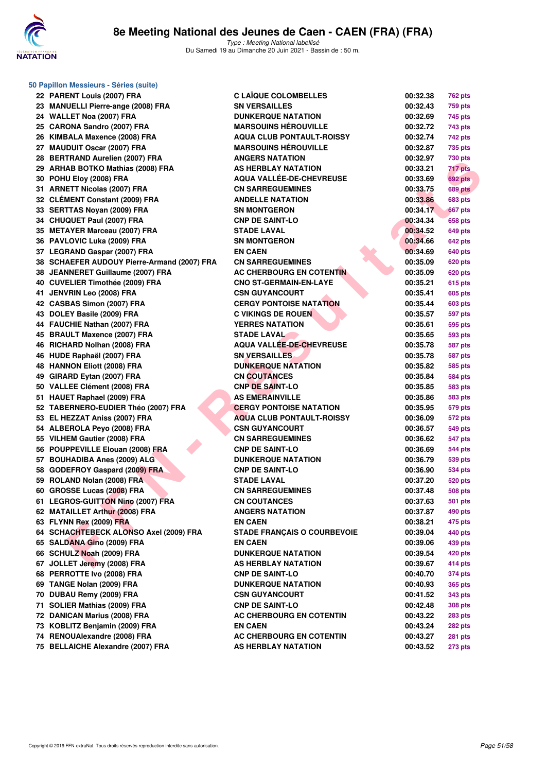

| 50 Papillon Messieurs - Séries (suite)      |                                    |          |                |
|---------------------------------------------|------------------------------------|----------|----------------|
| 22 PARENT Louis (2007) FRA                  | <b>C LAÏQUE COLOMBELLES</b>        | 00:32.38 | <b>762 pts</b> |
| 23 MANUELLI Pierre-ange (2008) FRA          | <b>SN VERSAILLES</b>               | 00:32.43 | 759 pts        |
| 24 WALLET Noa (2007) FRA                    | <b>DUNKERQUE NATATION</b>          | 00:32.69 | 745 pts        |
| 25 CARONA Sandro (2007) FRA                 | <b>MARSOUINS HEROUVILLE</b>        | 00:32.72 | 743 pts        |
| 26 KIMBALA Maxence (2008) FRA               | <b>AQUA CLUB PONTAULT-ROISSY</b>   | 00:32.74 | 742 pts        |
| 27 MAUDUIT Oscar (2007) FRA                 | <b>MARSOUINS HÉROUVILLE</b>        | 00:32.87 | <b>735 pts</b> |
| 28 BERTRAND Aurelien (2007) FRA             | <b>ANGERS NATATION</b>             | 00:32.97 | <b>730 pts</b> |
| 29 ARHAB BOTKO Mathias (2008) FRA           | AS HERBLAY NATATION                | 00:33.21 | 717 pts        |
| 30 POHU Eloy (2008) FRA                     | AQUA VALLÉE-DE-CHEVREUSE           | 00:33.69 | 692 pts        |
| 31 ARNETT Nicolas (2007) FRA                | <b>CN SARREGUEMINES</b>            | 00:33.75 | <b>689 pts</b> |
| 32 CLÉMENT Constant (2009) FRA              | <b>ANDELLE NATATION</b>            | 00:33.86 | <b>683 pts</b> |
| 33 SERTTAS Noyan (2009) FRA                 | <b>SN MONTGERON</b>                | 00:34.17 | <b>667 pts</b> |
| 34 CHUQUET Paul (2007) FRA                  | <b>CNP DE SAINT-LO</b>             | 00:34.34 | 658 pts        |
| 35 METAYER Marceau (2007) FRA               | <b>STADE LAVAL</b>                 | 00:34.52 | <b>649 pts</b> |
| 36 PAVLOVIC Luka (2009) FRA                 | <b>SN MONTGERON</b>                | 00:34.66 | <b>642 pts</b> |
| 37 LEGRAND Gaspar (2007) FRA                | <b>EN CAEN</b>                     | 00:34.69 | 640 pts        |
| 38 SCHAEFER AUDOUY Pierre-Armand (2007) FRA | <b>CN SARREGUEMINES</b>            | 00:35.09 | <b>620 pts</b> |
| 38 JEANNERET Guillaume (2007) FRA           | <b>AC CHERBOURG EN COTENTIN</b>    | 00:35.09 | <b>620 pts</b> |
| 40 CUVELIER Timothée (2009) FRA             | <b>CNO ST-GERMAIN-EN-LAYE</b>      | 00:35.21 | <b>615 pts</b> |
| 41 JENVRIN Leo (2008) FRA                   | <b>CSN GUYANCOURT</b>              | 00:35.41 | <b>605 pts</b> |
| 42 CASBAS Simon (2007) FRA                  | <b>CERGY PONTOISE NATATION</b>     | 00:35.44 | <b>603 pts</b> |
| 43 DOLEY Basile (2009) FRA                  | <b>C VIKINGS DE ROUEN</b>          | 00:35.57 | <b>597 pts</b> |
| 44 FAUCHIE Nathan (2007) FRA                | <b>YERRES NATATION</b>             | 00:35.61 | 595 pts        |
| 45 BRAULT Maxence (2007) FRA                | <b>STADE LAVAL</b>                 | 00:35.65 | 593 pts        |
| 46 RICHARD Nolhan (2008) FRA                | AQUA VALLÉE-DE-CHEVREUSE           | 00:35.78 | <b>587 pts</b> |
| 46 HUDE Raphaël (2007) FRA                  | <b>SN VERSAILLES</b>               | 00:35.78 | <b>587 pts</b> |
| 48 HANNON Eliott (2008) FRA                 | <b>DUNKERQUE NATATION</b>          | 00:35.82 | 585 pts        |
| 49 GIRARD Eytan (2007) FRA                  | <b>CN COUTANCES</b>                | 00:35.84 | <b>584 pts</b> |
| 50 VALLEE Clément (2008) FRA                | <b>CNP DE SAINT-LO</b>             | 00:35.85 | 583 pts        |
| 51 HAUET Raphael (2009) FRA                 | <b>AS EMERAINVILLE</b>             | 00:35.86 | 583 pts        |
| 52 TABERNERO-EUDIER Théo (2007) FRA         | <b>CERGY PONTOISE NATATION</b>     | 00:35.95 | <b>579 pts</b> |
| 53 EL HEZZAT Aniss (2007) FRA               | <b>AQUA CLUB PONTAULT-ROISSY</b>   | 00:36.09 | 572 pts        |
| 54 ALBEROLA Peyo (2008) FRA                 | <b>CSN GUYANCOURT</b>              | 00:36.57 | <b>549 pts</b> |
| 55 VILHEM Gautier (2008) FRA                | <b>CN SARREGUEMINES</b>            | 00:36.62 | 547 pts        |
| 56 POUPPEVILLE Elouan (2008) FRA            | <b>CNP DE SAINT-LO</b>             | 00:36.69 | 544 pts        |
| 57 BOUHADIBA Anes (2009) ALG                | <b>DUNKERQUE NATATION</b>          | 00:36.79 | 539 pts        |
| 58 GODEFROY Gaspard (2009) FRA              | <b>CNP DE SAINT-LO</b>             | 00:36.90 | <b>534 pts</b> |
| 59 ROLAND Nolan (2008) FRA                  | <b>STADE LAVAL</b>                 | 00:37.20 | <b>520 pts</b> |
| 60 GROSSE Lucas (2008) FRA                  | <b>CN SARREGUEMINES</b>            | 00:37.48 | <b>508 pts</b> |
| 61 LEGROS-GUITTON Nino (2007) FRA           | <b>CN COUTANCES</b>                | 00:37.63 | 501 pts        |
| 62 MATAILLET Arthur (2008) FRA              | <b>ANGERS NATATION</b>             | 00:37.87 | <b>490 pts</b> |
| 63 FLYNN Rex (2009) FRA                     | <b>EN CAEN</b>                     | 00:38.21 | 475 pts        |
| 64 SCHACHTEBECK ALONSO Axel (2009) FRA      | <b>STADE FRANÇAIS O COURBEVOIE</b> | 00:39.04 | 440 pts        |
| 65 SALDANA Gino (2009) FRA                  | <b>EN CAEN</b>                     | 00:39.06 | 439 pts        |
| 66 SCHULZ Noah (2009) FRA                   | <b>DUNKERQUE NATATION</b>          | 00:39.54 | 420 pts        |
| 67 JOLLET Jeremy (2008) FRA                 | AS HERBLAY NATATION                | 00:39.67 | 414 pts        |
| 68 PERROTTE Ivo (2008) FRA                  | <b>CNP DE SAINT-LO</b>             | 00:40.70 | 374 pts        |
| 69 TANGE Nolan (2009) FRA                   | <b>DUNKERQUE NATATION</b>          | 00:40.93 | <b>365 pts</b> |
| 70 DUBAU Remy (2009) FRA                    | <b>CSN GUYANCOURT</b>              | 00:41.52 | 343 pts        |
| 71 SOLIER Mathias (2009) FRA                | <b>CNP DE SAINT-LO</b>             | 00:42.48 | <b>308 pts</b> |
| 72 DANICAN Marius (2008) FRA                | AC CHERBOURG EN COTENTIN           | 00:43.22 | <b>283 pts</b> |
| 73 KOBLITZ Benjamin (2009) FRA              | <b>EN CAEN</b>                     | 00:43.24 | <b>282 pts</b> |
| 74 RENOUAlexandre (2008) FRA                | AC CHERBOURG EN COTENTIN           | 00:43.27 | <b>281 pts</b> |
| 75 BELLAICHE Alexandre (2007) FRA           | AS HERBLAY NATATION                | 00:43.52 | <b>273 pts</b> |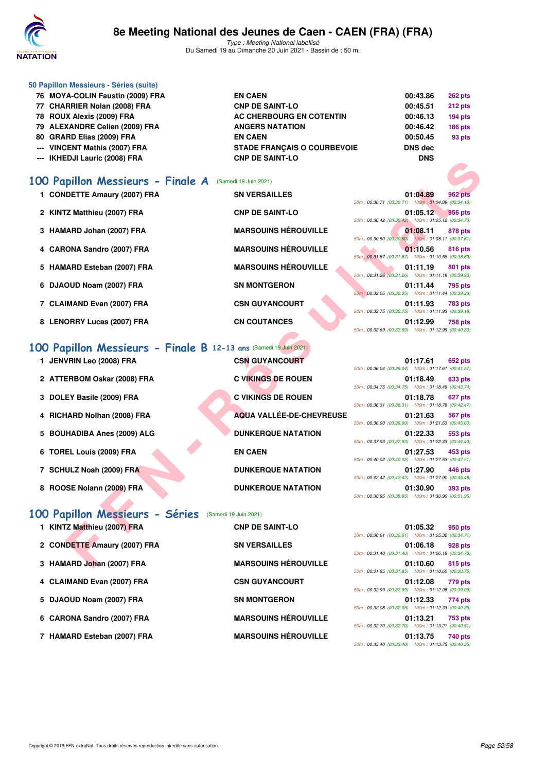

Type : Meeting National labellisé Du Samedi 19 au Dimanche 20 Juin 2021 - Bassin de : 50 m.

| 50 Papillon Messieurs - Séries (suite) |                                    |                |                |
|----------------------------------------|------------------------------------|----------------|----------------|
| 76 MOYA-COLIN Faustin (2009) FRA       | <b>EN CAEN</b>                     | 00:43.86       | <b>262 pts</b> |
| 77 CHARRIER Nolan (2008) FRA           | <b>CNP DE SAINT-LO</b>             | 00:45.51       | <b>212 pts</b> |
| 78 ROUX Alexis (2009) FRA              | AC CHERBOURG EN COTENTIN           | 00:46.13       | 194 pts        |
| 79 ALEXANDRE Celien (2009) FRA         | <b>ANGERS NATATION</b>             | 00:46.42       | <b>186 pts</b> |
| 80 GRARD Elias (2009) FRA              | <b>EN CAEN</b>                     | 00:50.45       | 93 pts         |
| --- VINCENT Mathis (2007) FRA          | <b>STADE FRANCAIS O COURBEVOIE</b> | <b>DNS</b> dec |                |
| --- IKHEDJI Lauric (2008) FRA          | <b>CNP DE SAINT-LO</b>             | <b>DNS</b>     |                |
|                                        |                                    |                |                |

## **[100 Papillon Messieurs - Finale A](http://www.ffnatation.fr/webffn/resultats.php?idact=nat&go=epr&idcpt=70045&idepr=82)** (Samedi 19 Juin 2021)

- 1 CONDETTE Amaury (2007) FRA SN VERSAILLES 61:04.89 962 pts
- **2 KINTZ Matthieu (2007) FRA CNP DE SAINT-LO 01:05.12 956 pts**
- **3 HAMARD Johan (2007) FRA MARSOUINS HÉROUVILLE 12.08.11 <b>878** pts
- **4 CARONA Sandro (2007) FRA MARSOUINS HÉROUVILLE 01:10.56 816 pts**
- **5 HAMARD Esteban (2007) FRA MARSOUINS HÉROUVILLE 01:11.19 801 pts**
- **6 DJAOUD Noam (2007) FRA SN MONTGERON 01:11.44 795 pts**
- **7 CLAIMAND Evan (2007) FRA CSN GUYANCOURT 01:11.93 783 pts**
- **8 LENORRY Lucas (2007) FRA CN COUTANCES 01:12.99 758 pts**

#### **[100 Papillon Messieurs - Finale B](http://www.ffnatation.fr/webffn/resultats.php?idact=nat&go=epr&idcpt=70045&idepr=82) 12-13 ans** (Samedi 19 Juin 2021)

| ריי ותווכטטו במעווט (2000) רחא                                   |                                 | טוע                                                                                |
|------------------------------------------------------------------|---------------------------------|------------------------------------------------------------------------------------|
| 00 Papillon Messieurs - Finale A                                 | (Samedi 19 Juin 2021)           |                                                                                    |
| 1 CONDETTE Amaury (2007) FRA                                     | <b>SN VERSAILLES</b>            | 01:04.89<br><b>962 pts</b><br>50m: 00:30.71 (00:30.71) 100m: 01:04.89 (00:34.18)   |
| 2 KINTZ Matthieu (2007) FRA                                      | <b>CNP DE SAINT-LO</b>          | 01:05.12<br><b>956 pts</b><br>50m: 00:30.42 (00:30.42) 100m: 01:05.12 (00:34.70)   |
| 3 HAMARD Johan (2007) FRA                                        | <b>MARSOUINS HÉROUVILLE</b>     | 01:08.11<br><b>878 pts</b><br>50m: 00:30.50 (00:30.50) 100m: 01:08.11 (00:37.61)   |
| 4 CARONA Sandro (2007) FRA                                       | <b>MARSOUINS HÉROUVILLE</b>     | 01:10.56<br><b>816 pts</b><br>50m : 00:31.87 (00:31.87) 100m : 01:10.56 (00:38.69) |
| 5 HAMARD Esteban (2007) FRA                                      | <b>MARSOUINS HÉROUVILLE</b>     | 01:11.19<br>801 pts<br>50m: 00:31.26 (00:31.26) 100m: 01:11.19 (00:39.93)          |
| 6 DJAOUD Noam (2007) FRA                                         | <b>SN MONTGERON</b>             | 01:11.44<br>795 pts<br>50m: 00:32.05 (00:32.05) 100m: 01:11.44 (00:39.39)          |
| 7 CLAIMAND Evan (2007) FRA                                       | <b>CSN GUYANCOURT</b>           | 01:11.93<br><b>783 pts</b><br>50m: 00:32.75 (00:32.75) 100m: 01:11.93 (00:39.18)   |
| 8 LENORRY Lucas (2007) FRA                                       | <b>CN COUTANCES</b>             | 01:12.99<br><b>758 pts</b><br>50m: 00:32.69 (00:32.69) 100m: 01:12.99 (00:40.30)   |
| 00 Papillon Messieurs - Finale B 12-13 ans (Samedi 19 Juin 2021) |                                 |                                                                                    |
| 1 JENVRIN Leo (2008) FRA                                         | <b>CSN GUYANCOURT</b>           | 01:17.61<br>652 pts<br>50m: 00:36.04 (00:36.04) 100m: 01:17.61 (00:41.57)          |
| 2 ATTERBOM Oskar (2008) FRA                                      | <b>C VIKINGS DE ROUEN</b>       | 01:18.49<br><b>633 pts</b><br>50m: 00:34.75 (00:34.75) 100m: 01:18.49 (00:43.74)   |
| 3 DOLEY Basile (2009) FRA                                        | <b>C VIKINGS DE ROUEN</b>       | 01:18.78<br>627 pts<br>50m: 00:36.31 (00:36.31) 100m: 01:18.78 (00:42.47)          |
| 4 RICHARD Nolhan (2008) FRA                                      | <b>AQUA VALLÉE-DE-CHEVREUSE</b> | 01:21.63<br>567 pts<br>50m: 00:36.00 (00:36.00) 100m: 01:21.63 (00:45.63)          |
| 5 BOUHADIBA Anes (2009) ALG                                      | <b>DUNKERQUE NATATION</b>       | 01:22.33<br>553 pts<br>50m: 00:37.93 (00:37.93) 100m: 01:22.33 (00:44.40)          |
| 6 TOREL Louis (2009) FRA                                         | <b>EN CAEN</b>                  | 01:27.53<br>453 pts<br>50m: 00:40.02 (00:40.02) 100m: 01:27.53 (00:47.51)          |
| 7 SCHULZ Noah (2009) FRA                                         | <b>DUNKERQUE NATATION</b>       | 01:27.90<br>446 pts<br>50m: 00:42.42 (00:42.42) 100m: 01:27.90 (00:45.48)          |
| 8 ROOSE Nolann (2009) FRA                                        | <b>DUNKERQUE NATATION</b>       | 01:30.90<br>393 pts<br>50m: 00:38.95 (00:38.95) 100m: 01:30.90 (00:51.95)          |
| OO Papillon Messieurs - Séries (Samedi 19 Juin 2021)             |                                 |                                                                                    |
| 1 KINTZ Matthieu (2007) FRA                                      | <b>CNP DE SAINT-LO</b>          | 01:05.32<br>950 pts<br>50m: 00:30.61 (00:30.61) 100m: 01:05.32 (00:34.71)          |
| 2 CONDETTE Amaury (2007) FRA                                     | <b>SN VERSAILLES</b>            | 01:06.18<br>928 pts<br>50m: 00:31.40 (00:31.40) 100m: 01:06.18 (00:34.78)          |
| 3 HAMARD Johan (2007) FRA                                        | <b>MARSOUINS HÉROUVILLE</b>     | 01:10.60<br>815 pts                                                                |

|  |  |  |  |  |  | 100 Papillon Messieurs - Séries (Samedi 19 Juin 2021) |
|--|--|--|--|--|--|-------------------------------------------------------|
|--|--|--|--|--|--|-------------------------------------------------------|

| 1 KINTZ Matthieu (2007) FRA  | <b>CNP DE SAINT-LO</b>      | 50m: 00:30.61 (00:30.61) 100m: 01:05.32 (00:34.71) | 01:05.32 | 950 pts |
|------------------------------|-----------------------------|----------------------------------------------------|----------|---------|
| 2 CONDETTE Amaury (2007) FRA | <b>SN VERSAILLES</b>        | 50m: 00:31.40 (00:31.40) 100m: 01:06.18 (00:34.78) | 01:06.18 | 928 pts |
| 3 HAMARD Johan (2007) FRA    | <b>MARSOUINS HÉROUVILLE</b> | 50m: 00:31.85 (00:31.85) 100m: 01:10.60 (00:38.75) | 01:10.60 | 815 pts |
| 4 CLAIMAND Evan (2007) FRA   | <b>CSN GUYANCOURT</b>       | 50m: 00:32.99 (00:32.99) 100m: 01:12.08 (00:39.09) | 01:12.08 | 779 pts |
| 5 DJAOUD Noam (2007) FRA     | <b>SN MONTGERON</b>         | 50m: 00:32.08 (00:32.08) 100m: 01:12.33 (00:40.25) | 01:12.33 | 774 pts |
| 6 CARONA Sandro (2007) FRA   | <b>MARSOUINS HÉROUVILLE</b> | 50m: 00:32.70 (00:32.70) 100m: 01:13.21 (00:40.51) | 01:13.21 | 753 pts |
| 7 HAMARD Esteban (2007) FRA  | <b>MARSOUINS HÉROUVILLE</b> | 50m: 00:33.40 (00:33.40) 100m: 01:13.75 (00:40.35) | 01:13.75 | 740 pts |

|  | 01:05.32 950 pts                                   |  |
|--|----------------------------------------------------|--|
|  | 50m: 00:30.61 (00:30.61) 100m: 01:05.32 (00:34.71) |  |
|  | 01:06.18 928 pts                                   |  |
|  | 50m: 00:31.40 (00:31.40) 100m: 01:06.18 (00:34.78) |  |
|  | 01:10.60 815 pts                                   |  |
|  | 50m: 00:31.85 (00:31.85) 100m: 01:10.60 (00:38.75) |  |
|  | 01:12.08 779 pts                                   |  |
|  | 50m: 00:32.99 (00:32.99) 100m: 01:12.08 (00:39.09) |  |
|  | 01:12.33 774 pts                                   |  |
|  | 50m: 00:32.08 (00:32.08) 100m: 01:12.33 (00:40.25) |  |
|  | 01:13.21 753 pts                                   |  |
|  | 50m: 00:32.70 (00:32.70) 100m: 01:13.21 (00:40.51) |  |
|  |                                                    |  |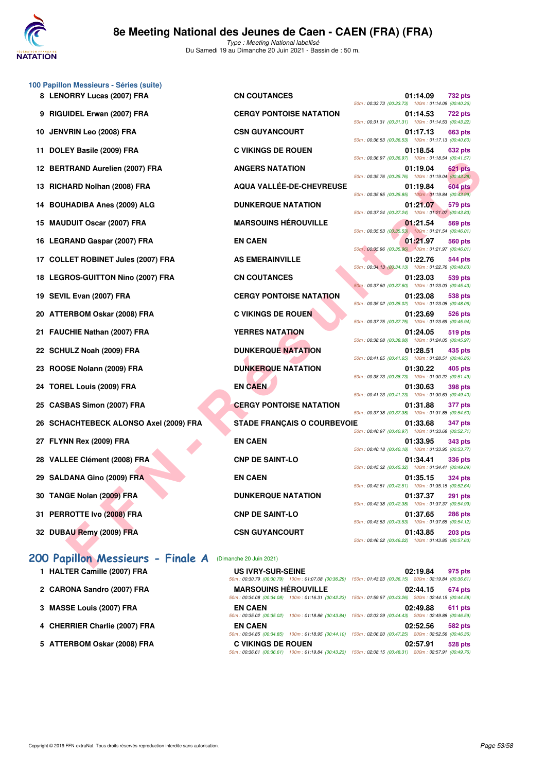

Type : Meeting National labellisé Du Samedi 19 au Dimanche 20 Juin 2021 - Bassin de : 50 m.

| 100 Papillon Messieurs - Séries (suite)                   |                                    |                                                     |          |                |
|-----------------------------------------------------------|------------------------------------|-----------------------------------------------------|----------|----------------|
| 8 LENORRY Lucas (2007) FRA                                | <b>CN COUTANCES</b>                | 50m: 00:33.73 (00:33.73) 100m: 01:14.09 (00:40.36   | 01:14.09 | 732 pts        |
| 9 RIGUIDEL Erwan (2007) FRA                               | <b>CERGY PONTOISE NATATION</b>     | 50m: 00:31.31 (00:31.31) 100m: 01:14.53 (00:43.22)  | 01:14.53 | <b>722 pts</b> |
| 10 JENVRIN Leo (2008) FRA                                 | <b>CSN GUYANCOURT</b>              | 50m: 00:36.53 (00:36.53) 100m: 01:17.13 (00:40.60)  | 01:17.13 | 663 pts        |
| 11 DOLEY Basile (2009) FRA                                | <b>C VIKINGS DE ROUEN</b>          |                                                     | 01:18.54 | 632 pts        |
| 12 BERTRAND Aurelien (2007) FRA                           | <b>ANGERS NATATION</b>             | 50m: 00:36.97 (00:36.97) 100m: 01:18.54 (00:41.57   | 01:19.04 | 621 pts        |
| 13 RICHARD Nolhan (2008) FRA                              | AQUA VALLÉE-DE-CHEVREUSE           | 50m: 00:35.76 (00:35.76) 100m: 01:19.04 (00:43.28   | 01:19.84 | 604 pts        |
| 14 BOUHADIBA Anes (2009) ALG                              | <b>DUNKERQUE NATATION</b>          | 50m: 00:35.85 (00:35.85) 100m: 01:19.84 (00:43.99   | 01:21.07 | 579 pts        |
| 15 MAUDUIT Oscar (2007) FRA                               | <b>MARSOUINS HÉROUVILLE</b>        | 50m: 00:37.24 (00:37.24) 100m: 01:21.07 (00:43.83   | 01:21.54 | 569 pts        |
| 16 LEGRAND Gaspar (2007) FRA                              | <b>EN CAEN</b>                     | 50m: 00:35.53 (00:35.53) 100m: 01:21.54 (00:46.01)  | 01:21.97 | 560 pts        |
| 17 COLLET ROBINET Jules (2007) FRA                        | <b>AS EMERAINVILLE</b>             | 50m : 00:35.96 (00:35.96) 100m : 01:21.97 (00:46.01 | 01:22.76 | 544 pts        |
| 18 LEGROS-GUITTON Nino (2007) FRA                         | <b>CN COUTANCES</b>                | 50m: 00:34.13 (00:34.13) 100m: 01:22.76 (00:48.63   | 01:23.03 | 539 pts        |
| 19 SEVIL Evan (2007) FRA                                  | <b>CERGY PONTOISE NATATION</b>     | 50m: 00:37.60 (00:37.60) 100m: 01:23.03 (00:45.43)  | 01:23.08 | 538 pts        |
| 20 ATTERBOM Oskar (2008) FRA                              | <b>C VIKINGS DE ROUEN</b>          | 50m: 00:35.02 (00:35.02) 100m: 01:23.08 (00:48.06   | 01:23.69 | 526 pts        |
| 21 FAUCHIE Nathan (2007) FRA                              | <b>YERRES NATATION</b>             | 50m: 00:37.75 (00:37.75) 100m: 01:23.69 (00:45.94)  | 01:24.05 | 519 pts        |
| 22 SCHULZ Noah (2009) FRA                                 | <b>DUNKERQUE NATATION</b>          | 50m: 00:38.08 (00:38.08) 100m: 01:24.05 (00:45.97   | 01:28.51 | 435 pts        |
| 23 ROOSE Nolann (2009) FRA                                | <b>DUNKERQUE NATATION</b>          | 50m: 00:41.65 (00:41.65) 100m: 01:28.51 (00:46.86   | 01:30.22 | 405 pts        |
| 24 TOREL Louis (2009) FRA                                 | <b>EN CAEN</b>                     | 50m: 00:38.73 (00:38.73) 100m: 01:30.22 (00:51.49)  | 01:30.63 | 398 pts        |
| 25 CASBAS Simon (2007) FRA                                | <b>CERGY PONTOISE NATATION</b>     | 50m: 00:41.23 (00:41.23) 100m: 01:30.63 (00:49.40   | 01:31.88 | 377 pts        |
| 26 SCHACHTEBECK ALONSO Axel (2009) FRA                    |                                    | 50m: 00:37.38 (00:37.38) 100m: 01:31.88 (00:54.50)  |          |                |
|                                                           | <b>STADE FRANÇAIS O COURBEVOIE</b> | 50m: 00:40.97 (00:40.97) 100m: 01:33.68 (00:52.71   | 01:33.68 | 347 pts        |
| 27 FLYNN Rex (2009) FRA                                   | <b>EN CAEN</b>                     | 50m: 00:40.18 (00:40.18) 100m: 01:33.95 (00:53.77   | 01:33.95 | 343 pts        |
| 28 VALLEE Clément (2008) FRA                              | <b>CNP DE SAINT-LO</b>             | 50m: 00:45.32 (00:45.32) 100m: 01:34.41 (00:49.09   | 01:34.41 | 336 pts        |
| 29 SALDANA Gino (2009) FRA                                | <b>EN CAEN</b>                     | 50m: 00:42.51 (00:42.51) 100m: 01:35.15 (00:52.64   | 01:35.15 | <b>324 pts</b> |
| 30 TANGE Nolan (2009) FRA                                 | <b>DUNKERQUE NATATION</b>          | 50m: 00:42.38 (00:42.38) 100m: 01:37.37 (00:54.99   | 01:37.37 | 291 pts        |
| 31 PERROTTE Ivo (2008) FRA                                | <b>CNP DE SAINT-LO</b>             |                                                     | 01:37.65 | <b>286 pts</b> |
| 32 DUBAU Remy (2009) FRA                                  | <b>CSN GUYANCOURT</b>              | 50m: 00:43.53 (00:43.53) 100m: 01:37.65 (00:54.12)  | 01:43.85 | <b>203 pts</b> |
| 200 Papillon Messieurs - Finale A (Dimanche 20 Juin 2021) |                                    | 50m: 00:46.22 (00:46.22) 100m: 01:43.85 (00:57.63   |          |                |

- **1 HALTER Camille (2007) FRA**
- 2 CARONA Sandro (2007) FRA
- **3 MASSE Louis (2007) FRA EN CAEN 02:49.88 611 pts**
- **4 CHERRIER Charlie (2007) FRA EN CAEN 02:52.56 582 pts**
- 5 ATTERBOM Oskar (2008) FRA

| <b>CN COUTANCES</b>             |
|---------------------------------|
| <b>CERGY PONTOISE NATATION</b>  |
| <b>CSN GUYANCOURT</b>           |
| <b>C VIKINGS DE ROUEN</b>       |
| <b>ANGERS NATATION</b>          |
| <b>AQUA VALLÉE-DE-CHEVREUSE</b> |
| <b>DUNKERQUE NATATION</b>       |
| <b>MARSOUINS HÉROUVILLE</b>     |
| <b>EN CAEN</b>                  |
| <b>AS EMERAINVILLE</b>          |
| <b>CN COUTANCES</b>             |
| <b>CERGY PONTOISE NATATION</b>  |
| <b>C VIKINGS DE ROUEN</b>       |
| <b>YERRES NATATION</b>          |
| <b>DUNKERQUE NATATION</b>       |
| <b>DUNKERQUE NATATION</b>       |
| <b>EN CAEN</b>                  |
| <b>CERGY PONTOISE NATATION</b>  |
| STADE FRANÇAIS O COURBEVO       |
| <b>EN CAEN</b>                  |
| <b>CNP DE SAINT-LO</b>          |
| <b>EN CAEN</b>                  |
| <b>DUNKERQUE NATATION</b>       |
| <b>CNP DE SAINT-LO</b>          |
| <b>CSN GUYANCOURT</b>           |

| <b>US IVRY-SUR-SEINE</b>    |                                                                                                        |                                                     | 02:19.84 | 975 pts        |
|-----------------------------|--------------------------------------------------------------------------------------------------------|-----------------------------------------------------|----------|----------------|
|                             | 50m: 00:30.79 (00:30.79) 100m: 01:07.08 (00:36.29)                                                     | 150m: 01:43.23 (00:36.15) 200m: 02:19.84 (00:36.61) |          |                |
| <b>MARSOUINS HÉROUVILLE</b> |                                                                                                        |                                                     | 02:44.15 | <b>674 pts</b> |
|                             | 50m: 00:34.08 (00:34.08) 100m: 01:16.31 (00:42.23)                                                     | 150m: 01:59.57 (00:43.26) 200m: 02:44.15 (00:44.58) |          |                |
| <b>EN CAEN</b>              |                                                                                                        |                                                     | 02:49.88 | 611 pts        |
|                             | 50m: 00:35.02 (00:35.02) 100m: 01:18.86 (00:43.84)                                                     | 150m: 02:03.29 (00:44.43) 200m: 02:49.88 (00:46.59) |          |                |
| <b>EN CAEN</b>              |                                                                                                        |                                                     | 02:52.56 | 582 pts        |
|                             | 50m; 00:34.85 (00:34.85) 100m; 01:18.95 (00:44.10) 150m; 02:06.20 (00:47.25) 200m; 02:52.56 (00:46.36) |                                                     |          |                |
| <b>C VIKINGS DE ROUEN</b>   |                                                                                                        |                                                     | 02:57.91 | 528 pts        |
|                             | 50m: 00:36.61 (00:36.61) 100m: 01:19.84 (00:43.23)                                                     | 150m: 02:08.15 (00:48.31) 200m: 02:57.91 (00:49.76) |          |                |

| ORRY Lucas (2007) FRA                                    | <b>CN COUTANCES</b>                | 01:14.09<br>732 pts<br>50m: 00:33.73 (00:33.73) 100m: 01:14.09 (00:40.36)        |
|----------------------------------------------------------|------------------------------------|----------------------------------------------------------------------------------|
| JIDEL Erwan (2007) FRA                                   | <b>CERGY PONTOISE NATATION</b>     | 01:14.53<br>722 pts                                                              |
| /RIN Leo (2008) FRA                                      | <b>CSN GUYANCOURT</b>              | 50m: 00:31.31 (00:31.31) 100m: 01:14.53 (00:43.22)<br>01:17.13<br>663 pts        |
| EY Basile (2009) FRA                                     | <b>C VIKINGS DE ROUEN</b>          | 50m: 00:36.53 (00:36.53) 100m: 01:17.13 (00:40.60)<br>01:18.54<br>632 pts        |
| TRAND Aurelien (2007) FRA                                | <b>ANGERS NATATION</b>             | 50m: 00:36.97 (00:36.97) 100m: 01:18.54 (00:41.57)<br>01:19.04<br>621 pts        |
| IARD Nolhan (2008) FRA                                   | AQUA VALLÉE-DE-CHEVREUSE           | 50m: 00:35.76 (00:35.76) 100m: 01:19.04 (00:43.28)<br>01:19.84<br><b>604 pts</b> |
| <b>HADIBA Anes (2009) ALG</b>                            | <b>DUNKERQUE NATATION</b>          | 50m: 00:35.85 (00:35.85) 100m: 01:19.84 (00:43.99)<br>579 pts<br>01:21.07        |
| DUIT Oscar (2007) FRA                                    | <b>MARSOUINS HÉROUVILLE</b>        | 50m: 00:37.24 (00:37.24) 100m: 01:21.07 (00:43.83)<br>01:21.54<br><b>569 pts</b> |
| RAND Gaspar (2007) FRA                                   | <b>EN CAEN</b>                     | 50m: 00:35.53 (00:35.53) 100m: 01:21.54 (00:46.01)<br>01:21.97<br>560 pts        |
| LET ROBINET Jules (2007) FRA                             | <b>AS EMERAINVILLE</b>             | 50m: 00:35.96 (00:35.96) 100m: 01:21.97 (00:46.01)<br>01:22.76<br><b>544 pts</b> |
| ROS-GUITTON Nino (2007) FRA                              | <b>CN COUTANCES</b>                | 50m: 00:34.13 (00:34.13) 100m: 01:22.76 (00:48.63)<br>01:23.03<br>539 pts        |
| IL Evan (2007) FRA                                       | <b>CERGY PONTOISE NATATION</b>     | 50m: 00:37.60 (00:37.60) 100m: 01:23.03 (00:45.43)<br>01:23.08<br>538 pts        |
| ERBOM Oskar (2008) FRA                                   | <b>C VIKINGS DE ROUEN</b>          | 50m: 00:35.02 (00:35.02) 100m: 01:23.08 (00:48.06)<br>01:23.69<br>526 pts        |
| CHIE Nathan (2007) FRA                                   | <b>YERRES NATATION</b>             | 50m: 00:37.75 (00:37.75) 100m: 01:23.69 (00:45.94)<br>01:24.05<br>519 pts        |
| ULZ Noah (2009) FRA                                      | <b>DUNKERQUE NATATION</b>          | 50m: 00:38.08 (00:38.08) 100m: 01:24.05 (00:45.97)<br>01:28.51<br>435 pts        |
|                                                          |                                    | 50m: 00:41.65 (00:41.65) 100m: 01:28.51 (00:46.86)                               |
| <b>SE Nolann (2009) FRA</b>                              | <b>DUNKERQUE NATATION</b>          | 01:30.22<br>405 pts<br>50m: 00:38.73 (00:38.73) 100m: 01:30.22 (00:51.49)        |
| EL Louis (2009) FRA                                      | <b>EN CAEN</b>                     | 01:30.63<br>398 pts<br>50m: 00:41.23 (00:41.23) 100m: 01:30.63 (00:49.40)        |
| BAS Simon (2007) FRA                                     | <b>CERGY PONTOISE NATATION</b>     | 01:31.88<br><b>377 pts</b><br>50m: 00:37.38 (00:37.38) 100m: 01:31.88 (00:54.50) |
| ACHTEBECK ALONSO Axel (2009) FRA                         | <b>STADE FRANÇAIS O COURBEVOIE</b> | 01:33.68<br><b>347 pts</b><br>50m: 00:40.97 (00:40.97) 100m: 01:33.68 (00:52.71) |
| <b>\N Rex (2009) FRA</b>                                 | <b>EN CAEN</b>                     | 01:33.95<br>343 pts                                                              |
| LEE Clément (2008) FRA                                   | <b>CNP DE SAINT-LO</b>             | 50m: 00:40.18 (00:40.18) 100m: 01:33.95 (00:53.77)<br>01:34.41<br><b>336 pts</b> |
| <b>DANA Gino (2009) FRA</b>                              | <b>EN CAEN</b>                     | 50m: 00:45.32 (00:45.32) 100m: 01:34.41 (00:49.09)<br>01:35.15<br><b>324 pts</b> |
| GE Nolan (2009) FRA                                      | <b>DUNKERQUE NATATION</b>          | 50m: 00:42.51 (00:42.51) 100m: 01:35.15 (00:52.64)<br>01:37.37<br><b>291 pts</b> |
|                                                          |                                    | 50m: 00:42.38 (00:42.38) 100m: 01:37.37 (00:54.99)                               |
|                                                          | <b>CNP DE SAINT-LO</b>             | 01:37.65<br><b>286 pts</b>                                                       |
| <b>ROTTE Ivo (2008) FRA</b><br><b>AU Remy (2009) FRA</b> | <b>CSN GUYANCOURT</b>              | 100m: 01:37.65 (00:54.12)<br>50m: 00:43.53 (00:43.53)<br>01:43.85<br>203 pts     |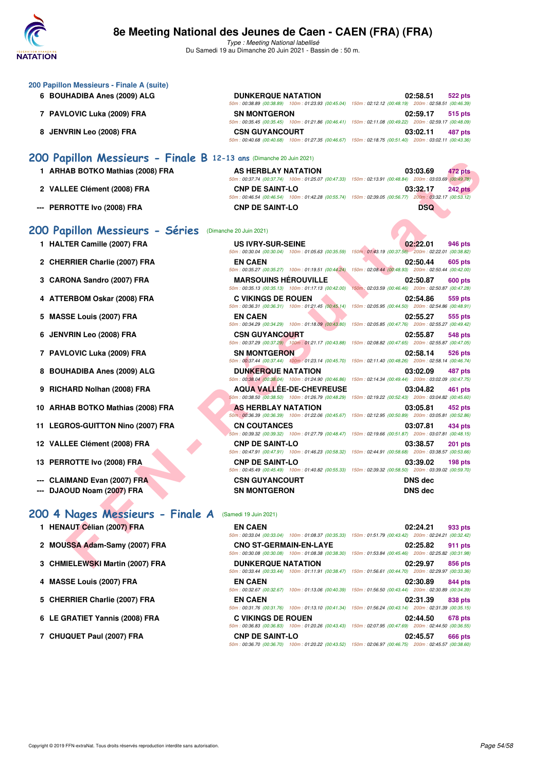

Type : Meeting National labellisé Du Samedi 19 au Dimanche 20 Juin 2021 - Bassin de : 50 m.

|   | 200 Papillon Messieurs - Finale A (suite)                           |                                                                                   |                                                                                                                                          |
|---|---------------------------------------------------------------------|-----------------------------------------------------------------------------------|------------------------------------------------------------------------------------------------------------------------------------------|
|   | 6 BOUHADIBA Anes (2009) ALG                                         | <b>DUNKERQUE NATATION</b>                                                         | 02:58.51<br>522 pts<br>50m : 00:38.89 (00:38.89) 100m : 01:23.93 (00:45.04) 150m : 02:12.12 (00:48.19) 200m : 02:58.51 (00:46.39)        |
|   | 7 PAVLOVIC Luka (2009) FRA                                          | <b>SN MONTGERON</b>                                                               | 02:59.17<br>515 pts<br>50m : 00:35.45 (00:35.45) 100m : 01:21.86 (00:46.41) 150m : 02:11.08 (00:49.22) 200m : 02:59.17 (00:48.09)        |
|   | 8 JENVRIN Leo (2008) FRA                                            | <b>CSN GUYANCOURT</b>                                                             | 03:02.11<br>487 pts<br>50m: 00:40.68 (00:40.68) 100m: 01:27.35 (00:46.67) 150m: 02:18.75 (00:51.40) 200m: 03:02.11 (00:43.36)            |
|   | 200 Papillon Messieurs - Finale B 12-13 ans (Dimanche 20 Juin 2021) |                                                                                   |                                                                                                                                          |
|   | 1 ARHAB BOTKO Mathias (2008) FRA                                    | <b>AS HERBLAY NATATION</b>                                                        | 03:03.69<br>472 pts<br>50m : 00:37.74 (00:37.74) 100m : 01:25.07 (00:47.33) 150m : 02:13.91 (00:48.84) 200m : 03:03.69 (00:49.78)        |
|   | 2 VALLEE Clément (2008) FRA                                         | <b>CNP DE SAINT-LO</b>                                                            | 03:32.17<br><b>242 pts</b><br>50m : 00:46.54 (00:46.54) 100m : 01:42.28 (00:55.74) 150m : 02:39.05 (00:56.77) 200m : 03:32.17 (00:53.12) |
|   | <b>PERROTTE Ivo (2008) FRA</b>                                      | <b>CNP DE SAINT-LO</b>                                                            | <b>DSQ</b>                                                                                                                               |
|   | 200 Papillon Messieurs - Séries                                     | (Dimanche 20 Juin 2021)                                                           |                                                                                                                                          |
|   | 1 HALTER Camille (2007) FRA                                         | <b>US IVRY-SUR-SEINE</b>                                                          | 02:22.01<br>946 pts<br>50m : 00:30.04 (00:30.04) 100m : 01:05.63 (00:35.59) 150m : 01:43.19 (00:37.56) 200m : 02:22.01 (00:38.82)        |
|   | 2 CHERRIER Charlie (2007) FRA                                       | <b>EN CAEN</b><br>50m: 00:35.27 (00:35.27) 100m: 01:19.51 (00:44.24)              | 02:50.44<br>605 pts<br>150m: 02:08.44 (00:48.93) 200m: 02:50.44 (00:42.00)                                                               |
|   | 3 CARONA Sandro (2007) FRA                                          | <b>MARSOUINS HÉROUVILLE</b><br>50m: 00:35.13 (00:35.13) 100m: 01:17.13 (00:42.00) | 02:50.87<br><b>600 pts</b><br>150m: 02:03.59 (00:46.46) 200m: 02:50.87 (00:47.28)                                                        |
|   | 4 ATTERBOM Oskar (2008) FRA                                         | <b>C VIKINGS DE ROUEN</b>                                                         | 02:54.86<br>559 pts                                                                                                                      |
| 5 | <b>MASSE Louis (2007) FRA</b>                                       | 50m: 00:36.31 (00:36.31) 100m: 01:21.45 (00:45.14)<br><b>EN CAEN</b>              | 150m: 02:05.95 (00:44.50) 200m: 02:54.86 (00:48.91)<br>02:55.27<br>555 pts                                                               |
|   | 6 JENVRIN Leo (2008) FRA                                            | <b>CSN GUYANCOURT</b>                                                             | 50m : 00:34.29 (00:34.29) 100m : 01:18.09 (00:43.80) 150m : 02:05.85 (00:47.76) 200m : 02:55.27 (00:49.42)<br>02:55.87<br>548 pts        |
|   | 7 PAVLOVIC Luka (2009) FRA                                          | <b>SN MONTGERON</b>                                                               | 50m: 00:37.29 (00:37.29) 100m: 01:21.17 (00:43.88) 150m: 02:08.82 (00:47.65) 200m: 02:55.87 (00:47.05)<br>02:58.14<br>526 pts            |
| 8 | <b>BOUHADIBA Anes (2009) ALG</b>                                    | <b>DUNKERQUE NATATION</b>                                                         | 50m : 00:37.44 (00:37.44) 100m : 01:23.14 (00:45.70) 150m : 02:11.40 (00:48.26) 200m : 02:58.14 (00:46.74)<br>03:02.09<br>487 pts        |
| 9 | RICHARD Nolhan (2008) FRA                                           | <b>AQUA VALLEE-DE-CHEVREUSE</b>                                                   | 50m : 00:38.04 (00:38.04) 100m : 01:24.90 (00:46.86) 150m : 02:14.34 (00:49.44) 200m : 03:02.09 (00:47.75)<br>03:04.82<br>461 pts        |
|   | 10 ARHAB BOTKO Mathias (2008) FRA                                   | <b>AS HERBLAY NATATION</b>                                                        | 50m : 00:38.50 (00:38.50) 100m : 01:26.79 (00:48.29) 150m : 02:19.22 (00:52.43) 200m : 03:04.82 (00:45.60)<br>03:05.81<br>452 pts        |
|   | 11 LEGROS-GUITTON Nino (2007) FRA                                   | <b>CN COUTANCES</b>                                                               | 50m : 00:36.39 (00:36.39) 100m : 01:22.06 (00:45.67) 150m : 02:12.95 (00:50.89) 200m : 03:05.81 (00:52.86)<br>03:07.81<br>434 pts        |
|   | 12 VALLEE Clément (2008) FRA                                        | <b>CNP DE SAINT-LO</b>                                                            | 50m: 00:39.32 (00:39.32) 100m: 01:27.79 (00:48.47) 150m: 02:19.66 (00:51.87) 200m: 03:07.81 (00:48.15)<br>03:38.57<br><b>201 pts</b>     |
|   | 13 PERROTTE Ivo (2008) FRA                                          | <b>CNP DE SAINT-LO</b>                                                            | 50m: 00:47.91 (00:47.91) 100m: 01:46.23 (00:58.32) 150m: 02:44.91 (00:58.68) 200m: 03:38.57 (00:53.66)<br>03:39.02<br>$198$ pts          |
|   | --- CLAIMAND Evan (2007) FRA                                        | <b>CSN GUYANCOURT</b>                                                             | 50m : 00:45.49 (00:45.49) 100m : 01:40.82 (00:55.33) 150m : 02:39.32 (00:58.50) 200m : 03:39.02 (00:59.70)<br>DNS dec                    |
|   | DJAOUD Noam (2007) FRA                                              | <b>SN MONTGERON</b>                                                               | <b>DNS</b> dec                                                                                                                           |
|   | 200 4 Nages Messieurs - Finale A                                    | (Samedi 19 Juin 2021)                                                             |                                                                                                                                          |
|   | 1 HENAUT Célian (2007) FRA                                          | <b>EN CAEN</b>                                                                    | 02:24.21<br>933 pts<br>50m: 00:33.04 (00:33.04) 100m: 01:08.37 (00:35.33) 150m: 01:51.79 (00:43.42) 200m: 02:24.21 (00:32.42)            |
|   | 2 MOUSSA Adam-Samy (2007) FRA                                       | <b>CNO ST-GERMAIN-EN-LAYE</b>                                                     | 02:25.82<br>911 pts<br>50m: 00:30.08 (00:30.08) 100m: 01:08.38 (00:38.30) 150m: 01:53.84 (00:45.46) 200m: 02:25.82 (00:31.98)            |
|   | 3 CHMIELEWSKI Martin (2007) FRA                                     | <b>DUNKERQUE NATATION</b>                                                         | 02:29.97<br>856 pts                                                                                                                      |

# [200 4 Nages Messieurs - Finale A](http://www.ffnatation.fr/webffn/resultats.php?idact=nat&go=epr&idcpt=70045&idepr=91) (Samedi 19 Juin 2021)

| <b>EN CAEN</b>                |                                                                                                        |                                                     | 02:24.21 | 933 pts |
|-------------------------------|--------------------------------------------------------------------------------------------------------|-----------------------------------------------------|----------|---------|
|                               | 50m: 00:33.04 (00:33.04) 100m: 01:08.37 (00:35.33)                                                     | 150m: 01:51.79 (00:43.42) 200m: 02:24.21 (00:32.42) |          |         |
| <b>CNO ST-GERMAIN-EN-LAYE</b> |                                                                                                        |                                                     | 02:25.82 | 911 pts |
|                               | 50m: 00:30.08 (00:30.08) 100m: 01:08.38 (00:38.30)                                                     | 150m: 01:53.84 (00:45.46) 200m: 02:25.82 (00:31.98) |          |         |
| <b>DUNKERQUE NATATION</b>     |                                                                                                        |                                                     | 02:29.97 | 856 pts |
|                               | 50m: 00:33.44 (00:33.44) 100m: 01:11.91 (00:38.47) 150m: 01:56.61 (00:44.70) 200m: 02:29.97 (00:33.36) |                                                     |          |         |
| <b>EN CAEN</b>                |                                                                                                        |                                                     | 02:30.89 | 844 pts |
|                               | 50m: 00:32.67 (00:32.67) 100m: 01:13.06 (00:40.39)                                                     | 150m: 01:56.50 (00:43.44) 200m: 02:30.89 (00:34.39) |          |         |
| <b>EN CAEN</b>                |                                                                                                        |                                                     | 02:31.39 | 838 pts |
|                               | 50m: 00:31.76 (00:31.76) 100m: 01:13.10 (00:41.34) 150m: 01:56.24 (00:43.14) 200m: 02:31.39 (00:35.15) |                                                     |          |         |
| C VIKINGS DE ROUEN            |                                                                                                        |                                                     | 02:44.50 | 678 pts |
|                               | 50m: 00:36.83 (00:36.83) 100m: 01:20.26 (00:43.43)                                                     | 150m: 02:07.95 (00:47.69) 200m: 02:44.50 (00:36.55) |          |         |
| <b>CNP DE SAINT-LO</b>        |                                                                                                        |                                                     | 02:45.57 | 666 pts |
|                               | 50m: 00:36.70 (00:36.70) 100m: 01:20.22 (00:43.52) 150m: 02:06.97 (00:46.75) 200m: 02:45.57 (00:38.60) |                                                     |          |         |
|                               |                                                                                                        |                                                     |          |         |

**4 MASSE Louis (2007) FRA EN CAEN 02:30.89 844 pts**

- **5 CHERRIER Charlie (2007) FRA**
- **6 LE GRATIET Yannis (2008) FRA**

7 CHUQUET Paul (2007) FRA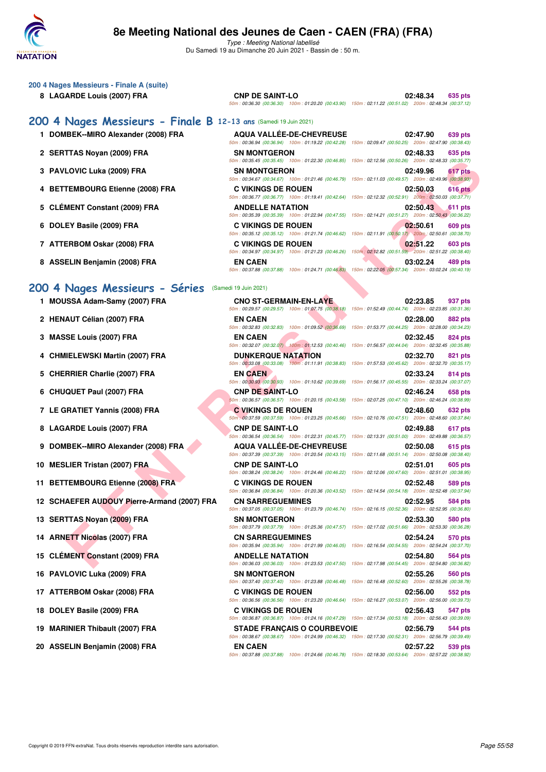

Type : Meeting National labellisé Du Samedi 19 au Dimanche 20 Juin 2021 - Bassin de : 50 m.

#### **200 4 Nages Messieurs - Finale A (suite)**

**8 LAGARDE Louis (2007) FRA CNP DE SAINT-LO 02:48.34 635 pts**

50m : 00:36.30 (00:36.30) 100m : 01:20.20 (00:43.90) 150m : 02:11.22 (00:51.02) 200m : 02:48.34 (00:37.12)

## **[200 4 Nages Messieurs - Finale B](http://www.ffnatation.fr/webffn/resultats.php?idact=nat&go=epr&idcpt=70045&idepr=91) 12**

- **1 DOMBEK--MIRO Alexander (2008) FRA**
- 2 SERTTAS Novan (2009) FRA
- **3 PAVLOVIC Luka (2009) FRA**
- **4 BETTEMBOURG Etienne (2008) FRA**
- **5 CLÉMENT Constant (2009) FRA**
- **6 DOLEY Basile (2009) FRA**
- **7 ATTERBOM Oskar (2008) FRA**
- **8 ASSELIN Benjamin (2008) FRA**

## 200 4 Nages Messieurs - Se

- 1 **MOUSSA Adam-Samy (2007) FRA**
- 2 HENAUT Célian (2007) FRA
- **3 MASSE Louis (2007) FRA**
- **4 CHMIELEWSKI Martin (2007) FRA**
- **5 CHERRIER Charlie (2007) FRA**
- **6 CHUQUET Paul (2007) FRA**
- **7 LE GRATIET Yannis (2008) FRA**
- **8 LAGARDE Louis (2007) FRA**
- **9 DOMBEK--MIRO Alexander (2008) FRA**
- **10 MESLIER Tristan (2007) FRA**
- 11 BETTEMBOURG Etienne (2008) FRA
- **12 SCHAEFER AUDOUY Pierre-Armand (2007) FRA**
- 13 SERTTAS Noyan (2009) FRA
- 14 ARNETT Nicolas (2007) FRA
- 15 CLÉMENT Constant (2009) FRA
- 16 PAVLOVIC Luka (2009) FRA
- 17 ATTERBOM Oskar (2008) FRA
- **18 DOLEY Basile (2009) FRA**
- **19 MARINIER Thibault (2007) FRA**
- 20 ASSELIN Benjamin (2008) FRA

| 2-13 ans (Samedi 19 Juin 2021) |                                                                                                        |          |                |
|--------------------------------|--------------------------------------------------------------------------------------------------------|----------|----------------|
|                                |                                                                                                        |          |                |
|                                | <b>AQUA VALLÉE-DE-CHEVREUSE</b>                                                                        | 02:47.90 | 639 pts        |
|                                | 50m: 00:36.94 (00:36.94) 100m: 01:19.22 (00:42.28) 150m: 02:09.47 (00:50.25) 200m: 02:47.90 (00:38.43) |          |                |
| <b>SN MONTGERON</b>            |                                                                                                        | 02:48.33 | 635 pts        |
|                                | 50m: 00:35.45 (00:35.45) 100m: 01:22.30 (00:46.85) 150m: 02:12.56 (00:50.26) 200m: 02:48.33 (00:35.77) |          |                |
| <b>SN MONTGERON</b>            |                                                                                                        | 02:49.96 | 617 pts        |
|                                | 50m: 00:34.67 (00:34.67) 100m: 01:21.46 (00:46.79) 150m: 02:11.03 (00:49.57) 200m: 02:49.96 (00:38.93) |          |                |
| <b>C VIKINGS DE ROUEN</b>      |                                                                                                        | 02:50.03 | <b>616 pts</b> |
|                                | 50m: 00:36.77 (00:36.77) 100m: 01:19.41 (00:42.64) 150m: 02:12.32 (00:52.91) 200m: 02:50.03 (00:37.71) |          |                |
| <b>ANDELLE NATATION</b>        |                                                                                                        | 02:50.43 | 611 pts        |
|                                | 50m: 00:35.39 (00:35.39) 100m: 01:22.94 (00:47.55) 150m: 02:14.21 (00:51.27) 200m: 02:50.43 (00:36.22) |          |                |
| C VIKINGS DE ROUEN             |                                                                                                        | 02:50.61 | 609 pts        |
|                                | 50m: 00:35.12 (00:35.12) 100m: 01:21.74 (00:46.62) 150m: 02:11.91 (00:50.17) 200m: 02:50.61 (00:38.70) |          |                |
| C VIKINGS DE ROUEN             |                                                                                                        | 02:51.22 | <b>603 pts</b> |
|                                | 50m: 00:34.97 (00:34.97) 100m: 01:21.23 (00:46.26) 150m: 02:12.82 (00:51.59) 200m: 02:51.22 (00:38.40) |          |                |
| <b>EN CAEN</b>                 |                                                                                                        | 03:02.24 | 489 pts        |
|                                | 50m: 00:37.88 (00:37.88) 100m: 01:24.71 (00:46.83) 150m: 02:22.05 (00:57.34) 200m: 03:02.24 (00:40.19) |          |                |
|                                |                                                                                                        |          |                |

| {<br>erıes<br>(Samedi 19 Juin 2021) |  |
|-------------------------------------|--|
|-------------------------------------|--|

|                                              |                                                                                     | 50m: 00:35.45 (00:35.45) 100m: 01:22.30 (00:46.85) 150m: 02:12.56 (00:50.26) 200m: 02:48.33 (00:35.77)                            |
|----------------------------------------------|-------------------------------------------------------------------------------------|-----------------------------------------------------------------------------------------------------------------------------------|
| LOVIC Luka (2009) FRA                        | <b>SN MONTGERON</b>                                                                 | 02:49.96<br>617 pts<br>50m : 00:34.67 (00:34.67) 100m : 01:21.46 (00:46.79) 150m : 02:11.03 (00:49.57) 200m : 02:49.96 (00:38.93) |
| <b>TEMBOURG Etienne (2008) FRA</b>           | <b>C VIKINGS DE ROUEN</b>                                                           | 02:50.03<br>616 pts                                                                                                               |
|                                              |                                                                                     | 50m: 00:36.77 (00:36.77) 100m: 01:19.41 (00:42.64) 150m: 02:12.32 (00:52.91) 200m: 02:50.03 (00:37.71)                            |
| <b>MENT Constant (2009) FRA</b>              | <b>ANDELLE NATATION</b>                                                             | 02:50.43<br>611 pts<br>50m: 00:35.39 (00:35.39) 100m: 01:22.94 (00:47.55) 150m: 02:14.21 (00:51.27) 200m: 02:50.43 (00:36.22)     |
| EY Basile (2009) FRA                         | <b>C VIKINGS DE ROUEN</b>                                                           | 02:50.61<br>609 pts                                                                                                               |
| ERBOM Oskar (2008) FRA                       | 50m: 00:35.12 (00:35.12) 100m: 01:21.74 (00:46.62)<br><b>C VIKINGS DE ROUEN</b>     | 150m: 02:11.91 (00:50.17) 200m: 02:50.61 (00:38.70)<br>02:51.22<br>603 pts                                                        |
|                                              | 50m: 00:34.97 (00:34.97) 100m: 01:21.23 (00:46.26)                                  | 150m: 02:12.82 (00:51.59) 200m: 02:51.22 (00:38.40)                                                                               |
| ELIN Benjamin (2008) FRA                     | <b>EN CAEN</b><br>50m: 00:37.88 (00:37.88) 100m: 01:24.71 (00:46.83)                | 03:02.24<br>489 pts<br>150m: 02:22.05 (00:57.34) 200m: 03:02.24 (00:40.19)                                                        |
|                                              |                                                                                     |                                                                                                                                   |
| Nages Messieurs - Séries                     | (Samedi 19 Juin 2021)                                                               |                                                                                                                                   |
| <b>ISSA Adam-Samy (2007) FRA</b>             | <b>CNO ST-GERMAIN-EN-LAYE</b><br>50m: 00:29.57 (00:29.57) 100m: 01:07.75 (00:38.18) | 02:23.85<br>937 pts<br>150m: 01:52.49 (00:44.74) 200m: 02:23.85 (00:31.36)                                                        |
| AUT Célian (2007) FRA                        | <b>EN CAEN</b>                                                                      | 02:28.00<br>882 pts                                                                                                               |
| SE Louis (2007) FRA                          | 50m: 00:32.83 (00:32.83) 100m: 01:09.52 (00:36.69)<br><b>EN CAEN</b>                | 150m: 01:53.77 (00:44.25) 200m: 02:28.00 (00:34.23)<br>02:32.45<br>824 pts                                                        |
|                                              | 50m: 00:32.07 (00:32.07) 100m: 01:12.53 (00:40.46)                                  | 150m: 01:56.57 (00:44.04) 200m: 02:32.45 (00:35.88)                                                                               |
| IIELEWSKI Martin (2007) FRA                  | <b>DUNKERQUE NATATION</b>                                                           | 02:32.70<br>821 pts                                                                                                               |
| RRIER Charlie (2007) FRA                     | <b>EN CAEN</b>                                                                      | 50m: 00:33.08 (00:33.08) 100m: 01:11.91 (00:38.83) 150m: 01:57.53 (00:45.62) 200m: 02:32.70 (00:35.17)<br>02:33.24<br>814 pts     |
|                                              |                                                                                     | 50m: 00:30.93 (00:30.93) 100m: 01:10.62 (00:39.69) 150m: 01:56.17 (00:45.55) 200m: 02:33.24 (00:37.07)                            |
| QUET Paul (2007) FRA                         | <b>CNP DE SAINT-LO</b>                                                              | 02:46.24<br>658 pts                                                                                                               |
| <b>RATIET Yannis (2008) FRA</b>              | 50m: 00:36.57 (00:36.57) 100m: 01:20.15 (00:43.58)<br><b>C VIKINGS DE ROUEN</b>     | 150m: 02:07.25 (00:47.10) 200m: 02:46.24 (00:38.99)<br>02:48.60<br>632 pts                                                        |
|                                              | 50m: 00:37.59 (00:37.59) 100m: 01:23.25 (00:45.66)                                  | 150m: 02:10.76 (00:47.51) 200m: 02:48.60 (00:37.84)                                                                               |
| ARDE Louis (2007) FRA                        | <b>CNP DE SAINT-LO</b>                                                              | 02:49.88<br>617 pts<br>50m: 00:36.54 (00:36.54) 100m: 01:22.31 (00:45.77) 150m: 02:13.31 (00:51.00) 200m: 02:49.88 (00:36.57)     |
| IBEK--MIRO Alexander (2008) FRA              | <b>AQUA VALLEE-DE-CHEVREUSE</b>                                                     | 02:50.08<br>615 pts                                                                                                               |
|                                              |                                                                                     | 50m: 00:37.39 (00:37.39) 100m: 01:20.54 (00:43.15) 150m: 02:11.68 (00:51.14) 200m: 02:50.08 (00:38.40)                            |
| LIER Tristan (2007) FRA                      | <b>CNP DE SAINT-LO</b>                                                              | 02:51.01<br>605 pts<br>50m : 00:38.24 (00:38.24) 100m : 01:24.46 (00:46.22) 150m : 02:12.06 (00:47.60) 200m : 02:51.01 (00:38.95) |
| TEMBOURG Etienne (2008) FRA                  | <b>C VIKINGS DE ROUEN</b>                                                           | 02:52.48<br>589 pts<br>50m : 00:36.84 (00:36.84) 100m : 01:20.36 (00:43.52) 150m : 02:14.54 (00:54.18) 200m : 02:52.48 (00:37.94) |
| <b>AEFER AUDOUY Pierre-Armand (2007) FRA</b> | <b>CN SARREGUEMINES</b>                                                             | 02:52.95<br>584 pts                                                                                                               |
|                                              |                                                                                     | 50m: 00:37.05 (00:37.05) 100m: 01:23.79 (00:46.74) 150m: 02:16.15 (00:52.36) 200m: 02:52.95 (00:36.80)                            |
| TTAS Noyan (2009) FRA                        | <b>SN MONTGERON</b>                                                                 | 02:53.30<br>580 pts<br>50m: 00:37.79 (00:37.79) 100m: 01:25.36 (00:47.57) 150m: 02:17.02 (00:51.66) 200m: 02:53.30 (00:36.28)     |
| ETT Nicolas (2007) FRA                       | <b>CN SARREGUEMINES</b>                                                             | 02:54.24<br>570 pts                                                                                                               |
| <b>MENT Constant (2009) FRA</b>              | <b>ANDELLE NATATION</b>                                                             | 50m : 00:35.94 (00:35.94) 100m : 01:21.99 (00:46.05) 150m : 02:16.54 (00:54.55) 200m : 02:54.24 (00:37.70)<br>02:54.80<br>564 pts |
|                                              |                                                                                     | 50m: 00:36.03 (00:36.03) 100m: 01:23.53 (00:47.50) 150m: 02:17.98 (00:54.45) 200m: 02:54.80 (00:36.82)                            |
| LOVIC Luka (2009) FRA                        | <b>SN MONTGERON</b>                                                                 | 02:55.26<br>560 pts<br>50m: 00:37.40 (00:37.40) 100m: 01:23.88 (00:46.48) 150m: 02:16.48 (00:52.60) 200m: 02:55.26 (00:38.78)     |
| ERBOM Oskar (2008) FRA                       | <b>C VIKINGS DE ROUEN</b>                                                           | 02:56.00<br>552 pts                                                                                                               |
| EY Basile (2009) FRA                         | <b>C VIKINGS DE ROUEN</b>                                                           | 50m: 00:36.56 (00:36.56) 100m: 01:23.20 (00:46.64) 150m: 02:16.27 (00:53.07) 200m: 02:56.00 (00:39.73)<br>02:56.43<br>547 pts     |
|                                              |                                                                                     | 50m: 00:36.87 (00:36.87) 100m: 01:24.16 (00:47.29) 150m: 02:17.34 (00:53.18) 200m: 02:56.43 (00:39.09)                            |
| INIER Thibault (2007) FRA                    | <b>STADE FRANÇAIS O COURBEVOIE</b>                                                  | 02:56.79<br>544 pts<br>50m: 00:38.67 (00:38.67) 100m: 01:24.99 (00:46.32) 150m: 02:17.30 (00:52.31) 200m: 02:56.79 (00:39.49)     |
| ELIN Benjamin (2008) FRA                     | <b>EN CAEN</b>                                                                      | 02:57.22<br>539 pts                                                                                                               |
|                                              |                                                                                     | 50m: 00:37.88 (00:37.88) 100m: 01:24.66 (00:46.78) 150m: 02:18.30 (00:53.64) 200m: 02:57.22 (00:38.92)                            |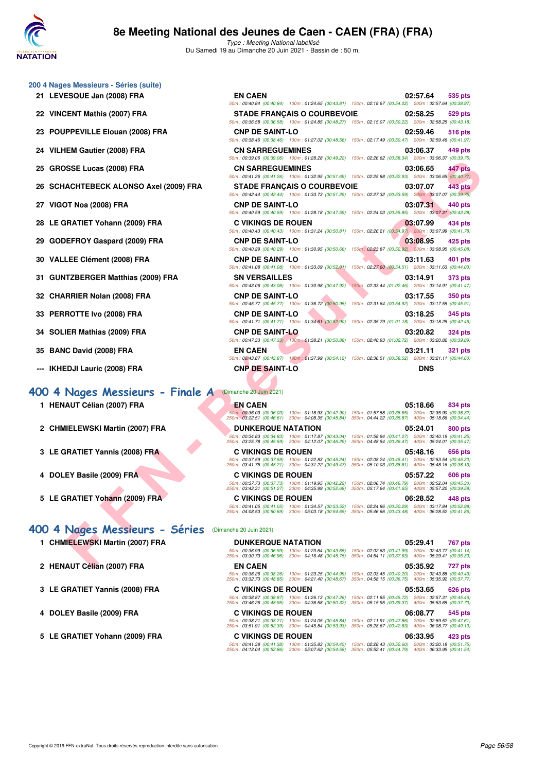

| 200 4 Nages Messieurs - Séries (suite) |  |  |  |
|----------------------------------------|--|--|--|
|----------------------------------------|--|--|--|

- 21 LEVESQUE Jan (2008) FRA
- 22 VINCENT Mathis (2007) FRA
- 23 POUPPEVILLE Elouan (2008) FRA
- 24 VILHEM Gautier (2008) FRA
- **25 GROSSE Lucas (2008) FRA**
- 26 SCHACHTEBECK ALONSO Axel (2009) FRA
- **27 VIGOT Noa (2008) FRA**
- 28 LE GRATIET Yohann (2009) FRA
- 29 GODEFROY Gaspard (2009) FRA
- **30 VALLEE Clément (2008) FRA**
- **31 GUNTZBERGER Matthias (2009) FRA**
- 32 CHARRIER Nolan (2008) FRA
- **33 PERROTTE Ivo (2008) FRA**
- **34 SOLIER Mathias (2009) FRA**
- **35 BANC David (2008) FRA**
- --- **IKHEDJI Lauric (2008) FRA**

#### **[400 4 Nages Messieurs - Finale A](http://www.ffnatation.fr/webffn/resultats.php?idact=nat&go=epr&idcpt=70045&idepr=92)** (Dimanche 20 Juin 2021)

- **1 HENAUT Célian (2007) FRA EN CAEN 05:18.66 834 pts**
- **2 CHMIELEWSKI Martin (2007) FRA**
- **3 LE GRATIET Yannis (2008) FRA**
- **4 DOLEY Basile (2009) FRA**
- **5 LE GRATIET Yohann (2009) FRA**

## **[400 4 Nages Messieurs - Séries](http://www.ffnatation.fr/webffn/resultats.php?idact=nat&go=epr&idcpt=70045&idepr=92)** (Dimanche 20 Juin 2021)

- **1 CHMIELEWSKI Martin (2007) FRA**
- 2 HENAUT Célian (2007) FRA
- **3 LE GRATIET Yannis (2008) FRA**
- 4 DOLEY Basile (2009) FRA
- 5 LE GRATIET Yohann (2009) FRA

| ESQUE Jan (2008) FRA               | <b>EN CAEN</b>                                                                                                                         | 02:57.64<br>535 pts<br>50m : 00:40.84 (00:40.84) 100m : 01:24.65 (00:43.81) 150m : 02:18.67 (00:54.02) 200m : 02:57.64 (00:38.97)    |
|------------------------------------|----------------------------------------------------------------------------------------------------------------------------------------|--------------------------------------------------------------------------------------------------------------------------------------|
| ENT Mathis (2007) FRA:             | <b>STADE FRANCAIS O COURBEVOIE</b>                                                                                                     | 02:58.25<br>529 pts<br>50m : 00:36.58 (00:36.58) 100m : 01:24.85 (00:48.27) 150m : 02:15.07 (00:50.22) 200m : 02:58.25 (00:43.18)    |
| PPEVILLE Elouan (2008) FRA         | <b>CNP DE SAINT-LO</b>                                                                                                                 | 02:59.46<br>516 pts<br>50m : 00:38.46 (00:38.46) 100m : 01:27.02 (00:48.56) 150m : 02:17.49 (00:50.47) 200m : 02:59.46 (00:41.97)    |
| EM Gautier (2008) FRA              | <b>CN SARREGUEMINES</b>                                                                                                                | 03:06.37<br>449 pts<br>50m: 00:39.06 (00:39.06) 100m: 01:28.28 (00:49.22) 150m: 02:26.62 (00:58.34) 200m: 03:06.37 (00:39.75)        |
| <b>SSE Lucas (2008) FRA</b>        | <b>CN SARREGUEMINES</b>                                                                                                                | 03:06.65<br>447 pts<br>50m: 00:41.26 (00:41.26) 100m: 01:32.95 (00:51.69) 150m: 02:25.88 (00:52.93) 200m: 03:06.65 (00:40.77)        |
| ACHTEBECK ALONSO Axel (2009) FRA   | <b>STADE FRANÇAIS O COURBEVOIE</b>                                                                                                     | 03:07.07<br>443 pts<br>50m : 00:42.44 (00:42.44) 100m : 01:33.73 (00:51.29) 150m : 02:27.32 (00:53.59) 200m : 03:07.07 (00:39.75)    |
| )T Noa (2008) FRA                  | <b>CNP DE SAINT-LO</b>                                                                                                                 | 03:07.31<br>440 pts<br>50m: 00:40.59 (00:40.59) 100m: 01:28.18 (00:47.59) 150m: 02:24.03 (00:55.85) 200m: 03:07.31 (00:43.28)        |
| <b>:RATIET Yohann (2009) FRA</b>   | <b>C VIKINGS DE ROUEN</b>                                                                                                              | 03:07.99<br>434 pts<br>50m : 00:40.43 (00:40.43) 100m : 01:31.24 (00:50.81) 150m : 02:26.21 (00:54.97) 200m : 03:07.99 (00:41.78)    |
| EFROY Gaspard (2009) FRA           | <b>CNP DE SAINT-LO</b><br>50m: 00:40.29 (00:40.29) 100m: 01:30.95 (00:50.66)                                                           | 03:08.95<br>425 pts<br>150m: 02:23.87 (00:52.92) 200m: 03:08.95 (00:45.08)                                                           |
| LEE Clément (2008) FRA             | <b>CNP DE SAINT-LO</b><br>50m: 00:41.08 (00:41.08) 100m: 01:33.09 (00:52.01)                                                           | 03:11.63<br>401 pts<br>150m: 02:27.60 (00:54.51) 200m: 03:11.63 (00:44.03)                                                           |
| TZBERGER Matthias (2009) FRA       | <b>SN VERSAILLES</b><br>50m: 00:43.06 (00:43.06) 100m: 01:30.98 (00:47.92)                                                             | 03:14.91<br>373 pts<br>150m: 02:33.44 (01:02.46) 200m: 03:14.91 (00:41.47)                                                           |
| RRIER Nolan (2008) FRA             | <b>CNP DE SAINT-LO</b><br>50m: 00:45.77 (00:45.77) 100m: 01:36.72 (00:50.95)                                                           | 03:17.55<br>350 pts<br>150m: 02:31.64 (00:54.92) 200m: 03:17.55 (00:45.91)                                                           |
| ROTTE Ivo (2008) FRA               | <b>CNP DE SAINT-LO</b>                                                                                                                 | 03:18.25<br>345 pts<br>50m : 00:41.71 (00:41.71) 100m : 01:34.61 (00:52.90) 150m : 02:35.79 (01:01.18) 200m : 03:18.25 (00:42.46)    |
| IER Mathias (2009) FRA             | <b>CNP DE SAINT-LO</b>                                                                                                                 | 03:20.82<br><b>324 pts</b><br>50m: 00:47.33 (00:47.33) 100m: 01:38.21 (00:50.88) 150m: 02:40.93 (01:02.72) 200m: 03:20.82 (00:39.89) |
| C David (2008) FRA                 | <b>EN CAEN</b>                                                                                                                         | 03:21.11<br>321 pts<br>50m: 00:43.87 (00:43.87) 100m: 01:37.99 (00:54.12) 150m: 02:36.51 (00:58.52) 200m: 03:21.11 (00:44.60)        |
| :DJI Lauric (2008) FRA             | <b>CNP DE SAINT-LO</b>                                                                                                                 | <b>DNS</b>                                                                                                                           |
| Nages Messieurs - Finale A         | (Dimanche 20 Juin 2021)                                                                                                                |                                                                                                                                      |
| AUT Célian (2007) FRA              | <b>EN CAEN</b><br>250m: 03:22.51 (00:46.61) 300m: 04:08.35 (00:45.84) 350m: 04:44.22 (00:35.87) 400m: 05:18.66 (00:34.44)              | 05:18.66<br>834 pts<br>50m: 00:36.03 (00:36.03) 100m: 01:18.93 (00:42.90) 150m: 01:57.58 (00:38.65) 200m: 02:35.90 (00:38.32)        |
| IIELEWSKI Martin (2007) FRA        | <b>DUNKERQUE NATATION</b><br>250m: 03:25.78 (00:45.59) 300m: 04:12.07 (00:46.29) 350m: 04:48.54 (00:36.47) 400m: 05:24.01 (00:35.47)   | 05:24.01<br>800 pts<br>50m: 00:34.83 (00:34.83) 100m: 01:17.87 (00:43.04) 150m: 01:58.94 (00:41.07) 200m: 02:40.19 (00:41.25)        |
| <b>RATIET Yannis (2008) FRA</b>    | <b>C VIKINGS DE ROUEN</b><br>50m: 00:37.59 (00:37.59) 100m: 01:22.83 (00:45.24)                                                        | 05:48.16<br>656 pts<br>150m: 02:08.24 (00:45.41) 200m: 02:53.54 (00:45.30)                                                           |
| EY Basile (2009) FRA               | 250m: 03:41.75 (00:48.21) 300m: 04:31.22 (00:49.47)<br><b>C VIKINGS DE ROUEN</b>                                                       | 350m: 05:10.03 (00:38.81) 400m: 05:48.16 (00:38.13)<br>05:57.22<br>606 pts                                                           |
| <b>RATIET Yohann (2009) FRA</b>    | 50m: 00:37.73 (00:37.73) 100m: 01:19.95 (00:42.22)<br>250m: 03:43.31 (00:51.27) 300m: 04:35.99 (00:52.68)<br><b>C VIKINGS DE ROUEN</b> | 150m: 02:06.74 (00:46.79) 200m: 02:52.04 (00:45.30)<br>350m: 05:17.64 (00:41.65) 400m: 05:57.22 (00:39.58)<br>06:28.52<br>448 pts    |
|                                    | 250m : 04:08.53 (00:50.69) 300m : 05:03.18 (00:54.65) 350m : 05:46.66 (00:43.48) 400m : 06:28.52 (00:41.86)                            | 50m: 00:41.05 (00:41.05) 100m: 01:34.57 (00:53.52) 150m: 02:24.86 (00:50.29) 200m: 03:17.84 (00:52.98)                               |
| Nages Messieurs - Séries           | (Dimanche 20 Juin 2021)                                                                                                                |                                                                                                                                      |
| <b>IIELEWSKI Martin (2007) FRA</b> | <b>DUNKERQUE NATATION</b><br>250m: 03:30.73 (00:46.96) 300m: 04:16.48 (00:45.75) 350m: 04:54.11 (00:37.63) 400m: 05:29.41 (00:35.30)   | 05:29.41<br><b>767 pts</b><br>50m: 00:36.99 (00:36.99) 100m: 01:20.64 (00:43.65) 150m: 02:02.63 (00:41.99) 200m: 02:43.77 (00:41.14) |
| AUT Célian (2007) FRA              | <b>EN CAEN</b>                                                                                                                         | 05:35.92<br><b>727 pts</b>                                                                                                           |

| 50m: 00:36.03 (00:36.03)  | 150m: 01:57.58 (00:38.65)  |
|---------------------------|----------------------------|
| 100m: 01:18.93 (00:42.90) | 200m: 02:35.90 (00:38.32)  |
| 250m: 03:22.51 (00:46.61) | 400m: 05:18.66 (00:34.44)  |
| 300m: 04:08.35 (00:45.84) | 350m: 04:44.22 (00:35.87)  |
| <b>DUNKERQUE NATATION</b> | 05:24.01<br><b>800 pts</b> |
| 100m: 01:17.87 (00:43.04) | 150m: 01:58.94 (00:41.07)  |
| 50m: 00:34.83 (00:34.83)  | 200m: 02:40.19 (00:41.25)  |
| 300m: 04:12.07 (00:46.29) | 400m: 05:24.01 (00:35.47)  |
| 250m: 03:25.78 (00:45.59) | 350m: 04:48.54 (00:36.47)  |
| <b>C VIKINGS DE ROUEN</b> | 05:48.16<br>656 pts        |
| 50m: 00:37.59 (00:37.59)  | 150m: 02:08.24 (00:45.41)  |
| 100m: 01:22.83 (00:45.24) | 200m: 02:53.54 (00:45.30)  |
| 300m: 04:31.22 (00:49.47) | 350m: 05:10.03 (00:38.81)  |
| 250m: 03:41.75 (00:48.21) | 400m: 05:48.16 (00:38.13)  |
| C VIKINGS DE ROUEN        | 05:57.22<br>606 pts        |
| 100m: 01:19.95 (00:42.22) | 150m: 02:06.74 (00:46.79)  |
| 50m: 00:37.73 (00:37.73)  | 200m: 02:52.04 (00:45.30)  |
| 300m: 04:35.99 (00:52.68) | 350m: 05:17.64 (00:41.65)  |
| 250m: 03:43.31 (00:51.27) | 400m: 05:57.22 (00:39.58)  |
| C VIKINGS DE ROUEN        | 06:28.52<br>448 pts        |
| 50m: 00:41.05 (00:41.05)  | 150m: 02:24.86 (00:50.29)  |
| 100m: 01:34.57 (00:53.52) | 200m: 03:17.84 (00:52.98)  |
| 250m: 04:08.53 (00:50.69) | 350m: 05:46.66 (00:43.48)  |
| 300m: 05:03.18 (00:54.65) | 400m: 06:28.52 (00:41.86)  |

| <b>DUNKERQUE NATATION</b>                             |                                                        |                                                                                  | 05:29.41                                               | <b>767 pts</b> |
|-------------------------------------------------------|--------------------------------------------------------|----------------------------------------------------------------------------------|--------------------------------------------------------|----------------|
| 50m: 00:36.99 (00:36.99)<br>250m: 03:30.73 (00:46.96) | 100m: 01:20.64 (00:43.65)<br>300m: 04:16.48 (00:45.75) | 150m: 02:02.63 (00:41.99)<br>350m: 04:54.11 (00:37.63)                           | 200m: 02:43.77 (00:41.14)<br>400m: 05:29.41 (00:35.30) |                |
| <b>EN CAEN</b>                                        |                                                        |                                                                                  | 05:35.92                                               | <b>727 pts</b> |
| 50m: 00:38.26 (00:38.26)<br>250m: 03:32.73 (00:48.85) | 100m: 01:23.25 (00:44.99)<br>300m: 04:21.40 (00:48.67) | 150m: 02:03.45 (00:40.20)<br>350m: 04:58.15 (00:36.75)                           | 200m: 02:43.88 (00:40.43)<br>400m: 05:35.92 (00:37.77) |                |
| <b>C VIKINGS DE ROUEN</b>                             |                                                        |                                                                                  | 05:53.65                                               | 626 pts        |
| 50m: 00:38.87 (00:38.87)<br>250m: 03:46.26 (00:48.95) | 100m: 01:26.13 (00:47.26)<br>300m: 04:36.58 (00:50.32) | 150m: 02:11.85 (00:45.72)<br>350m: 05:15.95 (00:39.37)                           | 200m: 02:57.31 (00:45.46)<br>400m: 05:53.65 (00:37.70) |                |
| <b>C VIKINGS DE ROUEN</b>                             |                                                        |                                                                                  | 06:08.77                                               | 545 pts        |
| 50m: 00:38.21 (00:38.21)<br>250m: 03:51.91 (00:52.39) | 100m: 01:24.05 (00:45.84)<br>300m: 04:45.84 (00:53.93) | 150m: 02:11.91 (00:47.86) 200m: 02:59.52 (00:47.61)<br>350m: 05:28.67 (00:42.83) | 400m: 06:08.77 (00:40.10)                              |                |
| <b>C VIKINGS DE ROUEN</b>                             |                                                        |                                                                                  | 06:33.95                                               | 423 pts        |
| 50m: 00:41.38 (00:41.38)<br>250m: 04:13.04 (00:52.86) | 100m: 01:35.83 (00:54.45)<br>300m: 05:07.62 (00:54.58) | 150m: 02:28.43 (00:52.60)<br>350m: 05:52.41 (00:44.79)                           | 200m: 03:20.18 (00:51.75)<br>400m: 06:33.95 (00:41.54) |                |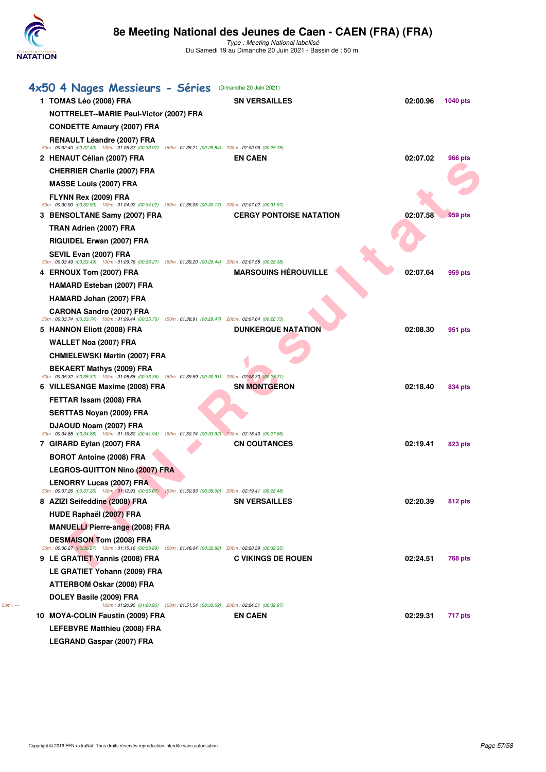

Type : Meeting National labellisé Du Samedi 19 au Dimanche 20 Juin 2021 - Bassin de : 50 m.

|          | 4x50 4 Nages Messieurs - Séries                                                                                                                | (Dimanche 20 Juin 2021)                                                       |          |          |
|----------|------------------------------------------------------------------------------------------------------------------------------------------------|-------------------------------------------------------------------------------|----------|----------|
|          | 1 TOMAS Léo (2008) FRA                                                                                                                         | <b>SN VERSAILLES</b>                                                          | 02:00.96 | 1040 pts |
|          | NOTTRELET--MARIE Paul-Victor (2007) FRA                                                                                                        |                                                                               |          |          |
|          | <b>CONDETTE Amaury (2007) FRA</b>                                                                                                              |                                                                               |          |          |
|          | <b>RENAULT Léandre (2007) FRA</b>                                                                                                              |                                                                               |          |          |
|          | 50m : 00:32.40 (00:32.40) 100m : 01:06.37 (00:33.97) 150m : 01:35.21 (00:28.84) 200m : 02:00.96 (00:25.75)<br>2 HENAUT Célian (2007) FRA       | <b>EN CAEN</b>                                                                | 02:07.02 | 966 pts  |
|          | <b>CHERRIER Charlie (2007) FRA</b>                                                                                                             |                                                                               |          |          |
|          | <b>MASSE Louis (2007) FRA</b>                                                                                                                  |                                                                               |          |          |
|          | FLYNN Rex (2009) FRA                                                                                                                           |                                                                               |          |          |
|          | 50m : 00:30.90 (00:30.90) 100m : 01:04.92 (00:34.02) 150m : 01:35.05 (00:30.13) 200m : 02:07.02 (00:31.97)<br>3 BENSOLTANE Samy (2007) FRA     | <b>CERGY PONTOISE NATATION</b>                                                | 02:07.58 | 959 pts  |
|          | TRAN Adrien (2007) FRA                                                                                                                         |                                                                               |          |          |
|          | RIGUIDEL Erwan (2007) FRA                                                                                                                      |                                                                               |          |          |
|          | SEVIL Evan (2007) FRA                                                                                                                          |                                                                               |          |          |
|          | 50m : 00:33.49 (00:33.49) 100m : 01:09.76 (00:36.27) 150m : 01:39.20 (00:29.44) 200m : 02:07.58 (00:28.38)                                     |                                                                               |          |          |
|          | 4 ERNOUX Tom (2007) FRA                                                                                                                        | <b>MARSOUINS HÉROUVILLE</b>                                                   | 02:07.64 | 959 pts  |
|          | <b>HAMARD Esteban (2007) FRA</b>                                                                                                               |                                                                               |          |          |
|          | HAMARD Johan (2007) FRA                                                                                                                        |                                                                               |          |          |
|          | <b>CARONA Sandro (2007) FRA</b><br>50m: 00:33.74 (00:33.74) 100m: 01:09.44 (00:35.70) 150m: 01:38.91 (00:29.47) 200m: 02:07.64 (00:28.73)      |                                                                               |          |          |
|          | 5 HANNON Eliott (2008) FRA                                                                                                                     | <b>DUNKERQUE NATATION</b>                                                     | 02:08.30 | 951 pts  |
|          | WALLET Noa (2007) FRA                                                                                                                          |                                                                               |          |          |
|          | <b>CHMIELEWSKI Martin (2007) FRA</b>                                                                                                           |                                                                               |          |          |
|          | <b>BEKAERT Mathys (2009) FRA</b><br>50m : 00:35.32 (00:35.32) 100m : 01:08.68 (00:33.36) 150m : 01:39.59 (00:30.91) 200m : 02:08.30 (00:28.71) |                                                                               |          |          |
|          | 6 VILLESANGE Maxime (2008) FRA                                                                                                                 | <b>SN MONTGERON</b>                                                           | 02:18.40 | 834 pts  |
|          | FETTAR Issam (2008) FRA                                                                                                                        |                                                                               |          |          |
|          | <b>SERTTAS Noyan (2009) FRA</b>                                                                                                                |                                                                               |          |          |
|          | DJAOUD Noam (2007) FRA                                                                                                                         |                                                                               |          |          |
|          | 50m: 00:34.88 (00:34.88) 100m: 01:16.82 (00:41.94) 150m: 01:50.74 (00:33.92) 200m: 02:18.40 (00:27.66)<br>7 GIRARD Eytan (2007) FRA            | <b>CN COUTANCES</b>                                                           | 02:19.41 | 823 pts  |
|          | <b>BOROT Antoine (2008) FRA</b>                                                                                                                |                                                                               |          |          |
|          | <b>LEGROS-GUITTON Nino (2007) FRA</b>                                                                                                          |                                                                               |          |          |
|          | <b>LENORRY Lucas (2007) FRA</b>                                                                                                                |                                                                               |          |          |
|          | $50m$ : 00:37.26 (00:37.26) 100m: 01:12.93 (00:35.67) 150m: 01:50.93 (00:38.00) 200m: 02:19.41 (00:28.48)                                      |                                                                               |          |          |
|          | 8 AZIZI Seifeddine (2008) FRA                                                                                                                  | <b>SN VERSAILLES</b>                                                          | 02:20.39 | 812 pts  |
|          | HUDE Raphaël (2007) FRA                                                                                                                        |                                                                               |          |          |
|          | <b>MANUELLI Pierre-ange (2008) FRA</b><br><b>DESMAISON Tom (2008) FRA</b>                                                                      |                                                                               |          |          |
|          | 50m : 00:36.27 (00:36.27) 100m : 01:15.16 (00:38.89) 150m : 01:48.04 (00:32.88) 200m : 02:20.39 (00:32.35)                                     |                                                                               |          |          |
|          | 9 LE GRATIET Yannis (2008) FRA                                                                                                                 | <b>C VIKINGS DE ROUEN</b>                                                     | 02:24.51 | 768 pts  |
|          | LE GRATIET Yohann (2009) FRA                                                                                                                   |                                                                               |          |          |
|          | ATTERBOM Oskar (2008) FRA                                                                                                                      |                                                                               |          |          |
| $50m: -$ | DOLEY Basile (2009) FRA                                                                                                                        | 100m: 01:20.95 (01:20.95) 150m: 01:51.54 (00:30.59) 200m: 02:24.51 (00:32.97) |          |          |
|          | 10 MOYA-COLIN Faustin (2009) FRA                                                                                                               | <b>EN CAEN</b>                                                                | 02:29.31 | 717 pts  |
|          | LEFEBVRE Matthieu (2008) FRA                                                                                                                   |                                                                               |          |          |
|          |                                                                                                                                                |                                                                               |          |          |